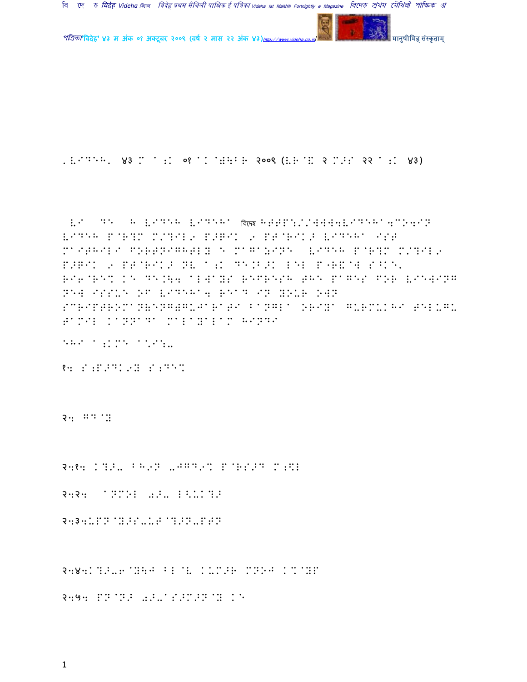1

२५५ PN NAS APAN PANCHER NA

२५४५: BRUR MERR PECK (10738) 7758 (17738)

२4३4UPN@Y>S-UT@?>N-PTN

 $2434$   $7774$   $847$   $16$ 

२4१4 KRIA BH9D9 LAPPSC P@RSP M;BL

 $24.9$  GD  $12.9$ 

84 F;PSPIS;DE%PS;DE%PS;

EHI A;KME A\*I:-

 $V\in \mathbb{R}^N$  and  $V\in \mathbb{R}^N$  and  $V\in \mathbb{R}^N$  and  $V\in \mathbb{R}^N$  and  $V\in \mathbb{R}^N$  and  $V\in \mathbb{R}^N$  and  $V\in \mathbb{R}^N$ BATH PORT TITLE PRESS & PROPER BATH AND VID MAITHILI FORTHICI SAMAGINE VIDEH PORTNIGHT P>QIK 9 PT@RIK> NV A;K DE.B>K LEL P"R&@W S^KE' RI6@RE% KE DE.\4 ALWAYS REFRESH THE PAGES FOR VIEWING NEW ISSUE OF VIDEHA4 READ IN YOUR OWN SCRIPTROMANG GUIARATI BANGLA ORIGINAL ORIGINAL GUIARATI TAMIL KANNADA MALAYALAM HINDI

'YIDEH' X3 M A;K ०१ A;K २००९ (YRA)H २००९ (YRA)H २०१ A;K २२ A;K २४)

*পত্ৰিকা*' विदेह' ४३ म अंक ०१ अक्टूबर २००९ (वर्ष २ मास २२ अंक ४३)http://www.videha.co.in/ मानासी मानुसीमिह संस्कृताम्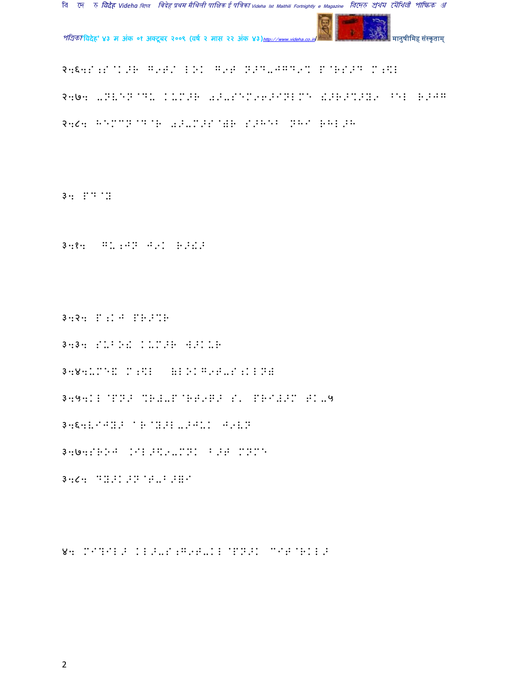ৱি দে *হ বিदेह Videha ৰিজে ৰিবলৈ प्रथम मैथिली पाक्षिक ई पत्रिका <sub>Videha</sub> Ist Maithili Fortnightly e Magazine <i>ৱিদেহ প্ৰথম মৌথি*লী পাক্ষিক \$

*পত্ৰিকা*' विदेह' ४३ म अंक ०१ अक्टूबर २००९ (वर्ष २ मास २२ अंक ४३)http://www.videha.co.in/ मानीमिंद्र अंस्कृताम्

4६4S;S@K>R G9T/ LOK G9T N>D-JGD9% P@RS>D M;\$L 4७4 -NVEN@DU KUM>R 0>-SEM96>INLME !>R>%>Y9 ^EL R>JG 4८4 HEMCN@D@R 0>-M>S@)R S>HEB NHI RHL>H

 $3: P^2$ 

GU;  $\pm 31$   $\pm 42$  GU;  $\pm 21$   $\pm 21$ 

 P;K $\frac{34}{2}$  PR-4३4 SUBO! KUM>R W>KUR 4४4UME& M;\$L (LOKG9T-S;KLN) 4५4KL@PN> %R#-P@RT9Q> S' PRI#>M TK-५ 3464L-PARA (1978-1988), 294L-P (1978-1988) 4७4SROJ .IL>\$9-MNK B>T MNME PHP: FP  $44.4$  PHP

4 MI?IL> KL>-S;G9T-KL@PN>K CIT@RKL>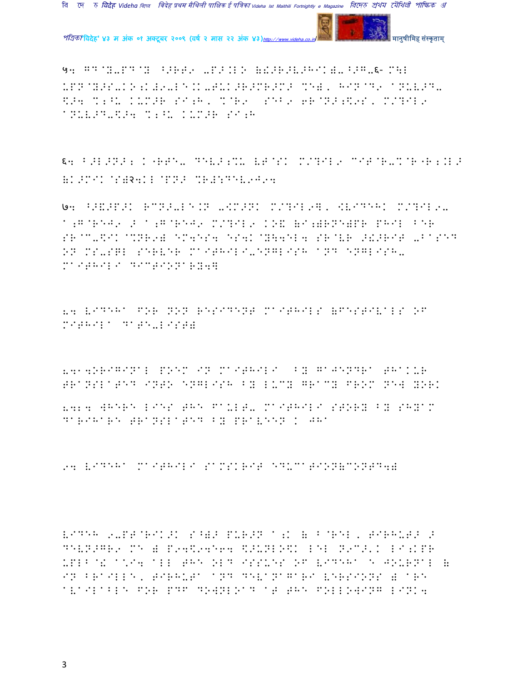$94.$  GPP (BUPP (B)  $\sim$  RPP) - UPP (E). HENPIRE PHOTO BUSINESS THE UP NORTH AND A SHARE AND A SHARE AND A SHARE AND DESCRIPTION OF THE RESIDENCE OF THE RESIDENCE OF THE RESIDENC \$>4 %;^U KUM>R SI;H, %@R9 SEB9 6R@N>;\$9S, M/?IL9 ANUVAS SERIKA SI; ANUVAS SI;

६4 B>L>N>; K"RTE- DEV>;%U VT@SK M/?IL9 CIT@R-%@R"R;.L> (K>MIK@S)२4KL@PN> %R#:DEV9J94

७4 ^>&>P>K RCN>-LE.N -[M>NK M/?IL9], [VIDEHK M/?IL9- A;G@REJ9 > A;G@REJ9 M/?IL9 KO& (I;)RNE)PR PHIL BER SR COLSAN CORPLAR SROWS ENGINE CRANNER SR PER CREATER BASED IN CIRCU ON MS-SQL SERVER MAITHILI-ENGLISH AND ENGLISH-MAITHILI DICTIONARY4]

84 VIDEHA FOR NON RESIDENT MAITHILS (FESTIVALS OF MITHILA DATE-LIST)

8414ORIGINAL POEM IN MAITHILI BY GAJENDRA THAKUR TRANSLATED INTO ENGLISH BY LUCY GRACY FROM NEW YORK

8424 WHERE LIES THE FAULT- MAITHILI STORY BY SHYAM DARIHARE TRANSLATED BY PRAVEEN K JHA

94 VIDEHA MAITHILI SAMSKRIT EDUCATION(CONTD4)

VIDEH 9-PT DER SPORT SOM AF DER STRIKKE SOM AF DE LIGHT I SPURKER AF DER NE DEVNOP PER I DEVANIS ME SOLO KONCRETA LEL NORD LIGICALE PER I P UPLA AD A NAS ALL THE OLD ISSUES OF VIDENCIAL DAY (UPLA) ALL THE OLD ISSUES OF VIDEO IN BRAILLE, TIRHUTA AND DEVANAGARI VERSIONS ) ARE AVAILABLE FOR PDF DOWNLOAD AT THE FOLLOWING LINK4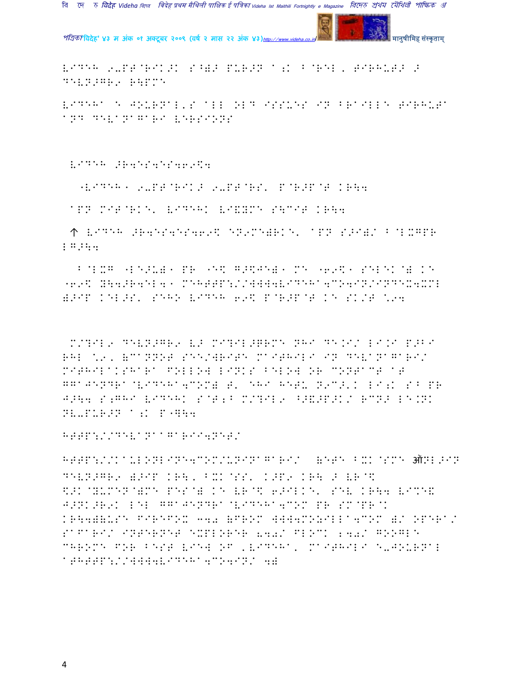VIDEH 9-PT@RIK>K S^)> PUR>N A;K B@REL, TIRHUT> >

VIDEHA E JOURNAL'S ALL OLD ISSUES IN BRAILLE TIRHUTA AND DEVANAGARI VERSIONS

DEVELOPED ROMAN

VIDEH >R4ES4ES469\$4

"VIDEH" 9-PT@RIK> 9-PT@RS' P@R>P@T KR\4

APN MITH MITH WAS ARRESTED FOR A STRAINER

个 EPTER SPAESESFARS ENSTERED NOTE SSEED POINTR  $\vdots$   $\vdots$   $\vdots$   $\vdots$ 

 B@LXG "LE>U)" PR "E\$ G>\$JE)" ME "69\$" SELEK@) KE "69\$ Y\4>R4EL4" MEHTTP://WWW4VIDEHA4CO4IN/INDEX4XML )>IP KEL>S' SEHO VIDEH 69\$ P@R>P@T KE SK/T \*94

MICHER DE FRANKERS ALS CREEFE SERCH DER INFORMETIEK EN DE RHL \*9, (CANNOT SEE/WRITE MAITHILI IN DEVANAGARI/ MITHILAKSHARA FOLLOW LINKS BELOW OR CONTACT AT GGAJENDRA SENGAN ATERS AL SAN ASAR DENGIN TANG PASI PE JPDE S;GHER SATER SOM STRAKT SOM HERFOR A SHER NURDER AF AIR PARA

HTTP://DEVANAAGARII4NET/

HETT://KAULONLINE/THROUNDEFACOM/UNINAGARI/ (ETE BY SMEETER DEVN>GR9 )>IP KR\, BXK@SS' K>P9 KR\ > VR@\$ \$>K@YUMEN@)ME PES@) KE VR@\$ 6>ILKE' SEV KR\4 VI%E& J>NK>R9K LEL GGAJENDRA@VIDEHA4COM PR SM@PR@K KR\4)(USE FIREFOX 340 (FROM WWW4MOZILLA4COM )/ OPERA/ SAFARI/ INTERNET EXPLORER 840/ FLOCK 240/ GOOGLE CHROME FOR BEST VIEW OF 'VIDEHA' MAITHILI EEN SANDER VAN DIE VIDEHA ATHTTP://WWW4VIDEHA4CO4IN/ 4)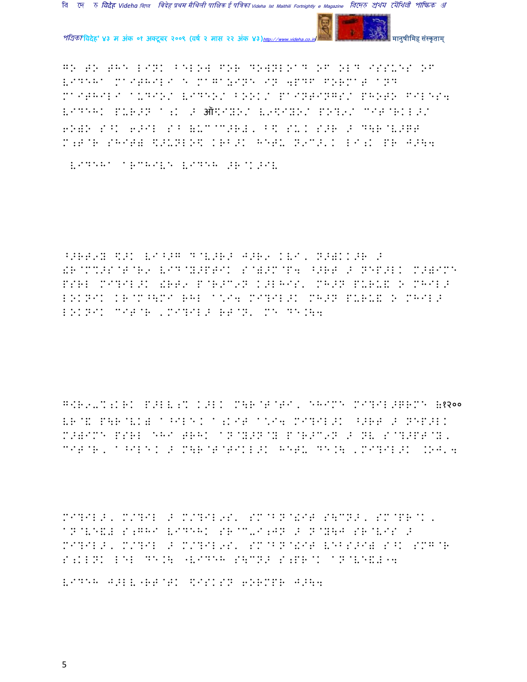MARIA, MARI & MARIAN, SMARAGE SHORA, SMARAGE AND VERSIG SIGHINA SERMANA SIGHI VIDEHK SR@C-I;JN OBSAVIS OF NEWSLAG MIRING, MARING SA MATERIAL, SAMA BALISTIC EN SAKING SAK SAMGA S;KLNK LEN DE. "VIDEH STATE STATE S; PROVIDENT S;

GRESS;KRK PREEST IN MIRTHE MORE (1999), SASTA MATHINE PERTY BROO VR@& P\R@VK) A^ILE. A;KIT A\*I4 MI?IL>K ^>RT > NEP>LK MORE PSRL EMPERATOR AND A SERVE AND DESCRIPTION OF THE PSALE PROPERTY OF THE PSALE PROPERTY OF THE PSALE PROPE CITAR CITARES DE CITAR DE DES ESTES DE L'ANCHE L'ODIFICIO DE L'A

 $\frac{1}{2}$  , the state of the state of the state of the state of the state of the state of the state of the state of the state of the state of the state of the state of the state of the state of the state of the state of t !R@M%>S@T@R9 VID@Y>PTIK S@)>M@P4 ^>RT > NEP>LK M>)IME PSRL MI?IL>K !RT9 P@R>C9N K>LHIS' MH>N PURU& O MHIL> LOKNIK KR@M^\MI RHL A\*I4 MI?IL>K MH>N PURU& O MHIL> LOKNIK CIT@R 'MI?IL> RT@N' ME DE.\4

VIDEHA ARCHIVE VIDEH SERVICE VIDEH S

GO TO THE LINK BELOW FOR DOWNLOAD OF OLD ISSUES OF VIDEHA MAITHILI E MAGAZINE IN 4PDF FORMAT AND MAITHILI AUDIO/ VIDEO/ BOOK/ PAINTINGS/ PHOTO FILES4 VIDEHK PUR>N A;K > ऑ\$IYO/ V9\$IYO/ PO?9/ CIT@RKL>/ 6O)O S^K 6>IL S^ (UC@C>R#, B\$ SU. S>R > D\R@V>QT M:P SHITP: THE SECRETS OF SHIPS AND SHITLE SHIPS AND THE SECRET

*পত্ৰিকা*'বিदेह' ४३ म अंक ०१ अक्टूबर २००९ (वर्ष २ मास २२ अंक ४३)http://www.videha.co.in<sup>/ Hamak</sup> - स्थितिका अनुसीमिह संस्कृताम्



िव <sup>रा</sup>प रु विदेह Videha <sub>विपद</sub> विदेह प्रथम मैथिली पाक्षिक ई पत्रिका <sub>Videha Ist Maithili Fortnightly e Magazine *विरमरु श*थंग रंगैथिली পोष्किक औ</sub>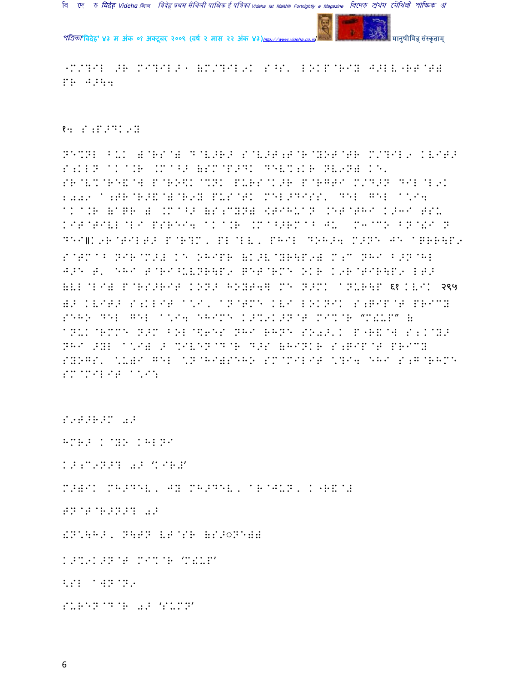"MORE" SAN MIRILA - BOL'HAL-AL'IL' SAN MATHAIL-AR MARA PR *Alian* 

 $\mathbf{3} \cdot \mathbf{9} \cdot \mathbf{9} \cdot \mathbf{1} \cdot \mathbf{1} \cdot \mathbf{1} \cdot \mathbf{1} \cdot \mathbf{1} \cdot \mathbf{1} \cdot \mathbf{1} \cdot \mathbf{1} \cdot \mathbf{1} \cdot \mathbf{1} \cdot \mathbf{1} \cdot \mathbf{1} \cdot \mathbf{1} \cdot \mathbf{1} \cdot \mathbf{1} \cdot \mathbf{1} \cdot \mathbf{1} \cdot \mathbf{1} \cdot \mathbf{1} \cdot \mathbf{1} \cdot \mathbf{1} \cdot \mathbf{1} \cdot \mathbf{1} \cdot \mathbf{1} \cdot \mathbf{$ 

NE%NL BUK )@RS@) D@V>R> S@V>T;T@R@YOT@TR M/?IL9 KVIT> S;KLN AK@.R .M@^> (SM@P>DK DEV%;KR NV9N) KE' SR@V%@RE&@W P@RO\$K@%NK PURS@K>R P@RGTI M/D>N DIL@L9K 2009 A;TR@R>&@)@R9Y PUS@TK MEL>DISS' DEL GEL A\*I4 AK@.R (AQR ) .M@^> (S;CYN) [TIHUAN .ET@THI K>3I TSU KIT@TIVL@LI PSREDIA AK@.R .M@^ JU M3@CO BN@ I NA@CO BN@ I NAMO BN DEN NORDER PROTECTION PROTECTION OF A SPEED PROTECTIVE S@TM@^ NIR@MOONIPR (KONGRESS) MARE (KONGRESS) MIRROR (KONGRESS) MIRROR (KONGRESS) MIRROR (KONGRESS) MIRROR (KO J>E T' EHI T@RI^UVNR\P9 QET@RME OKR K9R@TIR\P9 LT>  $E(E)$  is the proposition of the Hostel Me  $N$  and  $N$  and  $N$  and  $N$  and  $N$  and  $N$  and  $N$  . The  $N$ ) And the state of the state of the state of the state of the state of the state of the state of the state of SEHO DEL GEL A\*I4 EHIME K>%9K>N@T MI%@R "M!UP" ( ANUK@RMAD SOON: ANUK@RMARMA SOOS NE SOON SOOS NHI DIBI >YL AT CIRCO DISTRICT ON THE SERVICE STORE IN SERVICE SHOGS' TIME #HI STANDERHO STOREFH STAR HAN S;@PHPF SM AMERICAN AT A STREET

SSPT-00 HTPS CONFIDENT K>;C9N>? 0> 'KIR#' M>)IK MH>DEV, JY MH>DEV, AR@JUN, K"R&@# TN@T@R>N>? 0> !N\*\H>, N\TN VT@SR (S>◌NE)) K>%9K>N@T MI%@R 'M!UP' RESULT AND THE SUREN@D@R 0> 'SUMN'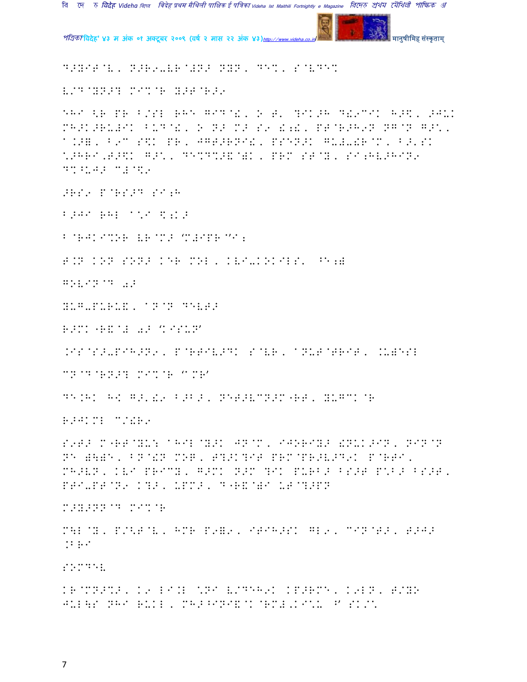िव <sup>त</sup>ि दिविदेह Videha विल्ह विदेह प्रथम मैथिली पाक्षिक ई पत्रिका <sub>Videha Ist Maithili Fortnightly e Magazine त्रिटिम्ह 'शेर/ग ट्गैशिवी शीश्किक \$l</sub>

*পত্ৰিকা*'বিदेह' ४३ म अंक ०१ अक्टूबर २००९ (वर्ष २ मास २२ अंक ४३)http://www.videha.co.in<sup>/ Hamak</sup> - स्थितिका अनुसीमिह संस्कृताम्

D>YIT@V, N>R9-VR@#N> NYN, DE%, S@VDE%

V/D@YN>? MI%@R Y>T@R>9

EHI <R PR B/SL RHE GID@!, O T' ?IK>H D!9CIK H>\$, >JUK MHORE IK BUDGA DOOR IN DIE SEE IN DIE GEWOND DE GEVOLG A.>=, B9C S\$K PR, JGT>RNI!, PSEN>K GU#-!R@M, B>'SK \*>HRI,T>\$K G>\*, DE%D%>&@)K, PRM ST@Y, SI;HV>HIN9  $\mathcal{D}(\mathcal{D})=\mathcal{D}(\mathcal{D})=\mathcal{D}(\mathcal{D})=\mathcal{D}(\mathcal{D})$ 

>RS9 P@RS>D SI;H

Barnett Barnett Atlantic

BORJKI, PORT I, PORT I, PORT I, PORT

F.N KON SON KON SON SON KER MOLDER

GOVING DIE

YUG-PURU&, AN@N DEVT>

R>MK"R&@# 0> 'KISUN'

.IS@S>-PIH>N9, P@RTIV>DK S@VR, ANUT@TRIT, .U)ESL

CN@D@RN>? MI%@R 'AMR'

DE.HK HER HER HER STRIKE SOME

R+C/PC/PC/RP+

S9T> M"RT@YU: AHIL@Y>K JN@M, IJORIY> !NUK>IN, NIN@N NE )\)E, BN@!N MOQ, T?>K?IT PRM@PR>V>D9K P@RTI, MHARD, KEP PRITE, BAT, BAT, HIN PURPS BER BSO PURS BS PTI-PT@N9 K?>, UPM>, D"R&@)I UT@?>PN

M>Y>NN@D MI%@R

M\L@Y, P/<T@V, HMR P9=9, ITIH>SK GL9, CIN@T>, T>J>  $\mathbb{R}^n$  is a function of  $\mathbb{R}^n$ 

SOMDER

KRAMNAS KRONO KORA KAPANG KEPUNAN KERAMA KE JULIA DE SERVICI DE SERVICI DE SERVICI DE SERVICI DE SERVICI DE SERVICI DE SERVICI DE SERVICI DE SERVICI DE S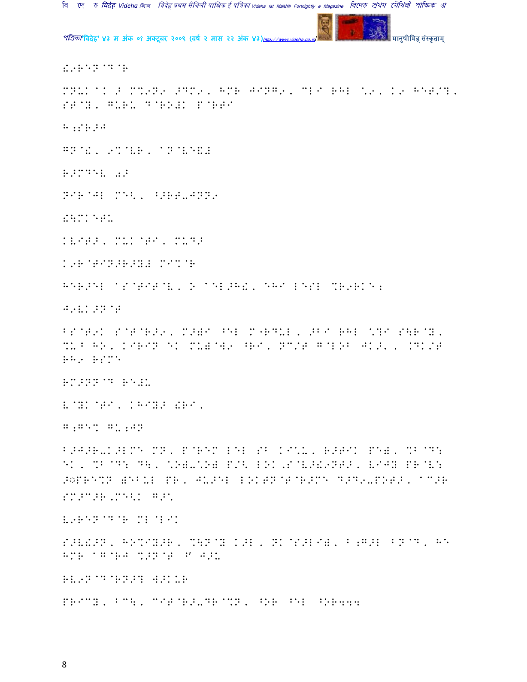िव <sup>त</sup>ि दिविदह Videha *विज्ह विदेह प्रथम मैथिली पाक्षिक ई पत्रिका <sub>Videha Ist Maithili Fortnightly e Magazine <i>वि*(मह *शेशे* य त्यैशिती পौस्किक \$</sub>

*পত্ৰিকা*'বিदेह' ४३ म अंक ०१ अक्टूबर २००९ (वर्ष २ मास २२ अंक ४३)http://www.videha.co.in<sup>/ Hamak</sup> - स्थितिमह संस्कृताम्



!9REN@D@R

MNUK@. > M%9N9 >DM9, HMR JING9, CLI RHL \*9, K9 HET/?, ST@Y, GURU D@RO#K P@RTI

 $H$   $\Omega$   $\Omega$   $\Omega$ 

GN: 9 (1990) (1990) (1990) (1990) (1990) (1990) (1990) (1990) (1990) (1990) (1990) (1990) (1990) (1990) (1990)

RRTH 2

NIRM MEXAL MERGEN

!\MKETU

KVIT>, MUK@TI, MUD>

K9R@TIN>R>Y# MI%@R

HER>EL AS@TIT@V, O AEL>H!, EHI LESL %R9RKE;

J9VK>N@T

BS@T9K S@T9K S@T9K S@T@ROW, MORE TO SPECIAL AND A CONTROL TO A REPORT OF THE SAME REPORT OF THE SAME REPORT OF %U^ HO, KIRIN EK MU)@W9 ^RI, NC/T G@LOB JK>', .DK/T RH9 RSME

RM>NN@D RE#U

V@YK@TI, KHIY> !RI,

G;Gewy Gy, Ay

BOWERLY MANUFACTIVE MANUFACT MANUFACTURE EK, %BO: DOON- DA, %BO: DA, DOON- PIJK, E DI, ISBN RIJARA PROVESTIG PROVESTIG >◌PRE%N )EBUL PR, JU>EL LOKTN@T@R>ME D>D9-POT>, AC>R SM>C>R,ME<K G>\*

BREND MADE OF THE

 $S\rightarrow V$  ,  $S\rightarrow V$  ,  $S\rightarrow V$  ,  $S\rightarrow V$  ,  $S\rightarrow V$  ,  $S\rightarrow V$  ,  $S\rightarrow V$  ,  $S\rightarrow V$  ,  $S\rightarrow V$  ,  $S\rightarrow V$  ,  $S\rightarrow V$  ,  $S\rightarrow V$  ,  $S\rightarrow V$  ,  $S\rightarrow V$  ,  $S\rightarrow V$  ,  $S\rightarrow V$  ,  $S\rightarrow V$  ,  $S\rightarrow V$  ,  $S\rightarrow V$  ,  $S\rightarrow V$  ,  $S\rightarrow V$  ,  $S\rightarrow V$  ,  $S\rightarrow V$  ,  $S\rightarrow V$  ,  $S\rightarrow V$ HMR AGB WAS AGREED WAS A

REVENSION WARD

PRICY, BC\, CIT@R>-DR@%N, ^OR ^EL ^OR444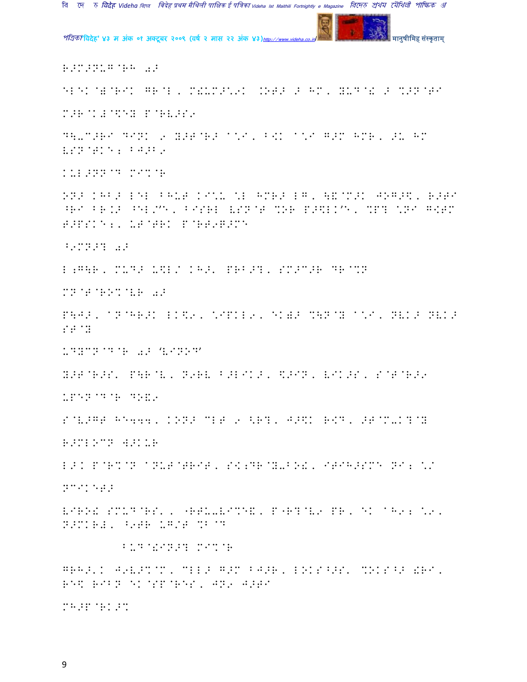िव <sup>त</sup> ह विदेह Videha <sub>विष्य</sub> विदेह प्रथम मैथिली पाक्षिक ई पत्रिका <sub>Videha Ist Maithili Fortnightly e Magazine *वि*(मह क्षेश्रेग ट्रॉशिती পौष्किक \$</sub>

*পত্ৰিকা*'বিदेह' ४३ म अंक ०१ अक्टूबर २००९ (वर्ष २ मास २२ अंक ४३)http://www.videha.co.in<sup>/ Hamak</sup> - स्थितिका अनुसीमिह संस्कृताम्

 $R_1$  , and  $R_2$  , and  $R_3$  , and  $R_4$  , and  $R_5$  , and  $R_6$ 

ELEK@)@RIK GR@L, M!UM>\*9K .OT> > HM, YUD@! > %>N@TI M>R@K#@\$EY P@RV>S9

D\-C>RI DINK 9 Y>T@R> A\*I, B[K A\*I G>M HMR, >U HM VSN@TKE; BJ>B9

KULOVIC MISSION

OND CHER ENE FALB CRIL IE ATER EAR. AETTRO ADAREL BRAK ^RI BR.> ^EL/'E, BISRL VSN@T %OR P>\$LK'E, %P? \*NI G[TM T>PSKE;, UT@TRK P@RT9Q>ME

 $\left(3.1, 0.001, 0.001, 0.000\right)$ 

L;G\R, MUD> U\$L/ KH>' PRB>?, SM>C>R DR@%N

MN@T@RO%@VR 0>

P\J>, AN@HR>K LK\$9, \*IPKL9, EK)> %\N@Y A\*I, NVK> NVK> ST. ST.

UDYCN@D@R 0> 'VINOD'

YOR TO POSSESS BY THE ROOM BY A STORY BY A RELEASED BY A RELEASED BY A RELEASED BY A RELEASED BY A RELEASED BY

UPEN@D@R DO&9

SOVECTED HEA444, CONTECTED DATED BY A PORT DRIVE, CHEVICAL BOB

R>MLOCN W>KUR

L>. P@R%@N ANUT@TRIT, S[;DR@Y-BO!, ITIH>SME NI; \*/

NCIKET>

VIRO! SMUD@RS', "RTU-VI%E&, P"R?@V9 PR, EK AH9; \*9, N>MKR#, ^9TR UG/T %B@D

BUD@!INSTRUCT\_PRODUCT\_

GRHOUS - HOLDS ON LOCKED AT HONOR HOLD, LOKSON DONE EN EXIGENCI RE\$ RIBN EK@SP@RES, JN9 J>TI

MH>P@RK>%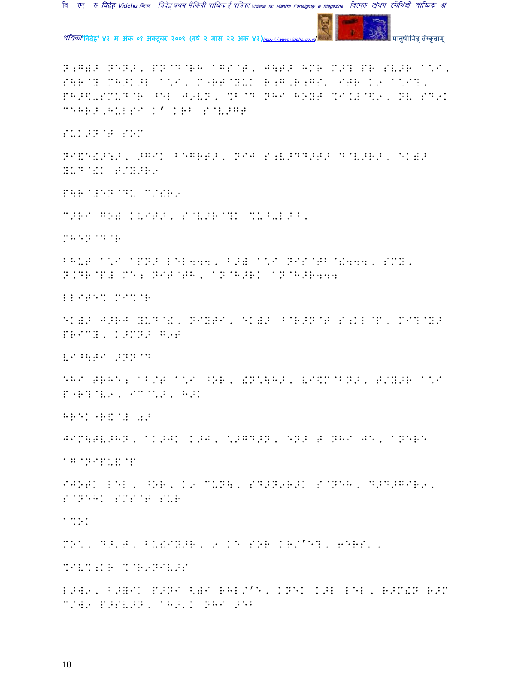िव <sup>त</sup>ि दिविदेह Videha *विल्ह विदेह प्रथम मैथिली पाक्षिक ई पत्रिका <sub>Videha Ist Maithili Fortnightly e Magazine <i>त्रि*त्मिरु *शेशे* य त्यैशिती পौश्किक औ</sub>

*পত্ৰিকা*'বিदेह' ४३ म अंक ०१ अक्टूबर २००९ (वर्ष २ मास २२ अंक ४३)http://www.videha.co.in<sup>/ Hamak</sup> - स्थितिमह संस्कृताम्

N;G)> NEN>, PN@D@RH AGS@T, J\T> HMR M>? PR SV>R A\*I, STAR TO CONSIST AT A INCORPORATION OF FURNISHING AT A TIME AT A INCORPORATION OF THE  $\Gamma$ PHOBLICATE PHOTOGROUP OF THOR HORE TO SOCK SERVICE CEHR>,HULSI K' KRB S@V>GT

SUK>N@T SOM

NI&E!>:>, >GIK BEGRT>, NIJ S;V>DD>T> D@V>R>, EK)> YUD@!K T/Y>R9

PAR TRANSPORT TO CONTROL

THE BREAKER SOMETH TO LEFT.

MHEN@D@R

BHUT AT AFI AT A I AT A LELANDER AT A THE SERIES AND STRUCTURE N.DR@P# ME; NIT@TH, AN@H>RK AN@H>R444

LLITE% MI%@R

EK)> J>RJ YUD@!, NIYTI, EK)> ^@R>N@T S;KL@P, MI?@Y> PRICY, KONSTANTING

 $\mathbf{y}$  . The property

EHI TRHES; AF/BOAR, PRHI, BRIANNI, ERRA AFILIA, BIZEN AOR, P RESERVE POSSESSED

HREAD HEAR

JIM\TV>HN, AK>JK K>J, \*>GD>N, EN> T NHI JE, ANERE

AG@NIPU&@P

IJOTK LEL, ^OR, K9 CUN\, SD>N9R>K S@NEH, D>D>GIR9, S@NEHK SMS@T SUR

 $\frac{1}{2}$ 

MOTH, DISPUTE IN DISPUTE IN DISPUTE IN THE SORE CONTINUES.

 $\mathcal{F}(\mathcal{F},\mathcal{F})$  is the set of the set of the set of the set of the set of the set of the set of the set of the set of the set of the set of the set of the set of the set of the set of the set of the set of the set of

L>W9, B>=IK P>NI <)I RHL/'E, KNEK K>L LEL, R>M!N R>M T/WAS PREERS (TRACT PRESS)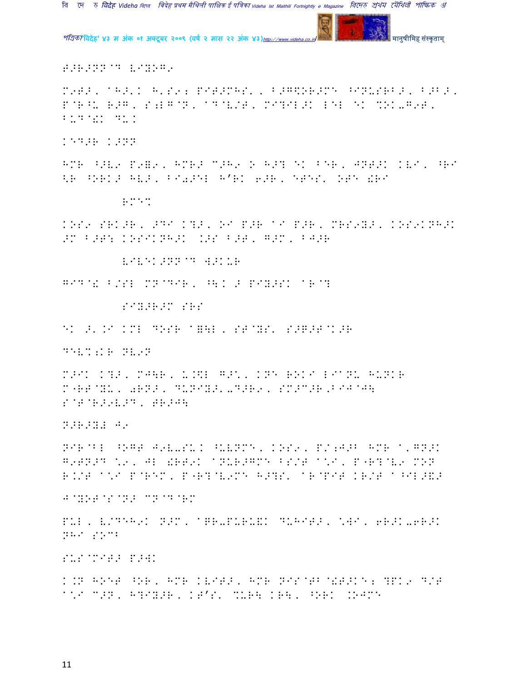*পত্ৰিকা*' विदेह' ४३ म अंक ०१ अक्टूबर २००९ (वर्ष २ मास २२ अंक ४३)http://www.videha.co.in/ मानसीमिक अंस्कृताम् अधिक



T>R>NN@D VIYOG9

MSTOR (AH), AHORY, PITOS, BOSTOR, BOSTOR, BOSTOR, BOSTOR, BOSTOR, BOSTOR, BOSTOR, BOSTOR, BOSTOR, BOSTOR, BOSTOR, BOSTOR, BOSTOR, BOSTOR, BOSTOR, BOSTOR, BOSTOR, BOSTOR, BOSTOR, BOSTOR, BOSTOR, BOSTOR, BOSTOR, BOSTOR, BOST P@R^U R>G, S;LG@N, AD@V/T, MI?IL>K LEL EK %OK-G9T, BUD@!K DU.

KED>R K>NN

HOB (PDES BOBBS) POPS OSPHA D'APPRONT PORT APPLICADEUR CERT, PHR ALE (PORTUG) HEL EL FORGUSE I HOME I HUDEN (OTE ETHIOPISCHE SERVICE)

RME%

KOSP, SRKJAR, JAR, OIRA, OR, BJR, MR, BJR, OIRENBA, CORPAIGRAM >M B>T: KOSIKNH>K .>S B>T, G>M, BJ>R

RVIVERS WORKER

GIOVER GILD CONTROL CHILD BOOKS

SIYARAD SRD

EK >'.I KML DOSR A=\L, ST@YS' S>Q>T@K>R

BREAD: NEWS

M>IK K?>, MJ\R, U.\$L G>\*, KNE ROKI LIANU HUNKR MARTON, DARRI, ROMAN, SRIP, SMIRINI, SMIRI, SA SOME SOME STORES

N>R>Y# J9

NIR@BL ^OGT J9V-SU. ^UVNME, KOS9, P/;J>B HMR A'GN>K GD-BD20TN-D. A. P. BERGME DOCK AND BS/T AT PERSON AT REPORT BS/T AND THE R./T A\*I P@REM, P"R?@V9ME H>?S' AR@PIT KR/T A^IL>&>

J@YOT@S@N> CN@D@RM

PUL, V/DEH), KURANG KURANG KERAMA PULA, KERAMA PULA, KERAMA PULA, KERAMA PULA, KERAMA PULA, KERAMA PULA, KERAM<br>Sebagai ke di bagai ke di bagai ke bagai ke di bagai ke bagai ke bagai ke bagai ke bagai ke bagai ke bagai ke NHI SOCIAL

 $\mathcal{S}=\mathcal{S}=\mathcal{S}=\mathcal{S}=\mathcal{S}=\mathcal{S}=\mathcal{S}=\mathcal{S}=\mathcal{S}=\mathcal{S}=\mathcal{S}=\mathcal{S}=\mathcal{S}=\mathcal{S}=\mathcal{S}=\mathcal{S}=\mathcal{S}=\mathcal{S}=\mathcal{S}=\mathcal{S}=\mathcal{S}=\mathcal{S}=\mathcal{S}=\mathcal{S}=\mathcal{S}=\mathcal{S}=\mathcal{S}=\mathcal{S}=\mathcal{S}=\mathcal{S}=\mathcal{S}=\mathcal{S}=\mathcal{S}=\mathcal{S}=\mathcal{S}=\mathcal{S}=\mathcal{$ 

K.N HOET BEL HMR KRYK HMR NISMTE GREEN IN DIE STE At I CONSTRUCT (AT INC. OF A LODGED .OF A LODGED .OUR .OTHER .OUR .OTHER .OTHER .O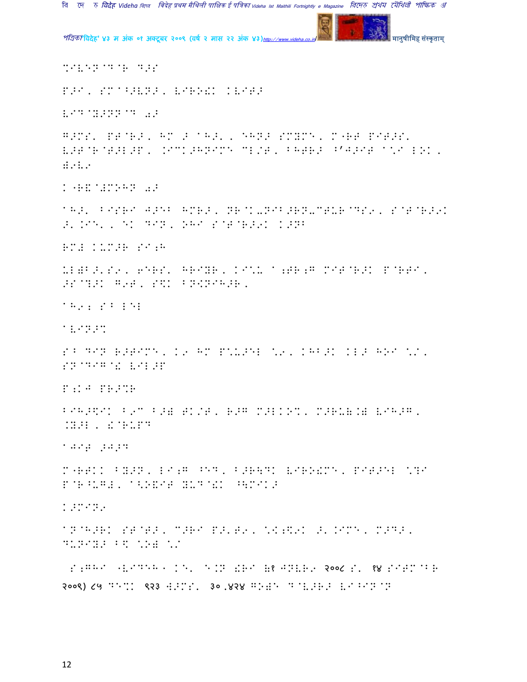िव <sup>त</sup>ि दिविदेह Videha *विजर विदेह प्रथम मैथिली पाक्षिक ई पत्रिका <sub>Videha Ist Maithili Fortnightly e Magazine वित्मिरु श्रीश्च ट्यैश्चिती পौ<del>फि</del>क औ*</sub>

*পত্ৰিকা*'বিदेह' ४३ म अंक ०१ अक्टूबर २००९ (वर्ष २ मास २२ अंक ४३)http://www.videha.co.in<sup>/ Hamak</sup> - स्थितिका अनुसीमिह संस्कृताम्

%IVEN@D@R D>S

P+I, SM&^+ (P+I, SM&^+ (P+I, SM&^+), VIROLET (P+I, SM&^+), VIROLET (P+I, SM&^+), VIROLET (P+I, SM&^+), VIROLET

VID@Y>NN@D 0>

G>MS' PT@R>, HM > AH>', EHN> SMYME, M"RT PIT>S' V>T@R@T>L>P, .ICK>HNIME CL/T, BHTR> ^'J>IT A\*I LOK,  $\mathbb{R}$ .  $\mathbb{R}$ 

 $\ddotsc$  , and a moment of the model of the model of the model of the model of the model of the model of the mod<br>And the model of the model of the model of the model of the model of the model of the model of the model of th

AH>' BISRI J>EB HMR>, NR@K-NIB>RN-CTUR@DS9, S@T@R>9K >'.IE', EK DIN, OHI S@T@R>9K K>NB

RM# CONSERVER

UL)B>'S9, 6ERS' HRIYR, KI\*U A;TR;G MIT@R>K P@RTI, >S@?>K G9T, S\$K BN[NIH>R,

AH9; S^ LEL

AVIN>%

START ROBERT SO DIN RINGER (NIL DRAFT) HER ROBERT NI SNM DIG BOOK

P;KJ PR>%R

BIHAN BOTHA BERG BAR THINT, THURS HARD  $\frac{1}{2}$ ,  $\frac{1}{2}$ ,  $\frac{1}{2}$ ,  $\frac{1}{2}$ ,  $\frac{1}{2}$ ,  $\frac{1}{2}$ ,  $\frac{1}{2}$ ,  $\frac{1}{2}$ ,  $\frac{1}{2}$ ,  $\frac{1}{2}$ ,  $\frac{1}{2}$ ,  $\frac{1}{2}$ ,  $\frac{1}{2}$ ,  $\frac{1}{2}$ ,  $\frac{1}{2}$ ,  $\frac{1}{2}$ ,  $\frac{1}{2}$ ,  $\frac{1}{2}$ ,  $\frac{1}{2}$ ,  $\frac{1}{2}$ ,

AJIT >J>D

M"REKK BYBY, LIG PIT PITY, PITHRY, LIGHTLICH, PITHRY ME, PIT P@R^UG#, AR^UG#, AR^UG#, AR^UG#, AR^UG#, AR^UG#, AR^UG#, AR^UG#, AR^UG#, AR^UG#, AR^UG#, AR^UG#, AR^UG#, AR^UG

K>MIN9

AN TRABA STATEAR, COART BA, ARK, CARRAGE, AL CADOR, COAPA,  $\frac{1}{2}$   $\frac{1}{2}$   $\frac{1}{2}$   $\frac{1}{2}$   $\frac{1}{2}$   $\frac{1}{2}$   $\frac{1}{2}$   $\frac{1}{2}$   $\frac{1}{2}$   $\frac{1}{2}$   $\frac{1}{2}$   $\frac{1}{2}$   $\frac{1}{2}$   $\frac{1}{2}$   $\frac{1}{2}$   $\frac{1}{2}$   $\frac{1}{2}$   $\frac{1}{2}$   $\frac{1}{2}$   $\frac{1}{2}$   $\frac{1}{2}$   $\frac{1}{2}$ 

S:GHI "VIDEH" KE' E.N INDER SHE' BROWNER ROOK STARK (1989) STARK THE २००९) ८५ DENYI - ९२३ HUUTE - ३०,४२४ BUHEN - PENHUR ENGINEERING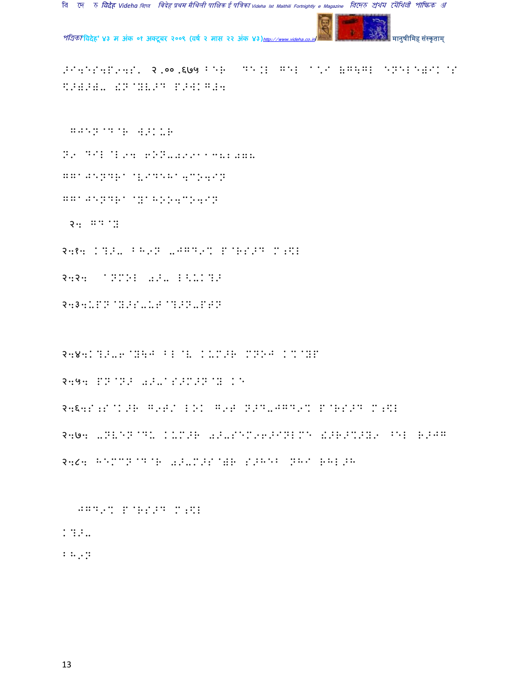ৱি দে *হ বিदेह Videha ৰিজে ৰিবলৈ प्रथम मैथिली पाक्षिक ई पत्रिका <sub>Videha</sub> Ist Maithili Fortnightly e Magazine <i>ৱিদেহ প্ৰথম মৌথি*লী পাক্ষিক \$

पिñका**'**िवदेह**'** ४३ म अंक ०१ अक्टूबर २००९ (वष र् २ मास २२ अंक ४३)http://www.videha.co.in/ मानषीिमह स ु ंस्कृताम्

>I4ES4P94S' २,००,६७५ BER DE.L GEL A\*I (G\GL ENELE)IK@S \$>)>)- !N@YV>D P>WKG#4

GHENDRICH WORK N9 DIL DILA 6ON-09913820 GGALENDRAG OG STRANDRAGE GGALAGENDRAGIENDRAGEN  $24 \cdot 25 \cdot 27$ २484 KINSA FAST LAPPST POBEST DANK २५२५ 19721 23. 13. 13. 13

२५३५८FF733972009713787

२५४५: BRUR MERR PECK (10738) 7758 (17738)

२५५4 PN NEW APACTECTION

२4६4S;S@K>R G9T/ LOK G9T N>D-JGD9% P@RS>D M;\$L

२५७4 - LPENPING CONSE - LELENDARING INN ERBRICHE | PRE | BRAW

२4८4 HEMCN@D@R 0>-M>S@)R S>HEB NHI RHL>H

 JGD9% P@RS>D M;\$L  $M:U:U$ 

 $\mathbb{R}^n$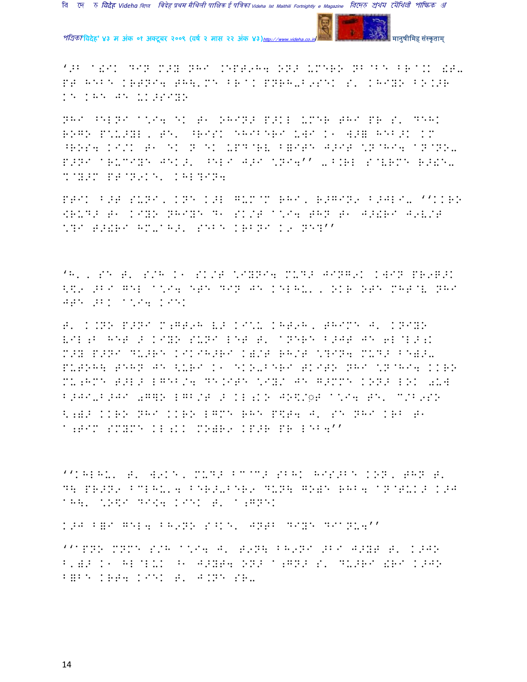*भविका*'विदेह' ४३ म अंक ०१ अक्टूबर २००९ (वर्ष २ मास २२ अंक ४३)http://www.videha.co.in/ मानसीट अंस्कृताम् अस्ति मानुषीमिह संस्कृताम्



'S A FINITE AND THE REPORT OF THE UNIT . THE LITTLE OF DISTURBANCE BROWN ON USE IN THE BROWN OF DISTURBANCE BR PT HEBE KRTNI4 TH\'ME BR@. PNRH-B9SEK S' KHIYO BO.>R KE KHE JE UK>SIYO

NHI PRESENTATI AT BRASHED ERI ATAR BHI PR STATI ROGO PYLISK LAN, TENIT NAMPARA LAN IV ANK ANGELIT ^ROS4 KI/K T1 EK N EK UPD@RV B=ITE J>IT \*N@HI4 AN@NO-POPA ARUCARE FELIX, PER AREA LIPANA L'ELI DE L'ELI PORTE ROBI W PT AND THE PERSON NAMED IN THE PERSON NAMED IN

PATI BOAT SUNI, KNE KONG BUTIT BAS, BOATS, BOATS, 'YILBY [RUD> T1 KIYO NHIYE D1 SK/T A\*I4 THN T1 J>!RI J9V/T \*?I T>!RI HM-AH>' SEBE KRBNI K9 NE?''

'H, S'EN SK, SOMHUIA SKORE NAGGAR DOMA PAGHAI I SKYFG ERSEKI <\$9 >BI GEL A\*I4 ETE DIN JE KELHU', OKR OTE MHT@V NHI JTE >BK A\*I4 KIEK

TH, I CHO POPP VITHENT ES INSUL ITHENT, THIMPS H, I CHIEN VIL;B HET > KIYO SUNI LET T' ANERE B>JT JE 6L@L>;K MAY PARA PULAKS ISTARAKA IBING BANG SITAPA MUDIA PABAL PUTOH\ TEHN JE <URI K1 EKO-BERI TKITO NHI \*N@HI4 KKRO MUGHON GEBOR BANKON TA DERNI NEBO ANI AROMAN DORRE BOLIGUA BOURSEAR GREET BETRIED IN DIE WAARDSE VAN DIE GESTUIG ) KABEL (1985) (PRE 1998) EPDA (BRA EPPE BER 1991) EAC DRAFT (BRITISH) A;TIM SMYME KL;KK MO)R9 KP>R PR LEB4''

''KIHEHU, 'B, 'B, 'S, 'S, TURE FROM BC KE, 'BATH' SB, I BB ('BB BC D\ PR>N9 BCLHU'4 BER>-BER9 DUN\ GO)E RHB4 AN@TUK> K>J AH\' \*O\$I DI[4 KIEK T' A;GNEK

K>J B=I GEL4 BH9NO S^KE' JNTB DIYE DIANU4''

''Y'I'D TO MNME SAN AT HIS BILL AND A HIGH-HIGH SAN BILL AND SAN B')> K1 HL@LUK ^1 J>YT4 ON> A;GN> S' DU>RI !RI K>JO BB KIER IST HART BE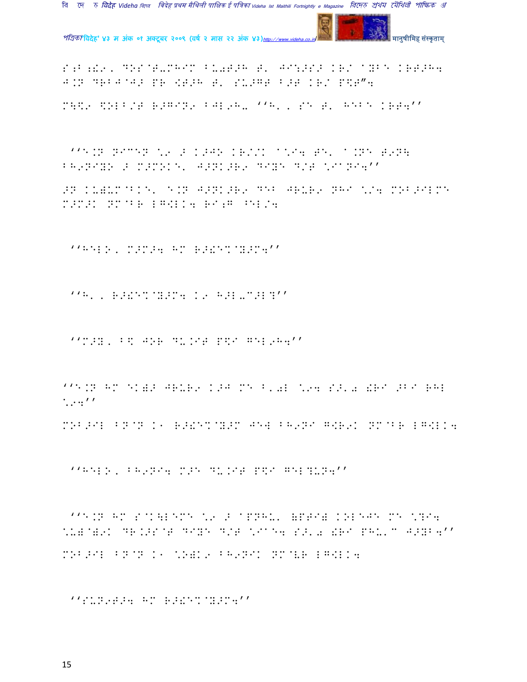

S;B;!9, DOS@T-MHIM BU0T>H T' JI:>S> KR/ AYBE KRT>H4 J.D. THE COST BE SHIP BY KINDER FIR TEN FRAME

MARS (RDEFINE BJPANE) FAESAL, SSAL (LIEN) BLOGHA NOCEBERY

''E.N NICE A THE REAL REAL TO KEEP A THROUGH A THROUGH A THROUGH A THROUGH A THROUGH A THROUGH A THROUGH A THROUGH A THROUGH A THROUGH A THROUGH A THROUGH A THROUGH A THROUGH A THROUGH A THROUGH A THROUGH A THROUGH A THROU BH9NIYO > M>MOKE' J>NK>R9 DIYE D/T \*IANI4''

>N KU)UM@BKE' E.N J>NK>R9 DEB JRUR9 NHI \*/4 MOB>ILME MONDO MONDO E ESTE EN EN ENGLIS

''HELO, M>M>4 HM R>!E%@Y>M4''

''H, R: BARY''HATH IR BARLTARIY

''M>Y, B\$ JOR DU.IT P\$I GEL9H4''

''E.''E.''E.''E.''E. HERE YOUR DESIGN AND SOME BY RESERVE  $\mathcal{L}_{\mathcal{A}}$  :  $\mathcal{L}_{\mathcal{A}}$ 

MOBIL BND AN DIE GESCHICHE BURG DER DIE BEWEIL BEGINN DIE WAARON DIE GESCHIEDE EN DIE GESCHIEDEN GEGENU GEGENU

''HELO, BH9NI4 M>E DU.IT P\$I GEL?UN4''

''E.N HOW SO IN THE SON ON SOME THAN SOME BEFARE ON SHAPPING TO SOME \*U)@)9K DR.>S@T DIYE D/T \*IAE4 S>'0 !RI PHU'C J>YB4'' MOBILE BOBY OF THE SHIP AND CONTROL BUILDING

''SUN9T>4 HM R>!E%@Y>M4''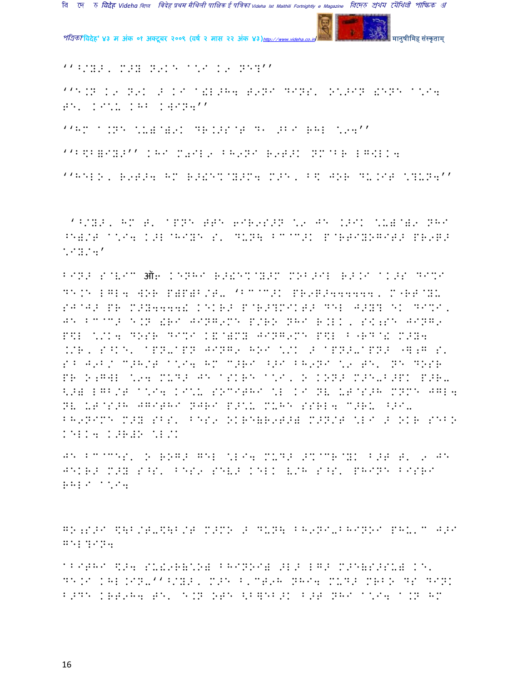''' NO SEE AT A HOUR AFTER A THREE AFIXA

''E.N K9 N9K OF A TO BE A THE REPORT OF A THE REPORT OF A THE REPORT OF A THE REPORT OF A THE REPORT OF A THE TE' KI\*U KHB KWIN4''

''HM A.NE \*U)@)9K DR.>S@T D1 >BI RHL \*94''

''B\$B=IYO' CHA M221 B FRDPA BDBD DI MD B LAGIC

''HELO, R9T+ HOP B3ENT MORTH TO PAY AND PLOCH (TO B

 $'$  (Y=) HM THE form THE SON THE FIRST SECTION CONTINUES TO THE  $'$ ^E)/T A\*I4 K>L@HIYE S' DUN\ BC@C>K P@RTIYOGIT> PR9Q>  $1.7\%$  . The  $1.4\%$ 

BINOR SOMETH SAME ROOMS OF THE ROOM OF THE RELEASE OF THE ROOM DE.E LGL4 WOR P)P)B/T- 'BC@C>K PR9Q>444444, M"RT@YU SJ@J> PR M>Y4444! KEKR> P@R>?MIKT> DEL J>Y? EK DI%I, JE BC@C> E.N !RI JING9ME P/RO NHI R.LK, S[;SE JING9 P\$L \*/K4 DOSR DI%I K&@)MY JING9ME P\$L B"RD@! M>Y4 ./R, S^KE' APN-APN JING9 HOI \*/K > APN>-APN> "];G S' SO J9B/ COMPANY CONSTRUCTION TENDS ON TEN DOSTROY PR O;GWE (194 MUD) AS KRIES (1941 D) DOOR MORE AFI, PORE <>) LGB/T A\*I4 KI\*U SOCITHI \*L KI NV UT@S>H MNME JGL4 DE SIE SOF JAARSEE DAART BIJGE DEAR SSEELA COFEE STRU BH9NIME M>Y SBS' BES9 OKRE(R9T>) M>N/T \*LI > OKR SEBO KELK4 K>R#O \*L/K

JE BC@CES' O ROG> GEL \*LI4 MUD> >%@CR@YK B>T T' 9 JE JEKR> M>Y S^S' BES9 SEV> KELK V/H S^S' PHINE BISRI RHLI Atlantic

GO;SI \$ DUN DE DE DE DE DE DONNE DE DE DE SAN DISPOSI PHUYO DE BHONI DI HON GEL?IN4

ABITHI \$4 SULDED BHING BHINOI DE.I KHL.IN-KUBA DIPERANDAN DAN DINA DER MENDONI BOTH TEELAH TEN, NID DEN BAHARI PORTUBAN SING KID AT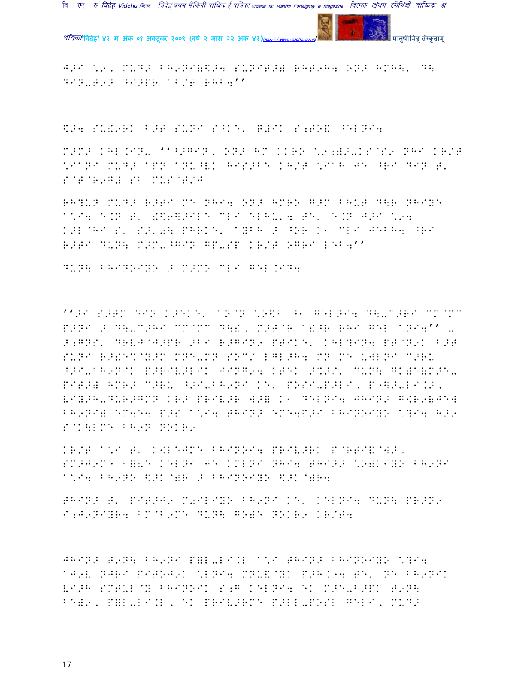J>I \*9, MUD> BH9NI(\$>4 SUNIT>) RHT9H4 ON> HMH\' D\ DIN-T9N DINPR AB/T RHB4''

\$1.000 SUNIS SUNI STATE SUNI STATE OF THE SUNI STATE OF THE SUNI STATE OF THE SUNI STATE OF THE SUNI STATE OF

M>M> KHL.IN- ''^>GIN, ON> HM KKRO \*9;)>-KS@S9 NHI KR/T \*IANI MUD> APN ANU^VK HIS>BE KH/T \*IAH JE ^RI DIN T' Something and the second second second second second second second second second second second second second s

RHIDB MUDA BARA MA BHAG GDA BHER DAN BHUT DAG DAR DAYIN A N THE TROOPS IN THE CLIENT OF THE THE THE TERM OF THE THE TERM OF THE TERM OF THE TERM OF THE TERM OF THE TH K>L@HI S' S>'0\ PHRKE' AYBH > ^OR K1 CLI JEBH4 ^RI R>TI DUN\ M>M-^GIN GP-SP KR/T OGRI LEB4''

DUNA BHINOIYO DUNG TANG 1984

''>I S>TM DIN M>EKE' AN@N \*O\$B ^1 GELNI4 D\-C>RI CM@MC P>NI > D\-C>RI CM@MC D\!, M>T@R A!>R RHI GEL \*NI4'' - >;GNS' DRVJ@J>PR >BI R>GIN9 PTIKE' KHL?IN4 PT@N9K B>T SUNI ROMANI RISTORI ME U MANE-MANE MANE MANE ME U MANE ME U MANE ME U MANE MANE MANE MANE MANE MANE MANE ME U ^>I-BH9NIK P>RIV>RIK JING94 KTEK >%>S' DUN\ GO)E(M>E-PITA HTE CHA APILIANE EN POSITI HEIGH A PARAISIN VIY>H-DUR>GMN KR> PRIV>R W>= K1 DELNI4 JHIN> G[R9(JEW BH9NI) EMAGA PILI EMAGA PARTI EMELIAN EMPLI EMEN SMAN BH9N NOKR9

KR/T A\*I T' K[LEJME BHINOI4 PRIV>RK P@RTI&@W>, SM>JOME B=VE KELNI JE KMLNI NHI4 THIN> \*O)KIYO BH9NI A\*I4 BH9NO \$>K@)R > BHINOIYO \$>K@)R4

THINDS AN INITIAL DUNTING AND A REPORT OF A DISTURBANCE PROPE I;J9NIYR4 BM@B9ME DUN\ GO)E NOKR9 KR/T4

JHINOIYO BUDA THURI PELLIN INOIYO YANG PHINOIYO ILI.L ATHI MAJE PAPA PAPIAN NIPA MPILEMEN PIPOJA NA PALAMA PAPI VI>H SMTUL@Y BHINOIK S;G KELNI4 EK M>E-B>PK T9N\ BE)9, P=L-LI.L, EK PRIV>RME P>LL-POSL GELI, MUD>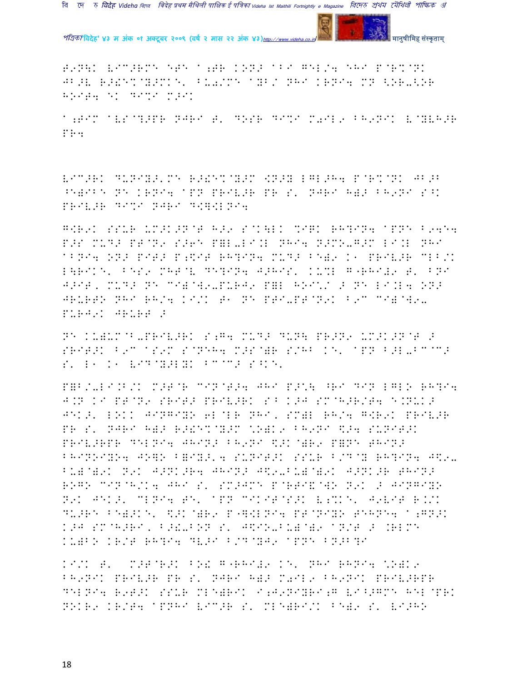T9N\K VIC>RME ETE A;TR KON> ABI GEL/4 EHI P@R%@NK JB>V R>!E%@Y>MKE' BU0/ME AYB/ NHI KRNI4 MN <OR-<OR HOIT4 EK DI%I M>IK

A;TIM AVS@?>PR NJRI T' DOSR DI%I M0IL9 BH9NIK V@YVH>R PR4

VIC>RK DUNIY>'ME R>!E%@Y>M [N>Y LGL>H4 P@R%@NK JB>B ^E)IBE NE KRNI4 APN PRIV>R PR S' NJRI H)> BH9NI S^K PRIVATI DI PARIVI DI DI PARI

G[R9K SSUR UM>K>N@T H>9 S@K\LK %IQK RH?IN4 APNE B94E4 PAS MUDE PENDANG PELUANG MENGANGKAN BAGI MEN ABNI4 ON> PIT> P;\$IT RH?IN4 MUD> BE)9 K1 PRIV>R CLB/K EABRIA, FARD DREAM PATRIKE HIRRIC, INDIE PABRAID E. FIR J>IT, MUD> NE CI)@W9-PURJ9 P=L HOI\*/ > NE LI.L4 ON> JRURTO NHI RH/4 KI/K T1 NE PTI-PT@N9K B9C CI)@W9- PURJSK JRURT D

NE KU) UM DI BERNIKAN DI SERIKAN DI SERIKA DI SERIKA DI SERIKA DI SERIKA DI SERIKA DI SERIKA DI SERIKA DI SERI SRITBAD (F.A.C.) SENEH MORAH MARJAR SENEH KENEHA KERAJA BERATUAN S' L1 K1 VID BY THE BOOK STORY SONG

PER JUE POR JO OT PER THOT PROPORTY PAPPOR DRIVE OF PORTY E PEOPLE HAT PAY J.N KI PT@N9 SRIT> PRIV>RK S^ K>J SM@H>R/T4 E.NUK> JEK>' LOKK JINGIYO 6L@LR NHI, SM)L RH/4 G[R9K PRIV>R PR S' NJRI HAN HAN BAKAT MAN NI KADA SUNIT KA SUNITANG B PRIV>RPR DELNI4 JHIN> BH9NI \$>K@)R9 P=NE THIN> BHINOIYO 4242 FERILA SUNITI SILA BIJAR BATENA 452. BU)@ 1862 | DAS | PADS DRA JPRIDUS PRADA SUNG TAAS HAD | PADS DRA THINDI ROGO CIN@H/K4 JHI S' SM>JME P@RTI&@WO N9K > JINGIYO N9K JEK>' CLNI4 TE' APN CIKIT@S>K V;%KE' J9VIT R./K DU>RE BE)>KE' \$>K@)R9 P"][LNI4 PT@NIYO TEHNE4 A;GN>K KO-PIN SOMETIME AND STANDARD STANDARD STANDARD STANDARD STANDARD STANDARD STANDARD STANDARD STANDARD STANDARD S KUBRA KEJE BANKA DELA PITROGRA TERRA BADI BI

K KIMI GELOM MERENTAH SEMERAKAN KELORAK BADI HANYA KERENGA BH9NIK PRIV>R PR S' NJRI H)> M0IL9 BH9NIK PRIV>RPR DELNI4 R9T>K SSUR MLE)RIK I;J9NIYRI;G VI^>GME HEL@PRK NOKRA KR/T4 APNHI SY MARY VICHOVIC SY SE SI MUSIC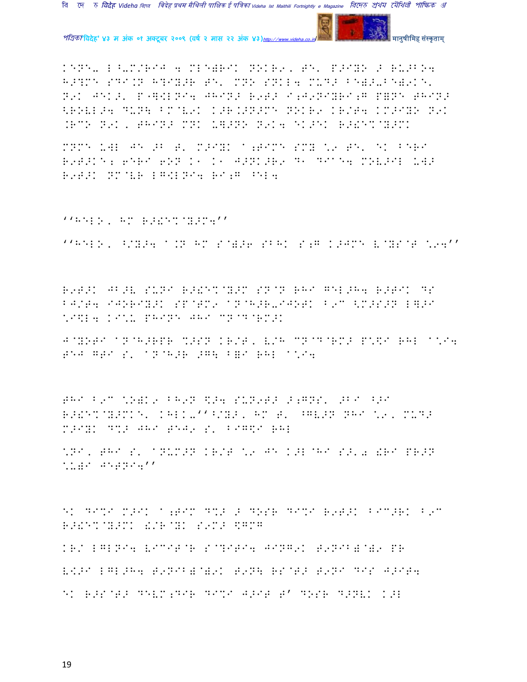KENE- L^-M/RIJ 4 MLE)RIK NOKR9, TE' P>IYO > RU>BO4 HO BOY SO SO SOURCH HOW SO SOURCH HIS SOURCH AND SHALL A HOUSE AND SOLD NG JEKO ALI PIYANG PYA JEKNA BOLAJ POLAJ PORTAN PERANG PENGA ROVLED AN IMALIAN IN MESSING DUNCAN DUNCAN DUNCAN DUNCAN DUNCAN DUNCAN DUNCAN DUNCAN DUNCAN DUNCAN DUNCAN DUNC .RCO N9K, THIN> MNK U]>NO N9K4 EK>EK R>!E%@Y>MK

MNME UWL JE >B T' M>IYK A;TIME SMY \*9 TE' EK BERI R9TOS: 65ER 60T K1 K1 A1011E2 MA MATSH TOLIAI LEA RGBC ROMAN LAGENCY ROMAN

''HELO, HM R>!E%@Y>M4''

''N RINE DOLO, ''FLORE''E LO, ON HELO, ''S SBHK SIG KONG''' SA SAN SAN SIG KONG SIG KOME VAN SIG KOME VAN SIG K

R9T>K JB>V SUNI R>!E%@Y>M SN@N RHI GEL>H4 R>TIK DS BJ/T4 IJORIY: SP@TM9 AND IJORIYON B9C AND IJORIYON \*I\$L4 KI\*U PHINE JHI CN@D@RM>K

J@YOTI AN@H>RPR %>SN KR/T, V/H CN@D@RM> P\*\$I RHL A\*I4 HAA BEA EL MORTAGE GRAFFEAR EEN SAE MORAL

 $H$  B9C  $\rightarrow$  BH9N  $\rightarrow$  BH9N  $\rightarrow$  BI  $\rightarrow$  BI  $\rightarrow$  BI  $\rightarrow$  BI  $\rightarrow$  BI  $\rightarrow$ R>!E%@Y>MKE' KHLK-''^/Y>, HM T' ^GV>N NHI \*9, MUD>

\*NI, THI S' ANUM>N KR/T \*9 JE K>L@HI S>'0 !RI PR>N \*U)I JETNI4''

EK DI%I M>IK A;TIM D%> > DOSR DI%I R9T>K BIC>RK B9C

M>IYK D%> JHI TEJ9 S' BIG\$I RHL

KR/ LAGRISH SARTING SOMETIME SOMETIME SOMETIME S

EK R>S@T> DEVM;DIR DI%I J>IT T' DOSR D>NVK K>L

 $\pm$  Corporation of the set of the state of the term of the term of the set of the set of the  $\pm$ 

R>!E%@Y>MK !/R@YK S9M> \$GMG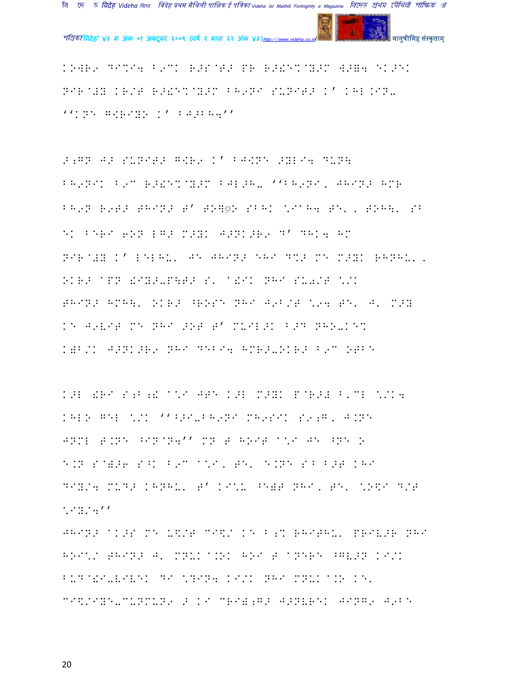KOWR9 DI%I4 B9CK R>S@T> PR R>!E%@Y>M W>=4 EK>EK NIR@#Y KR/T R>!E%@Y>M BH9NI SUNIT> K' KHL.IN- ''KNE G[RIYO K' BJ>BH4''

>;GN J> SUNIT> G[R9 K' BJ[NE >YLI4 DUN\ BH9NIK B9C R>!E%@Y>M BJL>H- ''BH9NI, JHIN> HMR BH9N R9TO PHINA PY PORD TEE CONTA POLICEDED TO EK BERI 6ON LG> M>YK J>NK>R9 D' DHK4 HM NIR ME Y K' LELHU, JAN JAHIR SAHA MUR D'A D'AE J'HINDI LU OKRA APP SABALERA EL ARAT BRA PLEJR (UT THIN> HMH\' OKR> ^ROSE NHI J9B/T \*94 TE' J' M>Y KA APERA TA BAR SON BA TERRIT KAN BADIST K)B/K JOK JOK JOK DEBI4 HMR-DEBIN B9C OTBER

KOR ERP FARIAS (NO APR KOR SORE BYBOL KITE KOL NOL

KHED GREAT YYSIKI MYRY TAYRIN SYYG, AIR

JANML T.NE T.NE T.NE YOUR T.NE AND AT AN INDUCT

E.N S@)>6 S^K B9C A\*I, TE' E.NE S^ B>T KHI

DIY/4 MUD> KHNHU' T' KI\*U ^E)T NHI, TE' \*O\$I D/T

JHIN> AK>S ME U\$/T CI\$/ KE B;% RHITHU' PRIV>R NHI

HOIT/ HAIRS AN TRUN TON ANALH TRANS (MEDICINE

CI\$/IYE-CUNMUN DI SIYE-CUNMUN DI SIYE-CUNMUN DI SIYE-CUNMUN DI SIYE-CUNMUN DI SIYE-CUNMUN DI SIYE-CUNMUN DI SI

BUD@!I-VIVEK DI \*?IN4 KI/K NHI MNUK@.O KE'E KI/K NHI MNUK@.O KE'E KI/K NHI MNUKA DI \*\*

20

 $1.7\%$  ,  $1.7\%$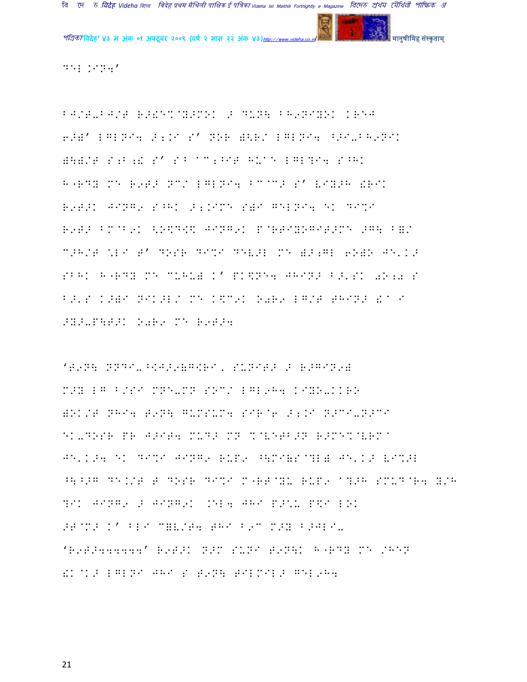'T9N\ NNDI-^[J>9(G[RI, SUNIT> > R>GIN9) MAY LAG BILANG BAY LAGU BARANG BAYAN SOCIAL SOCIAL ANG MANAGANG BAYANG ANG MANGANG ANG MANGANG MANGANG ANG MAN )OK/T NHI4 T9N\ GUMSUM4 SIR@6 >;.I N>CI-N>CI EK-DOSR PR J>IT4 MUD> MN %@VETB>N R>ME%@VRM@ JE'K>4 EK DI%I JING9 RUP9 ^\MI(S@?L) JE'K> VI%>L ^\^>G DE./T T DOSR DI%I M"RT@YU RUP9 A?>H SMUD@R4 Y/H 921 - ARDAY DE ARDAYI (1914 ANAR PAIN PRESERV) >T@M> K' BLI C=V/T4 THI B9C M>Y B>JLI- 'R9T>444444' R9T>K N>M SUNI T9N\K H"RDY ME /HEN !K@K> LGLNI JHI S T9N\ TILMIL> GEL9H4

>Y>-P\T>K O0R9 ME R9T>4

BAJALEAJA BJEVINGUSI I RUHA BH9NIYOK (BH4 6>)' LGLNI4 >;.I S' NOR )<R/ LGLNI4 ^>I-BH9NIK )\)/T S;B;! S' S^ AC;^IT HUAE LGL?I4 S^HK H"RDY ME R9TI DY ME RIKA SY VIYA RY KORA KRY R9TO ASTER SOHK SINGS SING BRITAN S) ASTE BYER POSSES REPORT FOR DEPARTMENTS PRODUCED CORPOR CONTRACTOR DEVOIT DEVOIES DE 1800 BEN 1990 DEVICES SBHK H"RDY ME CUHUE I' PK\$NE4 JHIND BILI SK OO; B>'S K>)I NIK>L/ ME K\$C9K O0R9 LG/T THIN> !@ I

DEL.IN4'

*পত্রিকা*'বিदेह' ४३ म अंक ०१ अक्टूबर २००९ (वर्ष २ मास २२ अंक ४३)http://www.videha.co.in<sup>/ Hamak</sup> - स्थितिका समुदाभिह संस्कृताम्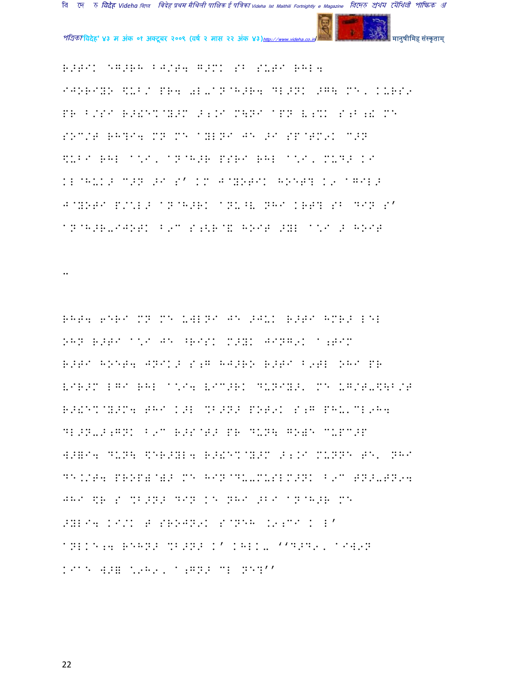RHT4 6ERI MUNICIP DI SERI MUNICIPALI DI HORI DI SERI OHN RAFI TIK AN ARISK MAN AFNAR TIFT R>TI HOET4 JNIK> S;G HJ>RO R>TI B9TL OHI PR VIR>M LGI RHL A\*I4 VIC>RK DUNIY>' ME UG/T-\$\B/T R>!E%@Y>M4 THI K>L %B>N> POT9K S;G PHU'CL9H4 de provincia de la companya de la companya de la companya de la companya de la companya de la companya de la c<br>De la companya de la companya de la companya de la companya de la companya de la companya de la companya de la WHO SERVES TO BUILD A REPORT OF HIS MANUSCRIPT OF HIS MANUSCRIPT DE./T4 PROP)@)> ME HIN@DU-MUSLM>NK B9C TN>-TN94 JHI \$R S %B>N> DIN KE NHI >BI AN@H>R ME >YLI4 KI/K T SROJN9K S@NEH .9;CI K L' ANLKE;4 REHN> %B>N> K' KHLK- ''D>D9, AIW9N KIA MARI WANA CHINERI MELINIYA

 $\ddot{\phantom{0}}$ 

RJAN SAJAR BAJAN BJUL PE PINA BADA IJORIYO \$UB/ PR4 0L-AN@H>R4 DL>NK >G\ ME, KURS9 PR B/SI READY MEN JEST TERM VIR EST SIE AL TY SOC/T RHYA ME AYLIBA AYLAY SPORTAL TAP  $\mathcal{H}_1$  response to the set of the state and the state and the state and the state and the state and the state and KL@HUK> C>N >I S' KM J@YOTIK HOET? K9 AGIL> JAYOTI PANER AND PARE AND HE DAY SERO SA DAY SY AN THE BELIZANS BOOK BY THE BEST BOOK BROWN BY THE UNIT OF A NATURE

*পত্রিকা*'বিदेह' ४३ म अंक ०१ अक्टूबर २००९ (वर्ष २ मास २२ अंक ४३)http://www.videha.co.in<sup>/ Hamak</sup> - स्थितिका समुदाभिह संस्कृताम्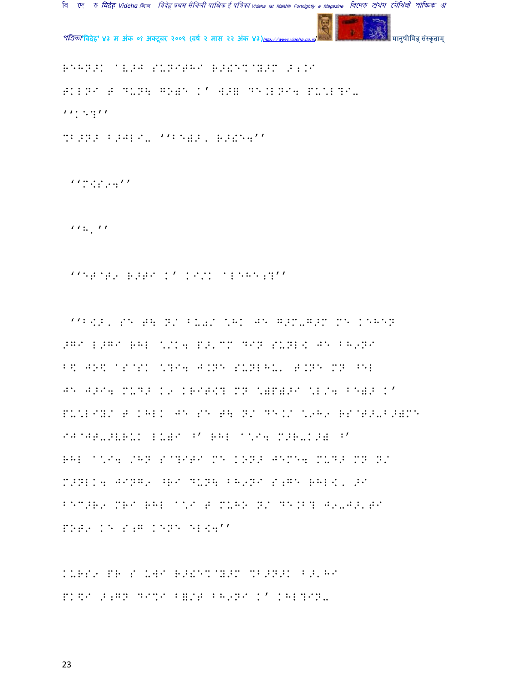KURS9 PR S UWI R>!E%@Y>M %B>N>K B>'HI PK\$I DIG BEFORE BELIEVE BHD9NI KI KONSTRUKT

''B[O], SE HE HANDLE GO ON ME WHILBY TO CHANG >GI L>GI RHL \*/K4 P>'CM DIN SUNL[ JE BH9NI B\$ JO\$ AS@SK \*?I4 J.NE SUNLHU' T.NE MN ^EL JE J>I4 MUD> K9 KRIT[? MN \*)P)>I \*L/4 BE)> K' PUMLING I TALK AN YN GALGAN MNOT MUAL AYMARINGANN IJ@JT->VRUK LU)I ^' RHL A\*I4 M>R-K>) ^' RHL Ata /HT Sander Th Cond Anthe Time TP N. MANLING AND BY THANIS I BY DUNNI SHEEK, IN BEC>R9 MRI RHL A\*I T MUHO N/ DE.B? J9-J>'TI POT9 KE S;G KENE EL[4''

''ET#TI K' KIR'S KORATI KIRI KE KIRI KE

'''H', ''

''M[S94'''

%B>N> B>JLI- ''BE)>, R>!E4''

 $V$  '', ', ', ', ', ',

THE DISCRIPTION OF DEAL AND LINIA PUMP OF DEAL AND LINIA PUMP OF DEAL AND LINIA PUMP OF DEAL AND LINIA PUMP OF

RSHARI SERH PURSEHS RRESTORED R:IS

*পত্ৰিকা*'বিदेह' ४३ म अंक ०१ अक्टूबर २००९ (वर्ष २ मास २२ अंक ४३)http://www.videha.co.in<sup>/ Hamak</sup> - स्थितिका अनुसीमिह संस्कृताम्

िव <sup>त</sup>ि दिविदह Videha *विजर विदेह प्रथम मैथिली पाक्षिक ई पत्रिका <sub>Videha Ist Maithili Fortnightly e Magazine वित्मिरु श्रीश्च ट्यैश्चिती পौ<del>फि</del>क औ*</sub>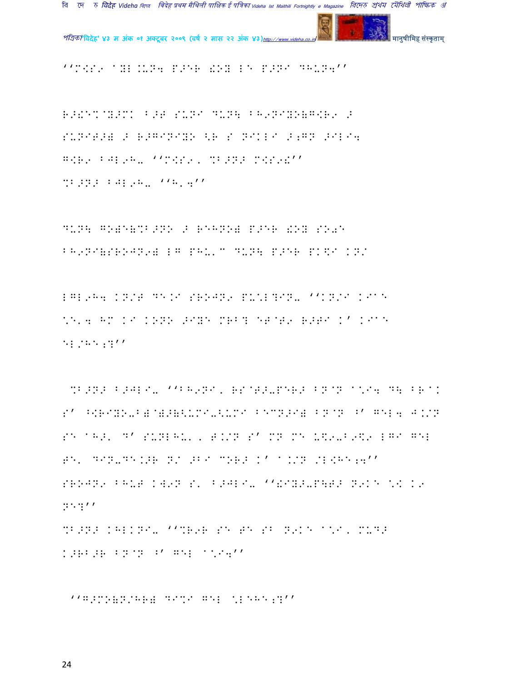''M[S9 AYL.UN4 P>ER !OY LE P>NI DHUN4''

ROENT MOTOR BE SUNK BUNG BAST MEERS OF SUNITIVES OF BURGETING SUNITIVES OF STRAINING SERVICES GER BIL9H- ''MERL' 'MERL' MERL' MARIN' %B>N> BJL9H- ''H'4''

DUNA GRAMA DUNA DA BARDA E PARA ERRE ERRE BH9NI(SROW) LG PHU'C DUNG PASS PER KAN

LGL9H4 KN/T DE.I SROJN9 PU\*L?IN- ''KN/I KIAE \*E'4 HM KI KONO >IYE MRB? ET@T9 R>TI K' KIAE  $E$  is the field of the field of  $E$ 

 %B>N> B>JLI- ''BH9NI, RS@T>-PER> BN@N A\*I4 D\ BR@. S' ^[RIYO-B)@)>(<UMI-<UMI BECN>I) BN@N ^' GEL4 J./N SE AHO, TA SUNLHU', FINT SA TI TE US9-BELEVI ERA PE TE' DIN-DE.>R N/ >BI COR> K' A./N /L[HE;4'' SROVNE BHUT KWEST KU POWER '' 'NESKE SERVE FROM NOT N  $\mathbb{R}^n$  is the  $\mathbb{R}^n$ %B>N> KHLKNI- ''%R9R SE TE SB N9KE A\*I, MUD>

K>RB>R BN@N ^' GEL A\*I4''

''G>MO(N/HR) DI%I GEL \*LEHE;?''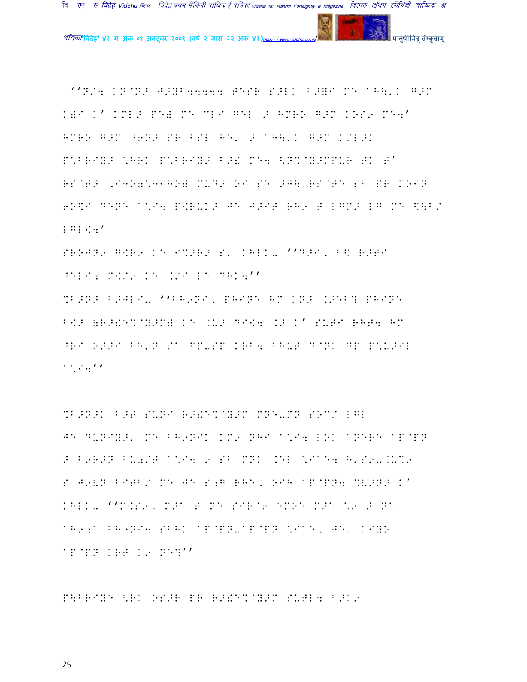PREPORT CHI OSOR PR ROBINICHE SURFA BOIL

AP@PN KRT K9 NE?''

%B>N>K B>T SUNI R>!E%@Y>M MNE-MN SOC/ LGL JE DUNIY>' ME BH9NIK KM9 NHI A\*I4 LOK ANERE AP@PN > B9R>N BU0/T A\*I4 9 SB MNK .EL \*IAE4 H'S9-.U%9 S J9VN BITB/ ME JE S;G RHE, OIH AP@PN4 %V>N> K' KHIL ''MISPA' MIS BORY SHE'B FIRE MIS AN ALS BORY AH9;K BH9NI4 SBHK AP@PN-AP@PN \*IAE, TE' KIYO

## $\mathbf{A}^{\dagger}$  ,  $\mathbf{A}^{\dagger}$  ,  $\mathbf{A}^{\dagger}$

^ELI4 M[S9 KE .>I LE DHK4'' WEIGHT FINE ALL AND BING FOR THE KIND OF THE WINDOW B[> (R>!E%@Y>M) KE .U> DI[4 .> K' SUTI RHT4 HM ^RI R>TI BH9N SE GP-SP KRB4 BHUT DINK GP P\*U>IL

SROJN9 G[R9 KE I%>R> S' KHLK- ''D>I, B\$ R>TI

K)I K' KML> PE) ME CLI GEL > HMRO G>M KOS9 ME4' HMRO G>M ^RN> PR BSL HE' > AH\'K G>M KML>K P\*BRIY> \*HRK P\*BRIY> B>! ME4 <N%@Y>MPUR TK T' RS@T> \*IHO(\*HIHO) MUD> OI SE >G\ RS@TE SB PR MOIN 6O\$I DENE A\*I4 PERIJE RHOG BEK BUK BETE BIJE DE  $\pm$  H $\pm$  4'  $\pm$  4'

''Yang di tanggalan mengenai pada salah sahiji dan pada sahiji dan pada sahiji dan mengenai mengenai dan menge

*পত্ৰিকা*'বিदेह' ४३ म अंक ०१ अक्टूबर २००९ (वर्ष २ मास २२ अंक ४३)http://www.videha.co.in<sup>/ Hamak</sup> - स्थितिका अनुसीमिह संस्कृताम्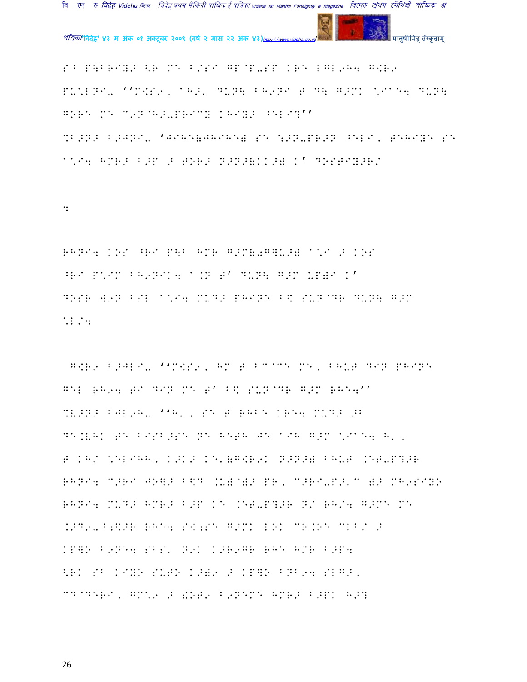िव <sup>त</sup>ि दिविदह Videha *विजर विदेह प्रथम मैथिली पाक्षिक ई पत्रिका <sub>Videha Ist Maithili Fortnightly e Magazine वित्मिरु श्रीश्च ट्यैश्चिती পौ<del>फि</del>क औ*</sub>

*পত্ৰিকা*' विदेह' ४३ म अंक ०१ अक्टूबर २००९ (वर्ष २ मास २२ अंक ४३)http://www.videha.co.in/ मानीमह अंस्कृताम् अस्ति । मानुषीमिह संस्कृताम्

SO PALESTA AR MA BISK AR MENELIK DEA BADYAR ANDER PUMLIP AN ORDER A DUNA T DUNA T DANS A DUN BHG T DA GHOST DA BH GORE ME CONSIDERATE CRANE CREATER %B>N> B>JNI- 'JIHE(JHIHE) SE :>N-PR>N ^ELI, TEHIYE SE A\*I4 HMR> B>P > TOR> N>N>(KK>) K' DOSTIY>R/

 $\ddots$ 

RHIGH KOS 'BA' PAR GYB HIMBING MAN A KOSY ^RI P\*IM BH9NIK4 A.N T' DUN\ G>M UP)I K' DOSR W9N BSL ATLANTIC PUDA B\$PHINE B\$ SUNDADR DUNG  $\mathcal{L}$  is the set of  $\mathcal{L}$ 

GEORGE BOARD 'N STORE IN BELGEMENT DIN PHILIP DIN PHINT GEL RH94 TI DIN ME T' B\$ SUN@DR G>M RHE4'' %V>N> BJL9H- ''H', SE T RHBE KRE4 MUD> >B DE.VHK TE BISBO NE HETH JE AIH GO TE BIS AIH GALL T KOHZ KAN KHH KOLORI BOL BHUT . BHUT AN SANG A HIN . KAN KE'LET RHNI4 C>RI JO]> B\$D .U)@)> PR, C>RI-P>'C )> MH9SIYO RHINA MUDI HMRI BILI MARIKI RE RHJA BILI MA .>D9-^;\$>R RHE4 S[;SE G>MK LOK CR.OE CLB/ > KPAD B9NE4 SBS' N9K KORPGR RHE HMR BY RB SB KIYO SUR KIYO BA KIYO SUR KU SHA CONDERI, BILA 3 ENER BATCH BIBS BATL BAT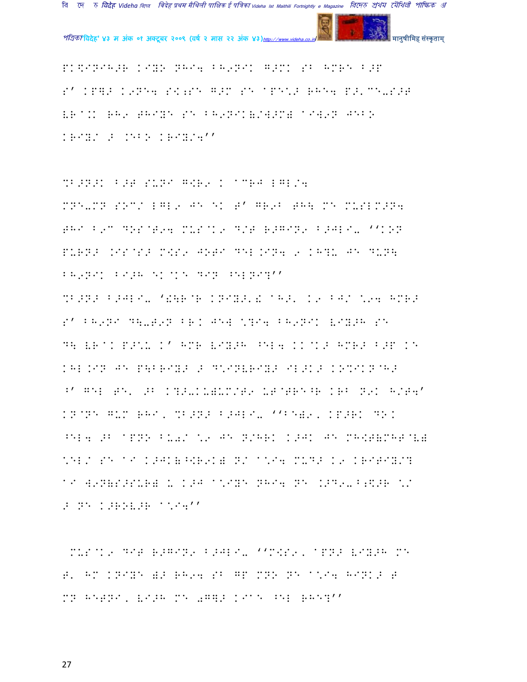PK\$INIH>R KIYO NHI4 BH9NIK G>MK SB HMRE B>P S' KP]> K9NE4 S[;SE G>M SE APE\*> RHE4 P>'CE-S>T KA RHO THIYE SE BH9NIK(WORDS READY) AIRS KRIY/ > .EBO KRIY/4''

 $\mathcal{L}$  . The sun of  $\mathcal{L}$  is the sun of  $\mathcal{L}$  and  $\mathcal{L}$  and  $\mathcal{L}$  and  $\mathcal{L}$  and  $\mathcal{L}$  and  $\mathcal{L}$  and  $\mathcal{L}$  and  $\mathcal{L}$  and  $\mathcal{L}$  and  $\mathcal{L}$  and  $\mathcal{L}$  and  $\mathcal{L}$  and  $\mathcal{L}$  and  $\mathcal{L}$ MORE-MONTH SOC/ LAN SOCIAL BEAT ARE MONTHSTATED THI B9C DOS@T94 MUS@K9 D/T R>GIN9 B>JLI- ''KON PURSE .ISBN PURN-9148 998 ISBN 0-1981-98-91096 BH9NIK BI>H EK@KE DIN ^ELNI?'' WE AND BOARD AND ANNOUNCEMENT AND AN INVESTIGATION OF THE AMOUNT OF THE AMOUNT OF THE AMOUNT OF THE AMOUNT OF THE AMOUNT OF THE AMOUNT OF THE AMOUNT OF THE AMOUNT OF THE AMOUNT OF THE AMOUNT OF THE AMOUNT OF THE AMOUNT OF S' BH9NI DALENT BR. ANG ING BH9NIK BH3H ST D\ VR@. P>\*U K' HMR VIY>H ^EL4 KK@K> HMR> B>P KE KHLIN DARI PASER ORI ILI DAGU ENGELE KOMINIS ILI KOMINIS ILI

 $\mathcal{F}$  (  $\mathcal{F}$  = Gel  $\mathcal{F}$  ) of the transformation  $\mathcal{F}$  , the  $\mathcal{F}$  subsequential for the set of the set of the set of the set of the set of the set of the set of the set of the set of the set of the set of KONGRES BEDIG RHI, "BELIEVE BELIEVE IN DIE SELLIGE BEI DO." ^EL4 >B APNO BU0/ \*9 JE N/HRK K>JK JE MH[T(MHT@V) \*EL/ SE AI K>JK(^[R9K) N/ A\*I4 MUD> K9 KRITIY/? AI WASHINGTON U KATA YANG HASHING NE . > NE K>ROV>R A\*I4''

MUS MUS APA BINANG PING AGA PUSAN MENGERAKAN MENGE T' HM KNIYE )> RH94 SB GP MNO NE A\*I4 HINK> T MN HETHI, ISLAM ME 1944 FILME OF THE 1944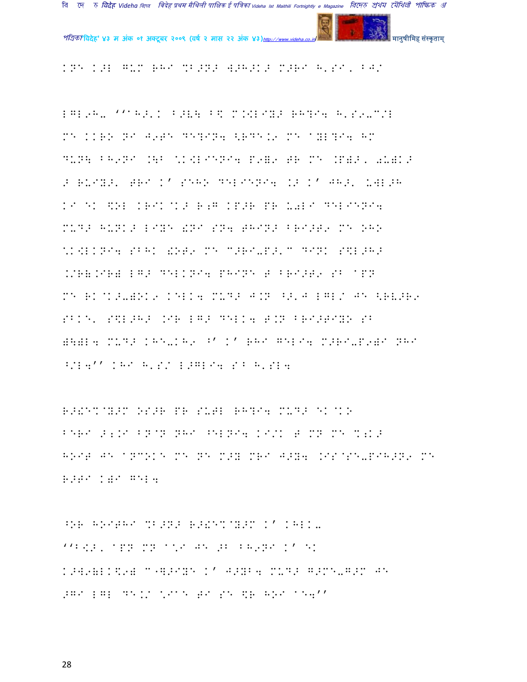$\mathcal{L}^\mathbf{A}_\mathbf{A}$  , and  $\mathcal{L}^\mathbf{A}_\mathbf{A}$  , and  $\mathcal{L}^\mathbf{A}_\mathbf{A}$  , and  $\mathcal{L}^\mathbf{A}_\mathbf{A}$  , and  $\mathcal{L}^\mathbf{A}_\mathbf{A}$  , and  $\mathcal{L}^\mathbf{A}_\mathbf{A}$ ''B[B], APP MP AN AF BHOBH9NI K' E KOPGEBER KOS BETWEER MET DIE ALDER GEWONE GESTIGTE GEWONE GEWONE GEWONE GEWONE GEWONE GEWONE GEWONE GEWONE GE >GI LGL DE./ \*IAE TI SE \$R HOI AE4''

## R: Experiment and the surface of the surface of the surface of the surface of the surface of the surface of th<br>In the surface of the surface of the surface of the surface of the surface of the surface of the surface of th BSP :::::: HOIT JE ANCOKE ME NE MONT JE ANGOLIJAN ME NE ME NE ME NE ME NE ME NE ME NE ME NE ME NE ME NE ME NE ME NE ME NE RICH CHANNEL

^/L4'' KHI H'S/ L>GLI4 S^ H'SL4

ME KKRO NI JERO NI JERO SE DE ROMANISTIKA SU BURNI BH9NI .DE SUNDERBER BHD BHONI .DER . 2001 > RUIY>' TRI K' SEHO DELIENI4 .> K' JH>' UWL>H KI EK \$OL KRIKA ER;G KRIK PR UNLI DELINGEN MUD: HUNK: ERIN ERR PRESENTE EERSE MAN DAD \*K[LKNI4 SBHK !OT9 ME C>RI-P>'C DINK S\$L>H> ./R(.IR) LG> DELKNI4 PHINE T BRI>T9 SB APN ME ROM SLADOV OK9 KALMURA JE MOVIJA GJERO JE KALEKA SBKE' SBEER IN BRITHIN BRITISHE )\)L4 MUD> KHE-KH9 ^' K' RHI GELI4 M>RI-P9)I NHI

KNE KONE KAN GUNU WANDER WORK MORI HET

LGL9H- ''A'ASI' REAR RESTRIKER BATH ALISLIS

िव <sup>त</sup>ि दिविदह Videha *विजर विदेह प्रथम मैथिली पाक्षिक ई पत्रिका <sub>Videha Ist Maithili Fortnightly e Magazine वित्मिरु श्रीश्च ट्यैश्चिती পौ<del>फि</del>क औ*</sub>

*পত্ৰিকা*'বিदेह' ४३ म अंक ०१ अक्टूबर २००९ (वर्ष २ मास २२ अंक ४३)http://www.videha.co.in<sup>/ Hamak</sup> - स्थितिका अनुसीमिह संस्कृताम्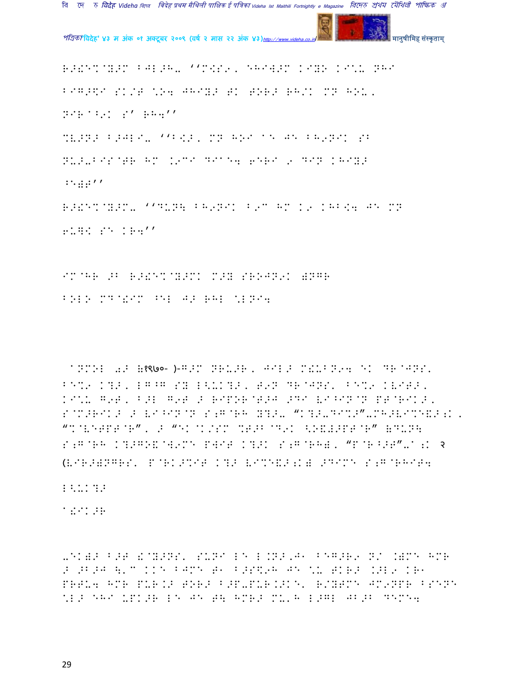-EK)> B>T !@Y>NS' SUNI LE L.N>,J1 BEG>R9 N/ .)ME HMR  $\beta$  ) and an experimental boundary  $\alpha$  . In the sequence of the sequence of the sequence of the sequence of the sequence of the sequence of the sequence of the sequence of the sequence of the sequence of the sequence of PRTU4 HMR PUR.> TOR> B>P-PUR.>KE' R/YTME JM9NPR BSENE \*L> EHI UPK>R LE JE T\ HMR> MU'H L>GL JB>B DEME4

A!IK>R

HALL TR

AN BOLE 1, ALF (1889)- (1991) PROST (1991). HER, HERE DRIVER BY NRUPS IN THE NAME OF DRAMA BE%9, LGO SY LGO SY LONGO SY LONGO SY LONGO SY LONGO L KIAU G9T, BOT, BOT, BYL GOT, BILING AND PICTOR OF ALL PORTS IN A  $S$  of the state of the state of the state of the state  $\mathcal{N}_1$  . The state of the state  $\mathcal{N}_2$ "%@VETPT@R", > "EK@K/SM %T>B@D9K <O&#>PT@R" (DUN\ S:G@RD#H K?SQO#D#DZARY PWIT K?HOWG@WD#WIT K?+#C#HHIN; "MPO#"A\$##WL?"+A; 2 (VIR>)NGRS' P@RK>%IT K?> VI%E&>;K) >DIME S;G@RHIT4

IM@HR >B R>!E%@Y>MK M>Y SROJN9K )NGR BOLO MARKET BY ALL EAL THREE

6U][ SE KR4''

 $T$ :  $\frac{1}{2}$   $\frac{1}{2}$   $\frac{1}{2}$   $\frac{1}{2}$   $\frac{1}{2}$ R>!E%@Y>M- ''DUN\ BH9NIK B9C HM K9 KHB[4 JE MN

NIR@^9K S' RH4'' %V>N> B>JLI- ''B[>, MN HOI AE JE BH9NIK SB NU>-BIS@TR HM .9CI DIAE4 6ERI 9 DIN KHIY>

R>!E%@Y>M BJL>H- ''M[S9, EHIW>M KIYO KI\*U NHI BIGBIG AN SKY NATURAL AND AREA RH/K MN HOU,

*পত্ৰিকা*'বিदेह' ४३ म अंक ०१ अक्टूबर २००९ (वर्ष २ मास २२ अंक ४३)http://www.videha.co.in<sup>/ Hamak</sup> - स्थितिका अनुसीमिह संस्कृताम्

िव <sup>रा</sup>प रु विदेह Videha <sub>विपद</sub> विदेह प्रथम मैथिली पाक्षिक ई पत्रिका <sub>Videha Ist Maithili Fortnightly e Magazine *विरमरु श*थंग रंगैथिली পोष्किक औ</sub>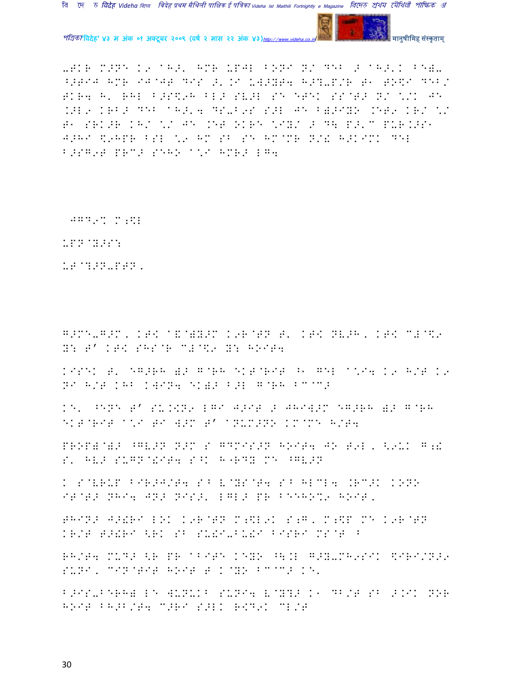

-TKR M>NE K9 AH>' HMR UPJL BONI N/ DEB > AH>'K BE)- ^>TIJ HMR IJ@JT DIS >'.I UW>YT4 H>?-P/R T1 TO\$I DEB/ TKR4 H' RHL B>S\$9H BL> SV>L SE ETEK SS@T> N/ \*/K JE .>L9 KRB> DEB AH>'4 DS-B9S S>L JE B)>IYO .ET9 KR/ \*/ The state of a strip and that the state of the fixed the state J>HI \$9HPR BSL \*9 HM SB SE HM@MR N/! H>KIMK DEL BSGR-FRC-PRODUCED AT EXTERNAL

 $\overline{\phantom{a}}$  and  $\overline{\phantom{a}}$  ,  $\overline{\phantom{a}}$  ,  $\overline{\phantom{a}}$  ,  $\overline{\phantom{a}}$  ,  $\overline{\phantom{a}}$  ,  $\overline{\phantom{a}}$  ,  $\overline{\phantom{a}}$  ,  $\overline{\phantom{a}}$  ,  $\overline{\phantom{a}}$  ,  $\overline{\phantom{a}}$  ,  $\overline{\phantom{a}}$  ,  $\overline{\phantom{a}}$  ,  $\overline{\phantom{a}}$  ,  $\overline{\phantom{a}}$  ,  $\overline{\phantom{a$ 

UPN@Y>S:

UT MUSS AND A

G>ME-G>M, KT[ A&@)Y>M K9R@TN T' KT[ NV>H, KT[ C#@\$9 Y: T' KTER SHE' HOITA YE KE HOIF4

KISEK T' EGS AFRIKA I ER HIT EGS AT ET ET ET E TIGER AFI KOLONIA KOLONIA KOLONIA KOLONIA K NI H/B (AF) (GPPH SCBP BPE BSPA BCOC

KE' SU. JE SU SU SU JAJER JE PA SA JAJER JE APANEJU SA PIJEP SE JE A PIJEP EKT@RIT A\*I TI W>M T' ANUM>NO KM@ME H/T4

PROP)@3@3 ^GREGD\_DGD\_PORT427200 HOP24 HO BOAT4 JONES HOLD S' HEARTH STAR STORE REPORT OF BUILDING

K SAVRUP BIRDANGA SA KITA SA SA HUTU BIRDA SA TATI

THINDS THE RIGHT OF THE STAR WAS SERVED ON A STAR WAS SERVED ON A STAGEN SERVED ON A STAGEN SERVED ON  $\mathcal{R}$ 

IT@T> NHI4 JN> NIS>' LGL> PR BEEHO%9 HOIT,

KR/T TIME SERIES IN DIE REGISSINGSTE DER SERIES IN DIE REGISSINGSTE DER SERIES IN DIE REGISSINGSTE DER SERIES

SUNI, CINDI, CINA MUSIC, CINA MUSIC, CINA MUSIC, CINA MUSIC, CINA MUSIC, CINA MUSIC, CINA MUSIC, CINA MUSIC, C

B>IS-BERH) LE WUNUKB SUNI4 V@Y?> K1 DB/T SB >.IK NOR HOIT BHIRY SAN TAN SON SON BOYS CONSUM

RH/T4 MUD> <R PR ABITE KEYO ^\.L G>Y-MH9SIK \$IRI/N>9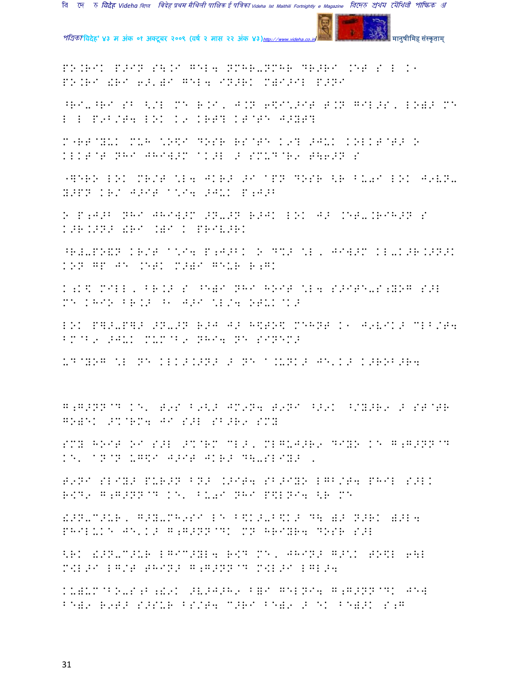PO.RIK P>IN S\.I GEL4 NMHR-NMHR DR>RI .ET S L K1 PO.RI !RI 6>')I GEL4 IN>RK M)I>IL P>NI

^RI-^RI SB </L ME R.I, J.N 6\$I\*>IT T.N GIL>S, LO)> ME L L P9B/T4 LOK K9 KRT? KT@TE J>YT?

M"RT@YUK MUH \*O\$I DOSR RS@TE K9? >JUK KOLKT@T> O KLETAT DAN AANGEM TIJE IN SMUDDEN SAGNUNG

"PERSON EDI "JORIS" (1949) PI BU UPA DOSR PRID RIK POSTA LOK JEDI PRIDU HAT KRY AFI4 JUK PHI P;

O P;J>B NHI JHIW>M >N->N R>JK LOK J> .ET-.RIH>N S K PRIVATE PRIVATE PRIVATE PRIVATE PRIVATE PRIVATE PRIVATE PRIVATE PRIVATE PRIVATE PRIVATE PRIVATE PRIVATE PRIV<br>Registration in the private private private private private private private private private private private pr

^R#-PO&N KR/T A\*I4 P;J>BK O D%> \*L, JIW>M KL-K>R.>N>K KON GP AN INST TIER ANDE RIGHT

K;K\$ MILL, BR.> S ^E)I NHI HOIT \*L4 S>ITE-S;YOG S>L ME KHIO BR.> ^1 J>I \*L/4 OTUK@K>

LOK P]>-P]> >N->N R>J J> H\$TO\$ MEHNT K1 J9VIK> CLB/T4 BM@B9 >JUK MUM@B9 NHI4 NE SINEM>

UDA YOG ARE KLAKE YER NE ALARA JE DA ALARA JE KONSTANTA JE NE ALARA JE KOMBONA DA ALARA JE KO

G;G>NN@D KE' T9S B9<> JM9N4 T9NI ^>9K ^/Y>R9 > ST@TR GO, EX SERVICE SOME STRIKE STRIKE

SMY HOIT OI S>L >%@RM CL>, MLGUJ>R9 DIYO KE G;G>NN@D KE' AND THE THE SERVE OF THE SERVE OF THE SERVE OF THE SERVE OF THE SERVE OF THE SERVE OF THE SERVE OF THE SERVE OF THE SERVE OF THE SERVE OF THE SERVE OF THE SERVE OF THE SERVE OF THE SERVE OF THE SERVE OF THE SERVE OF TH

T9NI SLIY> PUR>N BN> .>IT4 SB>IYO LGB/T4 PHIL S>LK

!>N-C>UR, G>Y-MH9SI LE B\$K>-B\$K> D\ )> N>RK )>L4

REGION GREEN CONTROL CONTROL CONTROL CONTROL CONTROL CONTROL CONTROL CONTROL CONTROL CONTROL CONTROL CONTROL CONTROL CONTROL CONTROL CONTROL CONTROL CONTROL CONTROL CONTROL CONTROL CONTROL CONTROL CONTROL CONTROL CONTROL C

PHILUKE GY DE GRAND MAN DRAGGE MARKET SA

RRI ESPLUSIA EMPISHA ROMONI AMPIR MELI ADHI 6H MILI LA TERITA GRANDI RISPISSO MANILI LA TERRIA

KU) BELIZ SING BELIZ SING DELINIA DAN DENGAN DENGAN DENGAN DENGAN DENGAN DENGAN DENGAN DENGAN DENGAN DENGAN DE BE)9 R9T> S>SUR BS/T4 C>RI BE)9 > EK BE)>K S;G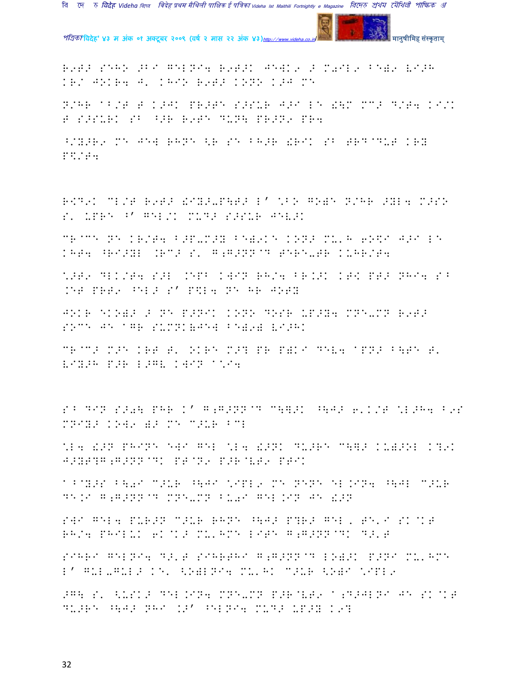R9T> SEHO >BI GELNI4 R9T>K JEWK9 > M0IL9 BE)9 VI>H KR/ JOKR4 J' KHIO R9T> KONO K>J ME

N/HR AB/T T K>JK PR>TE S>SUR J>I LE !\M MC> D/T4 KI/K T SASURI SP (PAR RAPY PLAN PRANA PR4)

^/Y>R9 ME JEW RHNE <R SE BH>R !RIK SB TRD@DUT KRY P\$/T4

R[D9K CL/T R9T> !IY>-P\T> L' \*BO GO)E N/HR >YL4 M>SO S' UPPRE ' GELYK MUDDY SYSTEM AND STREET

CROCE NE KRAAMS BELIND BELINDEN DIE SOME GEWONDEN KHAT GESKA SI NEMARA SI GARANG TERESAKAN KUNG TA

\*>T9 DLK/T4 S>L .EPB KWIN RH/4 BR.>K KT[ PT> NHI4 S^ .ET PRT9 ^EL> S' P\$L4 NE HR JOTY

JOK PORTUGAL POSTAJE DO SREDIJE U POSTAJE U POSTAJE U POSTAJE U POSTAJE U POSTAJE U POSTAJE U POSTAJE U POSTAJE<br>Za postaje u postaje u postaje u postaje u postaje u postaje u postaje u postaje u postaje u postaje u postaje SOCK AN THE SUMMARY BENEAM BENEA

CR COS CAR TEA AL DIER CAT TA PALA APALA PIPS PAAR AL VIY>H P>R L>GV KWIN A\*I4

 $S^{\mu\nu}$  DIN Solution state  $S^{\mu\nu}$  and  $S^{\mu\nu}$  are contact to the connection of  $S^{\mu\nu}$ MNIYAY KOWYEK DI MARAKA NA MARAKA NA MARAKA NA MARAKA NA MARAKA NA MARAKA NA MARAKA NA MARAKA NA MARAKA NA MAR<br>MARAKA NA MARAKA NA MARAKA NA MARAKA NA MARAKA NA MARAKA NA MARAKA NA MARAKA NA MARAKA NA MARAKA NA MARAKA NA

 $\lambda$  and  $\lambda$  . The contract the contract of  $\lambda$  is the contract of  $\lambda$  . The contract of  $\lambda$ JOS DE ROMANO PORTO PORTO PORTO PORTO PORTO PORTO PORTO PORTO PORTO PORTO PORTO PORTO PORTO PORTO PORTO PORTO

A^@Y>S B\0I C>UR ^\JI \*IPL9 ME NENE EL.IN4 ^\JL C>UR DE.I G;GB:GB:G MNE-MAD BUDI GEL.IN GEL.IN GEL

SWI GENEAL PURSE CONDINATION ARHOUR REPORT BY RHING AN ACTIVITY

RH/4 PHILUK 6KM & MU'HME LITE G;G>N MARX DOOR DAY

L' GUL-GULE E CONSILIERTE D'ANNE CONNECTION (L'AUGENIEUR)

32

>G\ S' <USK> DEL.IN4 MNE-MN P>R@VT9 A;D>JLNI JE SK@KT DUSEN PRAY TEAM OUR SPECIAL TOUR OUTSELOVE

SIHRI GALAM GALA DI SIHRI GALAM GI SIHRI GI SIHIRI GILAN DILI HUN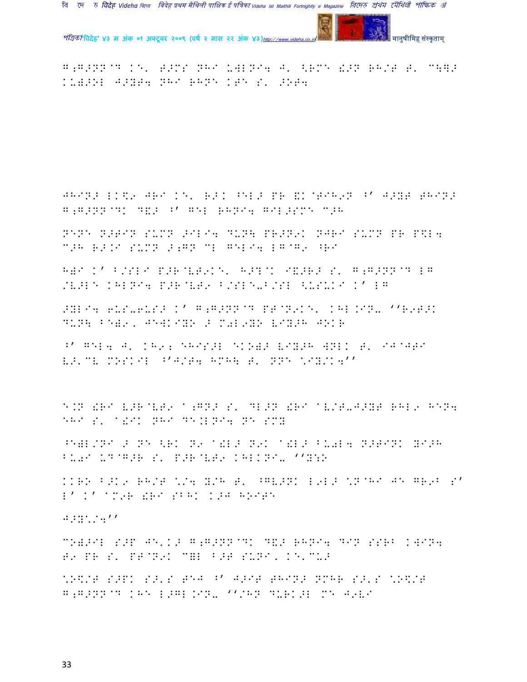

G;G>NN@D KE' T>MS NHI UWLNI4 J' <RME !>N RH/T T' C\]> KU)>OL J>YT4 NHI RHNE KTE S' >OT4

JHINOS ECRA JHINO CA. PARCO PAER BE' BOOKHAR OP JARABE BHYDR G;G;G;C:C: G;C:C: G/ GS; GADV; GF;G;C:C: C;G

NENE N>TIN SUMN >ILI4 DUN\ PR>N9K NJRI SUMN PR P\$L4 TH RIC SIDE FROM ORIGINAL CRO

H)I K' B' SAN BOLE BOLE DE SAN SERIE DI GY DI SE SHE SHE SHE SHE TO GAN I HOLL I HOLL I HOLL I HOLL I HOLL I H /V>LE KHLNI4 P>R@VT9 B/SLE-B/SL <USUKI K' LG

>YLI4 6US-6US> K' G;G>NN@D PT@N9KE' KHL.IN- ''R9T>K DUN\ BE)9, JEWKIYO > M0L9YO VIY>H JOKR

^' GEL4 J' KH9; EHIS>L EKO)> VIY>H WNLK T' IJ@JTI V>'CV MOSKIL ^'J/T4 HMH\ T' NNE \*IY/K4''

E.N !RI V>R@VT9 A;GN> S' DL>N !RI AV/T-J>YT RHL9 HEN4 EHI S' A!IK NHI DE.LNI4 NE SMY

^E)L/NI > NE <RK N9 A!L> N9K A!L> BU0L4 N>TINK YI>H BUOI UD@GPARTISTI

KKRO BOX RH/T Y/H I/B R. PRIPE: EVER Y/BYB AN PRVE PY L' K' AM9R !RI SBHK K>J HOITE

 $\mathcal{A}$  ,  $\mathcal{I}$  and  $\mathcal{I}$  and  $\mathcal{I}$  and  $\mathcal{I}$ 

CO):IL SO JE'A GAN DIN SHIRIKE DA DAN SARA DA SHIRIKE DIN SSABARA DIN SSABARA DIN SSABARA KWING KWING KWING KW T9 PR S' PT S' PT S' PT S' PT S' PT S' PT S' PT S' PT S' PT S' PT S' PT S' PT S' PT S' PT S' PT S' PT S' PT S'<br>T9 PR S' PT S' PT S' PT S' PT S' PT S' PT S' PT S' PT S' PT S' PT S' PT S' PT S' PT S' PT S' PT S' PT S' PT S

\*O\$/T S>PK S>'S TEJ ^' J>IT THIN> NMHR S>'S \*O\$/T G;G;BX Y LAN LIGH LYR. YYPA SLELIE TY GREV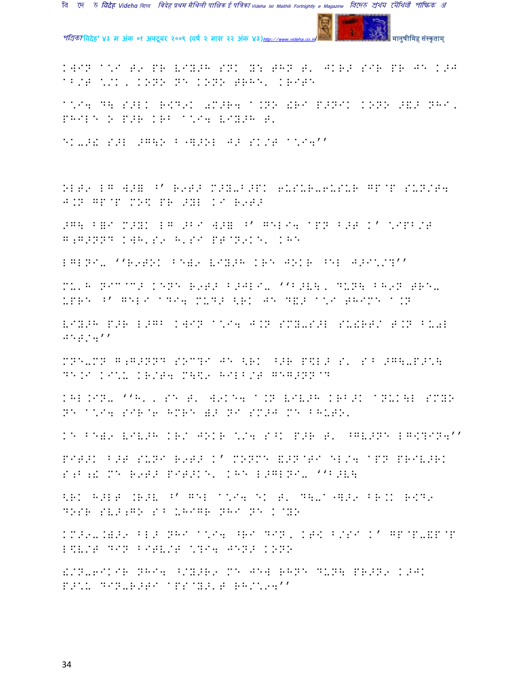

KWIN A NA I TOKA TI TANG ILAN YANG ILAN TI JARA SIR PANG SIR PROVINSI DI JARA SIR PROVINSI DI JARA SIR PROVINSI AB/T \*/K, KONO NE KONO TRHE' KRITER AND TRHE' KRITER AND TREE KONO TREE KRITER AS A TREE KRITER AS A TREE KRIT

AANA DAN BAHAD BARKI WOODEN A.DRI BER BOODEN DARK DER DARKA PHILE O PHILE O PARTICULE OF

EK->! S>L >G\O B"]>OL J> SK/T A\*I4''

OLT9 LG W>= ^' R9T> M>Y-B>PK 6USUR-6USUR GP@P SUN/T4 J.N GP@P MO\$ PR >YL KI R9T>

>G\ B=I M>YK LG >BI W>= ^' GELI4 APN B>T K' \*IPB/T G;G>NND KWH'S9 H'SI PT@N9KE' KHE

LG NI DAN INSENSION 'N SENSION BADILIS DIE DIE VOORBAARD VAN DIE VOLGENAAM

MU'H NIC@C> KENE R9T> B>JLI- ''B>V\, DUN\ BH9N TRE-UPRE ^' GELI ADI4 MUD> <RK JE D&> A\*I THIME A.N

VIY>H P>R L>GB KWIN A\*I4 J.N SMY-S>L SU!RT/ T.N BU0L  $\mathcal{A}$  is a property of  $\mathcal{A}$ 

MNE-MORE-MANER SOC'S SOC'S SOC REFERENCE DE.I KI\*U KR/T4 M\\$9 HILB/T GEG>NN@D

KHERATA 'YALLAR' BI WELAHA AR KALEN KEFAN ARAB ATAR NE A\*I4 SIR@6 HMRE )> NI SM>J ME BHUTO'

KE BE)9 VIV>H KR/ JOKR \*/4 S^K P>R T' ^GV>NE LG[?IN4''

PIT>K B>T SUNI R9T> K' MONME &>N@TI EL/4 APN PRIV>RK S:B; ME R9TO BITS PITTS IN THE LOCAL OUTSING

RED REFERENCE PORT TO CHOOSE THE THE REPORT BRIDGE THE SEP RESERVED NHI NE KONST

KMOSA.): 19 BLP BLP AT DIN AT DIN AT DIN BLP AT DIN BY DIN BERKER OP. L\$V/T DIN BITV/T \*?I4 JEN> KONO

!/N-6IKIR NHI4 ^/Y>R9 ME JEW RHNE DUN\ PR>N9 K>JK P>\*U DIN-R>TI APS@Y>'T RH/\*94''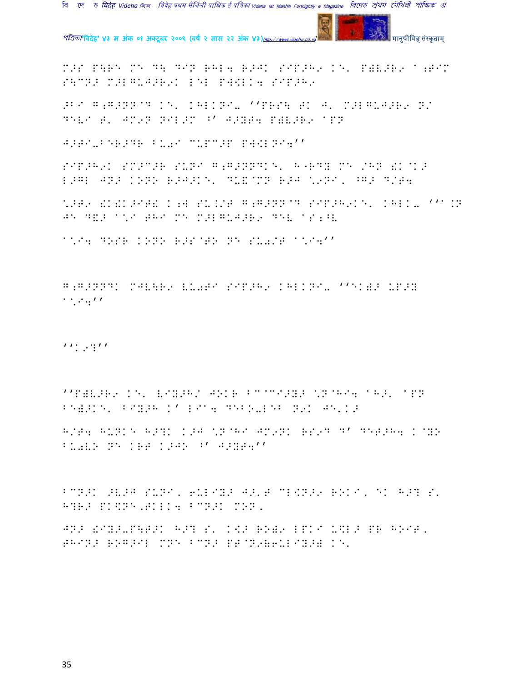*পত্ৰিকা*' विदेह' ४३ म अंक ०१ अक्टूबर २००९ (वर्ष २ मास २२ अंक ४३)http://www.videha.co.in/ मानीमिंद्र अंस्कृताम्



 $\mathcal{P}(\mathcal{S}) = \mathcal{P}(\mathcal{S}) = \mathcal{P}(\mathcal{S}) = \mathcal{P}(\mathcal{S}) = \mathcal{P}(\mathcal{S}) = \mathcal{P}(\mathcal{S}) = \mathcal{P}(\mathcal{S}) = \mathcal{P}(\mathcal{S}) = \mathcal{P}(\mathcal{S}) = \mathcal{P}(\mathcal{S}) = \mathcal{P}(\mathcal{S}) = \mathcal{P}(\mathcal{S}) = \mathcal{P}(\mathcal{S}) = \mathcal{P}(\mathcal{S}) = \mathcal{P}(\mathcal{S}) = \mathcal{P}(\mathcal{S}) = \mathcal{P}(\mathcal{S}) =$  $\overline{S}$  , and the state  $\overline{S}$  and  $\overline{S}$  . The state  $\overline{S}$  is the state  $\overline{S}$ 

>BI G;G>NN@D KE' KHLKNI- ''PRS\ TK J' M>LGUJ>R9 N/ DEVI T' JOURNALISM AND AN APRAISE PARTIES OF TH

J>TI-BER>DR BU0I CUPC>P PW[LNI4''

SIPORAC STORIAL SUNI RARDYTIN, AGENE TH JAP WILTE L>GL JN> KONO R>J>KE' DU&@MN R>J \*9NI, ^G> D/T4

 $\Lambda$ ura komikati kuning sina kuning sa sa mang sina sina ito sa mata ta sa mata ta sa mata ta sa mata ta sa ma JE D&> A\*I THI ME M>LGUJ>R9 DEV AS;^V

A\*I4 DOSR KONO R>S@TO NE SU0/T A\*I4''

G:GP2PDF1 MPLARA ELGER MRPDAR (PAP)DRI SIPL ''ELGER LEGE  $\cdot$   $\cdot$   $\cdot$   $\cdot$   $\cdot$   $\cdot$ 

''Y Y Y Y Y Y Y Y

''BILBA''' ROBE BOOK BOOK BOOKS BE)>KE' BIY>H K' LIA4 DEBO-LEB N9K JE'K>

H/T44 HUNKE HONKE ISA JULA DI DAGA HISPO DA SA KARA DA DI DI D BUONG NE KRET KAN SA SENGAY

BCN-K - SUNI, SUNI, SUNI, SUNI, SUNI, SUNI, SUNI, SUNI, SUNI, SUNI, SUNI, SUNI, SUNI, SUNI, SUNI, SUNI, SUNI, H?R> PK\$NE,TKLK4 BCN>K MON,

JN> !IY>-P\T>K H>? S' K[> RO)9 LPKI U\$L> PR HOIT, THIN> ROG>IL MNE BCN> PT@N9(6ULIY>) KE'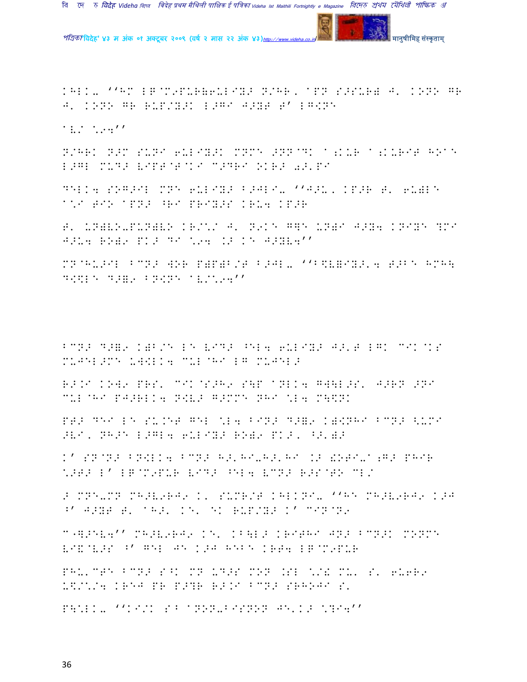

KHLAL ''HM LOO BOURGELERG ''SAN DAR, APSOLITE '' KONO GRAMA SA J' KONO GR RUP/YOU HAD A LOO GR RUP/YOU

## $\begin{aligned} \mathbf{1}_{\mathcal{A}} & \mathbf{1}_{\mathcal{A}} & \mathbf{1}_{\mathcal{A}} & \mathbf{1}_{\mathcal{A}} & \mathbf{1}_{\mathcal{A}} & \mathbf{1}_{\mathcal{A}} & \mathbf{1}_{\mathcal{A}} \\ \mathbf{1}_{\mathcal{A}} & \mathbf{1}_{\mathcal{A}} & \mathbf{1}_{\mathcal{A}} & \mathbf{1}_{\mathcal{A}} & \mathbf{1}_{\mathcal{A}} & \mathbf{1}_{\mathcal{A}} & \mathbf{1}_{\mathcal{A}} & \mathbf{1}_{\mathcal{A}} \\ \mathbf{1}_{\mathcal{A}} & \mathbf{1}_{\$

N/HRK N>M SUNI 6ULIY>K MNME >NN@DK A;KUR A;KURIT HOAE L>GL MUD> VIPT@T@KI C>DRI OKR> 0>'PI

DELKA SOGIAL MELKANI DELKA SOGIAL MUSIKA SOGIAL DELKA SOGIAL DELKA SOGIAL DELKA SOGIAL DELKA SOGIAL DELKA SOGI A\*I TIO APITAL AT TIO APPEAR AT TIO APPEAR AT TIO A

TE, UNDOERSLEIDVOORDING VOOR VOOR DIE VOORBEERDE VOOR DIE VOORBEERDE VOORBEERDE IN DIE VANAFUISSE EN DIE VOORB J>U4 RO)9 PK> DI \*94 .> KE J>YV4''

MN TROUGHT OF THE GREET BOARD OF THE BOARD AND ROBERT BOARD AND HOTEL D[\$LE D>=9 BN[NE AV/\*94''

BCNOB, DOBINA BA EKDI PALE BERGEREA BULITZAKO DE MUJEL-ME UWELD-ALL MUJEL-MARK BE UNIVERSITY

R>.I KOW9 PRS' CIK@S>H9 S\P ANLK4 GW\L>S' J>RN >NI CULAR CULAR CULAR DEL SEGUIDO DE L'ARCHITECTA DE L'ARCHITECTA DE L'ARCHITECTA DE L'ARCHITECTA DE L'ARCHITECTA<br>Cultura de l'architecta de l'architecta de l'architecta de l'architecta de l'architecta de la constitució del

PEJ PIS EN EL CSE BINI DIA PRINTE PIEN DEI DIA DIA DIA DIA DIA P >VI, NH>E L>GL4 6ULIY> RO)9 PK>, ^>')>

K' K' SND HONE BOL HONE BOL HIJ . I PHILA I . IOTI-A; HIJ . IOTI-A; HIJ . IOTI-A; \*>T> L' LQ@M9PUR VID> ^EL4 VCN> R>S@TO CL/

> MNE-MN MH>V9RJ9 K' SUMR/T KHLKNI- ''HE MH>V9RJ9 K>J ^' J>YT T' AH>' KE' EK RUP/Y> K' CIN@N9

C") - EUN DAN MENDELING KEYANG KE KELONG KE KABANG MONG KATA HANYA MENGENYA MENGENYA MENGENYA MENGENYA MENGENY BOBYS OF GEL AN DIA AND NO BEA SPONEDB

PHILOTEN POTER BOOT DIE INVERSIESE OORSTELS MON DIE SUISSELAND U\$/10 KREJ PR PR PR PR ST PR PR PR PR PR

PANEN ANONYM BISNON-BISNON ANON-MINAN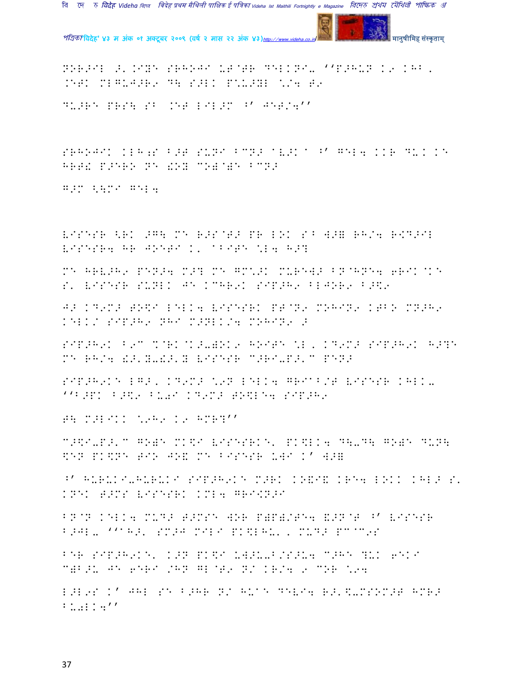*পত্ৰিকা*'বিदेह' ४३ म अंक ०१ अक्टूबर २००९ (वर्ष २ मास २२ अंक ४३)http://www.videha.co.in<sup>/ Hamak</sup> - स्थितिका अनुसीमिह संस्कृताम्

DORPIL D. ICH SPROGE (1970) IPHOTOGIC SRIDI IN K

SRHOWER KLAH; SUNI BODI BURG KLAN KAN PALA KNA DU. KEM

RATATE ART CAR TO BOY GO PR LOT TO RACHE BATE BATACH

ME HRVAN PENA MAT ME HOVA MUREWA BANG HRVO M

J> KD9M> TO\$I LELK4 VISESRK PT@N9 MOHIN9 KTBO MN>H9

SIPPORT FOR WORLD ALBEE & POINT WORLD FOR SITH  $\mathbb{R}^n$ 

S' VISESPER SUNLY AN IMPACT SEPIAN FEARAL FIRM

DU>RE PRS\ SB .ET LIL>M ^' JET/4''

VISESR4 HR JOETI K' ABITE \*L4 H>?

KELK/ SIPHA MANUFICAN MARK

HRT! P>ERO NE !OY CO)@)E BCN>

GBC CHIC STREET

 $\frac{1}{2}$  ,  $\frac{1}{2}$  ,  $\frac{1}{2}$  ,  $\frac{1}{2}$  ,  $\frac{1}{2}$  ,  $\frac{1}{2}$  ,  $\frac{1}{2}$  ,  $\frac{1}{2}$  ,  $\frac{1}{2}$  ,  $\frac{1}{2}$  ,  $\frac{1}{2}$  ,  $\frac{1}{2}$  ,  $\frac{1}{2}$  ,  $\frac{1}{2}$  ,  $\frac{1}{2}$  ,  $\frac{1}{2}$  ,  $\frac{1}{2}$  ,  $\frac{1}{2}$  ,  $\frac{1$ 

ME RH/4 !>'Y-!>'Y VISESR C>RI-P>'C PEN>

SIPPING ROBERT LONGIN CHARGE LABOR WEIGHT VISE SERVICE CONSTRUCT ''Book Bunder State Book Bunder Sipper State Sipper State Sipper State Sipper State Sipper State Sipper State Sipper State State State State State State State State State State State State State State State State State Sta

T\ M>LIKK \*9H9 K9 HMR?''

C>\$I-P>'C GO)E MK\$I VISESRKE' PK\$LK4 D\-D\ GO)E DUN\ **\$P\$NE PK\$NE TION AND AND ASSESSED AND ADDRESS** 

^' HURUKI-HURUKI SIP>H9KE M>RK KO&I& KRE4 LOKK KHL> S' KNEK TO SAN KAMPANG KAMPANG KAMPANG KAMPANG KAMPANG KAMPANG KAMPANG KAMPANG KAMPANG KAMPANG KAMPANG KAMPANG KA<br>Ini na kalimat na kampang kalimat ng kalimat ng kampang kalimat ng kampang kampang kampang kampang kampang kam

BN@N KELK4 MUD> T>MSE WOR P)P)/TE4 &>N@T ^' VISESR BOWL- 'YAHA, STOR TYER BIREAL', TURK PC COS

BER SIPPING BER SIPPING AND THE SIPPING OF STATISTICS IN THE RELATIONSHIP OF STATISTICS. THE FILL AN GRAAN JAP AN GERI PER DE LA GRAAN SA TIE NIE K

L>L9S K' JHL SE B>HR N/ HUAE DEVI4 R>'\$-MSOM>T HMR>  $B = B \cdot B$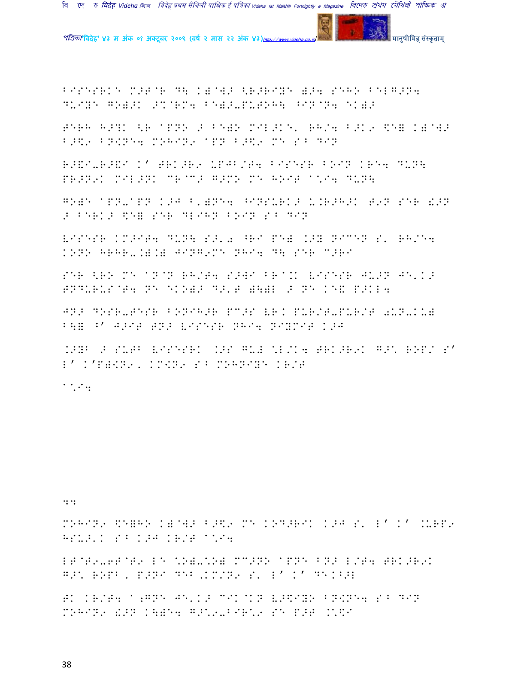TH CHINA IS BUT AN IN THE THIS BUT AN ASSAMLED AT THE MOHINE : N KORO SE PORT E GRANDE E SE PORT E SE PORT E SE PORT E SE PORT E SE PORT E SE PORT E SE PORT E SE PO

LT@T9-6T@T9 LE \*O)-\*O) MC>NO APNE BN> L/T4 TRK>R9K GRI ROPE, PRES THE DIVING SY LY CY THILE

HSUBUD STRIP AFI KRITING

MOHIN9 \$E=HO K)@W> B>\$9 ME KOD>RIK K>J S' L' K' .URP9

 $\cdot$ :  $\cdot$ :

 $\mathcal{F}^{\mathcal{A}}$ 

.>YB > SUTB VISESRK .>S GU# \*L/K4 TRK>R9K G>\* ROP/ S'  $\mathcal{L} \times \mathcal{L}$  (with  $\mathcal{L} \times \mathcal{L}$  is the set of  $\mathcal{L}$  is the set of  $\mathcal{L}$  is the set of  $\mathcal{L}$ 

JN> DOSR-TESR BONIH>R PC>S VR. PUR/T-PUR/T 0UN-KU) BAB BY ANNE AND LANGIB NHAH NAHING ISH

SER <RO ME AN@N RH/T4 S>WI BR@.K VISESR JU>N JE'K> TNDURUS@T4 NE EKO)> D>'T )\)L > NE KE& P>KL4

VISESR KM>IT4 DUN\ S>'0 ^RI PE) .>Y NICEN S' RH/E4 KONO HRHR. NING MENUNJUK DAPA DA SER CODA

GO)E APNES DE SOLIE AL BOARD ANDERS KONSTANT DE SOLIE IN SURF > BERK> \$E= SER DLIHN BOIN S^ DIN

R>&I-R>&I K' TRK>R9 UPJB/T4 BISESR BOIN KRE4 DUN\ PROPAGA CRACK CRACK CRACK CRACK CRACK CRACK

TERH HONDO KEOSTER DO KABE) DA BENGA APAGEO MALA BAGI DA ARA BBC: 9 BOHING COMPLETED BOHING CONTROL

BISESRKE M>T@R D\ K)@W> <R>RIYE )>4 SEHO BELG>N4 BUYEN BIWEN STORYE FNERWEDHE PUTOH NIER

*পত্ৰিকা*'বিदेह' ४३ म अंक ०१ अक्टूबर २००९ (वर्ष २ मास २२ अंक ४३)http://www.videha.co.in<sup>/ Hamak</sup> - स्थितिका अनुसीमिह संस्कृताम्



िव <sup>त</sup>ि दिविदेह Videha विल्ह विदेह प्रथम मैथिली पाक्षिक ई पत्रिका <sub>Videha Ist Maithili Fortnightly e Magazine विटमरु শ্রेথম মৌথিলী পাক্ষিক \$</sub>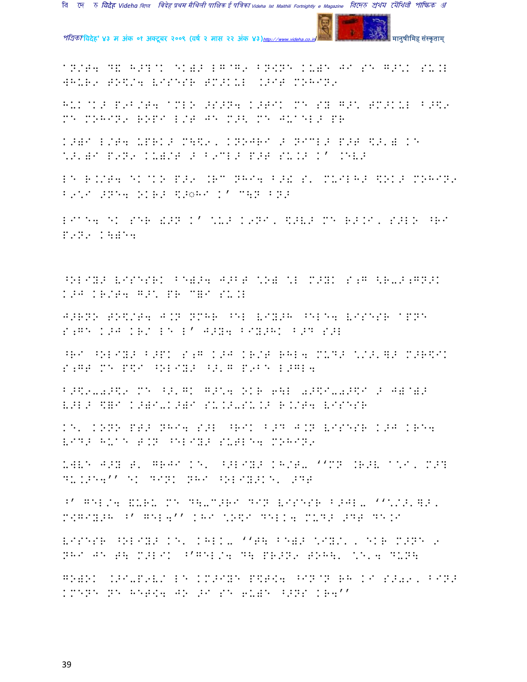*পত্রিকা*'বিदेह' ४३ म अंक ०१ अक्टूबर २००९ (वर्ष २ मास २२ अंक ४३)http://www.videha.co.in<sup>/ Hamak</sup> - स्थितिमह संस्कृताम्



AN/T4 D& H>?@K EK)> LG@G9 BN[NE KU)E JI SE G>\*K SU.L WHEN THE REPORT OF THE REPORT OF THE REPORT OF THE REPORT OF THE REPORT OF THE REPORT OF THE REPORT OF THE REP

HUK@K> P9B/T4 AMLO >S>N4 K>TIK ME SY G>\* TM>KUL B>\$9 ME MOHIN9 ROPI L/T JE M>< ME JUAEL> PR

KOJARA KONDROLE MAROVO DIPRABA OPOTANJE I POR ROLA I NA \*>')I P9N9 KU)/T > B9CL> P>T SU.> K' .EV>

LE R./T4 EK@KO P>9 .RC NHI4 B>! S' MUILH> \$OK> MOHIN9 B9\*I >NE4 OKRE \$P\$PP (/ THE FIL

LIAE4 EK SER !>N K' \*U> K9NI, \$>V> ME R>.I, S>LO ^RI P9N9 KONSTRUKT

^OLIY> VISESRK BE)>4 J>BT \*O) \*L M>YK S;G <R->;GN>K K>J KR/T4 G>\* PR C=I SU.L

J>RNO TO\$/T4 J.N NMHR ^EL VIY>H ^ELE4 VISESR APNE S:GEN CONVENTION BY HOOGLE BROWN BOOK

^RI ^OLIY> B>PK S;G K>J KR/T RHL4 MUD> \*/>']> M>R\$IK S;GT ME P\$I (ST ME P\$I ) ^OLIYON A P\$I (ST ME P\$I ) {

 $\beta$  , and  $\beta$  and  $\beta$  and  $\beta$  of  $\beta$  . On  $\beta$  is the  $\beta$  -defined by  $\beta$  or  $\beta$  and  $\beta$  and  $\beta$  and  $\beta$  and  $\beta$  and  $\beta$  and  $\beta$  and  $\beta$  and  $\beta$  and  $\beta$  and  $\beta$  and  $\beta$  and  $\beta$  and  $\beta$  and  $\beta$  and  $\$ V>L> \$=I K>)I-K>)I SU.>-SU.> R./T4 VISESR

KAL KONO PER DAGA KUL MAGU PUR AJA KEKANG KORA BA BANG ANTA GOD (PHANG TRIES MOHINE

UGEN GRIE G. GREGO IN, CRIECER INVER, MOTE IERE TOCH, TRA DU. E4'' EX DINK NHI PEK DINK NHI PEK

 $\mathcal{A}$  of the distribution of the distribution of  $\mathcal{A}$  ,  $\mathcal{A}$  and  $\mathcal{A}$  is a set of the distribution of  $\mathcal{A}$  ,  $\mathcal{A}$ MIGINO O GELANA MUDA ALAM DI DEL GELANA MUDA DEL GELANA MUDA DEL GELANA MUDA DEL GELANA MUDA DEL GELANA MUDA D

VISESR ^OLIY> KE' KHLK- ''T\ BE)> \*IY/', EKR M>NE 9 NHI JE TA MOJI JE TOHODA NA TOHODA NA MARA NA TOHODA DO PRANOVA DO PRANA

GO)OK .>I-PAVED LE KOLTURATE PRESENTATION DE L'ANNO 1999, I SPER KMENE NE HET HET DIE 1955 DIE 1955 IN SEE 6U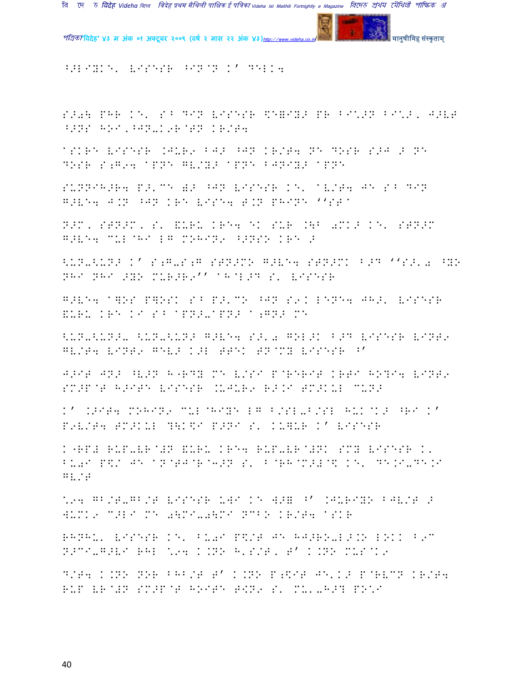*পত্ৰিকা*'বিदेह' ४३ म अंक ०१ अक्टूबर २००९ (वर्ष २ मास २२ अंक ४३)http://www.videha.co.in<sup>/ Haman</sup> | स्थितिमह सम्बताम्

^>LIYKE' VISESR ^IN@N K' DELK4

SOUR BHR KAL SO DIN BITAN BITAN BIRO DIN SEPIYAN BITANG BI ^>NS HOI,^JN-K9R@TN KR/T4

ASKRE VISESR .JUR9 BJ> ^JN KR/T4 NE DOSR S>J > NE DOSR S;G94 APNE GV/Y> APNE BJNIY> APNE

SUNDIHANA PAYMA BAYAR KATATA YA YA DINA ANY TA MADI BOING AND CAP LEN ESPN BOD PHOPS 'YEE'

N>M, STN>M, S' &URU KRE4 EK SUR .\B 0MK> KE' STN>M GOVERNMENT CONTROL CONTROL CONTROL

ANDURIDE (M. S. PART ET SEDEDE PERSON BEFEIDT (F. P. O. VEF, G. (F. D.) NHI NHI >YO MUR>R9'' AH@L>D S' VISESR

BJENA AJOSK PJENI KAJ PJEJNE JAP KEJ PARA JAJE JENINIS ELBU KRE KRE KI STRADIRA ASSOCIATI

ALDULLDA. ALDULLDA BALYA PAL'I BALI DA BAL'A AR LEGIOPE LODA GV/T4 VINT9 GEV> K>L TTEK TN@MY VISESR ^'

J>IT JN> ^V>N H"RDY ME V/SI P@RERIT KRTI HO?I4 VINT9 SM>P@T H>ITE VISESR .UJUR9 R>.I TM>KUL CUN>

K' .DAGA COHATA TIE MATER ER FORELAGE LADI MORT HAT D'K P9V/T4 TM P4V/T4 TM P4V/T4 TM P4V/T4 TM P4V/T4 TM P4V/T4 TM P4V/T4 TM P4V/T4 TM P4V/T4 TM P4V/T4 TM P4V/T4 TM <br>Konstantinopolis Republika P4V/T4 TM P4V/T4 TM P4V/T4 TM P4V/T4 TM P4V/T4 TM P4V/T4 TM P4V/T4 TM P4V/T4 TM P4V

K"RP# RUPLER MAR BORD KRE4 RUPLER MARK SMY BASHSPR K. BUOI P\$/ JE AND A SERIES AND A SERIES AND A SERIES AND A CHANNEL DECISION OF THE INTERNATIONAL ARRANGEMENT OF  $\mathbb{G}$   $\mathbb{G}$   $\mathbb{G}$   $\mathbb{G}$ 

\*104 GB/T-BLAK ISESEN DE WISE SAN GE WANTED BIVIS BIVIS IN WUMAN COMPOSITION OF THE COMMUNIST COMMUNIST COMPANY OF THE COMMUNIST COMMUNIST COMPANY OF THE COMMUNIST COMMUNIST COMPANY OF THE COMMUNIST COMPANY OF THE COMPANY OF THE COMMUNIST COMPANY OF THE COMPANY OF THE COMPANY OF T

RHOHU, VISESR KE' BUOI PULAS (PAZA PA) PAJERULI JE DO LOKU PUS N>CI-G>VI RHL \*94 K.NO H'S/T, T' K.NO MUS@K9

D.T4 K.NO NOR BHB/T THE THE RESEARCE TO A POSSIBLE THAT THE THE RUP SA NATIONAL MARKATI TANGGALAN DI POPULAN SA TURU DA POPULAN SA TURU DA POPULAN SA TURU DA PORTUGALAN DI PO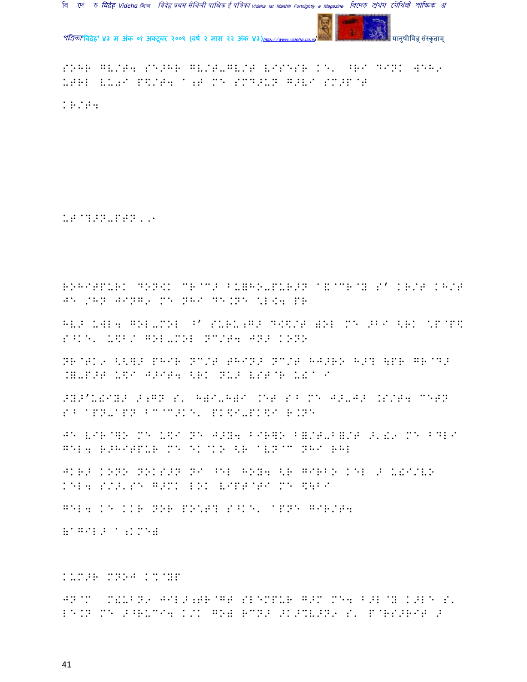िव <sup>रा</sup>प रु विदेह Videha विल्ह विदेह प्रथम मैथिली पाक्षिक ई पत्रिका <sub>Videha Ist Maithili Fortnightly e Magazine त्रिर्पिरु শ্রेথিম মৌথিলী পাক্ষিক \$</sub>

*পত্ৰিকা*'বিदेह' ४३ म अंक ०१ अक्टूबर २००९ (वर्ष २ मास २२ अंक ४३)http://www.videha.co.in<sup>/ Hamak</sup> - स्थितिका अनुसीमिह संस्कृताम्

SOHR GRIJAN SOJAR GRIJALGIJA EJSTOSR I DINK GRJ GVJ. GODI UPRE BUGA P\$/P4 A;H MA SMARIN GREA SMARINE

KR/T4

UT DE 1999, 1999, 1999, 1999, 1999, 1999, 1999, 1999, 1999, 1999, 1999, 1999, 1999, 1999, 1999, 1999, 1999, 19

ROHITPURK DON[K CR@C> BU=HO-PUR>N A&@CR@Y S' KR/T KH/T JE /HN JING9 ME NHI DE.NE \*L[4 PR

HV: UWE 4 GREENING OF SURU;GREENING:GEENING;GP#P\$ SOME USB/ GOLD-MOLE NORTH WAS ARRESTED FOR A

NR@TK9 (PHIR NC) PHIR NC/T THIN NC/T THIN NC/T THIN NC/T HIS SECTION AND GROUPS OF THE GROUPS OF THIN NC. .:Bufie the algebraiche Statement of

>Y>'U!IY> >;GN S' H)I-H)I .ET S^ ME J>-J> .S/T4 CETN SO APSOLUTE BC APART BOOKS IN BEEN

JE VIRGE TRE JON JOS OF PACHA I PERE J'EDELI BOBLIO BODI ON TITE P

GEL4 R>HITPUR ME EK@KO <R AVN@C NHI RHL

JKR> KONO NOKS>N NI ^EL HOY4 <R GIRBO KEL > U!I/VO

KAL4 S/SLIN PROVINCING METHOD ON RHOU

GEL4 KE KKR NOR POSTAGE SEN APSOLUTE GIRLEY

41

(AGIL> A;KME)

 $K$  , and  $K$  is the mass of the mass of the mass of the mass of the mass of the mass of the mass of the mass of the mass of the mass of the mass of the mass of the mass of the mass of the mass of the mass of the mass of

JN@M M!UBN9 JIL>;TR@GT SLEMPUR G>M ME4 B>L@Y K>LE S' LE.N ME >^RUCI4 K/K GO) RCN> >K>%V>N9 S' P@RS>RIT >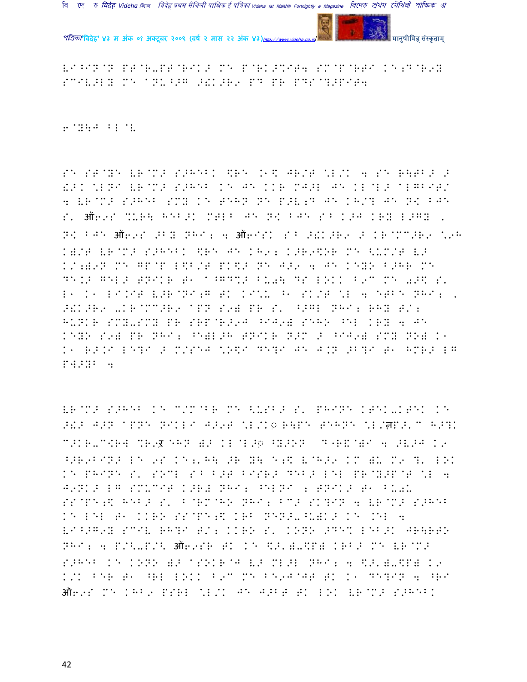*পত্ৰিকা*'বিदेह' ४३ म अंक ०१ अक्टूबर २००९ (वर्ष २ मास २२ अंक ४३)http://www.videha.co.in<sup>/ Hamak</sup> | स्थितिकामिं संस्कृताम्

VI^IN@N PT@R-PT@RIK> ME P@RK>%IT4 SM@P@RTI KE;D@R9Y SCIVING IN THE ANUAL METHOD IS A REPORT OF THE ANUAL METHOD IN THE ANUAL METHOD

6@Y\J BL@V

SE STANDA ER TA SAHEBA BER 1987 ARIS 1871 A SE RE BRADA A !>. \*LNI VR@M> S>HEB KE JE KKR MJ>L JE KL@L> ALGBIT/ 4 VR@M> S>HEB SMY KE TEHN NE P>V;D JE KH/? JE N[ BJE ST STAR STREET AND AND HER HER HER SOME SOME SOME STARTS. NA BHAR ऑ69S AR GO RHAI; 4 ऑ63S AIR AIR ACADH AO AO CHOMARA NAR K) And the state of the second service of the state of the state of the society of the state of the state of the state of the state of the state of the state of the state of the state of the state of the state of the state K/;)9N ME GP@P L\$B/T PK\$> NE J>9 4 JE KEYO B>HR ME DE. DE APERIS THE COMPANY SIGN AND DESCRIPTION BEDRIEL L1 K1 LI.IT V>R@NI;G TK KI\*U ^1 SK/T \*L 4 ETBE NHI; , >!K>R9 -KR@MC>R9 APN S9) PR S' ^>GL NHI; RHY T/; HUNKR SMYBSMY PR SRP RADA PRADE SRPD PRESIDENT 4 JP KREW S98 PR NHI; \* MALIA SMY NJIH, TO MAJA SHI TNI L K1 R: I LE DE RESERVE DE PORTUGALE DE DE DISPOSITION DE L'ARCHE DE L'ARCHE DE L'ARCHE DE L'ARCHE DE L'ARCHE DE PHONE 4

VR@M> S>HEB KE C/M@BR ME <USB> S' PHINE KTEK-KTEK KE >!> J>N APNE NIKLI J>9T \*L/K◌़ R\PE TEHNE \*L/ऩP>'C H>?K ़ COX BUITERS OTHER THIS GEO IS TO CONSIDER TO THE INSTITUTION. ^>R9BIN> LE 9S KE;'H\ >R Y\ E;\$ V@H>9 KM )U M9 ?' LOK KE PHINE S' SOCIAL S' DEBIE PHINE S' SOCIAL DE BISRE DE L'EL 14 J9NK> LG SMUCIT K>R# NHI; ^ELNI ; TNIK> T1 BU0U SS@PE; BOOK STAND OF THE STANDARD STATE STATE AND THE STANDARD KE LEL THE SSOP SSOCIAL TERMS OF STANDARD AND ALL THE STATE . VI^>G9Y SCIV RH?I T/; KKRO S' KONO >DE% LEB>K JR\RTO NHI; 4 P/<-P/< ऑ69SR TK KE \$>')-\$P) KRB> ME VR@M> S>HEB KE KONO )> ASOKR@J V> ML>L NHI; 4 \$>')-\$P) K9 K/K BPER THE BOILBOT TH BPARED BILE THIN 4 PER ऑ69S IN IHA BER NIZ AN APPEAR BI DI BENIK EPHNI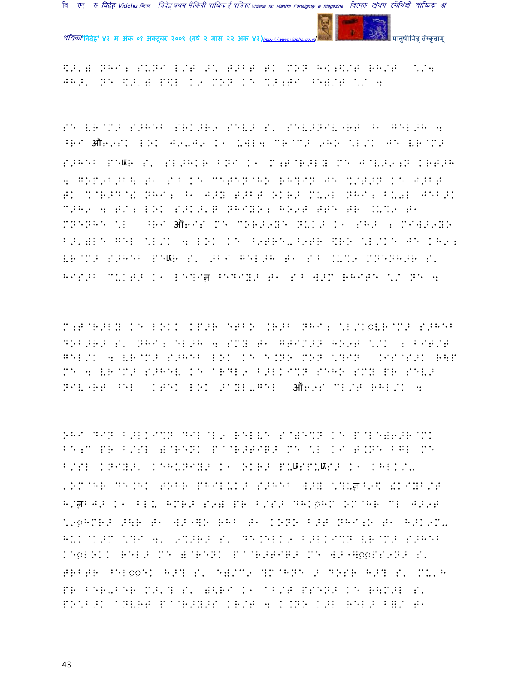*পত্রিকা*'বিदेह' ४३ म अंक ०१ अक्टूबर २००९ (वर्ष २ मास २२ अंक ४३)http://www.videha.co.in<sup>/ Hamak</sup> - स्थितिमह संस्कृताम्

\$'), SUNI PART E SUNI LE SUNI L'ART E SE POSTA PARTIE D'ANNE L'ASSERIE D'ASSERIE D'ANNE JH>' NE \$>') P\$L K9 MON KE %>;TI ^E)/T \*/ 4

SE VR@M> S>HEB SRK>R9 SEV> S' SEV>NIV"RT ^1 GEL>H 4 ^RI ऑ69SK LOK J9-J9 K1 UWL4 CR@C> 9HO \*L/K JE VR@M> SSAHE PEWAS SO SIAH PENGANG SYARI KANG DI MENGANG DAN HISTORY  $\frac{1}{2}$  Goppie Bobs So Ke Ceten with the So Ke Ceten So Ke  $\frac{1}{2}$ TK %@R>D@! NHI; ^1 J>Y T>BT OKR> MU9L NHI; BU0L JEB>K C>H9 4 T/; LOK S>K>'Q NHIYO; HO9T TTE TR .U%9 T1 MNENHE \*L ^RI ऑ6IS ME COR>9YE NUK> K1 SH> ; MIW>9YO BO, HIS MAIL TIME TO GEL AND HIS REPORT OF HIS ROOM OF A LOCAL CONTROL IN THE SACTO VR@M> S>HEB PEᆬR S' >BI GEL>H T1 S^ .U%9 MNENH>R S' HAISP CUIDE IN LEATER PARAGE FOUR HIS FAIRS FACE TO THE

M:THORIC COMPENIES IN THE OUTLINE AND THOSE NO ALL CEODED TO A STAMP. DOB>R> S' NHI; EL>H 4 SMY T1 GTIM>N HO9T \*/K ; BIT/T GEL/K 4 WR MON SOUTH LOK KE E.NO MON TO STAND THE STANDARD WAS ALLOWED. ME 4 VR MON SINEER ARDLED BEVON SEHO SMY SEHO SMY PR SENS NIVER ARE CONSTRUCTED AND IN THE WARRANTY OF THE ARRAIGNMENT OF A

OHI DIN B>LKI%N DIL@L9 RELVE S@)E%N KE P@LE)6>R@MK BE;C PR B/SL )@RENK P@@R>TIQ> ME \*L KI T.NE BGL ME ' KINIYO KEHUNIYO KANA MARAHI KI SANG PULA SERANG KUGA SA KI ANG KILIYO KANG ANG KANG ANG KANG ANG KANG ANG KA 'OM@HR DE.HK TOHR PHILUK> S>HEB W>= \*?Uऩ^9\$ !KIYB/T ़ H/ਜ਼ਬ ਸੰਤ (Posted Home) Prediction of the part of the Click Home tion: This of the Same Time that the South Time Time Time Time Time Time HUI MURD NEA' 4. SKORER BY MATHEMAN VROAG DER MED BYDE BY COSELO PHILORS RELEASED POSSERVER PO NEW HIPSPIERT PO TRBTR AN EQONI HIS YI NAINN. SINAPIN I BAYAR HIS YI NI MI PR BER-BER MORT RI KIN ABRAM DAN MANGHAM DI PARTIBLE KE POSER AND THE PANERBY CENT 4 KIND OF LIFE RAFT FRAME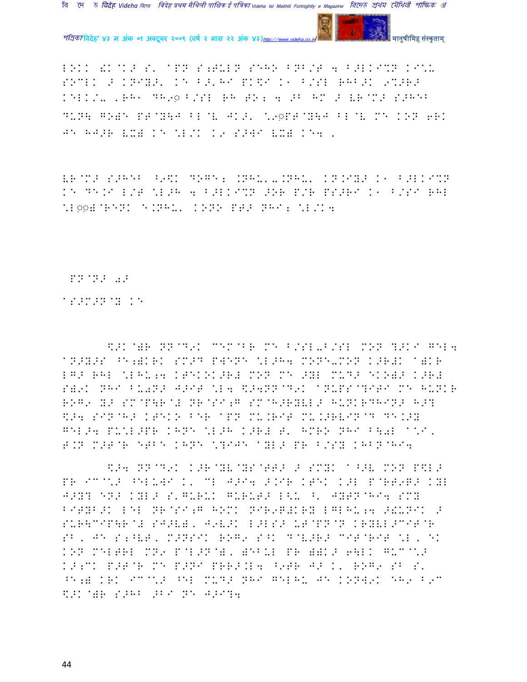*পত্রিকা*'বিदेह' ४३ म अंक ०१ अक्टूबर २००९ (वर्ष २ मास २२ अंक ४३)http://www.videha.co.in<sup>/ Hamak</sup> - स्थितिमह संस्कृताम्

LOKK !K@K> S' APN S;TULN SEHO BNB/T 4 B>LKI%N KI\*U SOCH : KINIYAYA, KONIYA BILAYI BILAYI YANG BERBERA 1970-YANG BIL KREKVA-VEHT DH9O B/SE HH TO; 4 DH THM DH8D SIB MOD SOHHE DUNA BREN PFONAS (EST MUSL CLOPE CHAS (EST ME VA LOR 6R) JE HJP KIN IN MIJI IV KJAP KIN INA .

READS SSEER (FRD) PRAKE (SPEL), .NHU'-.NIYOGE; .NHU'-.HI KE DE.I LA BOSTO DE LA BOSTO DE LA BILANCIA E PORTUGALA DO PORTUGALA POR P **WEIGHT E.NHUY KONO PHONO PTAINS** 

PND 000

AS>M>N@Y KE

 \$>K@)R NN@D9K CEM@BR ME B/SL-B/SL MON ?>KI GEL4 AN>Y>S ^E;)KRK SM>D PWENE \*L>H4 MONE-MON K>R#K A)KR LG> RHL \*LHU;4 KTEKOK>R# MON ME >YL MUD> EKO)> K>R# S)9K NJ BUNA BUNA BUANJE NJE ANALA BUNARA NA BUNARA NA MALA BUANJE. ROGES YOU SEE THE SERVER HOT FOR HIND HOST FOR HIS SMALL \$>4 SIN@H> KTEKO BER APN MU.RIT MU.>RVIN@D DE.>Y GEL-BR KONSTRUMENT TO THE REPORT OF THE TIME TO THE TIME TO THE TIME TO THE TIME TO THE TIME OF THE TIME OF TH T.N MORE THAN HE KAN DEPENDENT TO THE BALL THE STATE OF HER BACKET

\$34 PROVINCE ALCOHOL & SORN OF HE OVERFREE PR IC@\*> ^ELUWI K' CL J>I4 >.IR KTEK K>L P@RT9Q> KYL J>Y? EN> KYL> S'GURUK GURUT> L<U ^' JYTN@HI4 SMY BITYBBAGI; (ESPE);G HOMK ERL ADOC I;G KRY HELDE ERE AD EK (GEDGY); (UN SURANGERA SJOVADEL ADEDIO EDE KONGO KROVDOG DAGEE DNGA SA SB, JE S; Montage (), Durance (), Borano, Montage (), The Chronic City (), The KON MELTRE MANGEMENTRE MANGEMENT PROGRESS IN 1992 WORK K:CA POSTED POSTAGE PRESENTE A STRAPE PROTOCOMER POSTAGE.  $E$  and  $E$  is the state of the state  $\mathcal{E}$  and  $\mathcal{E}$  are the state of  $\mathcal{E}$  and  $\mathcal{E}$ \$>K@)R S>HB >BI NE J>I?4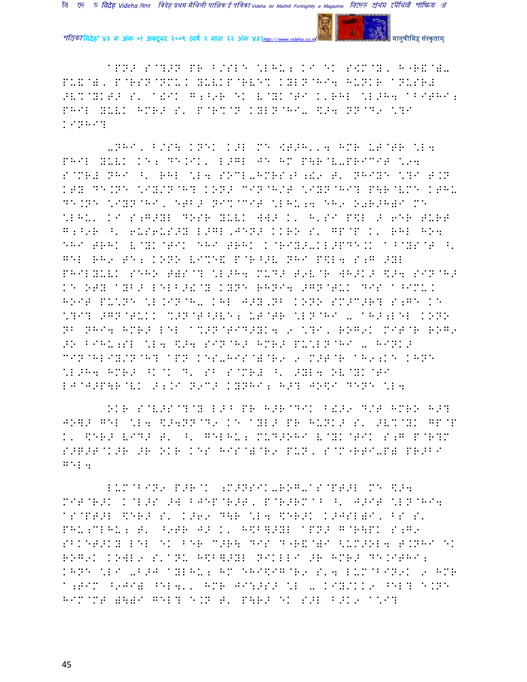*भविका* विदेह' ४३ म अंक ०१ अक्टूबर २००९ (वर्ष २ मास २२ अंक ४३)http://www.videha.co.in/ मानसीटिक मानुषीमिह संस्कृताम्



APS SARRE TRAFFICE TO A SARRE TO A SARRE THE SPECIFIES PU&@), P@RSN@NMU. YUVKP@RVE% KYLN@HI4 HUNKR ANUSR# >V%@YKT> S' A!IK G;^9R EK V@YK@TI K'RHL \*L>H4 ABITHI; PHIL HOLD ANDER SY PORTON CHIP AND SON PRINCIPS KINHI?

 -NHI, B/S\ KNEK K>L ME [T>H''4 HMR UT@TR \*L4 PHIL YULK CONFIDENTIAL IS AND PROVINCING THE CONTINUES OF HIS S@MR# NHI ^' RHL \*L4 SOCL-HMRS;B;!9 T' NHIYE \*?I T.N KTY DE TRANSPORT I REDEVEL DE DE LA DIE DE TRANSPORT DE LA DIE DE LA DIE DE LA DIE DE LA DIE DE LA DIE DE LA D<br>Die beste de la die beste de la die beste de la die beste de la die beste de la die beste de la die beste de l DE. NE "IYO ANG "IYO" "IYO ANG "IYO ANG "IYO ANG "IYO ANG "IYO ANG "IYO ANG "IYO ANG "IYO" "IYO ANG "IYO" "IYO \*LHU' KI S;G>YL DOSR YUVK WW> K' H'SI P\$L > 6ER TURT G;^9R ^' 6US6US>Y L>GL,JEN> KKRO S' GP@P K' RHL HO4 EHI TRHK V@YK@TIK EHI TRHK K@RIY>-KL>PDE.K A^@YS@T ^' GEL RH9 TE; KONO VI%E& P@R^>V NHI P\$L4 S;G >YL PHILOUVA SEHO TE MERHO TOMA SEHO TI SHA MUDA TURK SEHOLA SING KINO KE OTH AT SERVE AN AYBE AN ANG TUKATAN AY KYNE ANG TUK DISANG AT AT AT ANG KATALAN HORIE PUNJA NE MORIAL IAE SPELIE DA LORD STORMART SSERV IA  $\Lambda$  is the contract of the construction of  $\Lambda$  . The traction of  $\Lambda$  is the conocentration of  $\Lambda$ NB NHI4 HMR> LEL A%>N@TID>YK4 9 \*?I, ROG9K MIT@R ROG9 >O BIHU;SL \*L4 \$>4 SIN@H> HMR> PU\*LN@HI - HINK> CIN@HLIY/N@H? APN KES-HIS@)@R9 9 M>T@R AH9;KE KHNE \*L>H4 HMR> ^K@K D' SB S@MR# ^' >YL4 OV@YK@TI LA MARTAE MES VAN DIE HOOFSTELDE EN DE ANDER MONDE.

 OKR S@V>S@?@Y L>^ PR H>R@DIK B!>9 D/T HMRO H>? JO]> GEL \*L4 \$>4NN@D9 KE AYL> PR HUNK> S' >V%@YK GP@P K' SER- GELHUR SERI SERI TERGES DI DILAGAN MENGENDOMEN SERI KENDATIK S>Q>T@K>R >R OKR KES HIS@)@R9 PUN, S@M"RTI-P) PR>BI  $m_{\text{eff}}$ 

BING PORT IN STREET IN THE ROOM OF THE SERVE ASSOCIATED AND INTERFERENCE ASSOCIATED AT A STREET IN THE SERVE AS MIT OR THE ROOM OF THE REPORT OF THE PART OF THE PART OF THE REPORT OF THE THE FUNCTION  $\mathcal{E}$ AS ARBUEL "RISBUEL" (1999), "PAB, INE ACRISBUEL" (1999) BS S' KISL) PHU;CLHU; THE THE S; THR BRI; THE SPEED BOOKS; CHI SBKET>KY LEL EK BER C>R\ DIS D"R&@)I <UM>OL4 T.NHI EK ROG9K KOWL9 S'ANU H\$B]>YL NIKLLI >R HMR> DE.ITHI; KHISH AYLI -BANG HI SIGNA SA TA'U SAYLA SA LUMOB DI SIGNA SIGNA DI SIGNA SIGNA DI SIGNA DI SIGNA SIGNA DI SIGN A) ARSO ARAGAE ASEANIN ASEAN ARISTA NE AN INSTITUT A CERTAIN CONT HAM ONE GEGA (PAET 'N DROE) BAER AN 'N BIE 'FORDA'N ANT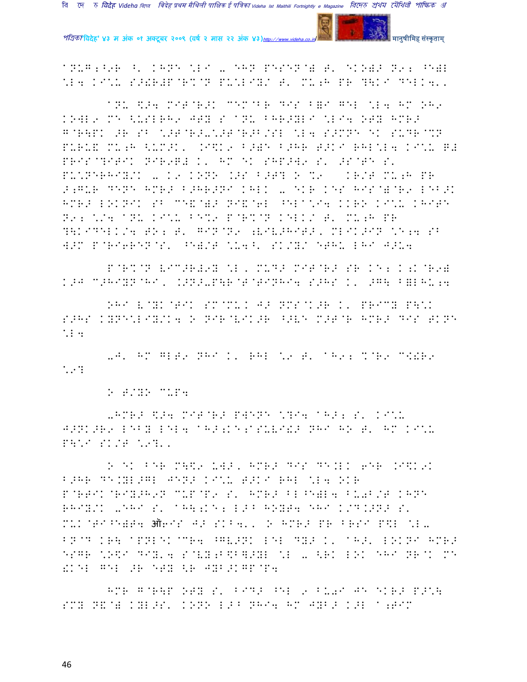*भविका* विदेह' ४३ म अंक ०१ अक्टूबर २००९ (वर्ष २ मास २२ अंक ४३)http://www.videha.co.in/ मानसीट कर अर्था मानुषीमिह संस्कृताम्



ANUG;^9R ^' KHNE \*LI - EHN PESEN@) T' EKO)> N9; ^E)L \*L4 KI\*U S>!R#P@R%@N PU\*LIY/ T' MU;H PR ?\KI DELK4''

ANU \$4 MIT DIS BELIEVE ON THE INSTITUTION OF INC. KOWL9 ME <USLRH9 JTY S ANU BHR>YLI \*LI4 OTY HMR> G@R\PK >R SB \*>T@R>-\*>T@R>B/SL \*L4 S>MNE EK SUDR@%N PURUA MU;H (UMIK) . ISKO FJEN FJAR BILY BAPORA CYCL BI PRIS@?ITIK NIR9Q# K' HM EK SHP>W9 S' >S@TE S' PU\* NERHIY/K - K9 KR/T MU\*NERHIY/K - K9 KONO . >;GUR DENE HMR> B>HR>NI KHLK - EKR KES HIS@)@R9 LEB>K HTRA BOING SB CHARABA SPROBE SPROGRESSIE KORO KALIFATE N9; \*/4 ANU KI\*U BE%9 P@R%@N KELK/ T' MU;H PR ?\KIDELK/4 TO; T' GIN@N9 ;VIV>HIT>, MLIK>IN \*E;4 SB WAR PORTHER NO. TREDE CLATE YOURD REPLACEMENTARY

PM PRESS PRESS PRODUCED A RESIDENCE OF THE SAME RESIDENCE OF THE SAME RESIDENCE OF THE SAME RESIDENCE OF THE S KOJ ANDIJA KOJERA KONGRESIJE NA MANJA KATA KONGRESIJI NA U SAHA SA KE LA GLAVIJA.

OHI VAN DE SAMEN DE SAMEN DE SAMEN DE SAMEN DE SAMEN DE SAMEN DE SAMEN DE SAMEN DE SAMEN DE SAMEN DE SAMEN DE<br>DE SAMEN DE SAMEN DE SAMEN DE SAMEN DE SAMEN DE SAMEN DE SAMEN DE SAMEN DE SAMEN DE SAMEN DE SAMEN DE SAMEN DE S>HS KYNE\*LIY/K4 O NIR@VIK>R ^>VE M>T@R HMR> DIS TKNE  $\ddots$ 

 -J' HM GLT9 NHI K' RHL \*9 T' AH9; %@R9 C[!R9  $\ddots$  :

O T/YO CUP4

 -HMR> \$>4 MIT@R> PWENE \*?I4 AH>; S' KI\*U J>NK>R9 LEBY LEL4 AH>;KE;ASUVI!> NHI HO T' HM KI\*U P\\*I SK/T \*9?'' \*9?'' \*9?'' \*9?'

 O EK BER M\\$9 UW>, HMR> DIS DE.LK 6ER .I\$K9K B>HR DE.YL>GL JEN> KI\*U T>KI RHL \*L4 OKR P@RTIK@RIY>H9N CUP@P9 S' HMR> BL^E)L4 BU0B/T KHNE RHIYOK, LISHIY ANG TANG KONG EUR ANG BANG INA NOONG KALA MULO TAS PRAGAN DIMASTICAJE ATLANCIA DE PRIMA PROVINCIA DE L'AL-BN CHANNER CORA CREAT CONTROL OF A CONSTRUCTION ESGR \*O\$I DIY'4 S@VY;B\$B]>YL \*L - <RK LOK EHI NR@K ME KIN GEL GEL SAN SING AN ING TER

HMR GORD SERVICE OF OTHER POSTS OF A BUDGET SMY N&M N&D KYL-SYN EPP PHAY HM JYB KONO LEFT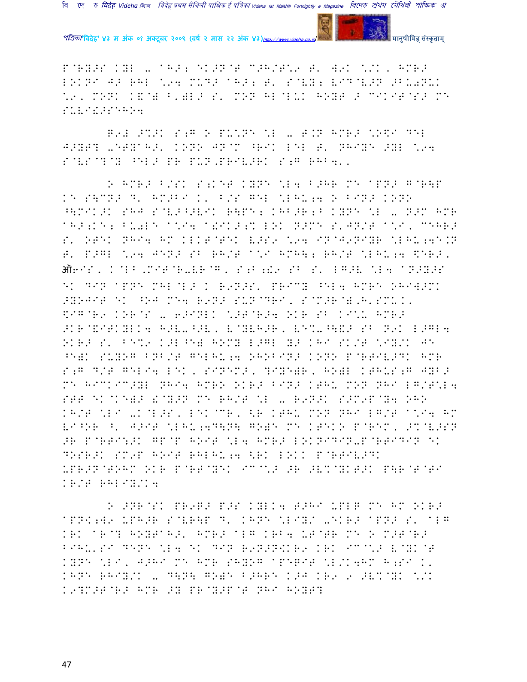*भविका* विदेह' ४३ म अंक ०१ अक्टूबर २००९ (वर्ष २ मास २२ अंक ४३)http://www.videha.co.in/ मानसीटिक अंक मानुषीमिह संस्कृताम्



P@RY>S KYL - AH>; EK>N@T C>H/T\*9 T' W9K \*/K, HMR> BOS RHL AD BAE (194 MUNA) TADA BUNG AHA SEBAGAI BUNGAN DANG \*9, MONK K&@) B')L> S' MON HL@LUK HOYT > CIKIT@S> ME SUPPLIFICATION

BA STORE FOR DELIVERED AND AND THE SERVICE JOURNAL SERVICE OF AN ANY SEARCH SO JOURNAL COMMUNISTIES OF A LARGE STATE OF A LARGE STATE OF A LARGE STATE OF S@VS@?@Y ^EL> PR PUN,PRIV>RK S;G RHB4''

 O HMR> B/SK S;KET KYNE \*L4 B>HR ME APN> G@R\P KE SOLID DE DI HUSEN DE DI HUSEN DE DI HUSEN DE DI HUSEN DE DI HUSEN DI HUSEN DI HUSEN DI HUSEN DI HUSEN DI HU  $^\prime$  shows to show show that  $^\prime$  is shown that  $^\prime$  is the second to the second three seconds  $^\prime$ AH);KE: BUOLE A\*I4 A.IKONG DUNIT AYA IKO NAMA SA ATANG AANG AANG AAN AHAAN S' OTEK NHI4 HM KLEATH WAS SERVED ON A STRIP TO A STRIP THE STRIP OF THE STRIP OF THE STRIP OF THE STRIP OF TH T' P>GL \*94 JEN> SB RH/T A\*I HMH\; RH/T \*LHU;4 \$ER>, ऑ6IS, KOMBO SYSTEM SERVE SI SI SI SI SI SI SERI SI SI TANGGAL EK DIN APNE MHL@L> K R9N>S' PRICY ^EL4 HMRE OHIW>MK >YOJIT EK ^OJ ME4 R9N> SUN@DRI, S@M>R@),H'SMU., \$IG@R9 KOR@S - 6>INLK \*>T@R>4 OKR SB KI\*U HMR> >KR@&ITKYLK4 H>V-^>V, V@YVH>R, VE%-^\&> SB N9K L>GL4 OKR> S' BE%9 K>L^E) HOMY L>GL Y> KHI SK/T \*IY/K JE ^E)K SUYOG BNB/T GELHU;4 OHOBIN> KONO P@RTIV>DK HMR S;G D/T GELI4 LEK, SINEM>, ?IYE)R, HO)L KTHUS;G JYB> ME HICKIC-YL NHI4 HUBK KI BINA KURI DIPELOMPI MON THURO A STT EK@KE)> !@Y>N ME RH/T \*L - R9N>K S>M9P@Y4 OHO KH/T \*LI -K@L>S, LEK@CR, <R KTHU MON NHI LG/T A\*I4 HM BY PRESS, SPIRE MERGEDER WREN, TO CENCR BOEND, STOLENS >R P@RTI:>K GP@P HOIT \*L4 HMR> LOKNIDIN-P@RTIDIN EK DOSR>K SM9P HOIT RHLHU;4 <RK LOKK P@RTIV>DK UPR>N@TOHM OKR P@RT@YEK IC@\*> >R >V%@YKT>K P\R@T@TI KR/T RHLIY/K

 O >NR@SK PR9Q> P>S KYLK4 T>HI UPLQ ME HM OKR> AP PAGE HE SOO DE PARTIJN DE FLIJ DIE PARTIJN DE SOOS DIE DIE DIE KANNE EKRY APNOLISEE EK KRK ARAGON HOYTAHA ARDER YET GEHA UTA HALG KREDITA ME O MA BIHU'SI PERANJA KE DINA PERANJARAN KALI BELIHAT MURUPAK KORE TI ME HIME TA HIR SHOG APERING TI SI KI SHYOG AT SI K KHIR RHIYO A DHIR BIRK KINDA KIRS DE KIRS DA K Morther How In The March Har Hout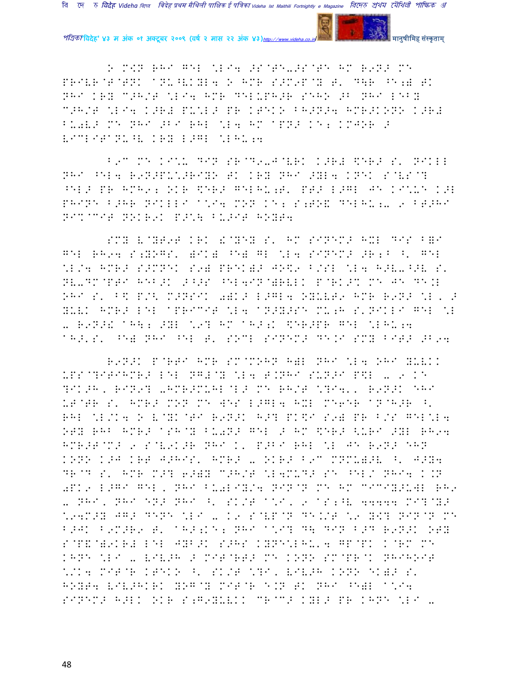## *भविका* विदेह' ४३ म अंक ०१ अक्टूबर २००९ (वर्ष २ मास २२ अंक ४३)http://www.videha.co.in/ मानसीटिक अंक्टूबर्म मानुषीमिह संस्कृताम्

 O M[N RHI GEL \*LI4 >S@TE->S@TE HM R9N> ME PRIVRATE TE THAT AN UNIVERSITY OF THE SAME STATE OF THE SAME SET OF SHELL OF SHELL OF DURING THE SAME OF  $\Gamma$ NHI KRY COPINIE TI KRY PHO DELINE DELINE SEHO DEL PHI LEBITI COPACE COPACIONES PUNTA PROTECTA APPEAR HORACONO KARA BUGER TH THE NHI PIA BI NEW HT APPLICACE IN A THE  $\frac{1}{2}$  (  $\frac{1}{2}$  )  $\frac{1}{2}$  (  $\frac{1}{2}$  )  $\frac{1}{2}$  (  $\frac{1}{2}$  )  $\frac{1}{2}$  (  $\frac{1}{2}$  )  $\frac{1}{2}$  (  $\frac{1}{2}$  )  $\frac{1}{2}$  (  $\frac{1}{2}$  )  $\frac{1}{2}$  (  $\frac{1}{2}$  )  $\frac{1}{2}$  (  $\frac{1}{2}$  )  $\frac{1}{2}$  (  $\frac{1}{2}$  )  $\frac{1$ 

B9C ME KIKI DIN SROBEN KARA KORA \$ERP\$ NHI ^EL4 R9N>PU\*>RIYO TK KRY NHI >YL4 KNEK S@VS@? ^EL> PR HMH9; OKR \$ER> GELHU;T' PT> L>GL JE KI\*UE K>L PHINE B>HR NIKLLI A\*I4 MON KE; S;TO& DELHU;- 9 BT>HI NIX DI SI NIX DI SI NIX DI SI NIX DI SI NIX DI SI NIX DI SI NIX DI SI NIX DI SI NIX DI SI NIX DI SI NIX DI SI <br>In termine di si nix di si nix di si nix di si nix di si nix di si nix di si nix di si nix di si nix di si nix

SMY V. HOW SINE IS A HOUSE STORY OF STATES AND STATES IN THE INTERFERING BS: ERSA S;BRAN GRIE PSE AL CIA SSPSTA DELL'A " GSE \*L/4 HMR> S>MNEK S9) PREK)> JO\$9 B/SL \*L4 H>V-^>V S' NV-DM PTI HEBSEN - DAN BERTI HEBSEN - DAN BERTI HEBSEN - DAN BERTI HEBSEN - DAN BERTI HER STATE HER STATE HER OHI S' BA PORTUGENT GELF BIRBA OGLERA HUR BIRBA LETT YUVA HORF ENE APRICITI ALA ANYRIKIN OUGH Y, PILER HOR SUL  $\mu$  - R9N-R2  $\sim$  MH  $\mu$  /HM and  $\sim$  The R  $\mu$  and  $\sim$  The R  $\mu$  and  $\sim$ AH>'S' ^E) NHI ^EL T' SOCL SINEM> DE.I SMY BIT> >B94

R9NO POHA AMB SMOMOHN HAD NAP NIA SAP HILL UPS@?ITIHMPPDF.FAG#@YB\_NEW\_#JPFPP\_SUPPP\_PRE\_U\_>\_N ?IK>H, RIN9? -HMR>MUHL@L> ME RH/T \*?I4'' R9N>K EHI UT@TR S' HMR> MON ME WES L>GL4 HXL ME6ER AN@H>R ^' RHL MENDATO V BYGI ROSEN HOST FIRM FOR FR B/S APHIMEA OTY RHB HMR> ASH@Y BU0N> GEL > HM \$ER> <URI >YL RH94 HMRPHONO 9 SOMETI PHONO 2 SOMETI RHL TE PHONO ETHIOPI KONO KONO KABA HUBAYA AMBU A DIBU PUN MUMUHUN PUN HUAH. DR@D S' HMR M>? 6>)Y C>H/T \*L4MUD> SE ^EL/ NHI4 K.N 0PK9 L>GI GEL, NHI BU0LIY/4 NIN@N ME HM CICIY>UWL RH9 - NHI, SKI, NHI, NHI, SKI, SKI, SKI, SKI, SKIT AFI, 44444 MI? tukarde heli tente te kolonia antarat te te tua tua delle per ve re B>JK B9M>R9 T' AH>;KE; NHI A\*I? D\ DIN B>D R9N>K OTY SMPB MEADER LECHT SPREIZDOSZEKY ODRZYNE POLITY AR MEDIO ODRZY KHINE ALI - VIVIDI - VIVIDI SHE KONO SHE KONO SMARTING N \*/K4 MIT@R KEKO SK/T KONO ET SKONO EK HOYT4 VIV>HKRK YOG@Y MIT@R E.N TK NHI ^E)L A\*I4 SINEMOR (HOLK OKRES GRADULIS) TESTA CORPORATION TESTA PROVINCING  $\mathbb{R}^n$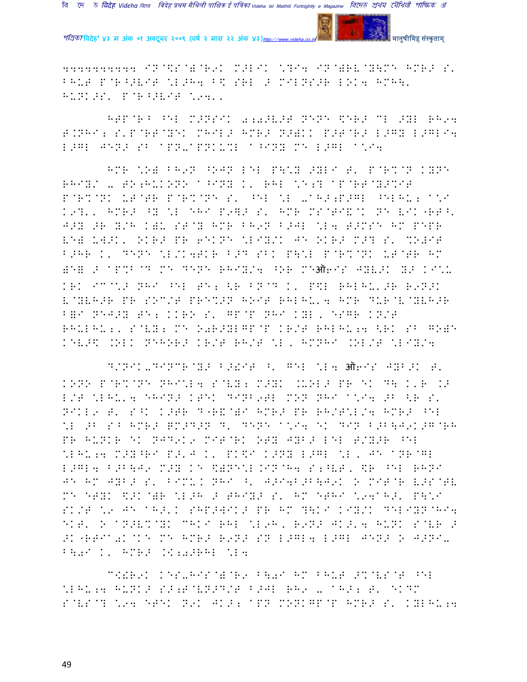*भविका* विदेह' ४३ म अंक ०१ अक्टूबर २००९ (वर्ष २ मास २२ अंक ४३)http://www.videha.co.in/ मानसीटिक अंक्टूबर्म मानुषीमिह संस्कृताम्

4444444444 IN@\$S@)@R9K M>LIK \*?I4 IN@)RV@Y\ME HMR> S' BHUT PORTUGENT OLIVAN PROVINS VIT PARTIES EN NORMAL HUNK-S' PARTIER AND STREET

HTP OF THE COST CHENSIS OF THE RHEST CL SHOW T.NHI; S'P@RT@YEK MHIL> HMR> N>)KK P>T@R> L>GY L>GLI4 LOGEN APPLE SE APPLICED IN SEPTEMBER AND ME LOGEN

HMR \*OJN BHPAN \*OJN PAR \*PR \*PR TO BHPAN FR YET PATH \*DHPA RHIY/ - TO;HUKONO ARE;? APABELI \*E;? APD \*E;? APP \*E;? APP \*E;? APP \*E;? APP \*E P@R%@NK UT@TR P@R%@NE S' ^EL \*L -AH>;P>GL ^ELHU; A\*I KORI KORO '' HAMA'' HAMA YA HAMRA MA'Y MA'Y SAN MA'Y HARA NA SAN MAR MA'Y A SAN MAR A NA SAN MAR A NA SAN MAR J>Y >R Y/H K)U ST@Y HMR BH9N B>JL \*L4 T>MSE HM PEPR VE) UW>K' OKR> PR 6EKNE \*LIY/K JE OKR> M>? S' %O#IT B>HR K' DENE \*L/K4TKR B>D SBK P\\*L P@R%@NK UT@TR HM )E= > AP%B@D ME DENE RHIY/4 ^OR MEऑ6IS JYV>K Y> KI\*U KRK IC@\*\* NHI P\$LARK P\$P\$L P\$L RHLHULJR R9ND V@YVH>R PR SOC/T PRE%>N HOIT RHLHU'4 HMR DUR@V@YVH>R B=I NEJ>Y TE; KKRO S' GP@P NHI KYL, ESGR KN/T RHULHU;, S@VY; ME O0R>YLGP@P KR/T RHLHU;4 <RK SB GO)E KEVA KARA KEVAT DI SERMATAN KELAMATAN DARA KARA SERMATAN DI SERMATAN DI SERMATAN SERMATAN DI SERMATAN DI SERMA

DINCROTE DINCROSS BOOK IN THE STANDARD SERVED FROM THE STANDARD SERVED FOR THE STANDARD SERVED FOR THE STANDARD STANDARD SERVED STANDARD STANDARD STANDARD STANDARD STANDARD STANDARD STANDARD STANDARD STANDARD STANDARD STAN KONO P@R%@NE NHI\*L4 S@VY; MAR%@NE NHI\*L4 S@VY; MORX .UOLO P@R% .UOLO P@R% .UOLO P@R% .UOLO P@R% .UOLO P@R% .UO<br>Andrew Saving Professional Saving Advertisers .uolo para and .uolo para and .uolo para and .uolo para and .uol L/T \*LHU'4 EHIN> KTEK DINB9TL MON NHI A\*I4 >B <R S' NIKL9 T' S^K K>TR D"R&@)I HMR> PR RH/T\*L/4 HMR> ^EL  $^{\prime\prime}$  ,  $^{\prime\prime}$  ,  $^{\prime\prime}$  ,  $^{\prime\prime}$  ,  $^{\prime\prime}$  ,  $^{\prime\prime}$  ,  $^{\prime\prime}$  ,  $^{\prime\prime}$  ,  $^{\prime\prime}$  ,  $^{\prime\prime}$  ,  $^{\prime\prime}$  ,  $^{\prime\prime}$  ,  $^{\prime\prime}$  ,  $^{\prime\prime}$  ,  $^{\prime\prime}$  ,  $^{\prime\prime}$  ,  $^{\prime\prime}$  ,  $^{\prime\prime}$  ,  $^{\prime\prime}$  ,  $^{\prime\prime}$  , PR HUNKR EK NJOHO SA KONGRESO NA MARANJAR NA MARANJAR SA KONGRESO NA MARANJAR NA MARANJAR SA KONGRESO NA MARAN<br>Protoko na maranjar na maranjar na maranjar na maranjar na maranjar na maranjar na maranjar na maranjar na mar \*LHU;4 MORT POST PRESENT PRESENT AND A SERVE A SERVE AND A SERVE AND A SERVE AND A SERVE AND A SERVE AND A SER L>GL4 B>B\J9 M>Y KE \$)NE\*L.IN@H4 S;^VT, \$R ^EL RHNI JE S' POST A BIMURITA S' SONO DE SONO A L'ALIMANIA DE RAJORDO DE L'ONGERE DE L'ESPORES. ME EFRICARI BE ALIAH I HABRI KO HM ETHI MAHE DA HI HADI SK/T \*9 JE AH>'K SHP>WIK> PR HM ?\KI KIY/K DELIYN@HI4 EKT' O AN>V%@YK CHKI RHL \*L9H, R9N> JK>'4 HUNK S@VR > >K"RTIA0K@KE ME HMR> R9N> SN L>GL4 L>GL JEN> O J>NI-BADY IS ANDER THING THE THE

CRESS CONSUMPED BOOK BEST AD BHUE DAY BE CHOI HA tika: 4 Husta Sayartis (Parti ah), Thai al-Note S@VS@? \*94 ETEK N9K JK>; APN MONKGP@P HMR> S' KYLHU;4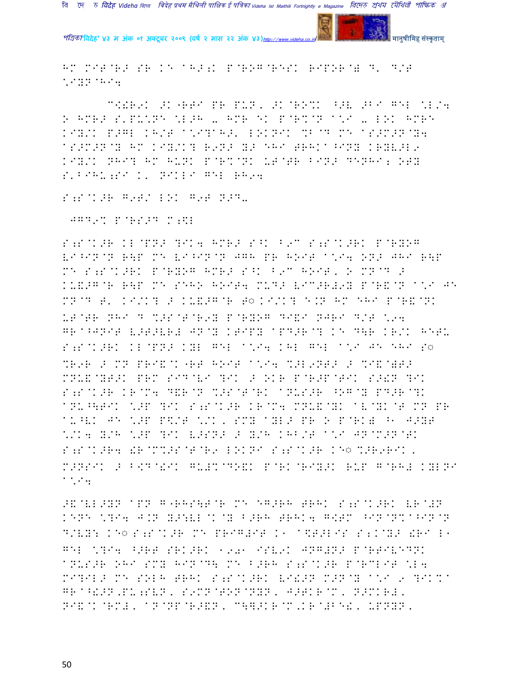*পত্ৰিকা*'বিदेह' ४३ म अंक ०१ अक्टूबर २००९ (वर्ष २ मास २२ अंक ४३)http://www.videha.co.in<sup>/ Hamak</sup> | स्थितिकामिं संस्कृताम्

HM MIT@R> SR KE AH>;K P@ROG@RESK RIPOR@) D' D/T  $\mathcal{L}$  . In the state  $\mathcal{L}$ 

Chartiers of the production of the punch of the punch of the punch of the punch of the punch of the punch of t O HMR> S'PU\*NE \*L>H - HMR EK P@R%@N A\*I - LOK HMRE K PORT AT A POST A FOUND A LOCAL SERVICE SERVICE SERVICE SERVICE SERVICE SERVICE SERVICE SERVICE SERVICE SERVICE AS>M>N@Y HM KIY/K? R9N> Y> EHI TRHKA^INY KRYV>L9 KIY/K NHI? HM HUNK P@R%@NK UT@TR BIN> DENHI; OTY S' K' NIKLI K' NIKLI GUNUNG

S;S@K+Changering.com

 $\sim$  JGD  $\sim$  Parsons  $\sim$  Parsons  $\sim$ 

S;S@K>R KL@PN> ?IK4 HMR> S^K B9C S;S@K>RK P@RYOG IN PORTS PART ON INFORMATION ARE SPACED ON A DOWN PRESENT ME S; S@K+ P@RYOG HMR+ S;S@K+ P@RYOG HMR+ S;S@K+ P@RYOG HOIT, O MN- S;S@K+ P@RYOG HOIT, O MN- S; KUBJE ROBERT DI ME SEHO HOITA DI ME SEHO HOITA ME SEHO VICI JE MOD TO THE TAIL OF THE THE THE HOST CAN THE THOM THAT THE TOO. UP MARY D % NORTH D \$P\$R NHI D \$949 P. THE NUR BROGGRAFI KARAKA GROTI VATA OPARA IN DE VATA S:SMARK KLOPNO KYL GEL AT HIS KONGRES AT LATER TO A IN A THAT SO AND %R9R > MN PRI&@K"RT HOIT A\*I4 %>L9NT> > %I&@)T> MANUK MERANG PRAM SIDA YENG DAN SIDA POR PENERBANG PADA PANG S;S@K>R KR@M4 D&R@N %>S@T@RK ANUS>R ^OG@Y PD>R@?K ANU PUBAY ANU ANU SERANG KEPURA MULA KE MENUBAWA MA AUCK JE FORMAN PROFINCO PORTAGE AT PERSON PAPER OF PRATH \*/K4 Y/H \*>P ?IK V>SN> > Y/H KHB/T A\*I JN@M>N@TK S;S@KORA ARTICLE THIS ENDROLLING IN SQUARTIV M>NSIK > B[D@!IK GU#%@DO&K P@RK@RIY>K RUP G@RH# KYLNI

 $\cdot$   $\cdot$   $\cdot$   $\cdot$   $\cdot$ 

>&@VL>YN APN G"RHS\T@R ME EG>RH TRHK S;S@K>RK VR@#N KENE TIM YOU DE TRANSVERSELIGE TOT DE SAART GEBRUIK GEWONE DE TRANSVERSELIGE TOT DE TRANSVERSELIGE DIJE KE SIDO KAKO MARA ME PRIGHE ITA SI RAJA KE KALI ME RI KE KAT GRE TIME FRAK SALDAR FRAK 1901 ISV9K PORTIVED ANUS>R OHI SMY HIN@D\ ME B>RH S;S@K>R P@RCLIT \*L4 MI?IL> ME SOLH TRHK S;S@K>RK VI!>N M>N@Y A\*I 9 ?IK%@ GR@^!>N,PU;SVN, S9MN@TON@NYN, J>TKR@M, N>MKR#, NI&@K@RM#, AN@NP@R>&N, C\]>KR@M,KR@#BE!, UPNYN,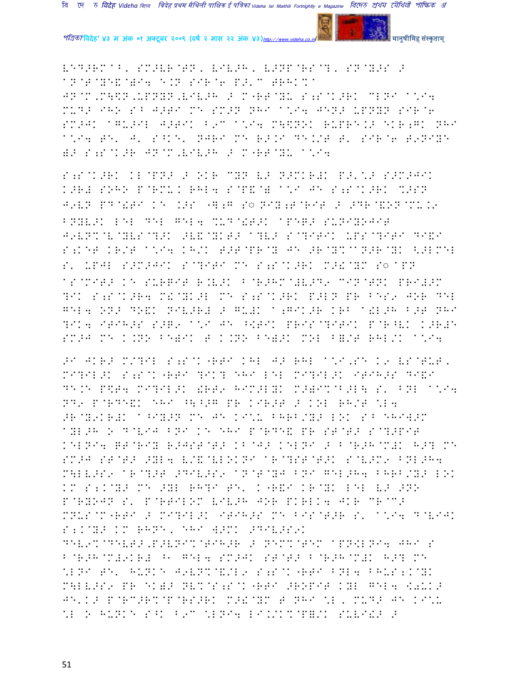S;.@Y> KM RHNE, EHI W>MK >DIV>S9K DEVISION ORDER THAN A NEW YORK STATES OF APPLICATION B@R>H@M#9KR# ^1 GEL4 SM>JK ST@T> B@R>H@M#K H>? ME \*LNI TE' HUNKE J9VN%@&/L9 S;S@K"RTI BNL4 BHUS;.@YK MALLARY TR SPAR PLOYED O ARP ARSPER FOR APSEA (2UK) JE'K> P@RC>R%@P@RS>RK M>!@YM T NHI \*L, MUD> JE KI\*U \*L O HUNKE S^K B9C \*LNI4 LI./K%@P=/K SUVI!> >

>I JKR> M/?IL S;S@K"RTI KHL J> RHL A\*I,SE K9 VS@TUT, MIRINE SI S;S SEKTO ?IKER ON TI SIS DIA TERSE DI PERSENYA DI LEL MIRINE DI LA MIRINE DI LA MIRILIA DE.E P\$T4 MI?IL>K !RT9 HIM>LYK M>)I%@B>L\ S' BNL A\*I4 ND9 P@RDE&K EHI ^\^>G PR KIR>T > KOL RH/T \*L4 >R@Y9KR#K A^IY>N ME JE KI\*U BHRB/Y> LOK S^ EHIW>M AND DO DO DO DO DO DO DO DO DO DO DE SERVE E PORTEGE KELNI4 BERKE BJARETHJ I MJO KERNI I FRANCI ALI DI  $\mathcal{L}$  , the state of the state of the state of the state of the state of the state of the state of the state of the state of the state of the state of the state of the state of the state of the state of the state of the M\LV>S9 AR@?>T >DIV>S9 AN@T@YJ BNI GEL>H4 BHRB/Y> LOK KM S;. ENDER ME DE SAN SER IN DIE SAN DIE SAN DIE SAN DIE K P@RYOJN S' P@RTILOM VIV>H JOR PKRLK4 JKR CR@C> MONUS ARTI DI MATA DI PAPARDI MATA ATA SI ME BIS TOTA ATTENDA

J9VN PD@!TI KE .>S "];G S◌NIY;T@RIT > >DR@&ON@MU.9 BNYV-STATISTIC STATISTIC STATISTIC STATISTIC STATISTIC STATISTICS IN STATISTICS OF SUNIYOUS SUNIYOUS SUNIYOUS J9VN%@V@YVS@?>K >V&@YKT> A?V> S@?ITIK UPS@?ITI DI&I S;KET KR/T A\*I4 KH/K TO PROVINCE AT A PROGRAM TO PRESENT A RETTE S' UPH SATHE STRIP STRIP SOME STRIP ME S AS@MIT> KE SURQIT R.V>K B@R>HM@#V>D9 CIN@TNK PRI#>M ?IK S;S@K>R4 M!@YK>L ME S;S@K>RK P>LN PR BES9 JOR DEL GREA DOS TORI DREAMS A GUEL 'SAGYIN IN IN 'SEAG BA'T NA ?IK4 ITIH>S S>Q9 A\*I JE ^[TIK PRIS@?ITIK P@R^VK K>R#E SMORE ME K.NO BELIEVE DIE STREEK MOL BEDIELDE STREEK

VED>RM@^, SM>VR@TN, VIV>H, V>NP@RS@?, SN@Y>S > AN@T@YE&@)I4 E.N SIR@6 P>'C TRHK%@ JN@M,M\\$N,UPNYN,VIV>H > M"RT@YU S;S@K>RK CLNI A\*I4 MUDE FAN SO HERE MA SMED DAF ANTE ATOM UPDER STEAR SMIRE AGUST AGUS A A AN AN AIR MUIL BERN DA NIBAR AN DAS Ating Stille, Soketing Meer and Electronic Sire Sire Security )> S;S@K>R JN@M,VIV>H > M"RT@YU A\*I4

S;S@K>RK KL@PN> > OKR CYN V> N>MKR#K P>'\*> S>M>JIK KOR# SOHO P@RMU. RHL4 S@PB@4 JAAR 45 S.S.S.S.D.PRD AFI

*भविका* विदेह' ४३ म अंक ०१ अक्टूबर २००९ (वर्ष २ मास २२ अंक ४३)http://www.videha.co.in/ मानसीटिक अंक्टूबर अंक्टूबर संस्कृताम्



িব দে *ফ বিব*িদ Videha *বিদ্যে विदेह प्रथम मैथिली पाक्षिक ई पत्रिका <sub>Videha Ist Maithili Fortnightly e Magazine ब्रिटिम्ह 'श्रेश्च ट्यैश्चि' 'शोश्चिक 'श्री*</sub>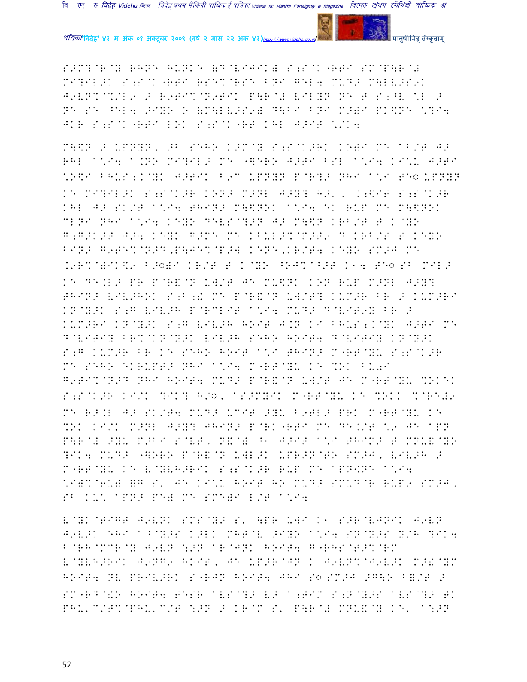*भविका* विदेह' ४३ म अंक ०१ अक्टूबर २००९ (वर्ष २ मास २२ अंक ४३)http://www.videha.co.in/ मानसीटिक अंक्टूबर्म मानुषीमिह संस्कृताम्

S>M?@R@Y RHNE HUNKE (D@VIJIK) S;S@K"RTI SM@P\R@# MIRTIES (S) SIG MOREER BELATIES AND HANDEL MUDDED MELGES I J9VN%@%/L9 > R9TI%@N9TIK P\R@# VILYN NE T S;^V \*L > NE SE SE SE SE SE DE SE SE SE SE PREMI DO CONTRA DE SERVICIMA JKR S;S@K"RTI LOK S;S@K"RTI LOK S;S@K"RTI LOK S;S@K"RTI LOK S;S@K"RT KHL JOK S;S@K"RT KHL JOK S;S@K RTI "IT "A

M\\$N > UPNYN, >B SEHO K>M@Y S;S@K>RK KO)I ME AB/T J> RHL A\*I4 A.NO MI?IL> ME "]ERO J>TI BSL A\*I4 KI\*U J>TI \*O\$I BHUS;.@YK J>TIK B9C UPNYN P@R?> NHI A\*I TE◌UPNYN KE MI?IRI S; Saking S; Saking Month January (1995) (1997) (1997) CHE AF YOUR TING HAYRE DARREN TING ME ME WEDEN DARREN CLIPA PHA KONA CONDO PALENTIAR AR CREST CORPORA CONDO G;G>K>T J>4 KEYO G>ME ME KBUL>%@P>T9 D KRB/T T KEYO BIN> G9TE%@N>D,P\JE%@P>W KENE,KR/T4 KEYO SM>J ME .9R%@)IK\$9 B>◌)I KR/T T K@YO ^OJ%@^>T K14 TE◌SB MIL> KA PANEW PR PORTUGEN AN TIER KON RUP MARK AWRY THIN> VIV>HOK S;B;! ME P@R&@N UW/T? KUM>R BR > KUM>RI KOR ARAD AT SHE ALAWAY OF A THAT A HIT AT A TUNG AT A THAT HIS SELLER AT  $\mathcal{F}$ KUMBAR KOMPONEN SISHI EREBA PERSA PORTUA KATA PUS SI MELITARI PARA MUN DO VIRAGO DO POSTO DO VIVOS AR SEHO HONDA HONDA DO VIRADO SE ENCIMADO S:G KUMBAR KE SEHO HOIT A THIN SISMA MARKA MARKA MARKA MENGELAI TERSENG SEHO ME SEHO EKRUPTA PER SEHO MERENDI DE "NOM G9TI%@N>D NHI HOIT4 MUD> P@R&@N UW/T JE M"RT@YU %OKEK S;S@K>R KI/K ?IK? H>◌, AS>MYIK M"RT@YU KE %OKK %@RE#9 ME R>.L J> SK/T4 MUD> UCIT >YU B9TL> PRK M"RT@YU KE  $\mathbb{R}^n$  (1991)  $\mathbb{R}^n$  and  $\mathbb{R}^n$  are the parameters of  $\mathbb{R}^n$  and  $\mathbb{R}^n$  are the  $\mathbb{R}^n$ PAB 12 JUN PJP S PIA , PENE P AJPA TIS BAPPS B THIN UR ?IK4 MUD> "]ORO P@R&@N UWL>K UPR>N@TO SM>J, VIV>H > M"RT@YU KE V@YVH>RIK S;S@K>R RUP ME APN[NE A\*I4 \* In the second company of the second company of the second company of the second company of the second company<br>The second company of the second company of the second company of the second company of the second company of SB KU\* APN> PE) ME SME)I L/T A\*I4

VENCON TERTHE SHAKOR SYSTEMATIC STANDARD SHOW IN STANDARD SHOW IN STANDARD SHOW IN STANDARD STANDARD STANDARD J9V12X (SAY) S KONG KORI (PAPOL 20ND ) NAME SNOW NOW THAT A B@RH@MCR@Y J9VN :>N AR@JNK HOIT4 G"RHS@T>%@RM VENSIM DEPOST HOIT, HOITE, JE USPOST HIJ IN KORALDIJALIJE IN K HOIT4 SE PRIVADO S'APROTONIA PHICSOSICA STRAGAMENTO SM RD RD POSA TEST AS THE AFT SHOW SYNCHOLOGY AS THE SER PHIL'MART (PHIL'MAR SYRP) IN DE MANGAN SYRPANG MIRING (IS)N ASIR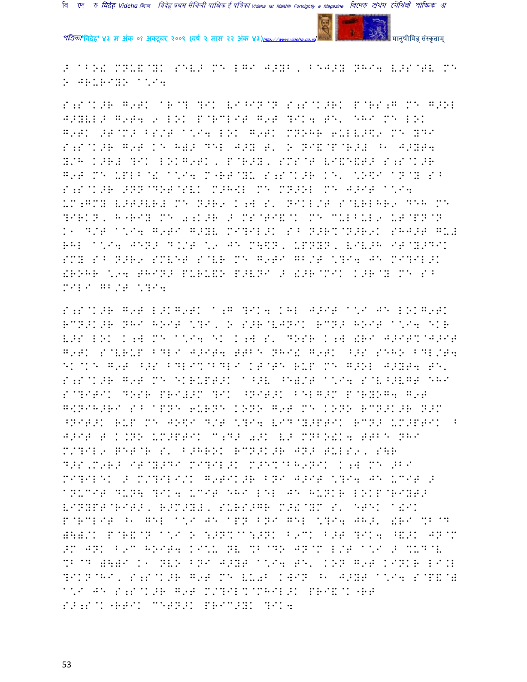*পত্ৰিকা*'বিदेह' ४३ म अंक ०१ अक्टूबर २००९ (वर्ष २ मास २२ अंक ४३)http://www.videha.co.in<sup>/ Haman</sup> | स्थितिमह सम्बताम्



> ABO! MNU&@YK SEV> ME LGI J>YB, BEJ>Y NHI4 V>S@TV ME O JRURIYO A\*I4

S;S@K^TC, G9TH ARE S; THE C9TH ARP ON SHAPP OF SIGNIFY PARTIES OF THE GRAPH ON A POSSE J>YVL> G9T4 9 LOK P@RCLIT G9T ?IK4 TE' EHI ME LOK G9TK >T@M> BS/T A\*I4 LOK G9TK MNOHR 6ULV>\$9 ME YDI S:S:S:DE AND IN ABL AND AND B. D PAD D NALL A ANDRE Y/H KORA ?IK LOKA ?IK LOKA ?IK LOKA ?IK LOKA ?IK LOKA ?IK LOKA ?IK LOKA ?IK LOKA ?IK LOKA ?IK LOKA ?IK LOKA ?I GRAN DO LES TOR A NORTH ME SERVICAR CON SORRA ARAB ST S;S@K>R >NN@DOT@SVK M>H[L ME MN>OL ME J>IT A\*I4 UM;GMY V>T>VR# ME N>R9 K;W S' NIKL/T S@VRLHR9 DEH ME ?IRKN, H"RIY ME 0;K>R > MS@TI&@K ME CULBUL9 UT@PN@N K1 D/T A\*I4 G9TI G-KAT HAT AFI4 GERTI GERTI GERTI GERTI GERTI GERTI GERTI GERTI GERTI GERTI GERTI GERTI GERTI RHL A\*I4 JEN> D./T \*9 JE M\\$N, UPNYN, VIV>H IT@Y>DIK SMY SO NORD SMIRG SOME TO ADDRESS AN OUTLET SOME !ROHR \*94 THIN> PURU&O P>VNI > !>R@MIK K>R@Y ME S^ MILI GEORGIA

S:S@KONDAF (POSE) ESPICATOR (SEP) PENDANG AS IN ATAWAK ANG ASSISTENCE. RCN>K>R NHI HOIT \*?I, O S>R@VJNIK RCN> HOIT A\*I4 EKR EVENTS IN THE CONSTRUCTION OF A THE CONSTRUCTION OF A INTERFERING WITH  $\mu$ G9TH SEVRUP BDLI JOHN SE SEHO BDLI JOHN SEHO BDLI JOHN SEHO BDLI JOHN SEHO BDLI JOHN SEHO BDLI JOHN SEHO BDLI EKO MORT GESTE FERDERE KTRIS BOLI KTERNE GESTE RUP ME GESTE GESTE GESTE GESTE S:S@KONDAP (PDF) ME EKRUPTALE (A FLE) (FEBINA ANG VANA SEARCHER (A FLE) S@?ITIK DOSR PRI#>M ?IK DOSR PRI#PORT PRI#PORT PRI#PORT PRI#PORT PRI#PORT PRI#PORT PRI#PORT PRI#PORT PRI#PORT G[NIH>RI S^ APNE 6URNE KONO G9T ME KONO RCN>K>R N>M  $\mathcal{P}(\mathcal{P} \times \mathcal{P} \times \mathcal{P})$  . The probability of the probability  $\mathcal{P}$ J>IT T K.NO UM>PTIK C;D> 0>K V> MNBO!K4 TTBE NHI MUREAR SE BOARD SOME REPORT OF TULS DE REPORT BILE SON STREK D>S,M9R> IT@Y>DI MI?IL>K M>E%@BH9NIK K;W ME >BI MIRINE - MIRINE - MIRINE - MIRINE DI BOLIVIA - MIRINE - MIRINE - MI ANUCIT DUNG TERMING DUNIA EHI LEL JE HUNGARIYTI VINYPT@RIT>, R>M>Y#, SURS>GR M>!@YM S' ETEK A!IK P@RCLIT AFTER POST AND THE FERTH BOOK HAS SEEN BY THOS )\)/K P@R&@N A\*I O :>N%@A:>NK B9CK B>T ?IK4 ^&>K JN@M >M JNK B9C HOIT4 KI\*U NV %B@DO JN@M L/T A\*I > %UD@V %B@D )\)I K1 NVO BNI J>YT A\*I4 TE' KON G9T KINKR LI.L ?IKN@HI, S;S@K>R G9T ME VU0B KWIN ^1 J>YT A\*I4 S@P&@) At I Je S; Some Model of State and Control Control Control Control Control Control Control Control Control Con  $\mathcal{S}$ ; Some  $\mathcal{S}$  ,  $\mathcal{S}$  ,  $\mathcal{S}$  ,  $\mathcal{S}$  ,  $\mathcal{S}$  ,  $\mathcal{S}$  ,  $\mathcal{S}$  ,  $\mathcal{S}$  ,  $\mathcal{S}$  ,  $\mathcal{S}$  ,  $\mathcal{S}$  ,  $\mathcal{S}$  ,  $\mathcal{S}$  ,  $\mathcal{S}$  ,  $\mathcal{S}$  ,  $\mathcal{S}$  ,  $\mathcal{S}$  ,  $\mathcal{S}$  ,  $\mathcal{S}$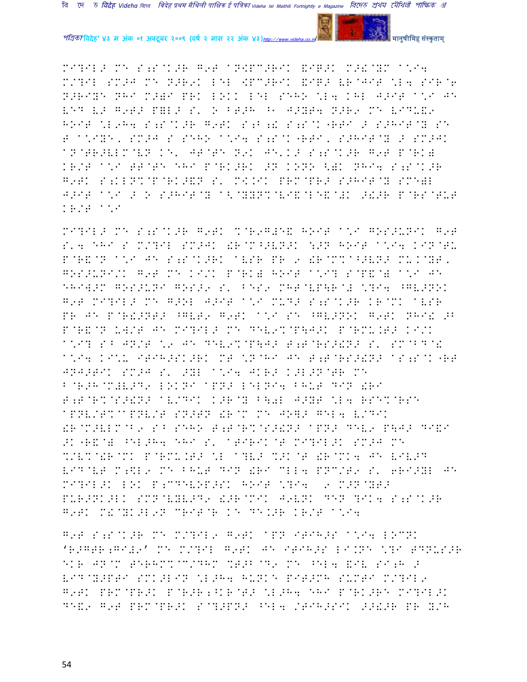*भविका*'विदेह' ४३ म अंक ०१ अक्टूबर २००९ (वर्ष २ मास २२ अंक ४३)http://www.videha.co.in/ मानसीटिक अंक्टूबर अंक्टूबर संस्कृताम्



MI?IL> ME S;S@K>R G9T AN[PC>RIK &IQ>K M>!@YM A\*I4 M/?IL SM>J ME N>R9K LEL [PC>RIK &IQ> VR@JIT \*L4 SIR@6 DJERIJE DRA DJELA PRI EDIJ ENE ZANAD NEHO PRE AFIKE NNA AN VED V> G9T> P=L> S' O BT>H ^1 J>YT4 N>R9 ME VIDU&9 HOIT \*L9H4 S;S@K>R G9TK S;B;! S;S@K"RTI > S>HIT@Y SE T A\*IYE, SM>J S SEHO A\*I4 S;S@K"RTI, S>HIT@Y > SM>JK AN@TR>VLM@VN KE' JT@TE N9K JE'K> S;S@K>R G9T P@RK) KR/T A TO THE TERM PARK OF THIS END ONE ON THE RESIDENCE OF HIS MUSIC. G9TK S;KLN%@P@RK>&N S' M[.IK PRM@PR> S>HIT@Y SME)L J>IT A\*I > O S>HIT@Y A<@YYN%@VI&@LE&@#K >!>R P@RS@TUT KR/T Atlantic

MIRIC ME S;S SOME HOIT AT SISTEMATION AND A TO A HOIT AT A HOIT A S'4 EHI S M/?IL SM>JK !R@M^>VN>K :>N HOIT A\*I4 KIN@TU P@R@N A\*I JE S;S@K+1 JE S;S@K+1 JE S;S@K+1 JE S;S@K+1 JE S;S@K+1 JE S;S@K+1 JE S;S@K+1 JE S;S@K+1 JE S;S@K+1 J GOSPUNIA GOSPOS UNIVERSITY AT A TENGINA AT A INTERNATIONAL AT A INTERNATIONAL A TENERAL AT A INTERNATIONAL AFT PHY GOST POSTOLIES POSTOL STOLEN STATE THE THIN THE CONTROL PRIDOID Geb System at the Game Game only single star was constructed PR JE PORINGE GRIEV ASE TO PAT CHINGE ASSOCIATE P@R&@N UW/T JE MI?IL> ME DEV9%@P\J>K P@RMU.T> KI/K A\*I? S^ JN/T \*9 JE DEV9%@P\J> T;T@RS>!N> S' SM@BD@! Ating to the compact data one constant and added manded to tame JNJ>TIK SM>J S' >YL A\*I4 JKR> K>L>N@TR ME B@R>H@M#V>D9 LOKNI APN> LELNI4 BHUT DIN !RI T;T@R%@S>!N> AV/DIK K>R@Y B\0L J>YT \*L4 RSE%@RSE APNV/T%@APNV/T SN>TN !R@M ME JO]> GEL4 V/DIK !R@M>VLM@B9 S^ SEHO T;T@R%@S>!N> APN> DEV9 P\J> DI&I >K"R&@) ^EL>H4 EHI S' ATIRIK@T MI?IL>K SM>J ME %/V%@!R@MK P@RMU.T> \*L A?V> %>K@T !R@MK4 JE VIV>D VID@VT M;\$L9 ME BHUT DIN !RI CLL4 PNC/T9 S' 6RI>YL JE MI?IL=K LOK P;CDEVOP = A CONTROL PRODUCT = A CONTROL PRODUCT = A CONTROL PRODUCT = A CONTROL PRODUCT = A CONTR<br>A CONTROL PRODUCT = A CONTROL PRODUCT = A CONTROL PRODUCT = A CONTROL PRODUCT = A CONTROL PRODUCT = A CONTROL PURSPOSE DV PUR NEBEGA SKAR NORD, AGEDD AAR DIGHE PURSPOSE GRAN MAY MERKET MAY AT DELLE THAN A

G9T S;S@K>R ME M/?IL9 G9TK APN ITIH>S A\*I4 LOCNK 'BIHG;GIKI/ ME MIH GAG GE KAN ATHAL FAN DI NE HILLE EKR JN@M TERHM%@C/DHM %T>B@D9 ME ^EL4 &IV SI;H > VID AND AND REGISTER OF A DERIVATION OF A REGISTER OF A STRONG OF A STRONG OF A REGISTER OF A REGISTER OF A ST<br>HOW IN THE REGISTER OF A REGISTER OF A STRONG OF A STRONG OF A STRONG OF A STRONG OF A STRONG OF A STRONG OF A G9TK PRM@PR>K P@R>R;^KR@T> \*L>H4 EHI P@RK>RE MI?IL>K DE&9 G9T PRM@PR>K S@?>PN> ^EL4 /TIH>SIK >>!>R PR Y/H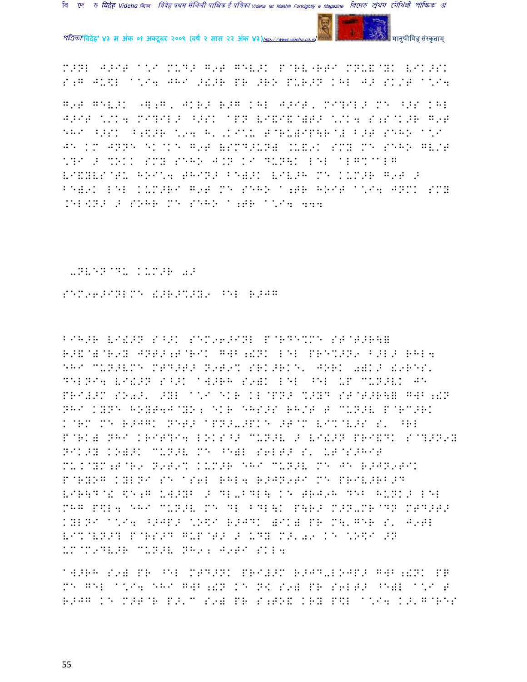*भविका* विदेह' ४३ म अंक ०१ अक्टूबर २००९ (वर्ष २ मास २२ अंक ४३)http://www.videha.co.in/ मानसीटिक अंक्टूबर अंक्टूबर संस्कृताम्



MJPE SAJAR MUD VINAS AFALAN E DELANAM MUDI MENGENDAN S:G JU A LICE - TO NATH - GA DA PURP AR DE PURPS DO PURPS AT LICE AT LOCAL AT LOCAL IN STREET AT LOCAL IN STRE

G9T GEV>K "];G, JKR> R>G KHL J>IT, MI?IL> ME ^>S KHL J>IT \*/K4 MI?IL> ^>SK APN VI&I&@)T> \*/K4 S;S@K>R G9T EHI (BET) FERRE SAH H, KIRS E BOBETEBE SEH PRE BEHD SSE JE KONGRES SINNE EKA GEORGIA I.U. SIND IN SAMY MESE \*?I > %OKK SMY SEHO J.N KI DUN\K LEL ALG%@ALG VI&YVS@TU HOI\*4 THIN> BE)>K VIV>H ME KUM>R G9T > BE)9K LEL KUM>RI G9T ME SEHO A;TR HOIT A\*I4 JNMK SMY .EL[N> > SOHR ME SEHO A;TR A\*I4 444

-NVEN@DU KUM>R 0>

SEMBER 1989 PRODUCED PRODUCED PRODUCED PRODUCED PRODUCED PRODUCED PRODUCED PRODUCED PRODUCED PRODUCED PRODUCED

BIH>R VI!>N S^>K SEM96>INL P@RDE%ME ST@T>R\= R>&@)@R9Y JNT>;T@RIK GWB;!NK LEL PRE%>N9 B>L> RHL4 EHI CUN>VME MTD>T> N9T9% SRK>RKE' JORK 0)K> !9RES' DREDNA ENERGIST SAR SARA SVAN ERE ART OCH DELNIK AR PRI#>M SO0>' >YL A\*I EKR KL@PN> %>YD ST@T>R\= GWB;!N NHI KYNE HOYT4J@YO; EKR EHS>S RH/T T CUN>V P@RC>RK K@RM ME ROOM AND AN INDIANA AND AN INTERNATIONAL AND A STRONG AND A STRONG AND A STRONG AND A STRONG AND A STR<br>An international and a strong and a strong and a strong and a strong and a strong and a strong and a strong an PORKE PAR (PRIPING BOILER TORRE PAIRS PRIOR) FOREST NIKO SO KONSTANTO SO KONSTANTO SE UTO SE UTO SE UTO SE UTO SE UTO SE UTO SE UTO SE UTO SE UTO SE UTO SE UTO S MULD MURDER STRAIN STRAND AND TO THE TERRIFY ME JE REFORM TO P@RYOG KYLNI SE AS6L RHL4 R>JN9TI ME PRIV>RB>D BIRB BEST AT SEPIES DE DEBEUR DE BEJONNE E BEHUNKS DE BEDIT DE BESE MHG P\$L4 EHI CUNDOL DI BATTI DI BLOGHER DUDLOR DI DEPORT KYLNI AT IA I4 JOHN AT PATH IN BROWN AT THE MATHEMATIC STATE VIX AND AN INDIANA SERIES AND AN INDIANA SERIES AND AN INDIANA SERIES AND AN INDIANA SERIES AND A SERIES AND A<br>Distribution of the series of the series of the series and the series of the series and the series of the seri UM MORDER CUNSING SERVICE

AW>RH S9) PR ^EL MTD>NK PRI#>M R>JD-LOJP> GWB;!NK PQ ME GEL AANG AFA GEL AAR DA DI SALTE SALEK AAL AAL AAN D R>JG KE M>T@R P>'C S9) PR S;TO& KRY P\$L A\*I4 K>'G@RES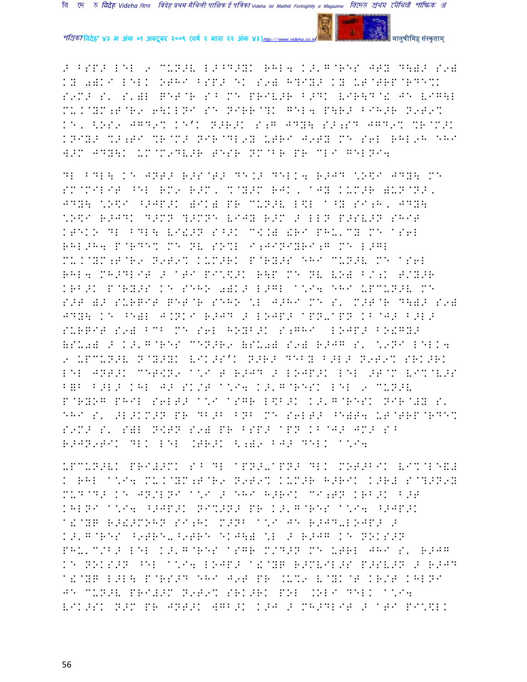## *পত্ৰিকা*' विदेह' ४३ म अंक ०१ अक्टूबर २००९ (वर्ष २ मास २२ अंक ४३)http://www.videha.co.in/ मानसीमिक अंस्कृताम् अधिक



> BSP> LEL 9 CUN>V L>^D>YK RHL4 K>'G@RES JTY D\)> S9) KY 0)KI LELK OTHI BSP> EK S9) H?IY> KY UT@TRP@RDE%K S' S' S' S')L GET DE SPIRTING VIRTING SOM SE SE SPIRTING VIR SE SPIRE I SE VIRTING VIRTING. I DE VIRTING VIRTI MU. DYM DAR YANG GELEGA SE NIRRA SE NIRR DA TO HARA SE NIRA BIHAR NE DA BIHAR N KE, KER, APPAT KE'K SEBAD YAP APBA YAJARP APPAT TE TIAD KNIY> %>;TI %R@M> NIR@DL9Y UTRI J9TY ME S6L RHL9H EHI WORK WAS ARRESTED FOR DRIVING WORK OF THE CLINICAL PROPERTY OF THE DRIVE PROPERTY OF THE CLINICAL DRIVE

DE BOLD BOLD BOLD BERING FOR DEL BOLD HOLD FOR DEL KARDEN. SM@MILIT ^EL RM9 R>M, %@Y>M RJK, AJY KUM>R )UN@N>, JOYS (SOURCE )IN THE CONVERT OF A YOU ARE CONVERTED AT THE CONVERT OF A THROUGH ANY SIGNAL AND DURING THE CONVERT OF A THROUGH A THROUGH A THROUGH A THROUGH A THROUGH A THROUGH A THROUGH A THROUGH A THROUGH A THROUGH A THR \*O\$I R>JDK D>MN ?>MNE VIJY R>M > LLN P>SV>N SHIT KANDO DE PORTA ERADO PARO TRIA ANG PHUJUA DI PHUYOPHE RHL>H4 P@RDE% ME NV SO%L I;JINIYRI;G ME L>GL MU. DYMITAR YRG PROFING COLURNO EN PRIGE ARRA POLICIAL CUN Y BAE RHL4 MHORIYEYE O MAR BYNKO, PATI MA DE KOR KATI PO) BIYEYE KRBSK PORGEN IN PNAV WOODSPORTING NAFIAPOLISE. ST AN SEE SOURD AND SEEK STORY OF THE SERVICE OF STOLE AND THE STANDARD STUDIES. JAPOR JA PABE AJDIR BIAP DE PAPIE APDE DO DE L'APR CHAPE PIE SURBAR SOR FOR SO SRE PODERT S;HPPA (EDPERT PODERT (SU0) > K>'G@RES CEN>R9 (SU0) S9) R>JG S' \*9NI LELK4 9 UPCUN>V N@Y>YK VIK>S'K N>R> DEBY B>L> N9T9% SRK>RK LEL JNT>K CET[N9 A\*I T R>JD > LOJP>K LEL >T@M VI%@V>S B=B B>L> KHL J> SK/T A\*I4 K>'G@RESK LEL 9 CUN>V P@RYOG PHIL S6LT> A\*I ASGR L\$B>K K>'G@RESK NIR@#Y S' EHI S' >L>KM>N PR DB>B BNB ME S6LT> ^E)T4 UT@TRP@RDE% SSPIE S. STAT DESPIESSE PR FITH KOP JALIER SPIES RJANSTIK DEL EN SIBJE KIN PAJ TNIS TIME

UPCUNAKA PRIMAJADA PARTIA PRI APNALAPNA PRI TADA DREJERO KINO KINO GREK K RHL AFI4 MURING AN DIRECTOR AND THE RELEASE OF THE RELEASE OF THE RELEASE OF THE RELEASE OF THE RELEASE OF T<br>No of the release of the release of the release of the release of the release of the release of the release of MUD DO KE JA JA JA JA JA HORIK CI;TA KRABA BILI MAGA BILI DA KARA BILI KE JARA BILI KE JARA BILI KE LARIK KE K KHLANI ATANG PRAKA KATANG KE KALA PASA ATANG PRAKA ARAN RANAMAN SI;HK MARA AYA AY BAHNISANA JE K-G DI RES "KONSTANT " E LA RES " E LA RES " E LA RES " E LA RES " E LA RES " E LA RES " E LA RES " E LA RES " PHILTING ENE COLANNEL NEAR TINGER TO INFER ANY EL BOAR KE NOKSISK PELITISKA I SAKSA LOJPANA PODAJ SA KONSISTANCI PODA A!@YQ L>L\ P@RS>D EHI J9T PR .U%9 V@YK@T KR/T KHLNI JE CUN>V PRI#>M N9T9% SRK>RK POL .OLI DELK A\*I4 VIK>SK N>M PR JNT>K WGB>K K>J > MH>DLIT > ATI PI\*\$LK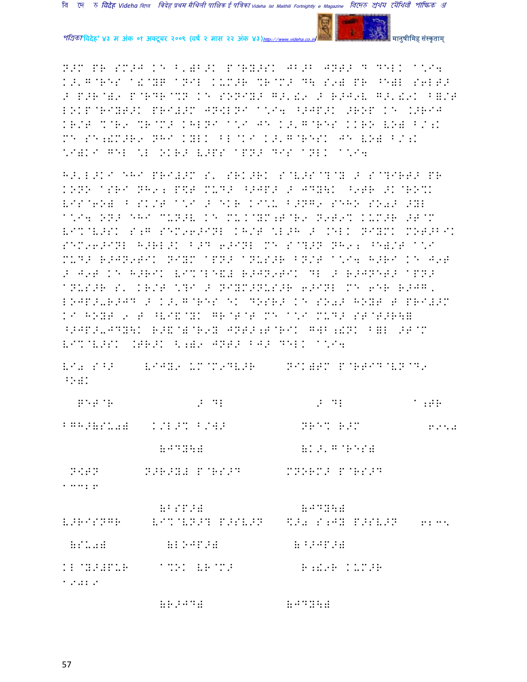*পত্ৰিকা*'বিदेह' ४३ म अंक ०१ अक्टूबर २००९ (वर्ष २ मास २२ अंक ४३)http://www.videha.co.in<sup>/ Hamak</sup> - स्थितिका अनुसीमिह संस्कृताम्



N>M PR SM>J KE B')B>K P@RY>SK JB>B JNT> D DELK A\*I4 K>'G@RES A!@YQ ANIL KUM>R %R@M> D\ S9) PR ^E)L S6LT> > P>R@)9 P@RDR@%N KE SONIY> G>'!9 > R>J9V G>'!9K B=/T BOST PRIMERI STRIKET ATIGET TIJNG GRATIK GROT IN INGENA KR/T % KHLNI AT "KHLINI" AT "KANG KAKALI AT "KARO VO" BARA KE KATA KARO VOJI BAGI KARO VOJI BIJE KOJI BIJE KON ME SE;!M>R9 NHI KYLK BL@KI K>'G@RESK JE VO) B/;K \*I)KI GEL \*L OKR> V>PS APN> DIS ANLK A\*I4

HOL EOST PRIP STEPHEND SOMETED SEMINES SOMETED OF STATISTICAL ST KONO ASRI NH9; P\$T MUD> ^ JPD + JPD + JPD + JPD + JPD + JPD + JPD + JPD + JPD + JPD + JPD + JPD + JPD + JPD + JPD + JPD + JPD + JPD + JPD + JPD + JPD + JPD + JPD + JPD + JPD + JPD + JPD + JPD + JPD + JPD + JPD + JPD + JPD VIS@6O) ^ SK/T A\*I > EKR KI\*U B>NG9 SEHO SO0> >YL A\*I4 ON> EHI CUN>V KE MU.@YM;T@R9 N9T9% KUM>R >T@M BATTERI SIM SYTHRAN CRIB IN BUR A THI TAIN TIHIT A SEMPGED BREAK BREAKTE ME SEMBRO BREAK ENGINE TIM MUDIS REPORT IN THE REPORT OF THE RIGHT OF THE REPORT OF THE RIGHT OF THE REPORT OF THE RIGHT OF THE RIGHT OF > J9T KE H>RIK VI%@LE&# R>JN9TIK DL > R>JNET> APN> ANUSIA SY KRATA NIYA A PADINANGAN SAAN NIYO SABABAR. LOJP>-R>JD > K>'G@RES EK DOSR> KE SO0> HOYT T PRI#>M KI HOYT 9 T A TRATISTIC 9 THAT A THAT A TAIL MUDDED AT A THAT HO ^>JP>-JDY\K R>&@)@R9Y JNT>;T@RIK GWB;!NK B=L >T@M SK .TRAK .TRAK .TRAK .TRAK .TRAK .TRAK .TRAK .TRAK .TRAK .TRAK .TRAK .TRAK .TRAK .

VI0 S^> VIJY9 UM@M9DV>R NIK)TM P@RTID@VN@D9  $\mathcal{L}^\infty(\mathbb{R}^n)$ 

| and the sense of the | $\mathbb{R}^n$ , $\mathbb{R}^n$ , $\mathbb{R}^n$ , $\mathbb{R}^n$ , $\mathbb{R}^n$    | $\mathbb{R}^2$ , $\mathbb{R}^2$ , $\mathbb{R}^2$ , $\mathbb{R}^2$                              | $\mathcal{L}$ : $\mathcal{L}$ : |
|----------------------|---------------------------------------------------------------------------------------|------------------------------------------------------------------------------------------------|---------------------------------|
|                      |                                                                                       | <b>CHAIN BEE</b>                                                                               |                                 |
|                      | assetting                                                                             | and a money a                                                                                  |                                 |
| 77.97                |                                                                                       | <b>CONSERVATION</b>                                                                            |                                 |
|                      | <b>APPROX</b><br>ALFERENTE DE LA COMA PLANE ELEMANTE DE RIA DE ERA DEL EN 2000 DE ERA | $\mathbb{R}^n \times \mathbb{R}^n \times \mathbb{R}^n \times \mathbb{R}^n \times \mathbb{R}^n$ |                                 |
| <b>hillad</b>        | <b>ALLANDIS</b>                                                                       | <b>ARTICLE</b>                                                                                 |                                 |
|                      |                                                                                       | <b>Builder Control</b>                                                                         |                                 |

 $R:J:U\to V$  (JDY) (JDY) (JDY) (JDY) (JDY) (JDY) (JDY) (JDY) (JDY) (JDY) (JDY) (JDY) (JDY) (JDY) (JDY) (JDY) (JDY) (JDY) (JDY) (JDY) (JDY) (JDY) (JDY) (JDY) (JDY) (JDY) (JDY) (JDY) (JDY) (JDY) (JDY) (JDY) (JDY) (JDY) (JDY)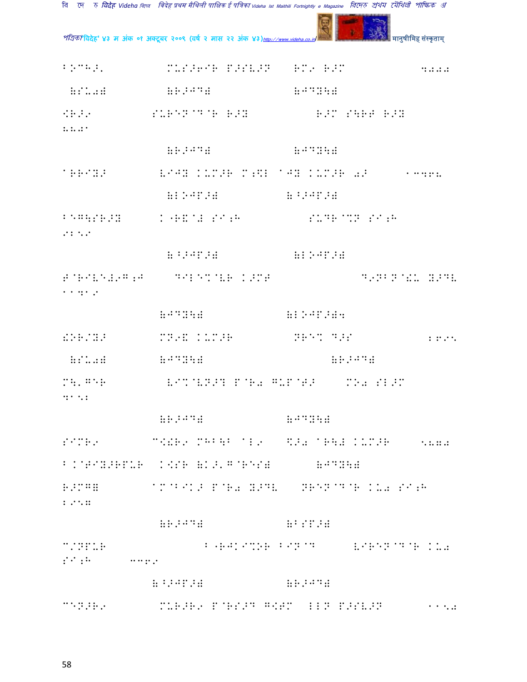|                                                                                                                                                                                                                                                                                                                                                                                                      | ति  एन  रु विदेह Videha विल्ह  विदेह प्रथम मैथिली पाक्षिक ई पत्रिका <sub>Videha</sub> ısı maitnili Fortnightly e Magazine  त्रिएमरु 'शेथे'प  रंगेथिली  शीश्चिक  औ                                                              |                                                              |                                        |
|------------------------------------------------------------------------------------------------------------------------------------------------------------------------------------------------------------------------------------------------------------------------------------------------------------------------------------------------------------------------------------------------------|--------------------------------------------------------------------------------------------------------------------------------------------------------------------------------------------------------------------------------|--------------------------------------------------------------|----------------------------------------|
|                                                                                                                                                                                                                                                                                                                                                                                                      | <u>र्शावकां विदेह' ४३ म अंक ०१ अक्टूबर २००९ (वर्ष २ मास २२ अंक ४३)http://www.videha.co.in</u>                                                                                                                                  |                                                              | <mark>ंज</mark> े मानुषीमिह संस्कृताम् |
| $\mathbb{R}^n$ is the set of $\mathbb{R}^n$                                                                                                                                                                                                                                                                                                                                                          | <b>SOCIAL PROPERTY OF THE BAT</b>                                                                                                                                                                                              |                                                              | $\sim$ $\sim$ $\sim$ $\sim$            |
| <b>Address</b>                                                                                                                                                                                                                                                                                                                                                                                       | and the second second second second second second second second second second second second second second second second second second second second second second second second second second second second second second seco | <b>Allen Band</b>                                            |                                        |
| <b>REAL</b><br>1.1.11                                                                                                                                                                                                                                                                                                                                                                                |                                                                                                                                                                                                                                |                                                              |                                        |
|                                                                                                                                                                                                                                                                                                                                                                                                      | arrana (                                                                                                                                                                                                                       | <b>AND SERVICE</b>                                           |                                        |
| <b>SEPTIE</b>                                                                                                                                                                                                                                                                                                                                                                                        |                                                                                                                                                                                                                                |                                                              | $\cdots$ : : : : .                     |
|                                                                                                                                                                                                                                                                                                                                                                                                      | <b>Address</b>                                                                                                                                                                                                                 | <b>BOOTHER</b>                                               |                                        |
| ::##::###<br>$\mathcal{L}(\mathbb{R}^n)$ , $\mathcal{L}(\mathbb{R}^n)$                                                                                                                                                                                                                                                                                                                               |                                                                                                                                                                                                                                |                                                              |                                        |
|                                                                                                                                                                                                                                                                                                                                                                                                      | <b>BISHPAR</b>                                                                                                                                                                                                                 |                                                              |                                        |
| $\gamma$ , and $\gamma$                                                                                                                                                                                                                                                                                                                                                                              | FORMING PROVIDED IN THE RESIDENCE OF A STRONG PRODUCTION OF A STRONG PRODUCT OF A STRONG PRODUCT OF A STRONG P                                                                                                                 |                                                              | <b><i>BARTHERMAN</i></b>               |
|                                                                                                                                                                                                                                                                                                                                                                                                      | <b>WANNER</b>                                                                                                                                                                                                                  | <b>Allegarder</b>                                            |                                        |
| EDB 2007                                                                                                                                                                                                                                                                                                                                                                                             | TRAE CONSE                                                                                                                                                                                                                     | <b>SERVISHED</b>                                             | $\pm$ matrix                           |
| <b>Alternational</b>                                                                                                                                                                                                                                                                                                                                                                                 | assetting                                                                                                                                                                                                                      | assetta                                                      |                                        |
| TH. PAP<br>$\cdots$ :                                                                                                                                                                                                                                                                                                                                                                                |                                                                                                                                                                                                                                | antares por spreader and the present                         |                                        |
|                                                                                                                                                                                                                                                                                                                                                                                                      | and the second second second second second second second second second second second second second second second second second second second second second second second second second second second second second second seco | $\mathbf{H} = \mathbf{H} \mathbf{H} + \mathbf{H} \mathbf{H}$ |                                        |
| $\mathcal{L} \subset \mathcal{L}$ . The set of $\mathcal{L} \subset \mathcal{L}$                                                                                                                                                                                                                                                                                                                     | and the state of the state of the state of the state of the state of the state of the state of the state of th                                                                                                                 |                                                              |                                        |
|                                                                                                                                                                                                                                                                                                                                                                                                      |                                                                                                                                                                                                                                |                                                              |                                        |
| <b>BOYSTER</b><br>$\mathcal{L}$ and $\mathcal{L}$ and $\mathcal{L}$                                                                                                                                                                                                                                                                                                                                  |                                                                                                                                                                                                                                |                                                              |                                        |
|                                                                                                                                                                                                                                                                                                                                                                                                      | and the second second second second second second second second second second second second second second seco                                                                                                                 | <b>All Sections</b>                                          |                                        |
| <b>MANDER</b><br>$\mathcal{L}^{\mathcal{L}}$ : $\mathcal{L}^{\mathcal{L}}$ : $\mathcal{L}^{\mathcal{L}}$ : $\mathcal{L}^{\mathcal{L}}$ : $\mathcal{L}^{\mathcal{L}}$ : $\mathcal{L}^{\mathcal{L}}$ : $\mathcal{L}^{\mathcal{L}}$ : $\mathcal{L}^{\mathcal{L}}$ : $\mathcal{L}^{\mathcal{L}}$ : $\mathcal{L}^{\mathcal{L}}$ : $\mathcal{L}^{\mathcal{L}}$ : $\mathcal{L}^{\mathcal{L}}$ : $\mathcal{$ |                                                                                                                                                                                                                                | <b>FARADATER FARAT CONSTRUCTION</b>                          |                                        |
|                                                                                                                                                                                                                                                                                                                                                                                                      | a Gerrad                                                                                                                                                                                                                       | $\sim 0.01434$                                               |                                        |
| magaga le                                                                                                                                                                                                                                                                                                                                                                                            |                                                                                                                                                                                                                                |                                                              |                                        |

58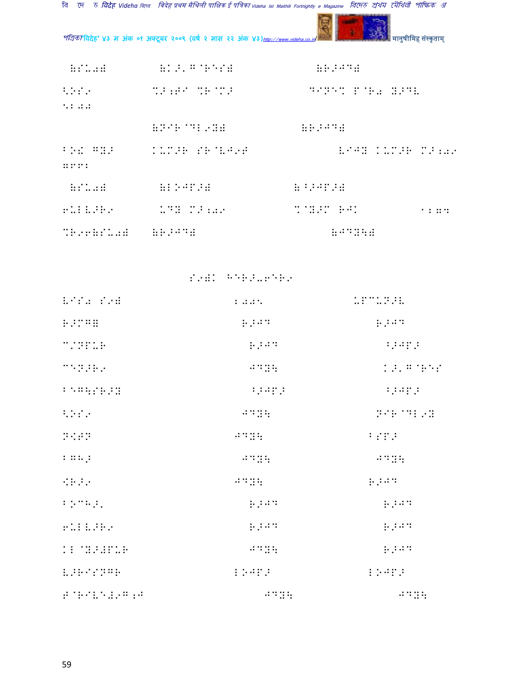|                                            |                                                                                               | .<br>ति एप रु विदेह Videha निल्ह विदेह प्रथम मैथिली पाक्षिक ई पत्रिका <sub>Videha</sub> Ist Maithili Fortnightly e Magazine <i>त्रिए</i> मरु शेशेग ट्यैशिनी পोष्फिक \$ |
|--------------------------------------------|-----------------------------------------------------------------------------------------------|------------------------------------------------------------------------------------------------------------------------------------------------------------------------|
|                                            | <u>र्शाखकां विदेह' ४३ म अंक ०१ अक्टूबर २००९ (वर्ष २ मास २२ अंक ४३)http://www.videha.co.in</u> | ∎मानुषीमिह संस्कृताम्                                                                                                                                                  |
| <b>Million</b>                             |                                                                                               | and the second second second second and second in the second second second in the second second second in the s                                                        |
| <b>Reader</b><br>$\ddots$ and              |                                                                                               |                                                                                                                                                                        |
|                                            | 1979-191919                                                                                   | amaria di Santa Calendaria                                                                                                                                             |
| $\cdots$ $\cdots$                          | <b>THE WHIP CONTROLL SECTIONS</b>                                                             |                                                                                                                                                                        |
| $\mathbf{ii}$ $\mathbf{ii}$ $\mathbf{iii}$ | <b>Sales Servers Park</b>                                                                     | <b>All Participates</b>                                                                                                                                                |
| <b>PLELFRE</b>                             | <b>All Services</b>                                                                           | $\cdots$ : : : : :                                                                                                                                                     |
|                                            |                                                                                               | arno                                                                                                                                                                   |

S9)K HER>-6ER9

| Esta ded                                                                | $\mathbb{Z}^n$ . If $\mathbb{Z}^n$ , $\mathbb{Z}^n$ ,                                                                                                                                                                                                                                                                                                                                                                                                                                                                                                 | <b>WENGER</b>                                                                                                                                                                                                                                                                                                                                                                                                                                                                                            |
|-------------------------------------------------------------------------|-------------------------------------------------------------------------------------------------------------------------------------------------------------------------------------------------------------------------------------------------------------------------------------------------------------------------------------------------------------------------------------------------------------------------------------------------------------------------------------------------------------------------------------------------------|----------------------------------------------------------------------------------------------------------------------------------------------------------------------------------------------------------------------------------------------------------------------------------------------------------------------------------------------------------------------------------------------------------------------------------------------------------------------------------------------------------|
|                                                                         | and the second second to the second to the second to the second to the second to the second to the second to t<br>Second the second to the second to the second to the second to the second to the second to the second to the s                                                                                                                                                                                                                                                                                                                      | de grande e                                                                                                                                                                                                                                                                                                                                                                                                                                                                                              |
| $\begin{tabular}{c} \bf ``\bf .\bf 'F} \\ \bf ``\bf ''\\ \end{tabular}$ | $\langle \frac{1}{2}, \frac{1}{2}, \frac{1}{2}, \frac{1}{2}\rangle$                                                                                                                                                                                                                                                                                                                                                                                                                                                                                   | $\begin{array}{c} \begin{array}{c} 1 \end{array} & \begin{array}{c} 1 \end{array} & \begin{array}{c} 1 \end{array} & \begin{array}{c} 1 \end{array} & \begin{array}{c} 1 \end{array} & \begin{array}{c} 1 \end{array} & \begin{array}{c} 1 \end{array} & \begin{array}{c} 1 \end{array} & \begin{array}{c} 1 \end{array} & \begin{array}{c} 1 \end{array} & \begin{array}{c} 1 \end{array} & \begin{array}{c} 1 \end{array} & \begin{array}{c} 1 \end{array} & \begin{array}{c} 1 \end{array} & \begin{$ |
| <b>MARSHA</b>                                                           | 43334                                                                                                                                                                                                                                                                                                                                                                                                                                                                                                                                                 | 1.3191994                                                                                                                                                                                                                                                                                                                                                                                                                                                                                                |
| : 1842633                                                               | $\begin{array}{c} \begin{array}{c} \begin{array}{c} \begin{array}{c} \end{array} \\ \end{array} \end{array} \end{array} \end{array} \begin{array}{c} \begin{array}{c} \begin{array}{c} \end{array} \\ \end{array} \end{array} \end{array} \begin{array}{c} \begin{array}{c} \begin{array}{c} \end{array} \end{array} \end{array} \end{array} \begin{array}{c} \begin{array}{c} \begin{array}{c} \end{array} \end{array} \end{array} \end{array} \begin{array}{c} \begin{array}{c} \begin{array}{c} \end{array} \end{array} \end{array} \end{array} \$ | $\begin{array}{c} \begin{array}{c} 1 \end{array} & \begin{array}{c} 1 \end{array} & \begin{array}{c} 1 \end{array} & \begin{array}{c} 1 \end{array} & \begin{array}{c} 1 \end{array} & \begin{array}{c} 1 \end{array} & \begin{array}{c} 1 \end{array} & \begin{array}{c} 1 \end{array} & \begin{array}{c} 1 \end{array} & \begin{array}{c} 1 \end{array} & \begin{array}{c} 1 \end{array} & \begin{array}{c} 1 \end{array} & \begin{array}{c} 1 \end{array} & \begin{array}{c} 1 \end{array} & \begin{$ |
| $\mathbb{R}^n$ , $\mathbb{R}^n$ , $\mathbb{R}^n$                        | $\ldots$                                                                                                                                                                                                                                                                                                                                                                                                                                                                                                                                              | (375.791.73)                                                                                                                                                                                                                                                                                                                                                                                                                                                                                             |
| 7487                                                                    | $\frac{1}{2}$ $\frac{1}{2}$ $\frac{1}{2}$ $\frac{1}{2}$ $\frac{1}{2}$ $\frac{1}{2}$                                                                                                                                                                                                                                                                                                                                                                                                                                                                   | $\mathcal{F}:\mathbb{R}^{n}\rightarrow\mathbb{R}^{n}$                                                                                                                                                                                                                                                                                                                                                                                                                                                    |
| : 34.3                                                                  | $\cdots$                                                                                                                                                                                                                                                                                                                                                                                                                                                                                                                                              | $\mathcal{L} = \{1,2,3,4\}$                                                                                                                                                                                                                                                                                                                                                                                                                                                                              |
| $\{1\}$ , $\{1\}$ , $\{1\}$                                             | 4334                                                                                                                                                                                                                                                                                                                                                                                                                                                                                                                                                  | ang pangangan pada sa                                                                                                                                                                                                                                                                                                                                                                                                                                                                                    |
| $\{1,2,3,4,5\}$                                                         | n pipan                                                                                                                                                                                                                                                                                                                                                                                                                                                                                                                                               | age of the second second to the second second to the second second to the second second to the second second t                                                                                                                                                                                                                                                                                                                                                                                           |
| <b>PLELFRE</b>                                                          |                                                                                                                                                                                                                                                                                                                                                                                                                                                                                                                                                       | n : ∷∷                                                                                                                                                                                                                                                                                                                                                                                                                                                                                                   |
| <b>TESTIFIELE</b>                                                       | $-4.3334$                                                                                                                                                                                                                                                                                                                                                                                                                                                                                                                                             |                                                                                                                                                                                                                                                                                                                                                                                                                                                                                                          |
| 1.3972389                                                               | (1.1417, 1.1)                                                                                                                                                                                                                                                                                                                                                                                                                                                                                                                                         | $\frac{1}{2}$ , $\frac{1}{2}$ , $\frac{1}{2}$ , $\frac{1}{2}$ , $\frac{1}{2}$ , $\frac{1}{2}$ , $\frac{1}{2}$ , $\frac{1}{2}$                                                                                                                                                                                                                                                                                                                                                                            |
|                                                                         | $\mathbb{R}^{n \times n}$                                                                                                                                                                                                                                                                                                                                                                                                                                                                                                                             | $\mathcal{X} \mathcal{X} \mathcal{Y} \mathcal{Y} \mathcal{Y} \mathcal{Y}$                                                                                                                                                                                                                                                                                                                                                                                                                                |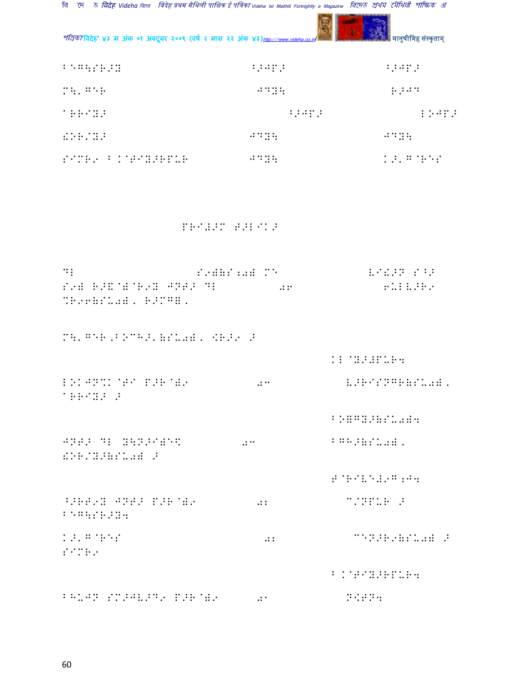| ति एन रु विदेह Videha निल्ह विदेह प्रथम मैथिली पाक्षिक ई पत्रिका videha Ist Maithili Fortnightly e Magazine त्रिएमरु शेथेग ट्यैथिती পौष्किक अं |                                                                                                                                                                                                                                                                                                                                |                      |
|------------------------------------------------------------------------------------------------------------------------------------------------|--------------------------------------------------------------------------------------------------------------------------------------------------------------------------------------------------------------------------------------------------------------------------------------------------------------------------------|----------------------|
| <i>পত্রিকা</i> विदेह' ४३ म अंक ०९ अक्टूबर २००९ (वर्ष २ मास २२ अंक ४३) http://www.videha.co.in                                                  |                                                                                                                                                                                                                                                                                                                                | मानुषीमिह संस्कृताम् |
| : 184:5533                                                                                                                                     |                                                                                                                                                                                                                                                                                                                                | 4.34333              |
| TR. BNP                                                                                                                                        | 4334                                                                                                                                                                                                                                                                                                                           | 44.343               |
| <b>TERMIN</b>                                                                                                                                  | $\begin{array}{ccc} 1 & 1 & 1 & 1 & 1 \\ 1 & 1 & 1 & 1 & 1 \\ 1 & 1 & 1 & 1 & 1 \\ 1 & 1 & 1 & 1 & 1 \\ 1 & 1 & 1 & 1 & 1 \\ 1 & 1 & 1 & 1 & 1 \\ 1 & 1 & 1 & 1 & 1 \\ 1 & 1 & 1 & 1 & 1 \\ 1 & 1 & 1 & 1 & 1 \\ 1 & 1 & 1 & 1 & 1 \\ 1 & 1 & 1 & 1 & 1 \\ 1 & 1 & 1 & 1 & 1 \\ 1 & 1 & 1 & 1 & 1 \\ 1 & 1 & 1 & 1 & 1 \\ 1 &$ | 4.74874              |
| EDBCH3                                                                                                                                         | <b>Angel</b>                                                                                                                                                                                                                                                                                                                   | 33.333               |
| <b>ARABAS ARABAS ARABAS ARABAS ARABAS ARABAS ARABAS ARABAS ARABAS ARABAS ARABAS ARABAS ARABAS ARABAS ARABAS ARABAS ARA</b>                     | $\sim$ $\sim$ $\sim$ $\sim$ $\sim$                                                                                                                                                                                                                                                                                             | talenten             |
|                                                                                                                                                |                                                                                                                                                                                                                                                                                                                                |                      |
|                                                                                                                                                |                                                                                                                                                                                                                                                                                                                                |                      |
|                                                                                                                                                | <b>PERSONAL PROPERTY</b>                                                                                                                                                                                                                                                                                                       |                      |
| $\mathbb{R}$ :                                                                                                                                 |                                                                                                                                                                                                                                                                                                                                | <b>APROXIMATION</b>  |
| PAR PARTETPAR APPA TEST<br>*****************************                                                                                       | $\cdots$                                                                                                                                                                                                                                                                                                                       | <b>PLILPER</b>       |
| TH. WAR STATES BELGEV SHEETS                                                                                                                   |                                                                                                                                                                                                                                                                                                                                |                      |
|                                                                                                                                                |                                                                                                                                                                                                                                                                                                                                | <b>TEMPERATURE</b>   |
| forest he files<br><b>TEECHE F</b>                                                                                                             | $\ldots$                                                                                                                                                                                                                                                                                                                       |                      |
|                                                                                                                                                |                                                                                                                                                                                                                                                                                                                                |                      |
|                                                                                                                                                | $\cdots$                                                                                                                                                                                                                                                                                                                       | <b>BEATHERNEY</b>    |

T@RIVE#9G;J4

^>RT9Y JNT> P>R@)9 02 C/NPUR > BEGREEN KORA ESTE ORIGINALE EN EL CONSTANTO DE LA CONSTANTIACIÓN EN EL CONSTANTIACIÓN EN EL CONSTANTIACIÓN EN EL CONSTANTIACIÓN EN EL CONSTANTIACIÓN EN EL CONSTANTIACIÓN EN EL CONSTANTIACIÓN EN EL CONSTANTIACIÓN EN EL CONSTANTIACI

SIMR9 B.O. THE SECTION OF BHUJN SMARING PARTNER (1990) NEWSTAPH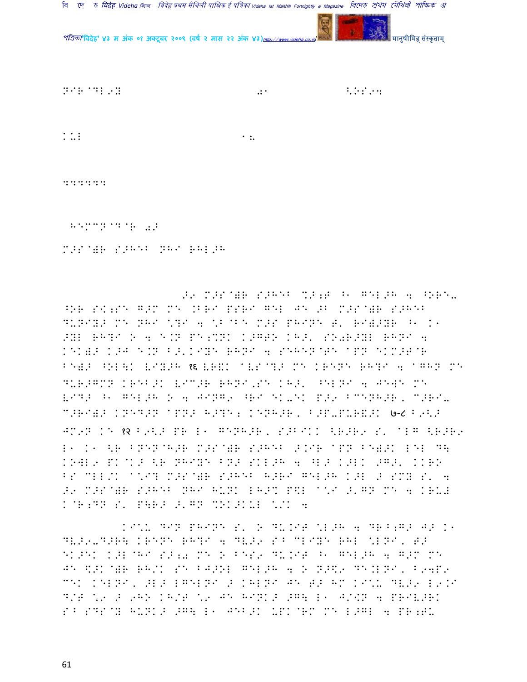^OR S[;SE G>M ME .BRI PSRI GEL JE >B M>S@)R S>HEB BURGER DA BHA NHA A NA MA DIR BHARA BU RABIBE A NA DA >YL RH?I O 4 E.N PE;%NK K>GTO KH>' SO0R>YL RHNI 4 KA: B.A. (1948) A.D. (1951) A.B.A. BADA, A. (1944) B.A. (1951) A. (1951) A. BE) IN RED RESERVED IN THE TRENE RHOLOGIC HIS TREE TO DURAGUE (RHEB) KRIEB RHORIAN (RA) (PHORIA 4 JEWEN ME VID> ^1 GEL>H O 4 JING9 ^RI EK-EK P>9 BCENH>R, C>RI-C>RI)> KNED>N APN> H>?E; KENH>R, B>P-PUR&>K ७-८ B9<> JM9N KE १२ B9<> PR L1 GENH>R, S>BIKK <R>R9 S' ALG <R>R9 L1 K1 <R BNEN@H>R M>S@)R S>HEB >.IR APN BE)>K LEL D\ KOWER PKOK AR SHARE BSK PKLYER HAN A SHIK GHI ASKLIFTAD. BS CLINICAL ATTEMPTION STATES AND AN ANGUAL CONSTRUCTION >9 M>S@)R S>HEB NHI HUNK LH>% P\$L A\*I >'GN ME 4 KRU# K@R;DN ST STREET & CONSTRUCTION

>9 M>S@)R S>HEB %>;T ^1 GEL>H 4 ^ORE-

KITU DIN PHINE SY O DURING SERA A DRIAGE AR LY DESPRIED DESPRIEDEN ALDES SI DIPROPER EN MIRI SER SIE EK>EK K>L@HI S>;0 ME O BES9 DU.IT ^1 GEL>H 4 G>M ME JE \$>K@)R RH/K SE BJ>OL GEL>H 4 O N>\$9 DE.LNI, B94P9 CEN KELNI, JE A BRYER JE TABRI ANGELAN DI KULOREA BULI D/T \*9 JE HINK \* 9HO KO AN AND FOR THE TO ANNOUNCE THAT THE SO SUSPECT HUNKS VAN ER ANDER CHICHT ME LINE A PR;TUL

61

িব দে *ফ বিব*িদ Videha *বিদ্যে विदेह प्रथम मैथिली पाक्षिक ई पत्रिका <sub>Videha Ist Maithili Fortnightly e Magazine ब्रिटिम्ह 'श्रेश्च ट्यैश्चि' 'शोश्चिक 'श्री*</sub>

*পত্ৰিকা*'বিदेह' ४३ म अंक ०१ अक्टूबर २००९ (वर्ष २ मास २२ अंक ४३)http://www.videha.co.in<sup>/ Hamak</sup> | स्थितिकामिं संस्कृताम्

NIR@DL9Y 01 <OS94

KUL 1888 (1889) (1888) (1888) (1888)

 $444444444$ 

HEMCN@D@R 0>

M>S@)R S>HEB NHI RHL>H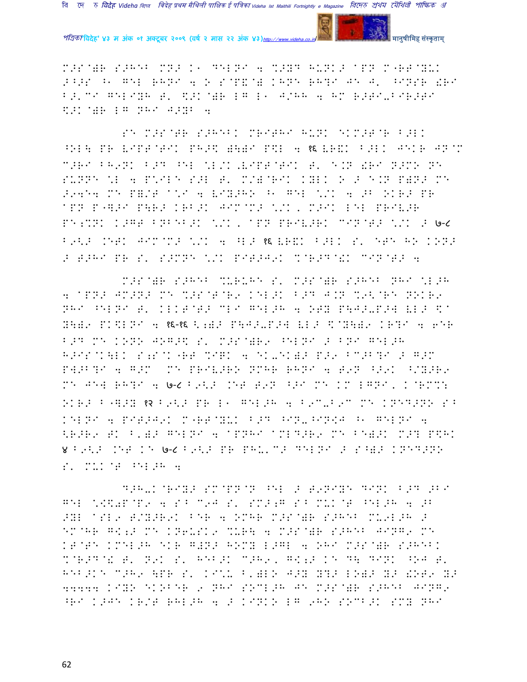## *भग्निका*'विदेह' ४३ म अंक ०१ अक्टूबर २००९ (वर्ष २ मास २२ अंक ४३)http://www.videha.co.in<sup>/ मा</sup>मान कर रही है। मानुषीमिह संस्कृताम्

M>S@)R S>HEB MN> K1 DELNI 4 %>YD HUNK> APN M"RT@YUK >^>S ^1 GEL RHNI 4 O S@P&@) KHNE RH?I JE J' ^INSR !RI BOLITY BY KOR CALL OUT THE BIRS OF A HORE OF PICERIAL CHARGES  $R$  Resources and  $R$  and  $R$  are  $R$  and  $R$  are  $R$ 

 SE M>S@TR S>HEBK MRITHI HUNK EKM>T@R B>LK ^OL\ PR VIPT@TIK PH>\$ )\)I P\$L 4 १६ VR&K B>LK JEKR JN@M CORE BHONK BOTT BHONK BOOK BEREATED AN INVOLVED DONNE SUNNE THE FILE SOURCE SOURCE IN THE SALE SOURCE IN >94E4 ME P=/T A\*I 4 VIY>HO ^1 GEL \*/K 4 >B OKR> PR APN P"]>I P\R> KRB>K JIM@M> \*/K, M>IK LEL PRIV>R PE;%NK K>GT BNBEB>K \*/K, APN PRIV>RK CIN@T> \*/K > ७-८ B99.8 . INED AND THE NOT A SHE & KEED SYSTEM OF NEW AND LISTS > T>HI PR S' S>MNE \*/K PIT>J9K %@R>D@!K CIN@T> 4

 M>S@)R S>HEB %URUHE S' M>S@)R S>HEB NHI \*L>H 4 APN> JM>N> ME %>S@T@R9 KEL>K B>D J.N %9<@RE NOKR9 NHI ` KHI YI ` HI ` KI KURI TI KUWA WA LIN A ' KUBU PAHLI KA LI ALI A ' K  $\beta$ 9 PK  $\beta$  PK  $\beta$  -PK  $\beta$  (see Fig. ). Pay vlad vlad  $\beta$  and  $\beta$  is the positive  $\beta$  for  $\beta$ BOS ME KONO JOGS S' ME KONO JOGS S' ME KONO JOGS S' MARCHE H>IS@K\LK S;S@K"RT %IQK 4 EK-EK)> P>9 BC>B?I > G>M PASP RA GO PSIVO NI PRAKISHI PINAMO NAPIA GEORG PRIVO PINAMA. ME JEW RHYP 4 0-6 BSC ISLE THE REPORT OF THOSE REPORTS OKR> B"]>Y १२ B9<> PR L1 GEL>H 4 B9C-B9C ME KNED>NO S^ KELNI 4 PITADAL KORA MELI PITADA ATALIA DA PARTI <R>R9 TK B')> GELNI 4 APNHI AMLD>R9 ME BE)>K M>? P\$HK  $8. \pm 1.41, \pm 1.12, \pm 1.12, \pm 0.06, \pm 1.14, \pm 1.12, \pm 1.12, \pm 1.12, \pm 1.12, \pm 1.12, \pm 1.12, \pm 1.12, \pm 1.12, \pm 1.12, \pm 1.12, \pm 1.12, \pm 1.12, \pm 1.12, \pm 1.12, \pm 1.12, \pm 1.12, \pm 1.12, \pm 1.12, \pm 1.12, \pm 1.12, \pm 1.12, \pm 1.12, \pm$ S' MUKAMBAD AT ANG PANGalaman

 D>H-K@RIY> SM@PN@N ^EL > T9NIYE DINK B>D >BI GEL \*[\$0P@P9 4 S^ C9J S' SM>;G S^ MUK@T ^EL>H 4 >B >YL ASL9 T/Y>R9K BER 4 OMHR M>S@)R S>HEB MU9L>H > EM@HR G[;> ME KN6USK9 %UR\ 4 M>S@)R S>HEB JING9 ME KT@TE KMEL>H EKR G#N> HOMY L>GL 4 OHI M>S@)R S>HEBK %@R>D@! T' N9K S' HEB>K C>H9, G[;> KE D\ DINK ^OJ T' HEBO S' CAPA (HEBO SI) LO SI B')LO FORE S' PAR RIBA D'AR (RA) BIS B'S EN 1 44444 KIYO EKOBER 9 NHI SOCL>H JE M>S@)R S>HEB JING9 ^RI K>JE KR/T RHL>H 4 > KINKO LG 9HO SOCB>K SMY NHI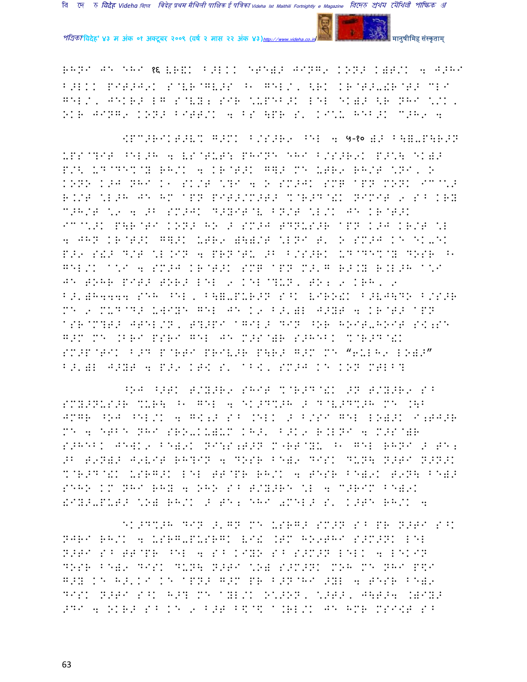*भविका*'विदेह' ४३ म अंक ०१ अक्टूबर २००९ (वर्ष २ मास २२ अंक ४३)http://www.videha.co.in<sup>/ मा</sup>मानी करती थी मानुषीमिह संस्कृताम्

RHNI JE EHI १६ VR&K B>LKK ETE)> JING9 KON> K)T/K 4 J>HI B>LKK PIT>J9K S@VR@GV>S ^1 GEL/, <RK KR@T>-!R@T> CLI GEL/, JEKSE ER SMER SKE LER LEDER SOM STRUKT I OKR JINGS KONS BITT-H BITTING KONSTRUCTION (1942)

 $P(X;P(Y;P, P, P, \mathbb{Z}^n; \mathbb{Z}^n; \mathbb{Z}^n; \mathbb{Z}^n; \mathbb{Z}^n; \mathbb{Z}^n; \mathbb{Z}^n; \mathbb{Z}^n; \mathbb{Z}^n; \mathbb{Z}^n; \mathbb{Z}^n; \mathbb{Z}^n; \mathbb{Z}^n; \mathbb{Z}^n; \mathbb{Z}^n; \mathbb{Z}^n; \mathbb{Z}^n; \mathbb{Z}^n; \mathbb{Z}^n; \mathbb{Z}^n; \mathbb{Z}^n; \mathbb{Z}^n; \mathbb{Z}^n; \$ UPS@?IT ^ELDO PHILE ELECTRONIC PHYSICS POSSESSOR PHINE EXISTING P/< UD@DE%@Y RH/K 4 KR@T>K G]> ME UTR9 RH/T \*NI, O KONO K>J NHI K1 SK/T \*?I 4 O SM>JK SMQ APN MONK IC@\*> R./T THO IN THE HAPPY PIT OF THE HARD DURING TO THE TAIL OF THE THE UNION OF THE SAME  $\mathcal{S}$ CORAJE NO 34 OF STORED BRIEFE NO FIRIE NICE NO SAN DIE NEUD ICM TO ALL CHANNEL CONSTANT A SCONDATO APPROXIMATION OF SAMPLE AND CONTINUES. 4 JHN KR@T>K G]>K UTR9 )\)/T \*LNI T' O SM>J KE EK-EK PRO SERVADA DOS A PRAMEDO DOSRE UDAMANIA AREA B GEL/K A\*I 4 SM>J KR@T>K SMQ APN M>'G R>.Y R.L>H A\*I JE TOHR PIT> TOR> LEL 9 KEL@?UN, TO; 9 KRH, 9 BS.HA444 SEH TEL BHAR1833 SEH RESERVIRON BAGGET ME 9 MUDDON DAYSE GEL AN DIYA KRIBE ARABA A DELEKTIR ASR MOTEL AGINE DO LATERER AGINE DA TROPA EN HOR HOITE-DRAGA SAN G>M ME .BRI PSRI GEL JE M>S@)R S>HEBK %@R>D@!K SMORTI BANDA BORDER BERKER PRESIDENT MAN MENERE EREN BO, HE SACHE SE POSSIBLE IN A STRAIN STATE CONFIDENT

 $CDH$   $+DH$   $+DH$   $+DH$   $+DH$   $+DH$   $+DH$   $+DH$   $+DH$   $+DH$   $+DH$  $S/N$  , the small small small  $S/N$  , the small  $S/N$  -defined by  $S/N$  ,  $S/N$  ,  $S/N$  ,  $S/N$  ,  $S/N$  ,  $S/N$  ,  $S/N$  ,  $S/N$  ,  $S/N$  ,  $S/N$  ,  $S/N$  ,  $S/N$  ,  $S/N$  ,  $S/N$  ,  $S/N$  ,  $S/N$  ,  $S/N$  ,  $S/N$  ,  $S/N$  ,  $S/N$  ,  $S/N$  ,  $S/N$  ,  $S/N$ JMGR ^OJ ^EL/K 4 G[;> S^ .ELK > B/SI GEL LO)>K I;TJ>R ME 4 ETBE NHI SRO-KU)UM KHO SRO-KU) BOLA R.H.P.N.H. NORMAR SSAM PE) (FRANCIS PRESS) (PRESERVATOR PER MEL CHO PRESERVATOR (PRE >B T9N)> J9VIT RH?IN 4 DOSR BE)9 DISK DUN\ N>TI N>N>K % MERS NO. DOE BEJ LEINE VER MEE DE DIE GENOEME FINEEN VERDER FINEER STAR IT RAT RAY 4 OHD STARRHY 18 A TRRT BYER !IY>-PUT> \*O) RH/K > TE; EHI 0MEL> S' K>TE RH/K 4

 EK>D%>H DIN >'GN ME USRG> SM>N S^ PR N>TI S^K NJRI RH/K 4 USRG-PUSRGK VI! .TM HO9THI S>M>NK LEL N>TI S^ TT@PR ^EL 4 S^ KIYO S^ S>M>N LELK 4 LEKIN DOSR BEAU PARI PIRM DOSR ISK SONIADI DOM ME PAN MER G>Y KE H>'KI KE APN> G>M PR B>N@HI >YL 4 TESR BE)9 DASK DIAK SAK HISK NA MERK DALIMA NIJAR 2014AN NAMUR >DI 4 OKR> S^ KE 9 B>T B\$@\$ A.RL/K JE HMR MSI[T S^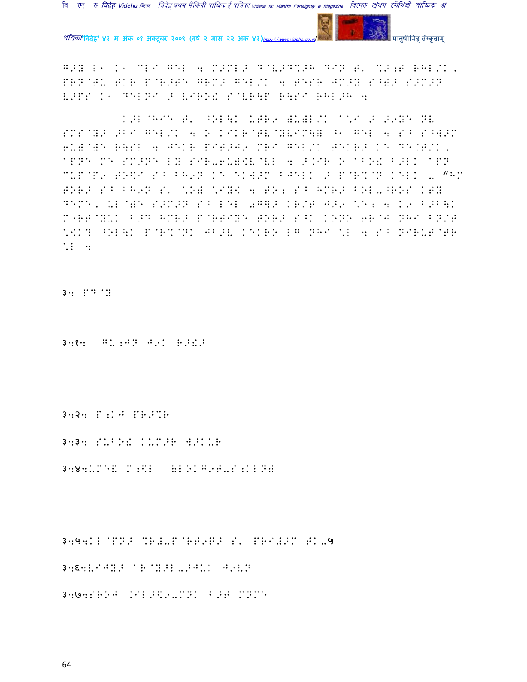*পত্ৰিকা*' विदेह' ४३ म अंक ०१ अक्टूबर २००९ (वर्ष २ मास २२ अंक ४३)http://www.videha.co.in/ मानीमिंद्र अपनी मानुषीमिह संस्कृताम्



G>Y L1 K1 CLI GEL 4 M>ML> D@V>D%>H DIN T' %>;T RHL/K, PRN@TU TKR P@R>TE GRM> GEL/K 4 TESR JM>Y S^)> S>M>N  $\sim$  PS K1 Deliver and the Research of the RHL and the RHL seven and  $\sim$ 

K-L@HIE TO A REGISTER OF THE REGISTER OF THE REGISTER OF THE REGISTER OF THE REGISTER OF THE REGISTER OF THE R SMS MORE OF A 45 ON A ON CAN BINE CORANDER AND STATISTICS STATISTICS. 6U)@)E R\SL 4 JEKR PIT>J9 MRI GEL/K TEKR> KE DE.T/K, APNE ME SM>NE LY SIR-6U)[V@VL 4 >.IR O ABO! B>LK APN TO PSEUD AND TO I SO TO I SO A BIGGET OF A BIGGET OF THE RESIDENCE IN THE LATER OF THE RESIDENCE IN THE RESIDENCE OF THE RESIDENCE IN THE RESIDENCE IN THE RESIDENCE IN THE RESIDENCE IN THE RESIDENCE IN THE RESIDENCE IN THE TOR> S^ BH9N S' \*O) \*IY[ 4 TO; S^ HMR> BOL-^ROS KTY DEME, UL MAR SOMON SO LEGI 1991 SANG ANG ANG ANG ATOM SA KA M"RT@YUK B>D HMR> P@RTIYE TOR> S^K KONO 6R@J NHI BN/T \*[K? ^OL\K P@R%@NK JB>V KEKRO LG NHI \*L 4 S^ NIRUT@TR  $\mathbb{Z}^2$  4.444

 $3 \cdot 9 \cdot 9 \cdot 11$ 

३4१4 GU;JN J9K R>!>

 $3424$  P;  $244$  PRP $224$ 

३4३4 SUBO! KUM>R W>KUR

3484LTHE M;H; (LOKG) R;KLAN; LOCKG

३4५4KL@PN> %R#-P@RT9Q> S' PRI#>M TK-५  $3464L+433$  are the third in Fermi and  $4.417$  $3494378737373737373737373737373734$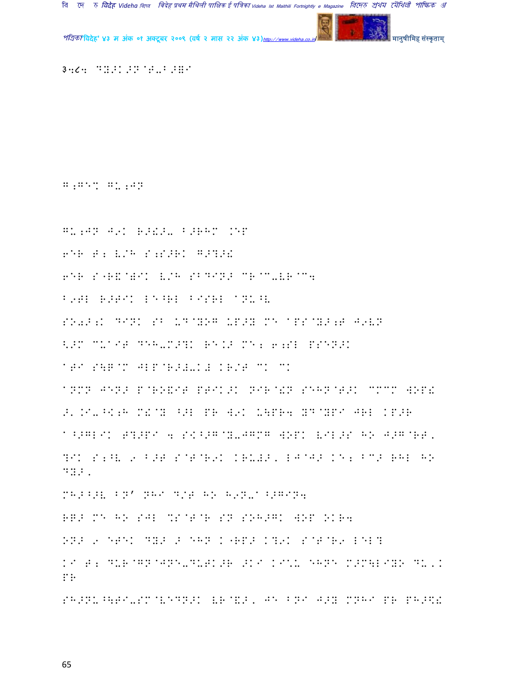6SE F: EMA F:SSEN WATER 6SE S'RECARD IN SPRING TE TAIR TA B9TL ROOM ROOM ROOM AND REAL BISRL AND REAL BISRL AND REAL BISRL AND REAL BISRL AND REAL BISRL AND REAL BISRL SOOP;K DINK SE SOOP; K DINK SE SOOP; K DINK SB UD@YOG UP+Y ME APS@YOG UP+Y ME APS@YOG UP+Y ME APS@YOG UP+Y ME <>M CUAIT DEH-M>?K RE.> ME; 6;SL PSEN>K ATI S\Q@M JLP@R>#-K# KR/T CK CK AND JENS PORCH PRICK SEHNE SEHNAR MUSIC T >'.I-^[;H M!@Y ^>L PR W9K U\PR4 YD@YPI JRL KP>R A^GLIA EST ACTORES CONSTANTINO AND A SERVER CONTINUES. THE SERVER OF SERVER WORK OF DISTURBANCE OF DISTURBANCE ?IK S;^V 9 B>T S@T@R9K KRU#>, LJ@J> KE; BC> RHL HO  $BSE$ , THANK OF A THAN THE HO HO HO HI DIANTA RQ> ME HO SJL %S@T@R SN SOH>GK WOP OKR4 ON SOUTH A FAN KARA KARD SOM KAR KAR KI T; DUR GN DIR BERTAHAN DENGAN DENGAN PADA DAN PERDAMAAN DENGAN PERDAMAAN DENGAN PERDAMAAN DENGAN DENGAN PER<br>Muliya dan bertama dan perdamaan dengan perdamaan dengan perdamaan perdamaan dengan perdamaan dengan perdamaan property. SHOULD HEATSTED THE TILL AN FUR AND TURN THAT PRINT

 $\Xi$ ; $\Xi$  is guaranteed  $\Xi$ 

३4८4 DY>K>N@T-B>=I

GU;JAR JA, BILI, PIRKO 19

*পত্ৰিকা*'বিदेह' ४३ म अंक ०१ अक्टूबर २००९ (वर्ष २ मास २२ अंक ४३)http://www.videha.co.in<sup>/ Haman</sup> | स्थितिका अनुसामिह संस्कृताम्



िव <sup>रा</sup>प रु विदेह Videha <sub>विपद</sub> विदेह प्रथम मैथिली पाक्षिक ई पत्रिका <sub>Videha Ist Maithili Fortnightly e Magazine *विरमरु श*थंग रंगैथिली পोष्किक औ</sub>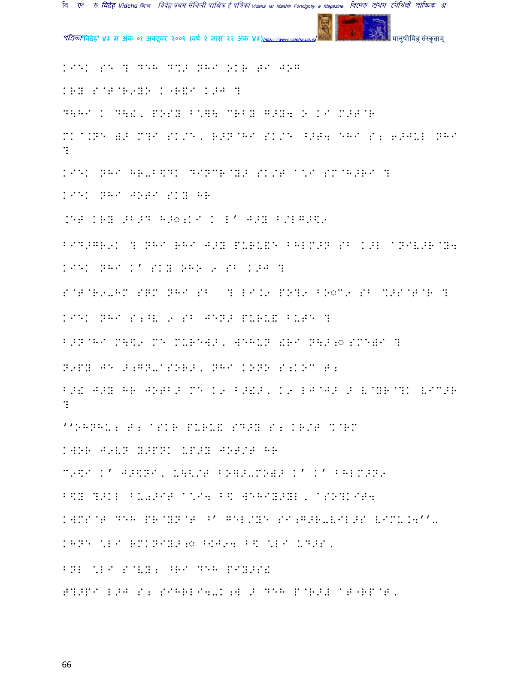KIEK SE ? DEH DYS DAI OKR TI DIE DIE KRY S@T@R9YO K"R&I K>J ? DRAG DORES BY K DONE GARDEN BY DONE CARD GARDEN MK@.NE ) NE ) MARK (PARTHY SK/E (PARTHY STAR) STARTS ? KIEK NHI HRIBER DINCR DIN AT DINCR DINCR DINCR KIEK NHI JOHN SKY .ET KRY >B>D H>◌;KI K L' J>Y B/LG>\$9 BID>GR9K ? NHI RHI J>Y PURU&E BHLM>N SB K>L ANIV>R@Y4 KIEK NHI KY SKY OHO 9 SB KOUP SOM SERVING SBE SPAR SPORTS BRIDGE PORTS PO?DE SPORTS SB ? HOTEL KIEK NHI S; SE S SE SENDI PURUK BUTE ? BOOKS ME MUREWS IN MUREWAY . WE HUN IN THE MURE WAS ARRESTED TO N9PY JE >;GN-ASOR>, NHI KONO S;KOC T; B>! J>Y HR JOTB> ME K9 B>!>, K9 LJ@J> > V@YR@?K VIC>R ? ''OHNHU; ASKR PURU& SD; ASKR PURU& SD; ASKR PURU& SD; ASKR PURU& SD; KR/T %@RMM KWOR J9VN Y>PNK UP>Y JOT/T HR C9\$I K' AJARDA L'ISBUGA (POBLICOBE) I K' C'K' PHECIPA B\$Y ?: KL BUOY ?: KL BUOY ?: KL BUOY ?: KL BUOY ?: KL BUOY ?: KL BUOY ?: KL BUOY ?: KL BUOY ?: KL BUOY ?: KL B<br>IT AFIX ?: KL BUOY ?: KL BUOY ?: KL BUOY ?: KL BUOY ?: KL BUOY ?: KL BUOY ?: KL BUOY ?: KL BUOY ?: KL BUOY ?: KWMS@T DEH PR@YN@T ^' GEL/YE SI;G>R-VIL>S VIMU.4''- KHINE \*LI RU ROSE \*LI B \*LI UDO S, T BNL YEAR TEEL HAR TAA PARATE TRIANG I LA Sy Si Separa Kaliman (Anggota Panalimanan At Papa

66

िव <sup>त</sup>ि दिविदेह Videha विल्ह*ोविह प्रथम मैथिली पाक्षिक ई पत्रिका videha Ist Maithili Fortnightly e Magazine विटमह <i>श*थग ट्यैथिली পोफ्फिक औ

*পত্রিকা*'বিदेह' ४३ म अंक ०१ अक्टूबर २००९ (वर्ष २ मास २२ अंक ४३)http://www.videha.co.in<sup>/ Hamak</sup> - स्थितिका समुदाभिह संस्कृताम्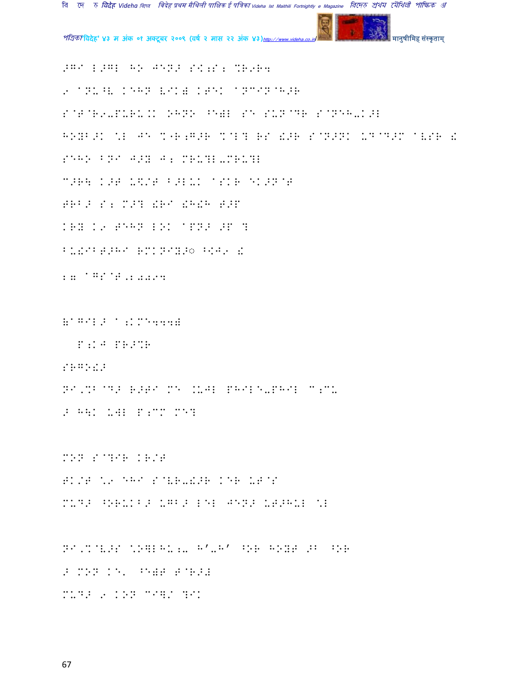NI,%@V>S \*O]LHU;- H'-H' ^OR HOYT >B ^OR > MON KE' ^E)T T@R>#  $M_{\odot}$  ,  $M_{\odot}$  ,  $M_{\odot}$  ,  $M_{\odot}$  ,  $M_{\odot}$  ,  $M_{\odot}$  ,  $M_{\odot}$  ,  $M_{\odot}$  ,  $M_{\odot}$ 

MON S@?IR KR/T HOTE TA THAT SOMEWHERE ITE IS NOT MUDA PREDICE DEL BRETANO EN LEL DE

SRGO E BADY: TRE ESSA TRANSALE PHAIR SUPHAIR TO THI > H\K UWL P;CM ME?

(AGIL> A;KME444) P;KJ PR>%R

*পত্ৰিকা*'বিदेह' ४३ म अंक ०१ अक्टूबर २००९ (वर्ष २ मास २२ अंक ४३)http://www.videha.co.in<sup>/ Hamak</sup> - स्थितिका अनुसीमिह संस्कृताम् >GI L>GL HO JEN> S[;S; %R9R4 9 ANU^V KEHN VIK) KTEK ANCIN@H>R SME NEVATILEI I OHNO PURU AND SUNG SUNG SON SUNG SON HOYB>K \*L JE %"R;G>R %@L? RS !>R S@N>NK UD@D>M AVSR ! SEHO BNI JIYARA SEHONGAN DI MARUPUN DI MARUPUN DI MARUPUN DI MARUPUN DI MARUPUN DI MARUPUN DI MARUPUN DI MARUP<br>LIMA SEHONGAN DI MARUPUN DI MARUPUN DI MARUPUN DI MARUPUN DI MARUPUN DI MARUPUN DI MARUPUN DI MARUPUN DI MARUP CONTROLLED ASSOCIATE AND DESCRIPTION FRANCIS S; MORE IS NOT THE SERVICE IN THE TRANSPORTED IN THE TRANSPORTED IN THE TRANSPORTED IN THE TRANSPORTED KRY K9 TEHN LOK APPROXIMATION BURNIYATIR REAL E 27 AGS@T,20094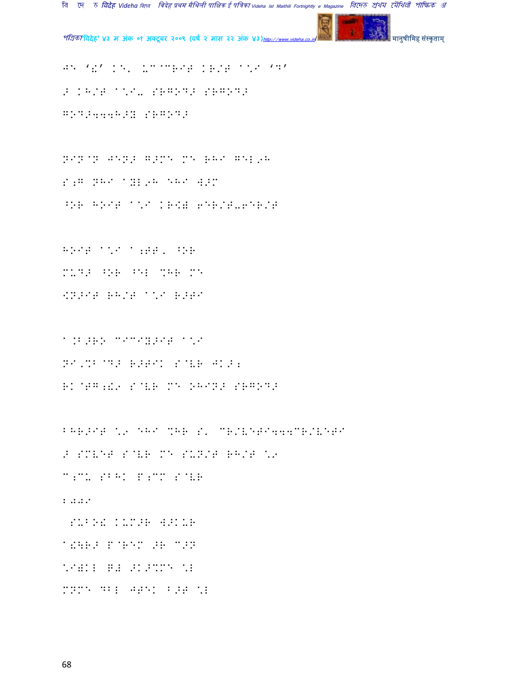BHRITE NA SHE THE SA TENESHARHTENESHE  $\mathcal{S}$  SMP sample sample served by the subset of the subset of the subset of the subset of the subset of the subset of the subset of the subset of the subset of the subset of the subset of the subset of the subset of the C;Cu Save P;CM Save  $2.222$ SUBORA SUBORA KALENDAR WAXAA KU MAR WAXAA KU MID OO KA AASAA KA AASAA KA AASAA KA AASAA KA AASAA KA AASAA KA A  $\overline{\phantom{a}}$  , and the particle of the matrix  $\overline{\phantom{a}}$  $\ddotsc$  . The state of the state of the state of the state of the state of the state of the state of the state of the state of the state of the state of the state of the state of the state of the state of the state of the MANN BERG BERGE

A.B>RO CICIY>IT A\*I NI,%B@D> R>TIK S@VR JK>; RK@TG: SOME OF SACRE SRAGO

HOIT AT A THE AFTER MUD> ^OR ^EL %HR ME [N>IT RH/T A\*I R>TI

S; G NHI AYL9H EHI THE HOIT AT A CHIEF ENERGY EST

NING HANDS ON HER WALL

> KH/T A\*I- SRGOD> SRGOD> GODS SANDARIS SERGOD

*পত্ৰিকা*'বিदेह' ४३ म अंक ०१ अक्टूबर २००९ (वर्ष २ मास २२ अंक ४३)http://www.videha.co.in<sup>/ Hamak</sup> - स्थितिका अनुसीमिह संस्कृताम्

JE 'NE' IN, IT WEST LEIE 'D'A 'NE'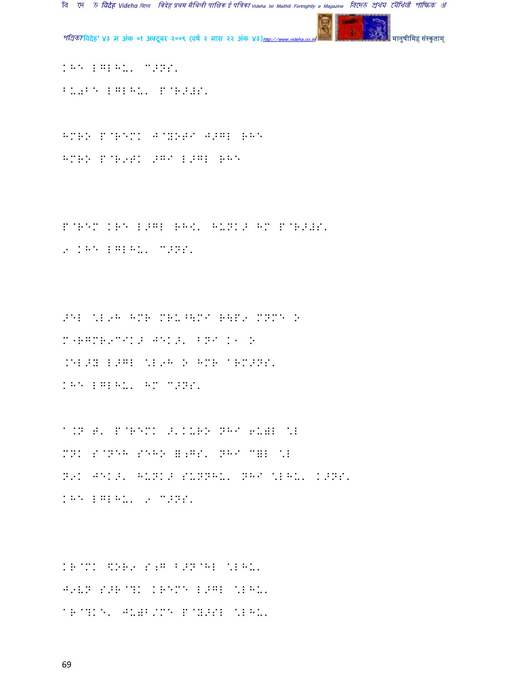िव दिन रु <mark>विदेह Videha</mark> बिलर विदेह प्रथम मैथिली पाक्षिक ई पत्रिका <sub>Videha</sub> Ist Maithili Fortnightly e Magazine *विद*मरु *छ*थिय ट्येशिनी পांश्किक औ

*পত্ৰিকা*'বিदेह' ४३ म अंक ०१ अक्टूबर २००९ (वर्ष २ मास २२ अंक ४३)http://www.videha.co.in<sup>/ Hamak</sup> - स्थितिका अनुसीमिह संस्कृताम्

THE LEADERSTAND BUDGE LAGE PORTLAND

HTRO PORTUGAL AND POST HMRO PORSINE AND POST

P@REM KRE L>GL RH[' HUNK> HM P@R>#S' 9 KHE LGLHU' C>NS'

>EL \*L9H HMR MRU^\MI R\P9 MNME O M"RGMR9CIK> JEK>' BNI K1 O .EL>Y L>GL \*L9H O HMR ARM>NS' KHE LGLHUG' HOOGLIGHT

A.N T' PORT AN ARTICLE AND AN ARTICLE AND ARTICLE AND ARTICLE AND ARTICLE AND ARTICLE AND ARTICLE AND ARTICLE MNK SEHONG SEHONG ELEKTRONIK SEHONG N9K JEK>' HUNK> SUNNHU' NHI \*LHU' K>NS' KHE LGLHU' 9 CONST

KR@MK \$OR9 S;G B>N@HL \*LHU' J9VN S>R@?K KREME L>GL \*LHU' AR@?KE' JU)B/ME P@Y>SL \*LHU'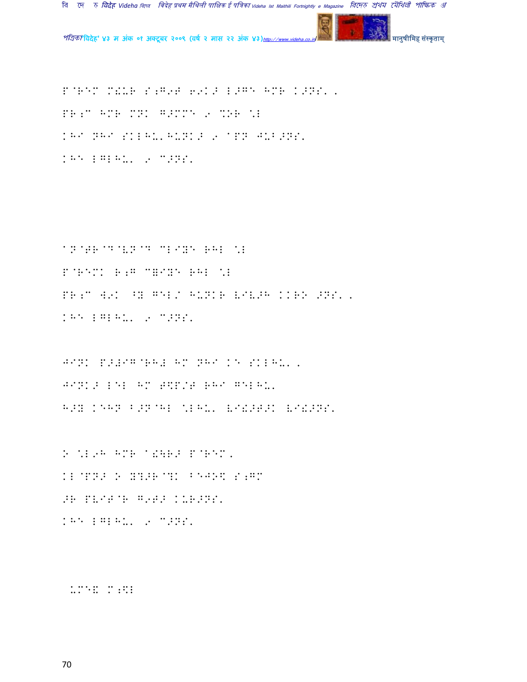UME M;

70

O \*L9H HMR A! KL@PNP+ O Y? >R PVIT@R G9T> KUR>NS' KHE LGLHU' 9 CONST

AN@TR@D@VN@D CLIYE RHL \*L

JAPAN BELGI HAM THE RHI GELHURA GELHURA GELHURA GELHURA GELHURA GELHURA GELHURA GELHURA GELHURA GELHURA GELHU HAW KAHN BANDAR TERL ANG KAHAN BANDAN

JANG PRESENTAN ANG PARTITION SA SKELLU

P@REMK R;G C=IYE RHL \*L PR;C WAS CONSTRUCTED AND DEVELOPED AND AN THE LOCAL STREET

PR;C HMR MNK G>MME 9 %OR \*L KHI NHI SKLHU'HUNK> 9 APN JUB>NS' KHE LGLAD STAND

PORT MILE F;B.B S.C.P EPP AND CORN.

पिñका**'**िवदेह**'** ४३ म अंक ०१ अक्टूबर २००९ (वष र् २ मास २२ अंक ४३)http://www.videha.co.in/ मानषीिमह स ु ंस्कृताम्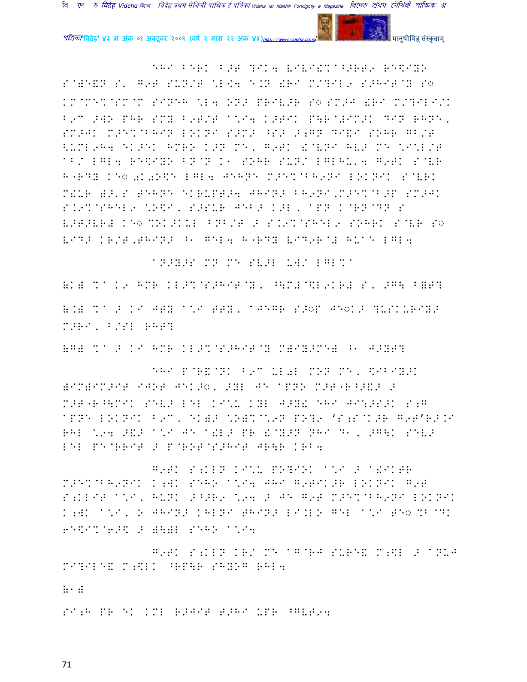SI;H PR EK KML RIJH ROMAN RIJ TIJ TILLE

 G9TK S;KLN KR/ ME AG@RJ SURE& M;\$L > ANUJ MIRIPE M; LEO CHINA SHIRK RHL4

 G9TK S;KLN KI\*U PO?IOK A\*I > A!IKTR M>E%@BH9NIK K;WK SEHO A\*I4 JHI G9TIK>R LOKNIK G9T S;KLIT A#I, TINK I, HUNK I, PEAT, JE GAT, HUNK OF GEST MODELLING OF DESCRIPTION K:WE At the second thinking of the second and the control of the second at the second between  $\mathcal{S}$ 6E\$I%@6>\$ > )\)L SEHO A\*I4

 EHI P@R&@NK B9C UL0L MON ME, \$IBIY>K )IM)IM>IT IJOT JEK>◌, >YL JE APNO M>T"R^>&> > MORT REGISTER MAN THE ROOM OF THE REGISTER OF THE REGISTER OF THE REGISTER OF THE REGISTER OF THE REGISTER OF <br>So we have a statement of the register of the register of the register of the register of the register of the APNE LOKNIK B9C, EK)> \*O)%@\*9N PO?9 'S;S@K>R G9T'R>.I RHL \*124 GRD \*\*12 45 \*ERD FR EMROP NH2 NH 1 DHR1 P510 LEL PE@RRIT > P@ROT@S>HIT JR\R KRB4

 $E$  (a)  $\pi$   $\pi$   $\beta$  is a separative separative system and  $\beta$  , and the separative set  $\pi$ M>RI, B/SL RHT? (G) %@ > KI HMR KL>%@S>HIT@Y M)IY>ME) ^1 J>YT?

AN>Y>S MN ME SV>L UW/ LGL%@

 $K$   $K$   $K$   $\rightarrow$   $K$   $\rightarrow$   $K$   $\rightarrow$   $K$   $\rightarrow$   $K$   $\rightarrow$   $K$   $\rightarrow$   $K$   $\rightarrow$   $K$   $\rightarrow$   $K$   $\rightarrow$   $K$   $\rightarrow$   $K$   $\rightarrow$   $K$   $\rightarrow$   $K$   $\rightarrow$   $K$   $\rightarrow$   $K$   $\rightarrow$   $K$   $\rightarrow$   $K$   $\rightarrow$   $K$   $\rightarrow$   $K$   $\rightarrow$   $K$   $\rightarrow$   $K$   $\rightarrow$   $K$   $\rightarrow$   $K$   $\rightarrow$   $K$   $\$ 

PHY PORT PORT BY EMERGING BORDER S MERED SI GRAF SIDAGE NERA RID SER DUNITE A SUPRESSO SO KM MESS ON SINE SINE ON A SOLO SERVE SINE SOLO SERVE SINE SINE PARTY OF THE RIVE B9C >WO PHR SMY B9T/T A\*I4 K>TIK P\R@#IM>K DIN RHNE, SMORE SMORE SOME SOME STREET SOME GENERAL SOME <UML9H4 EK>EK HMRO K>N ME, G9TK !@VNI HV> ME \*I\*L/T AB/ LGL4 RE\$IYO BN@N K1 SOHR SUN/ LGLHU'4 G9TK S@VR H"RDY KE◌0K0O\$E LGL4 JEHNE M>E%@BH9NI LOKNIK S@VRK M!UR )>'S TEHNE EKRUPT>4 JHIN> BH9NI,M>E%@B>P SM>JK S.1%@STERPER \*O\$I, SAFELE \*PPPR CREW STERROOM SERVICE VIRA KENS KENDALIS IN SERIES SOHR SOHR SERIES SOHR SOHR VIDA SELA HIDROGO KONSTANTO DE LA GELA HOMOGO DE LA GELA HOMOGO DE LA GELA HOMOGO DE LA GELA HOMOGO DE LA GELA

*পত্ৰিকা*'বিदेह' ४३ म अंक ०१ अक्टूबर २००९ (वर्ष २ मास २२ अंक ४३)http://www.videha.co.in<sup>/ मा</sup>मान कर रही है। मानुषीमिह संस्कृताम्



िव <sup>रा</sup>प रु विदेह Videha <sub>विपद</sub> विदेह प्रथम मैथिली पाक्षिक ई पत्रिका <sub>Videha Ist Maithili Fortnightly e Magazine *विरमरु श*थंग रंगैथिली পौ<del>फि</del>क \$</sub>

 $\mathbb{R}^+$  :  $\mathbb{R}^+$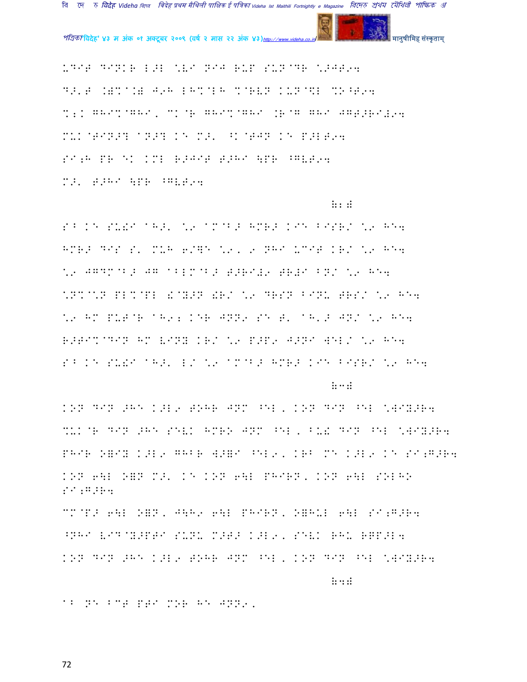AB NE BOOK PINNS, AN ARRAY

SI;G>R4 CM CM 6. HOME CHILD CHILD CHILD FIRM, OF THE CHILD CHILD CONTROL CHILD CONTROL CHILD CONTROL CHILD ^NHI VID@Y>PTI SUNU M>T> K>L9, SEVK RHU RQP>L4 KON DIN JAN KULA BOAR JULI DIN KON DIN DIN NAMURRA (1992). The contract of the contract of the contract of the contract of the contract of the contract of the co

(3) The contract of the contract of the contract of the contract of the contract of the contract of the contract of KON DIN SHE KON DIN SELATAN DIN SELATAN JANG DINA PELANGGAN DINA PELANGGAN DINA PELANGGAN DINA PELANGGAN DINA  $W_{\rm eff}$  , the second proposed in the second proposed in the second proposed in the second proposed in  $H_{\rm eff}$ PHYB OBYG CORAL PHIB GOBY PHIR WORLD WORK ON CORAL AS A RYGBOBY KON 6AL OHD KA KON 6OL 6AL PHIRAN, KON 6AL KOL PH

\*N%@\*N PL%@PL !@Y>N !R/ \*9 DRSN BINU TRS/ \*9 HE4 \*9 HM PUT@R AH9; KER JNN9 SE T' AH'> JN/ \*9 HE4 R>TI%@DIN HM VINY KR/ \*9 P>P9 J>NI WEL/ \*9 HE4 S^ KE SU!I AH>' L/ \*9 AM@B> HMR> KIE BISR/ \*9 HE4

 $\mathcal{L}(\mathcal{L}(\mathcal{L}(\mathcal{L}(\mathcal{L}(\mathcal{L}(\mathcal{L}(\mathcal{L}(\mathcal{L}(\mathcal{L}(\mathcal{L}(\mathcal{L}(\mathcal{L}(\mathcal{L}(\mathcal{L}(\mathcal{L}(\mathcal{L}(\mathcal{L}(\mathcal{L}(\mathcal{L}(\mathcal{L}(\mathcal{L}(\mathcal{L}(\mathcal{L}(\mathcal{L}(\mathcal{L}(\mathcal{L}(\mathcal{L}(\mathcal{L}(\mathcal{L}(\mathcal{L}(\mathcal{L}(\mathcal{L}(\mathcal{L}(\mathcal{L}(\mathcal{L}(\mathcal{$ SO KE SU KE SU I AHAA HARA KIE BISRO HAT HARA KIE BISRO HAT HARA KIE BISRO HAT HAAR KIE BISRO HAAR KIE BISRO H HMR> DIS S' MUH 6/]E \*9, 9 NHI UCIT KR/ \*9 HE4 \*9 JGDM@B> JG ABLM@B> T>RI#9 TR#I BN/ \*9 HE4

UDIT DINKR LIST DIN SUNG BUR SUNG \*OR \*UP SUNG \* D>'T .)%@.) J9H LH%@LH %@RVN KUN@\$L %O^T94  $\eta$  , good below as a good of the control of the control of the set of the  $\rho_A$ MUK MERTING TING AND AN ANG MANAGEMENTAN KE MATUKAN KE MANAH KE MANAH KE MANAH KE MANAH KE MANAH KE MANAH KE M SI;H PR EK KML ROWER ROWER ROWER Month of the control of the control of the control of the control of the control of the control of the control

*পত্রিকা*'বিदेह' ४३ म अंक ०१ अक्टूबर २००९ (वर्ष २ मास २२ अंक ४३)http://www.videha.co.in<sup>/ Hamak</sup> - स्थितिका समुदाभिह संस्कृताम्

72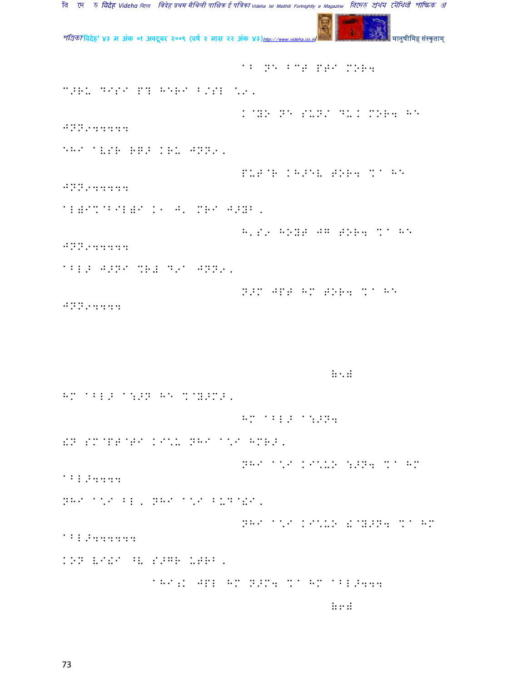पिñका**'**िवदेह**'** ४३ म अंक ०१ अक्टूबर २००९ (वष र् २ मास २२ अंक ४३)http://www.videha.co.in/ मानषीिमह स ु ंस्कृताम् **AB NE BOOT PTIME** THE THIS HERI BILL KORA SUNI DU. MOR4 HE JNN944444 EHI AVSR RQ> KRU JNN9, PUT BEVIOUS SERVICES JNN944444 AL)I%@BIL)I K1 J' MRI J>YB, H.S. HOYE WARREN TO AN JNN944444 ABL> J>NI %R# D9A JNN9, NOT HE HOSH TO RE JNN94444  $\mathbf{S}(\mathbf{S})$  (see Fig. ). The contract of the contract of the contract of the contract of the contract of the contract of the contract of the contract of the contract of the contract of the contract of the contract of t HM AFRICAN HE WORLD  $H$  and  $H$  and  $H$  and  $H$  and  $H$ !N SM@PT@TI KI\*U NHI A\*I HMR>, THE ATT AT A HOME SERVICE ABL>4444 NHI ATA BEL NHI ATA BUDGAL NHI A\*I KI\*UO !@Y>N4 %@ HM ABL>444444 KON BRIT WARREN WARREN AHI;K JPL HM N>M4 %@ HM ABL>444 (6) The contract of the contract of the contract of the contract of the contract of the contract of the contract of

िव दिन रु <mark>विदेह Videha</mark> बिलर विदेह प्रथम मैथिली पाक्षिक ई पत्रिका <sub>Videha</sub> Ist Maithili Fortnightly e Magazine *विद*मरु *छ*थिय ट्येशिनी পांश्किक औ

73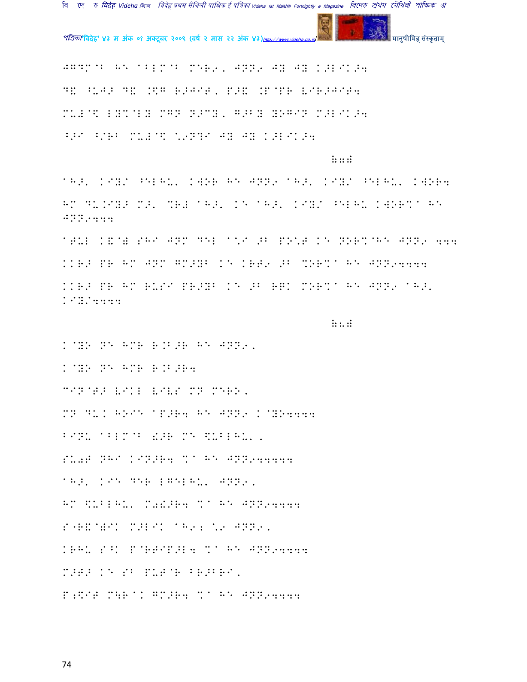िव <sup>त</sup>ि दिविदेह Videha *विजर विदेह प्रथम मैथिली पाक्षिक ई पत्रिका <sub>Videha Ist Maithili Fortnightly e Magazine वित्मिरु श्रीश्च ट्यैश्चिती পौ<del>फि</del>क औ*</sub>

*পত্ৰিকা*'বিदेह' ४३ म अंक ०१ अक्टूबर २००९ (वर्ष २ मास २२ अंक ४३)http://www.videha.co.in<sup>/ Hamak</sup> - स्थितिका अनुसीमिह संस्कृताम्

JGDM HE ABLINDER MERS, JONES, JONES, JONES, JONES, JONES, JONES, JONES, JONES, JONES, JONES, JONES, JONES, JONES, JONES, JONES, JONES, JONES, JONES, JONES, JONES, JONES, JONES, JONES, JONES, JONES, JONES, JONES, JONES, JON D& ^UJ> D& .\$G R>JIT, P>& .P@PR VIR>JIT4 MU#@\$ LY%@LY MGN N>CY, G>BY YOGIN M>LIK>4  $\overline{X}$   $\overline{X}$   $\overline{Y}$   $\overline{Y}$   $\overline{Y}$   $\overline{Y}$   $\overline{Y}$   $\overline{Y}$   $\overline{Y}$   $\overline{Y}$   $\overline{Y}$   $\overline{Y}$   $\overline{Y}$   $\overline{Y}$   $\overline{Y}$   $\overline{Y}$   $\overline{Y}$   $\overline{Y}$   $\overline{Y}$   $\overline{Y}$   $\overline{Y}$   $\overline{Y}$   $\overline{Y}$   $\overline{Y}$   $\overline{$ 

(7) The contract of the contract of the contract of the contract of the contract of the contract of the contract of

 $\mathbf{R}(\mathbf{S})$  (see Fig. ). The contract of the contract of the contract of the contract of the contract of the contract of the contract of the contract of the contract of the contract of the contract of the contract of t

AH>' KIY/ ^ELHU' KWOR HE JNN9 AH>' KIY/ ^ELHU' KWOR4 HM SULIMBE ME. MBE AHI, IYO KHE AHAY KURA KE AHAY KU JNN9444

ATUL K&@) SHI JNM DEL A\*I >B PO\*T KE NOR%@HE JNN9 444 KKR-BR HM JAM JE SE KRT9 SE KRT9 SOR DE JAME JE JUGO SE VOR DE JAME JE JAME JE JA KKR> PR HM RUSI PROWB KIN SH RUSI MORMAN HE JUNIOR KIY/4444

KO NE HMR R.B. HE J. HE J. HE J. HE J. K@YO NE HMR R.B>R4 CINE AND THE REPORT OF THE REPORT OF THE REPORT OF THE REPORT OF THE REPORT OF THE REPORT OF THE REPORT OF THE MN DU. HOIE AP>R4 HE JNN9 K@YO4444 BINU ABLMUN ABU DI BINU ABLMUN SUNT NHI KING KINA HE JARAHA AH) YAN MAR EAHEAD, ANNS, HT SUBLEM TANDER TO HE HUTPARA S"RED'EST TREET TRANS AFRICA KRHU SOK PORTIFICA WOOD HE JAPANIA M>T> KE SB PUT@R BR>BRI, P;\$IT M\R@. GM>R4 %@ HE JNN94444

74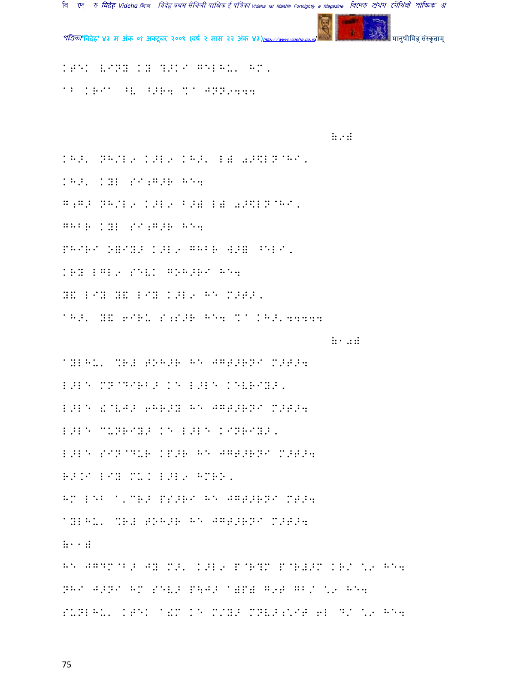L>LE MN@DIRB> KE L>LE KEVRIY>, L>LE !@VJ> 6HR>Y HE JGT>RNI M>T>4 L>LE CUNRIY> KE L>LE KINRIY>, LAES PROVINCE COORD AS ANGELER COORD. R: I LIV MORE TO LIVE A STRIP HOME TO LIVE A STRIP HOME TO LIVE A STRIP HOME TO LIVE A STRIP HOME TO LIVE A ST HM END ASSEMBLING HE HE HE JERNI MEDG AYREAN STREET HOMES ARRAIGHT TOHOL  $\mathbb{R} \cdot \cdot \mathbb{R}$ HE JOON OF A JOON DAY IN A BOOK BOOK PORT AND REACTED A REPORT OF A SAME AS A FORM NHI JOHN GEVILLENDER THE BAD BLINK GRAP SUNDHU KAN HUYO KA MATERATUR SUNDHU KA HA4

 $\mathbf{h}(\mathbf{r},\mathbf{u})$  (i.e.,  $\mathbf{h}(\mathbf{r},\mathbf{u})$  ) and  $\mathbf{h}(\mathbf{r},\mathbf{u})$  (i.e.,  $\mathbf{h}(\mathbf{r},\mathbf{u})$  ) and

KH>' NH/L9 K>L9 KH>' L) 0>\$LN@HI, THE THE SUBJECTS G;G> SH/L9 K-L91 P-10 B-2010 B-10 L GHBR KYL SI;GHBR HE4 PHIRI OBJECT OF AN BREAK WORK KRY LGL9 SEVK GOH>RI HE4 YA LIYA YA LIYA YA LIYAYI YA MARA MASHARI AH>' Y& 6IRU S;S>R HE4 %@ KH>'44444

ANIMAL ME REGION AN ANGLESS MARA

(1992). The contract of the contract of the contract of the contract of the contract of the contract of the co

KATEK KATEKALAN KY YANG MANGANGAN SERI

AB KRIA KRIA KRIA YA JAMARTA

*পত্রিকা*'বিदेह' ४३ म अंक ०१ अक्टूबर २००९ (वर्ष २ मास २२ अंक ४३)http://www.videha.co.in<sup>/ Hamak</sup> states के अनुसामिह संस्कृताम्

75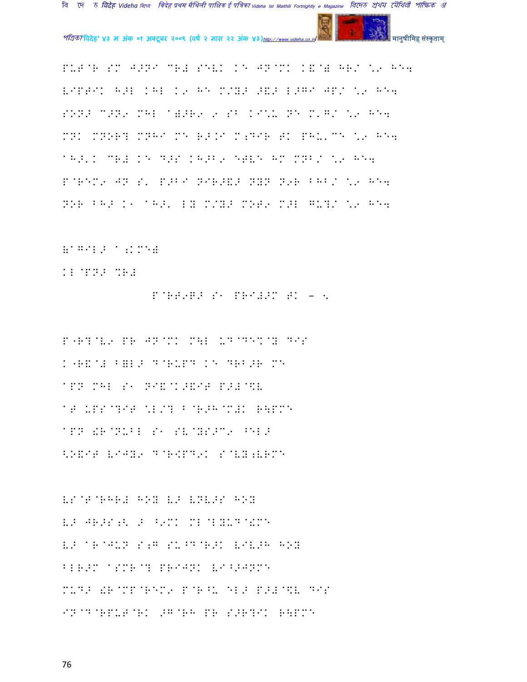VS@T@RHR# HOY V> VNV>S HOY ROB (ABORA) IS A SANTO TECHNICAL MENSION  $\mathbb{R}$  , and the state of the state of the state  $\mathbb{R}$  is the state of the state of the state of the state of the state of the state of the state of the state of the state of the state of the state of the state of the BLRS AND THANK INSTANT MUDDED AND THE MODEL PARTIES AND MORE ARE MODEL OF THE MODEL OF THE AREA OF THE APPEAR OF THE APPEAR OF THE APPEAR OF THE APPEAR OF THE APPEAR OF THE APPEAR OF THE APPEAR OF THE APPEAR OF THE APPEAR OF THE APPEAR OF THE AP IN@D@RPUT@RK >G@RH PR S>R?IK R\PME

P RESIDENT REPORT OF THE REPORT OF THE K RED A BELOND KE DRAFT KE DRAG BE DRAG APN MHL S1 NI& MARL S1 NI AT UPS AT UPS AND A REPORT OF A RAPID AND A RAPID AT A RAPID AT A RAPID AT A RAPID AT A RAPID AT A RAPID AT A APN :RENUBL STRAIN :RENUBL STRAIN  $\mathcal{L}$  , and the probability of the probability of the probability of the probability of the probability of the probability of the probability of the probability of the probability of the probability of the probability o

P@RT9Q> S1 PRI#>M TK – 5

(AGIL> AGIL> AGIL> AGIL+

KL@PN> %R#

PUR SM JAPA TEE PART ON APTIL CR'E ART ON ANY LATAMI HIS KHL KAHL KAN MILI JULA BIHA ATI KA HA4 SONA MARY THE MEAN VIST CYCL BY TIME COMPANY MNK MNHI ME ROMANI ME ROMANI ME ROMANI ME ROMANI ME ROMANI ME ROMANI ME ROMANI ME ROMANI ME ROMANI ME ROMANI M AH>'K CR# KE D>S KH>B9 ETVE HM MNB/ \*9 HE4 P@REM9 JN S' P>BI NIR>&> NYN N9R BHB/ \*9 HE4 NOR BHO KATHOLIK MURIS MARA DI MURIS MARA

*পত্ৰিকা*'বিदेह' ४३ म अंक ०१ अक्टूबर २००९ (वर्ष २ मास २२ अंक ४३)http://www.videha.co.in<sup>/ Hamak</sup> - स्थितिका अनुसीमिह संस्कृताम्

िव <sup>त</sup>ि दिविदेह Videha *विजर विदेह प्रथम मैथिली पाक्षिक ई पत्रिका <sub>Videha Ist Maithili Fortnightly e Magazine वित्मिरु श्रीश्च ट्यैश्चिती পौ<del>फि</del>क औ*</sub>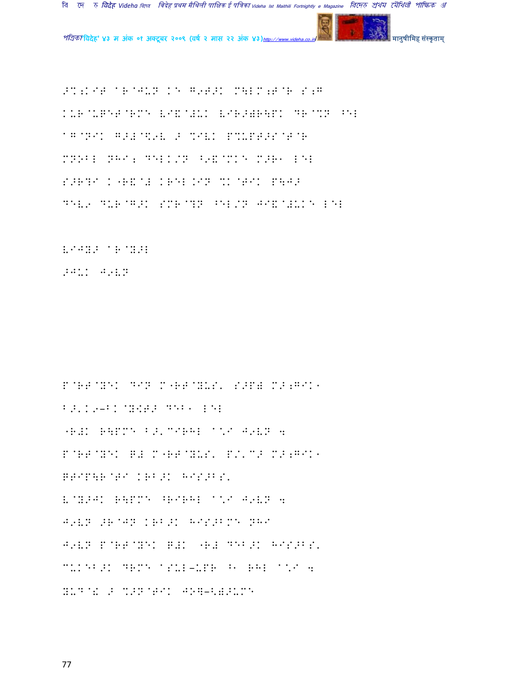PORTOGEN DIN MARTINE, SAPE MASHING BBC DEBIT DEBIT DEBIT "R#K R#K R#K R#K R#HL A\*I 49K P@RT@YEK Q# M"RT@YUS' P/'C> M>;GIK1 BASTAR NAS (BRIT) BARDARY BOOK RAPH AT THE AFTER A THE REAL PROPERTY J9VN >R@JN KRB>K HIS>BME NHI J9VN P@RT@YEK Q#K "R# DEB>K HIS>BS' CULL ASULE ASULE ASUL – LINE ASUL – LINE ASUL  $\mathbf{y}$  , which is a set of the set of the set of the set of the set of the set of the set of the set of the set of the set of the set of the set of the set of the set of the set of the set of the set of the set of the s

 $\ddotsc$  are  $\ddotsc$  and  $\ddotsc$  are  $\ddotsc$  and  $\ddotsc$ >JUK J9VN

>%;KIT AR@JUN KE G9T>K M\LM;T@R S;G KUR@UR# VIRX VIROLE VIROLE VIROLE VIROLE VIR AG@NIK G>#@\$9V > %IVK P%UPT>S@T@R MNOBL NHI; DELK/N ORDER NEDERLAND S>R?I K"R&@# KREL.IN %K@TIK P\J> DEVELOP DEVELOPED DE VAN DE VERSION DE VE

*পত্ৰিকা*'বিदेह' ४३ म अंक ०१ अक्टूबर २००९ (वर्ष २ मास २२ अंक ४३)http://www.videha.co.in<sup>/ Hamak</sup> - स्थितिका अनुसीमिह संस्कृताम्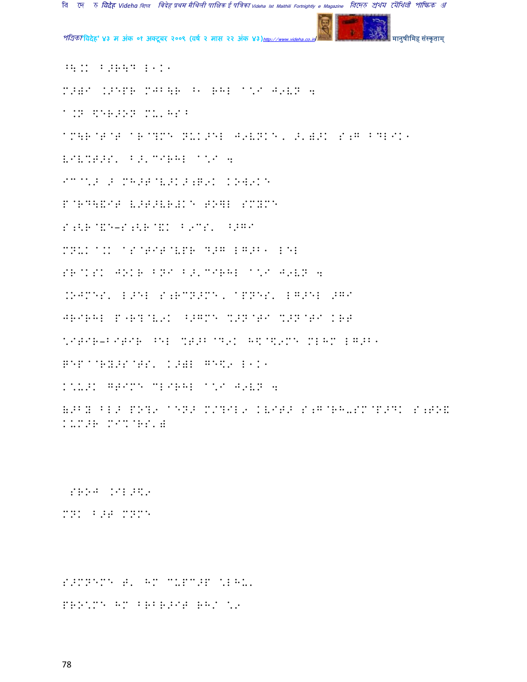िव <sup>रा</sup>प रु विदेह Videha <sub>विपद</sub> विदेह प्रथम मैथिली पाक्षिक ई पत्रिका <sub>Videha Ist Maithili Fortnightly e Magazine *विरमरु श*थंग रंगैथिली পोष्किक औ</sub>

*পত্রিকা*'বিदेह' ४३ म अंक ०१ अक्टूबर २००९ (वर्ष २ मास २२ अंक ४३)http://www.videha.co.in<sup>/ Hamak</sup> - स्थितिका समुदाभिह संस्कृताम्

 $\mathcal{H}_1$  is a substitution of the position of the set of the set of the set of the set of the set of the set of the set of the set of the set of the set of the set of the set of the set of the set of the set of the set o THE THE THEFT REPORTED A.N \$ER>ON MU'HS^ AMBER ARDEN ARDENE NUKLER AL SIG BELIEVE BERGE VIV%T>S' B>'CIRHL A\*I 4 IC@\*> > MH>T@V>K>;Q9K KOW9KE PORTHER ROOM IS A REPORTED THE RESIDENT OF THE TOP OF THE TOP OF THE TOP OF THE TOP OF THE TOP OF THE TOP OF T S; REAR BROWN BOOKSTON, SHOW MNUK@.K AS@TIT@VPR D>G LG>B1 LEL SR@KSK JOKAL BRITISH AT THE STATE BOOK .OJMES' L>EL S;RCN>ME, APNES' LG>EL >GI JRIRH PHRING CONTROLLING WAS SERVED SOME \*ITIR–BITIR ^EL %T>B@D9K H\$@\$9ME MLHM LG>B1 BOOT TEACHER TO A LIST CONTROL CONTROL K\*U+ GTIME CLIRHL A\*I J9VN 4 (>BY BL> PO?9 AEN> M/?IL9 KVIT> S;G@RH-SM@P>DK S;TO& KUM>R MI%@RS')

 $\mathcal{S}$  . In the set of the set of the set of the set of the set of the set of the set of the set of the set of the set of the set of the set of the set of the set of the set of the set of the set of the set of the set o MNK B>T MNME

S>MNEME T' HM CUPC>P \*LHU' PRO\*ME HM BRBR>IT RH/ \*9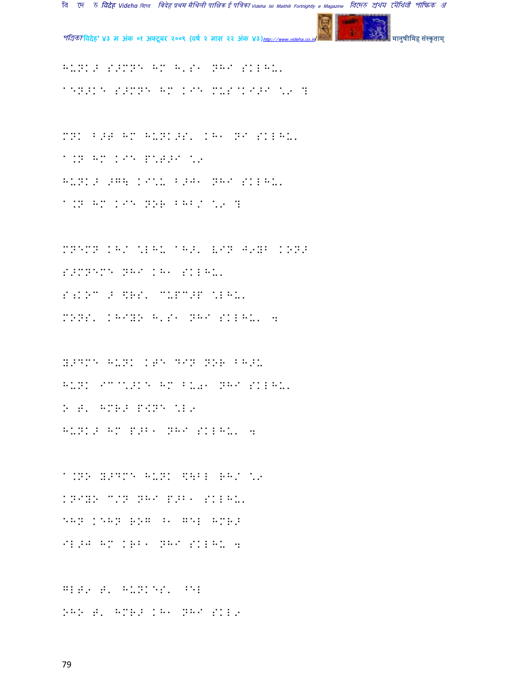िव <sup>त</sup>ि दिविदेह Videha विल्ह*ोविह प्रथम मैथिली पाक्षिक ई पत्रिका videha Ist Maithili Fortnightly e Magazine विटमह <i>श*थग ट्यैथिली পोफ्फिक औ

*পত্ৰিকা*'বিदेह' ४३ म अंक ०१ अक्टूबर २००९ (वर्ष २ मास २२ अंक ४३)http://www.videha.co.in<sup>/ Hamak</sup> - स्थितिका अनुसीमिह संस्कृताम्

HUNKS- STORE HEM SKIPS. AEN>KE S>MNE HM KIE MUS@KI>I \*9 ?

MNK B>T HM HUNK>S' KH1 NI SKLHU' A.N HM KIE PARAT AR HUNKOP SHE SKLIN SKALL SHARI SKLHULL A.N HM KIE NOR BHB/ KIE NOR BHB/

MNEMN KH/ \*LHU AH>' VIN J9YB KON> Source and the state of the state of the state of the state of the state of the state of the state of the state of the state of the state of the state of the state of the state of the state of the state of the state of the S;KOC > \$RS' CUPC>P \*LHU' MONS' KHIYO H'SI NA TAO ANG KALIMA

Y>DME HUNK KTE DIN NOR BH>U HUNK ICH ICH BUON ICH SKLHU O H' HARRY PARTY AND HUNK> HM P>B1 NHI SKLHU' 4

A.NO Y>DME HUNK \$\BL RH/ \*9 KNIYO CHA PARA SKERU EHR KEHN ROG OG GEL HUR IL>J HM KRB1 NHI SKLHU 4

GLT9 TO HUNKES' THE OHO HOTEL THE THE STIL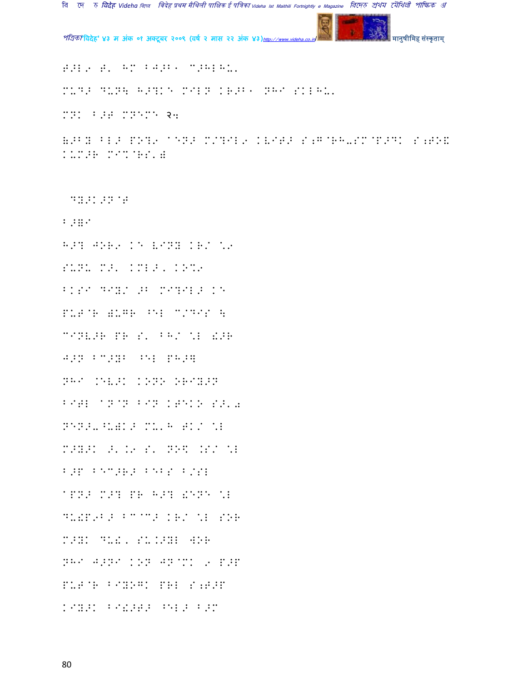िव <sup>त</sup>ि दिविदेह Videha विल्ह विदेह प्रथम मैथिली पाक्षिक ई पत्रिका <sub>Videha Ist Maithili Fortnightly e Magazine त्रि(मरु शेथेप ट्यैथिवी शीश्विक \$l</sub>

*পত্ৰিকা*'বিदेह' ४३ म अंक ०१ अक्टूबर २००९ (वर्ष २ मास २२ अंक ४३)http://www.videha.co.in<sup>/ Hamak</sup> - स्थितिका अनुसीमिह संस्कृताम्

T>L9 T' HM BJ>B1 C>HLHU'

MUD> DUN\ H>?KE MILN KR>B1 NHI SKLHU'

MNK B>T MNEME २4

(>BY BL> PO?9 AEN> M/?IL9 KVIT> S;G@RH-SM@P>DK S;TO& KUMP MYSTERIE

DY>K>N@T

 $\mathbb{R}^n$ HAR SHE VINGSTED KR/ W SUNU MORE SUNU MENURUT KE SUNU MENURUT KE SUNU MENURUT KE SUNU MENURUT KE SUNU MENURUT KE SUNU MENURUT KE SUNU BKSI DIY/ B MIRING A KE PURCH BURN (P) CORPORAT TORRE THAN BH/ NE RUB  $\mathcal{B}=\mathcal{B}$  , and  $\mathcal{B}=\mathcal{B}$  , and  $\mathcal{B}=\mathcal{B}$  , and  $\mathcal{B}=\mathcal{B}$ NHI . EVID . EVID . EVID . EVID . EVID . EVID . EVID . EVID . EVID . EVID . EVID . EVID . EVID . EVID . EVID . BITLE AND BIN KTEKING NEN-MET HE STATE HE STATE HE STATE HE STATE HE STATE HE STATE HE STATE HE STATE HE STATE HE STATE HE STATE HE M>Y>K >'.9 S' NO\$ .S/ \*L B>P BEC>R> BEBS B/SL APPROXIMATE THE HOME FRAME OF THE RESERVE THE RESERVE THE RESERVE THE RESERVE THAT HE RESERVE THE RESERVE THE BURGARY BOOK CHANNEL M>YK DU!, SU.>YL WOR NHI AND IN KON JUNI KON JU PUT@R BIYOGK PRL STREET PRESS, PRESS, PRESS, PRESS, PRESS, PRESS, PRESS, PRESS, PRESS, PRESS, PRESS, PRESS, PR KIY>K BI!>T> ^EL> B>M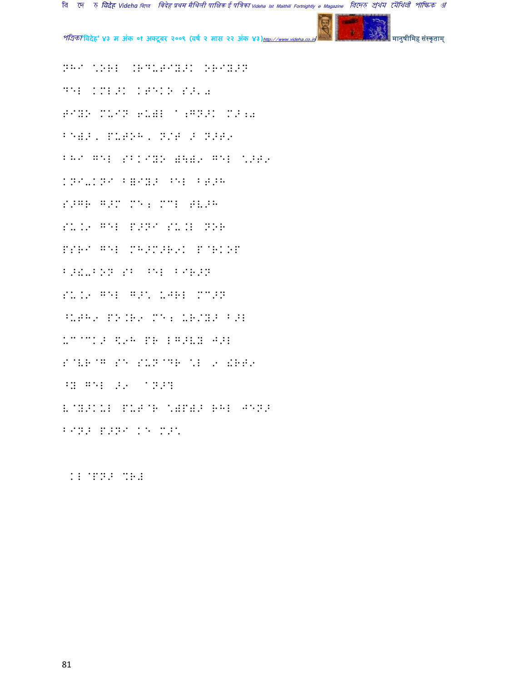RHI \*ORL .RDUTIY .RDUTIY DEL KOMBERG SALA BUIN TIYO MUN A;GNO MON BAND, PUTOH, N/T & N/T BHI GEL SBKIYO ) KNISH BERBIJAN BER SOME MESS CONTROLLER SULPH FROM SULPH SUP PSRI GEL MH>M>R9K P@RKOP B>!-BON SB ^EL BIR>N SULPH WAR SUBSTRATED ^UTH9 PO.R9 ME; UR/Y> B>L UC PRESENT AND THE REPORT OF A SERIES SOME SE SURGE OF SURGE ^Y GEL >9 AN>? V@Y>KUL PUT@R \*)P)> RHL JEN> BIN: PHONE PRODUCTS

KL@PN> %R#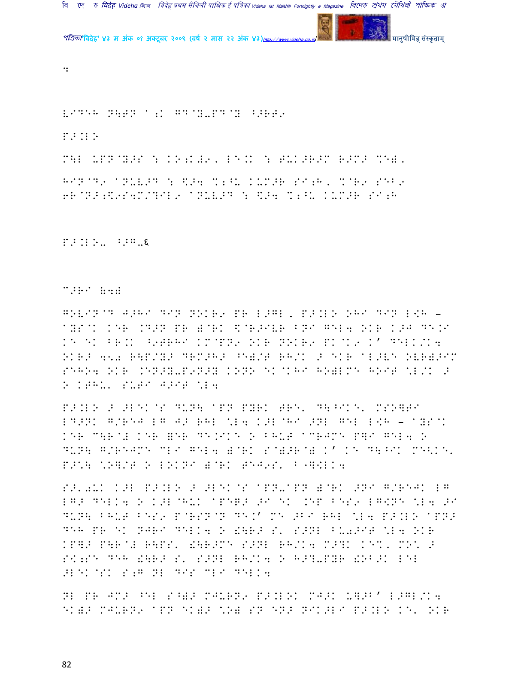$\dddot{\bullet}$ 

KVIDE NAME YA SHIR AFRIKA GUNU DA YA SHIRA

P>.LO

MAR : LEG (BA) : KO;K EL.K : EN IN (S) ALIGEAR (BARA) (MNB),

HIN@D9 ANUV>D : \$>4 %;^U KUM>R SI;H, %@R9 SEB9 6R@N>;\$9S4M/?IL9 ANUV>D : \$>4 %;^U KUM>R SI;H

 $P: P: P: P: P \to P$ 

THE HAB

GOVING DIA DIA DIN NORD PRESENTE LA POSSIBILI DI DIN NORD PRINCIPALE AYS@K KER .D>N PR )@RK \$@R>IVR BNI GEL4 OKR K>J DE.I KE EK BR.K OKREDI KORDER DI KARDINI KORDER DI KORDER DI KORDER DI RESERVA DELI DELKI DELKI DELKI DELI DELKI DE OKR> 450 R\P/Y> DRM>H> ^E)/T RH/K > EKR AL>VE OVR)>IM SEHO4 OKR .ENPREDIENTAR .ENTRA HOLME HA HOHE HON HOKPA (LEVE) & O KTHU' SUTI JIT ALIYE SI

PACED A APACH TREE TRE' PHRS APACHETIC MEANS LD>NK G/REJ LG J> RHL \*L4 K>L@HI >NL GEL L[H – AYS@K KAE CAER IN BAR TANGAN DALAM ACRADA PER TALEN DI DUN\ G/REJME CLI GEL4 )@RK S@)>R@) K' KE D\^IK ME<KE' POST POSTED I DI BILIMI BILIMI DI PROVINCIA

S: COMPANY SOME DISPOSED IN THE REPORT OF THE REGISTER OF THE REGISTER OF THE REGISTER OF THE REGISTER OF THE LG- DELKA ORD HELGA OG DELKA OG DELKA OG DELKA DELKA DELKA OG DELKA DELKA OG DELKA DELKA OG DELKA OG DELKA OG DUN\ BHUT BES9 P@RSN@N DE.' ME >BI RHL \*L4 P>.LO APN> DEH PR EK DERKA DELKA DELKANIS IN BUNGA OKRIN BUO KPIRA PIRA NA PRINCIPALA KATA NA PANGANGAN ANG KATA ANG KATA A S[;SE DEH !\R> S' S>NL RH/K4 O H>?-PYR !OB>K LEL >LEK@SK S;G NL DIS CLI DELK4

NL PR JM> ^EL S^)> MJURN9 P>.LOK MJ>K U]>B' L>GL/K4 EK)> MJURN9 APN EK)> \*O) SN EN> NIK>LI P>.LO KE' OKR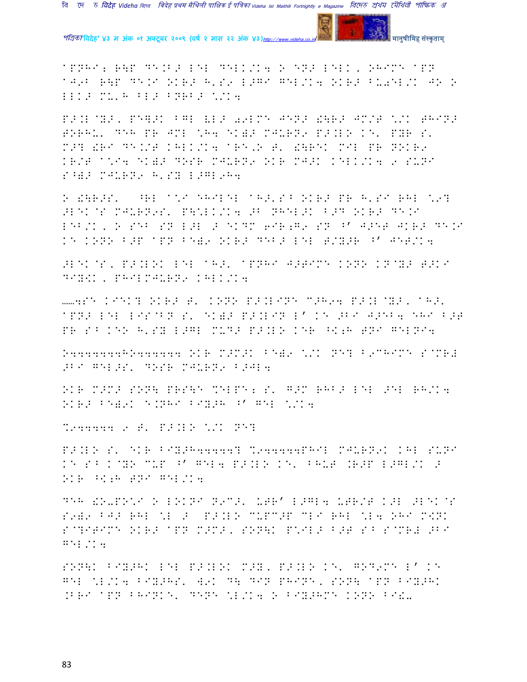

APNHI; R\P DE.B> LEL DELK/K4 O EN> LELK, OHIME APN MAGA ROBERT DE DE DE ALS DE LA DEL BUOEL GI DOBLE A DEDE LO OKRO D LLK> MU'H BL> BNRB> \*/K4

P>.L@Y>, PE]>K BGL VL> 09LME JEN> !\R> JM/T \*/K THIN> TORHUL "PER PR JACE" NEW PORT CALERA PORT AN OPEN PRESENT MAR DER MANDE DAIDER MEN DER BLOGGEAD MAR RECHEN KR/T A\*I4 EK)> DOSR MJURN9 OKR MJ>K KELK/K4 9 SUNI S^)> MJURN9 H'SY L>GL9H4

O REPORT THE MOVING OF MULTIMETRY PR HILEL AND LOT >LEK@S MJURN9S' P\\*LK/K4 >B NHEL>K B>D OKR> DE.I LEB/K, O SEB SN LEB, LEB, DE BIJ SN LEB SN LEB, GD SN HET JARDEN GER DE. IN KE KONO BIJE I DE DOMEN BEDIJE DEBIJE DE BODINA DI

>LEK@S, P>.LOK LEL AH>' APNHI J>TIME KONO KN@Y> T>KI DIY[K, PHILMJURN9 KHLK/K4

……4SE KIEK? T' KONO PA PA JE KONO PA TERTERA TAHUN PA TERTERA KE AHA. APS E LEL LISTE SE EL L'ACHE PER DISPENSA LE L'AUSSI HENI HI APA I FEB PR SO KEO HY HYSY LO KER SO TO KER POLITICAL ARE NOT HAN A HOSY PART OF THE THAT

Daaaaaaabbaaaaaa DIB M*B*M*BI B*9K#, NJI 99C B9CHIMMP S@MR# >BI GEL>S' DOSR MJURN9 B>JL4

OKR M>M> SON\ PRS\E %ELPE; S' G>M RHB> LEL >EL RH/K4 OKRO BENGAL DI BIYA BIYAN BIYA BIYA MASA SA

Webstern Police (1994)

P>.LO S' EKR BIY>H44444? %944444PHIL MJURN9K KHL SUNI KE SO CUP OIL AN BHUT RIGHT . LO GHLA LO GHLA LO KE' BHUT . OKR FOR THE GELF GELF OF THE CONTROL

DEH !O-PO\*I O LOKNI N9C>' UTR' L>GL4 UTR/T K>L >LEK@S SVER PAR BHE ME P PRIER TIPTER TER BHE MEE DAR CRID S MERBRON OKOREA MEDICINE OKRES SONOR E SONO E SONOR AL SONOR E SEMBILIZER. Billian

SON'HA LEL PORTA BIYAH LEL POLITICA DE L'ANCIA MONTE L'ANNO ME L'ALC ALLO GEL "MELMOR" PRIEFRIL "HAD" PHOP BIRYDE, SONDHA MED PRIEFRI .BRI APN BHINKE' DENE \*L/K4 O BIY>HME KONO BI!-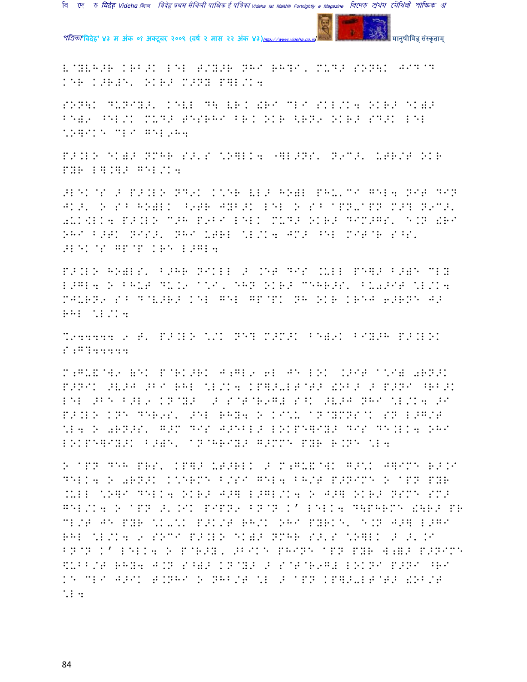R WHERE I REST IN THIS REPORT RHY, MUSIC SONS JUST TO KER KORA MENDENGAN DENGAN PERANGAN PARA MENDENGAN PARA MENDENGAN PARA MENDENGAN PARA MENDENGAN PARA MENDENGAN <br>Kerakatan pada mendengan pada mendengan pada mendengan pada mendengan pada mendengan pada mendengan pada mende

SONAL PURVER, INE PROBE SHOWE TEACHING ONE PORT NO BE)9 ^EL/K MUD> TESRHI BR. OKR <RN9 OKR> SD>K LEL  $\ddot{\phantom{a}}$  , and the client contribution of the client contribution of the contribution of the contribution of the contribution of the contribution of the contribution of the contribution of the contribution of the contr

P>.LO EK)> NMHR S>'S \*O]LK4 "]L>NS' N9C>' UTR/T OKR PYR L].]> GEL/K4

>LEK@S > P>.LO ND9K K\*ER VL> HO)L PHU'CI GEL4 NIT DIN JK>' O S^ HO)LK ^9TR JYB>K LEL O S^ APN-APN M>? N9C>' 0UK[LK4 P>.LO C>H P9BI LELK MUD> OKR> DIM>GS' E.N !RI OHI BOHI BYZAN DHY LABE NENI HOL MI DI MENJIKA DI KA >LEK@S GP@P KRE L>GL4

P>.LO HO)LS' B>HR NIKLL > .ET DIS .ULL PE]> B>)E CLY L>GL4 O BHUT DU.9 A\*I, EHN OKR> CEHR>S' BU0>IT \*L/K4 MURNO SO DORRE ME DORRE GEL GEL GEL GEL GEL GEL GER K RHL \*L/K4

%944444 9 T' P>.LO \*/K NE? M>M>K BE)9K BIY>H P>.LOK  $\mathcal{L}$ :Winner

M;GU&@W9 (EK P@RK>RK J;GL9 6L JE LOK .>IT A\*I) 0RN>K POPS : PERFURS BREUGED E PRELIER 'BRUARE' DURING PRESS LEL >BE B>L9 KN@Y> > S@T@R9G# S^K >V>J NHI \*L/K4 >I P>.LO KNE DER9S' >EL RHY4 O KI\*U AN@YMNS@K SN L>G/T \*L4 O 0RN>S' G>M DIS J>EBL> LOKPE]IY> DIS DE.LK4 OHI LOKPE]IY>K B>)E' AN@HRIY> G>MME PYR R.NE \*L4

O APN DEH PRS' KP]> UT>RLK > M;GU&@WK G>\*K J]IME R>.I DELK O 08-SERME BYSKER FYRSTANDE BYRK BYRK DIR DE FR .ULL \*O]I DELK4 OKR> J>] L>GL/K4 O J>] OKR> NSME SM> BREAK A PIP A OR BRIDG FROM A BREAK BHIGHT REF. CL/F AN FOR MILLI FRIVE RANK NAM FORIN, NIM ARE LRAM RHL \*L/K4 9 SOCI P>.LO EK)> NMHR S>'S \*O]LK > >'.I BN@N K' LELK4 O P@R>Y, >BIKE PHINE APN PYR W;=> P>NIME \$UBB/T RHY4 J.N S^)> KN@Y> > S@T@R9G# LOKNI P>NI ^RI KE CLI J>IK T.NHI O NHB/T \*L > APN KP]>-LT@T> !OB/T  $\ddots$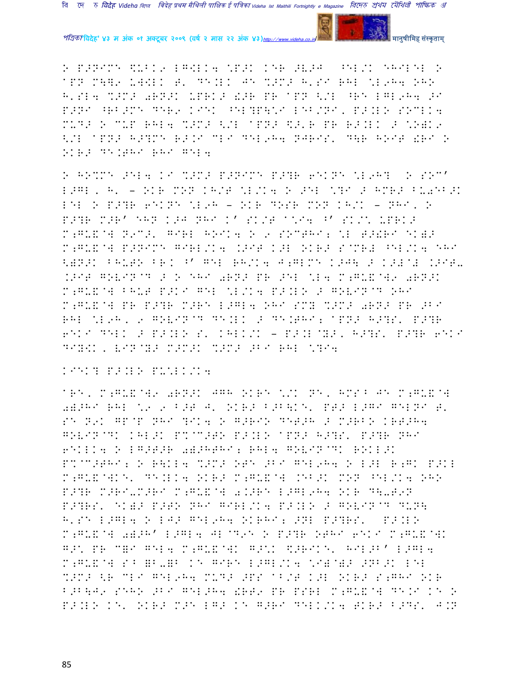O P>NIME \$UBK9 LG[LK4 \*P>K KER >V>J ^EL/K EHILEL O APN M\]9 UW[LK T' DE.LK JE %>M> H'SI RHL \*L9H4 OHO HOSL4 % TO THE WEBLAIN WERE CONSIDERED TO THE LARGE OF LARGE CAPACITY Pope (PB) on the second control position of the control social policy of the social policy of the social policy MUDES ON MUSIC RHEAS MUSIC AND STRIP RIFLE REPORTED A SOCIAL AT the strain error error were verifieden in de erre des r OKR> DE.THI RHI GEL4

O HO%ME >EL4 KI %>M> P>NIME P>?R 6EKNE \*L9H? O SOC' L>GL, H' – OKR MON KH/T \*L/K4 O >EL \*?I > HMR> BU0EB>K LEL O P>?R 6EKNE \*L9H – OKR DOSR MON KH/K – NHI, O P>?R M>R' EHN K>J NHI K' SK/T A\*I4 ^' SK/\* UPRK> M:GU& ME DIRTE, GUADE (PIRTIE) I, RUS ENTERFORM (SOCHER ON ER MGHABA POPULANE GIRLA . IT KONG SOMA SAMA SA TAGA SA SA SA SA NORD BRIGHT BELIEVE BRIGHT BRIGHT WORKER IN DISTURBANCE .>IT GOVIN@D > O EHI 0RN> PR >EL \*L4 M;GU&@W9 0RN>K M:GUE ME PALE PORT PAL MENING POING OF PALMONIA DAM M:BORYE PR POTE MORE LORD SOME SOME MORE MORE SERVER PR RHE \*L9H, 9 GOVINE DE. DE.LK POD DER LA PORT SERVIS AT EDIZIAL APPEEL APPEEL 6EKI DELK > P>.LO S' KHLK/K – P>.L@Y>, H>?S' P>?R 6EKI BOIL INFORMATION TO THE SAME THAT IT IS

KIEK? POZNIKA PUTATI NA

ARE, M;GU&@W9 0RN>K JGH OKRE \*/K NE, HMS^ JE M;GU&@W 0)>HI RHL \*9 9 B>T J' OKR> B>B\KE' PT> L>GI GELNI T' SE N9K GP@P NHI ?IK4 O G>RIO DET>H > M>RBO KRT>H4 BREAK MONTHS PROTHER RANGER AND APPEAR HOW THAT 6EKLK4 O LG>T>R 0)>HTHI; RHL4 GOVIN@DK ROKL>K P%@C>THI; O R\KL4 %>M> OTE >BI GEL9H4 O L>L R;GK P>KL M;GU&@WKE' DE.LK4 OKR> M;GU&@W .EB>K MON ^EL/K4 OHO PPP CHRISTER CHRIST AIRPY FRUIDA ONE THIRDS P>?RS' EK)> P>TO NHI GIRL/K4 P>.LO > GOVIN@D DUN\ HYSE LOTES OF LAS THE PART OF PARTY OF LOTES ON THE COURT M:GU&M O DEE O POPIS O PISTUAL A PORTI 6EKIN JE PODOVA DI 6EKI MET GO: PR CHA GREA DIGINE' GO GONNE SONG AN SAYA ESGEA M:GUA@W SO S ENGEL LIN FORM EVERYOR NORMAL VENVEL ENE %>M> <R CLI GEL9H4 MUD> >PS AB/T K>L OKR> S;GHI OKR B>B\J9 SEHO >BI GEL>H4 !RT9 PR PSRL M;GU&@W DE.I KE O P>.LO KE' OKR> M>E LG> KE G>RI DELK/K4 TKR> B>DS' J.N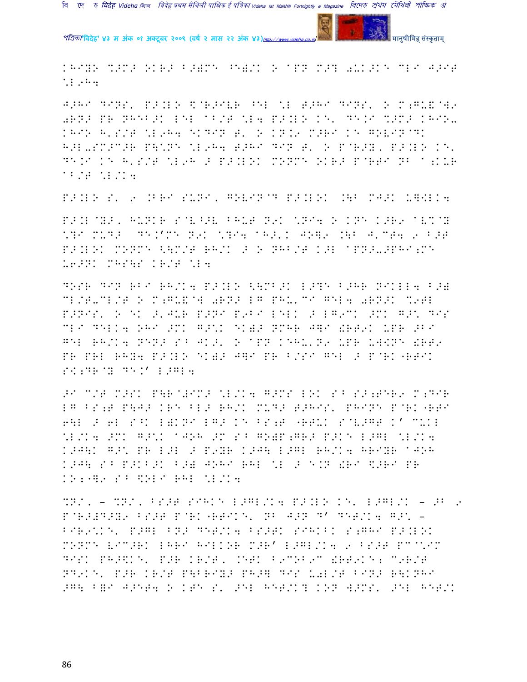*भविका* विदेह' ४३ म अंक ०१ अक्टूबर २००९ (वर्ष २ मास २२ अंक ४३)http://www.videha.co.in/ मानसीटिक मानुषीमिह संस्कृताम्



KHIYO SHINIYO MARKA NA MATA NA MARKA NA MARKA NA MARKA NA MARKA NA MARKA NA MARKA NA MARKA NA MARKA NA MARKA N<br>A marka na marka na marka na marka na marka na marka na marka na marka na marka na marka na marka na marka na  $11.7<sub>He</sub>$ 

J>HI DINS' P>.LO \$@R>IVR ^EL \*L T>HI DINS' O M;GU&@W9 0RN> PR NHEB>K LEL AB/T \*L4 P>.LO KE' DE.I %>M> KHIO-KHIO HYS/SA MEDHA PITAR BE KU DI DAGA MAHA KE ADARA ME HALLETATAR PRITY ILAH AAHA TAT AL I PORAZ, PAIL DIN DE.I KE H'S/T \*L9H > P>.LOK MONME OKR> P@RTI NB A;KUR **AB/T \*L/K44** 

P>.LO S' 9 .BRI SUNI, GOVIN@D P>.LOK .\B MJ>K U][LK4

P>.L@Y>, HUNKR S@V^>V BHUT N9K \*NI4 O KNE K>R9 AV%@Y  $\Lambda$ i mudata se imentany mpanona indrindra ahany aharan'ilay kaominina dia 4.1 metatra. P: A SERVICE STRAIN MONTH, A REPORT OF THE REPORT OF THE REPORT OF THE REPORT OF THE REPORT OF THE REPORT OF T U6>NK MHS\S KR/T \*L4

DOSR DIN RH/K4 PP.LO SATED LPT FOR DINING LA FOR CEL/BUITE OR: ON DIAPORT OR GRAPA (E.P. PAOL) TO MATOR (GRAPA) (T.SEE P>NIS' O EK >'JUR P>NI P9BI LELK > LG9CK >MK G>\* DIS CLI DELKA OHI DELKA EKS EKO EN HER JI INDIALI I INDIALI I INDIALI I INDIALI I INDIALI I INDIALI I INDIALI I IN GEL RH/K4 NEPPA SA HIAL DA TER KEHULIPA UPR UWEKEH SERA PR PRL RHY4 P>.LO EK)> J]I PR B/SI GEL > P@RK"RTIK S[;DR@Y DE.' L>GL4

>I C/T M>SK P\R@#IM> \*L/K4 G>MS LOK S^ S>;TER9 M;DIR LG BS;T PORT RHOUSE POINT PHINE PAID AND RELEASED PUT IN THE REPORT OF THE REPORT OF THE REPORT OF THE PUT IN T 6\L > 6L S^K L)KNI LG> KE BS;T "RTUK S@V>GT K' CUKL \*L/K4 >MK G>\*K AJOH >M S^ GO)P;GR> P>KE L>GL \*L/K4 KSAGE AST PR LO S PROB TOAG LOAN DATE ADVOCATE AGA KORA BOHI BOHI RUSA DA SA PASA DI SERI DENGAN BERAK BERAK BERAK BERAK EN ERI PROGRAM DI ENERGIA EN EL EN ENERG KO;" (Soli RHL \*L/K4)

 $N\mathcal{B}(L)$  –  $N\mathcal{B}(L)$  as since the single point  $\mathcal{B}(L)$  is the  $L$  point  $L$  . Let  $\mathcal{B}(L)$  be a  $\mathcal{B}(L)$ P@R>#D>Y9 BS>T P@RK"RTIKE' NB J>N D' DET/K4 G>\* – BIR9\*KE' P>GL BN> DET/K4 BS>TK SIHKBK S;GHI P>.LOK MONTH CONTROL CONTROL AND CONTROL CONTROL CONTROL CONTROL CONTROL CONTROL CONTROL CONTROL CONTROL CONTROL CONTR DISK PH>\$KE' P>R KR/T, .ETK B9COB9C !RT9KE; C9R/T ND9KE'S, PAR KRYT PHPPPS BIN PHOR DIS UNLIKE THE PHOTOGRAPH >G\ B=I J>ET4 O KTE S' >EL HET/K? KON W>MS' >EL HET/K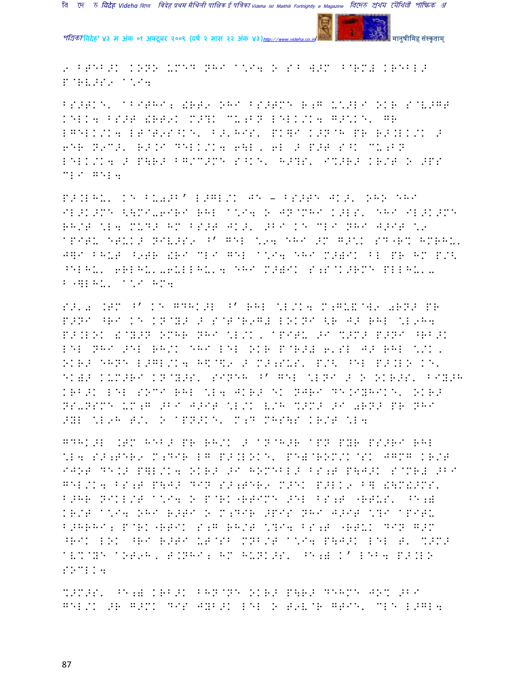*भविका* विदेह' ४३ म अंक ०१ अक्टूबर २००९ (वर्ष २ मास २२ अंक ४३)http://www.videha.co.in/ मानसीटिक मानुषीमिह संस्कृताम्



9 BTEB>K KONO UMED NHI A\*I4 O S^ W>M ^@RM# KREBL> P@RV>S9 A\*I4

BSORT ); TRAPPS REPAIRED BSORT BSPIRED RICH CORPORATION KALKA BSBE KELK/KORT ALER BALKING GRINA (GR LGELK/K4 LT@T9S^KE' B>'HIS' PK]I K>N@H PR R>.LK/K > 6ER N9C>' R>.I DELK/K4 6\L, 6L > P>T S^K CU;BN LELK/K4 > P\R> BG/C>ME S^KE' H>?S' I%>R> KR/T O >PS TECHNIK

P>.LHU' KE BU0>B' L>GL/K JE – BS>TE JK>' OHO EHI IL>K>ME <\MI-6IRI RHL A\*I4 O JN@MHI K>LS' EHI IL>K>ME RH/T \*L4 MUD> HM BS>T JK>' >BI KE CLI NHI J>IT \*9 APITU ETUK PITU ETUKO ALAH ENIVAS DENGAN SERIKAN SU JAN FALA FRAN KOM MIR ATA DIRI CAR DIANG PI PR HM P/S. ^ELHU' 6RLHU'-6ULLHU'4 EHI M>)IK S;S@K>RME PLLHU'- B"]LHU' A\*I HM4

SS: 0 .TM ^' REPORT OF A RHL \*LOCK MINIME \*LANDS FR POPS OF KNOWN SOMEONE IN THE SEARCH ENDING RELATIONS OF A RHOUSE P>.LOK !@Y>N OMHR NHI \*L/K, APITU >I %>M> P>NI ^RB>K LEN DIHEL AHI BH/K EHH LEN DIDA PERANG BILI HARA BHI SINI L OKR> EHNE L>GL/K4 H\$@\$9 > M>;SUS' P/< ^EL P>.LO KE' EK)> KUM>RI KN@Y>S' SINEH ^' GEL \*LNI > O OKR>S' BIY>H K BROKE SOCIAL SOCIAL SOCIAL AND BORGHAM DE. IT DERIVATIVES ON THE BORGHAM IN THE SOCIAL DECISION OF THE SOCIA NS-NSME UM;G >BI J>IT \*L/K V/H %>M> >I 0RN> PR NHI >YL \*L9H T/' O APN>KE' M;D MHS\S KR/T \*L4

GDHK>L .TM HEB> PR RH/K > AN@H>R APN PYR PS>RI RHL \*L4 S>;TER9 M;DIR LG P>.LOKE' PE)@ROM/K@SK JGMG KR/T IJOT DE LA PARTICIA DI BILI DE LA POSTATI DI PRIBE PAPIDI IN COBIE DA C GEL/K4 BS; PAPE THE SERVICE PROPERTY OF THE CONTROLLING BILLING. BOARD DATE DOE 'N TAAR DE TEL ARBANDE OP DE FEL BELANDE SERIES, 'N PERBY KR/T A\*I4 OHI R>TI O M;DIR >PIS NHI J>IT \*?I APITU BJADAR: PORTABAT (PAM BAJE TORA BS): ABBIT "POR AJ ^RIK LOK ^RI R>TI UT@SB MNB/T A\*I4 P\J>K LEL T' %>M> AV& MOTHIST DESPESSION DES TRANSPORTANCES IN THE SECOND PRESENT AN INTERFERING DE SOCKER SOCKER

 $\mathcal{R}$  , and  $\mathcal{R}$  is the positive point of  $\mathcal{R}$  . The point  $\mathcal{R}$  is defined as  $\mathcal{R}$ GENE JY SIJE GELFYD SOART GOED IN DE DE GELFY GELFYN SYNTAS GELFYD G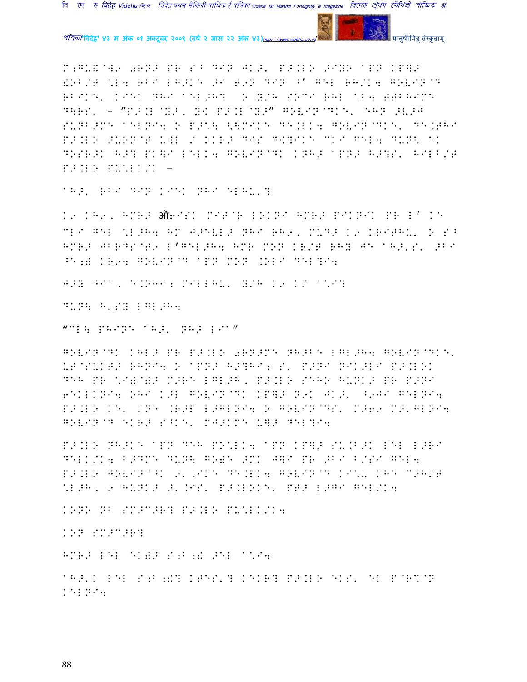*भविका* विदेह' ४३ म अंक ०१ अक्टूबर २००९ (वर्ष २ मास २२ अंक ४३)http://www.videha.co.in/ मानसीटिक मानुषीमिह संस्कृताम्



M;GUA@W9 0RNO;GU&@W9 0RNO;GU&@W9 0RNO;GU&@W9 0RNO;GU&@W9 !OB/T \*L4 RBI LG>KE >I T9N DIN ^' GEL RH/K4 GOVIN@D RBIKE' KIEK NHI AEL>H? O Y/H SOCI RHL \*L4 TTBHIME DRS EN LA PORTE DE LA GRANDE EN L'AGRICA EN L'AGRICA EN L'AGRICA EN L'AGRICA EN L'AGRICA EN L'AGRICA EN L'AGRI SULBA DER MENGENDE DELAN GUNDA DEL LA DEL HOMOGENA DEL LA GOVINA PRED PURTE UNIVERSITY THROUGHT THE CLIPS OF DOSR>K H>? PK]I LELK4 GOVIN@DK KNH> APN> H>?S' HILB/T P>.LO PU\*LK/K –

AH>' RBI DIN KIEK NHI ELHU'?

K9 KH9, HMR- ऑ65K MARI MARI PIKINI HMR PIKIMI PIKO TER #NE MEDAN AT APNEED TAR BAS. TIME IS KERBAIL O SO HMR> JBRDS@T9 L'GEL>H4 HMR MON KR/T RHY JE AH>'S' >BI ^E;) KR94 GOVIN@D APN MON .OLI DEL?I4

J>Y DIA, E.NHI; MILLHU' Y/H K9 KM A\*I?

DUNA HISTORIAN

 $W$   $\vdots$   $\vdots$   $\vdots$   $\vdots$   $\vdots$   $\vdots$   $\vdots$   $\vdots$   $\vdots$   $\vdots$   $\vdots$   $\vdots$   $\vdots$   $\vdots$   $\vdots$   $\vdots$ 

GOVING COVING AN INDIANAL PROPERTY AND DRIVING AN INDIANAL GOVINNATION OF THE LANGUAGE CONTINUES. UT MOUS PLACE PHONE ON A SUPPLY HIGHER IN STANDARD ON A PHONE OF LOCAL PROPERTY. DEH PR \*I)@)> M>RE LGL>H, P>.LO SEHO HUNK> PR P>NI 6EKLKNI4 OHI K>L GOVIN@DK KP]> N9K JK>' ^9JI GELNI4 PRED IN THE BRITING STREET STREET TO CHAIN TO GOVING GOVING BEKELVING

P>.LO NH>KE APN DEH PO\*LK4 APN KP]> SU.B>K LEL L>RI DELK/K4 B>DME DUN\ GO)E >MK J]I PR >BI B/SI GEL4 P>.LO GOVIN@DK >'.IME DE.LK4 GOVIN@D KI\*U KHE C>H/T \*L>H, 9 HUNK> >'.IS' P>.LOKE' PT> L>GI GEL/K4

KONO NB SMART PRODUCED PRODUCED IN THE SMART PRODUCED IN THE SMART PRODUCED IN THE SMART PRODUCED IN THE SMART

 $\mathcal{L}(\mathcal{L}(\mathcal{L}(\mathcal{L}(\mathcal{L}(\mathcal{L}(\mathcal{L}(\mathcal{L}(\mathcal{L}(\mathcal{L}(\mathcal{L}(\mathcal{L}(\mathcal{L}(\mathcal{L}(\mathcal{L}(\mathcal{L}(\mathcal{L}(\mathcal{L}(\mathcal{L}(\mathcal{L}(\mathcal{L}(\mathcal{L}(\mathcal{L}(\mathcal{L}(\mathcal{L}(\mathcal{L}(\mathcal{L}(\mathcal{L}(\mathcal{L}(\mathcal{L}(\mathcal{L}(\mathcal{L}(\mathcal{L}(\mathcal{L}(\mathcal{L}(\mathcal{L}(\mathcal{$ 

HMR> LEL EK)> S;B;! >EL A\*I4

AH>'K LEL S;B;!? KTES'? KEKR? P>.LO EKS' EK P@R%@N KELNI4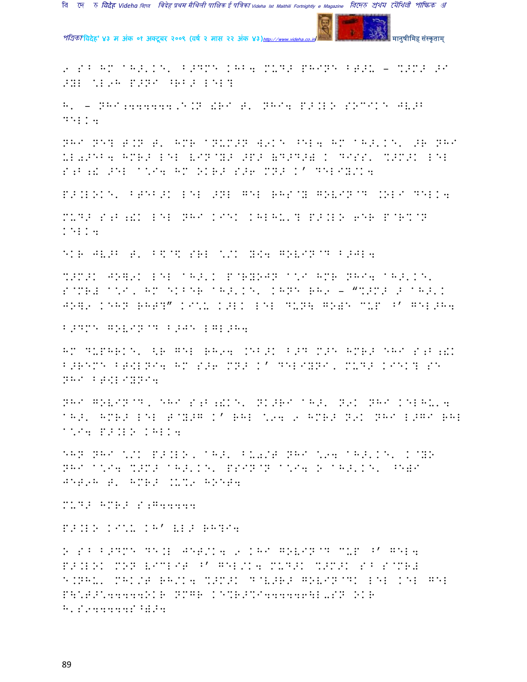9 S^ HM AH>'KE' B>DME KHB4 MUD> PHINE BT>U – %>M> >I

S;B;! >EL A\*I4 HM OKR> S>6 MN> K' DELIY/K4

EKR JV>B T' B\$@\$ SRL \*/K Y[4 GOVIN@D B>JL4

B>DME GOVIN@D B>JE LGL>H4

JET9H T' HMR> .U%9 HOET4

PROBLEMATIC CHANGER RHYPH

NHI BT[LIYNI4

A\*I4 P>.LO KHLK4

 $\frac{1}{2}$  ,  $\frac{1}{2}$  ,  $\frac{1}{2}$  ,  $\frac{1}{2}$  ,  $\frac{1}{2}$  ,  $\frac{1}{2}$  ,  $\frac{1}{2}$  ,  $\frac{1}{2}$  ,  $\frac{1}{2}$  ,  $\frac{1}{2}$  ,  $\frac{1}{2}$  ,  $\frac{1}{2}$  ,  $\frac{1}{2}$  ,  $\frac{1}{2}$  ,  $\frac{1}{2}$  ,  $\frac{1}{2}$  ,  $\frac{1}{2}$  ,  $\frac{1}{2}$  ,  $\frac{1$ 

H'S944444S^)>4

DELK4

NHI NE? T.N T' HMR ANUM>N W9KE ^EL4 HM AH>'KE' >R NHI UL0>EB4 HMR> LEL VIN@Y> >P> (D>D>) K DISS' %>M>K LEL

P>.LOKE' BTEB>K LEL >NL GEL RHS@Y GOVIN@D .OLI DELK4

MUD> S;B; B;B; B;B; CHO; CHERLI B;B;B; B;B; B;B;C?

%>M>K JO]9K LEL AH>'K P@RYOJN A\*I HMR NHI4 AH>'KE' S@MR# A\*I, HM EKBER AH>'KE' KHNE RH9 – "%>M> > AH>'K JOHN RHER RHET?" KINK RHER BHE JOHN GODH AN THE CUP OF G

HM SUPHRIN, AB ANE BADA (DRIB) FIRE MIN AMBIE NAM BIB AN BOBARA BEMERAN HM SOB MEDIA IN TAEKERAL MUTE KAN KIES

NHI GOVIN@D, EHI S;B;!KE' NK>RI AH>' N9K NHI KELHU'4 AH>' HMR> LEL T@Y>G K' RHL \*94 9 HMR> N9K NHI L>GI RHL

EHN NHI \*/K P>.LO, AH>' BU0/T NHI \*94 AH>'KE' K@YO NHI AYI4 %XXXX AHIKE' PSINDAN AYIKE' PARA DA AHIK

O SO BOURNESS ON DE LANGUING ON DER LA GENERAL DE LA GENERAL P>.LOK MON VICLIT ^' GEL/K4 MUD>K %>M>K S^ S@MR#

P\\*T>\*44444OKR NMGR KE%R>%I444446\L-SN OKR

E.NHU' MHK/T RH/K4 %>M>K D@V>R> GOVIN@DK LEL KEL GEL

H' – NHI;444444,E.N !RI T' NHI4 P>.LO SOCIKE JV>B

>YL \*L9H P>NI ^RB> LEL?

KELK4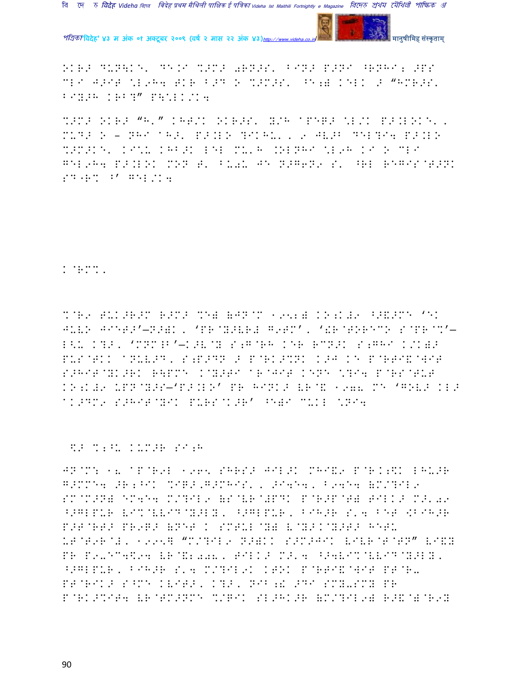OKRA DUNAN DI DELI SERIKA DENGAN KERAMA DI PERANGAN KE PERANGAN DI PERANGAN KE PERANGAN DI PERANGAN KE PERANG TEST ADSPECTEDANCE DE ROUPE DO TOURIEL OUTSIEL IN THE COURT MAINERER. BIYOU ARE THE PARTIES OF A REAL PROPERTY

 $\mathcal{M}\subset\mathcal{M}\subset\mathcal{M}$  . We have the probability of the state of the state  $\mathcal{M}$  and  $\mathcal{M}$  are  $\mathcal{M}$  . Localization of the state  $\mathcal{M}$ MUDIS O – NHI AHI, PALIED BAYAN DO LO REAL PRIME PARTIES. %>M>KE' KI\*U KHB>K LEL MU'H .OLNHI \*L9H KI O CLI GELAH PININ TANG BUOLAN AS NIHAN SUOMI BSASY MENT SOMETH CONTROL OF GELFURNIE

K@RM%,

%@R9 TUK>R>M R>M> %E) (JN@M 1952) KO;K#9 ^>&>ME 'EK JUVO JIETO JIE TORANO VERMONDA GRANIMA VRA GRANIMA SOPROVIMA L<U K?>, 'MNM\_B'—K>V@Y S;G@RH KER RCN>K S;GHI K/K)> PUS WALD ANURARY S; PUS POSSIBLY AND ANNOUNCEMENT WARRANTY STARK POSTARI . RAPON . I TOAR ARM DRIVE . I NAN TING BORT PRI PA KO;K#9 UPN@Y>S—'P>.LO' PR HINK> VR@& 1978 ME 'GOV> KL> AK>DM9 S>HIT@YIK PURS@K>R' ^E)I CUKL \*NI4

 $\mathcal{L}(\mathcal{X})$  ,  $\mathcal{L}(\mathcal{X})$  ,  $\mathcal{L}(\mathcal{X})$  ,  $\mathcal{L}(\mathcal{X})$  ,  $\mathcal{L}(\mathcal{X})$  ,  $\mathcal{L}(\mathcal{X})$ 

JN@M: 18 AP@R9L 1965 SHRS> JIL>K MHI&9 P@R.;\$K LHU>R G>MME4 >R;^IK %IQ>,G>MHIS', >I4E4, B94E4 (M/?IL9 SM@M>N) EM4E4 M/?IL9 (S@VR@#PDK P@R>P@T) TILK> M>'09 ^>GLPUR VI%@VVID@Y>LY, ^>GLPUR, BIH>R S'4 BET [BIH>R P>T@RT> PR9Q> (NET K SMTUL@Y) V@Y>.@Y>T> HETU UT@T9R@#, 1995] "M/?IL9 N>)KK S>M>JIK VIVR@T@TN" VI&Y PR P2-EMP454 ERMEGAL, PRESS TRAGA (PART) MET DE T ^>GLPUR, BIH>R S'4 M/?IL9K KTOK P@RTI&@WIT PT@R-PT@RIK> S^ME KVIT>, K?>, NIB;! >DI SMY-SMY PR P@RK>%IT4 VR@TM>NME %/QIK SL>HK>R (M/?IL9) R>&@)@R9Y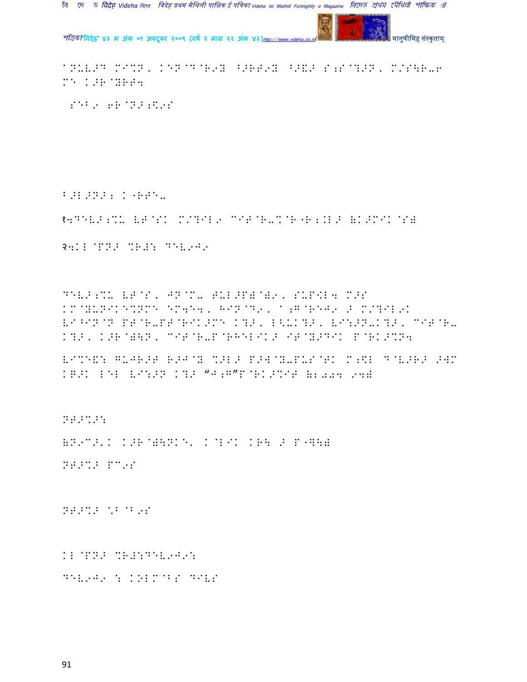िव <sup>त</sup> ह विदेह Videha <sub>विष्य</sub> विदेह प्रथम मैथिली पाक्षिक ई पत्रिका <sub>Videha Ist Maithili Fortnightly e Magazine *वि*(मह क्षेश्रेग ट्रॉशिती পौष्किक \$</sub>

पिñका**'**िवदेह**'** ४३ म अंक ०१ अक्टूबर २००९ (वष र् २ मास २२ अंक ४३)http://www.videha.co.in/ मानषीिमह स ु ंस्कृताम्

ANUVAS ANUVAS ARUSTAS ARTISTAS ARTISTAS ARTISTAS ARTISTAS ARTISTAS ARTISTAS ARTISTAS ARTISTAS ARTISTAS ARTISTA ME K>R@YRT4

SEB9 68 (SEB) 68 (SEB9)

B>L>N>; K"RTE-

१५९९: 100 प्रति संस्कृति कारण करते हैं। स्टेड प्रति कारण करते हैं। प्रति कारण करते हैं। स्टेड कारण करते हैं। स

२4KL@PN> %R#: DEV9J9

DEVA: THE SECTION OF THE SUPPLE SECTION OF TULE KM YELDAM STRUS STASA LORAR TRANS AFTESAR (FOUNDAMENT VI^IN@N PT@R-PT@RIK>ME K?>, L<UK?>, VI:>N-K?>, CIT@R-KRA) KORPORA TERRAHAN KORPORAN DIRISTA

VIX EXTRA RESULTATION IN THE RESULT OF THE RESULT OF THE RESULT OF THE RESULT OF THE RESULT OF THE RESULT OF T<br>The result of the result of the result of the result of the result of the result of the result of the result o KBR RELEASED IN THE WARRANT ORDER IN ANY WHE

NT>%>:

HRUPS (NOCH MARING ) (NOCH KOOLA KROP (PARA

NT>%> PC9S

 $\mathcal{L}=\mathcal{L}=\mathcal{L}=\mathcal{L}=\mathcal{L}=\mathcal{L}=\mathcal{L}=\mathcal{L}=\mathcal{L}=\mathcal{L}=\mathcal{L}=\mathcal{L}=\mathcal{L}=\mathcal{L}=\mathcal{L}=\mathcal{L}=\mathcal{L}=\mathcal{L}=\mathcal{L}=\mathcal{L}=\mathcal{L}=\mathcal{L}=\mathcal{L}=\mathcal{L}=\mathcal{L}=\mathcal{L}=\mathcal{L}=\mathcal{L}=\mathcal{L}=\mathcal{L}=\mathcal{L}=\mathcal{L}=\mathcal{L}=\mathcal{L}=\mathcal{L}=\mathcal{L}=\mathcal{$ 

KL@PN> %R#:DEV9J9: **BOLGAN : COLONEY BENET**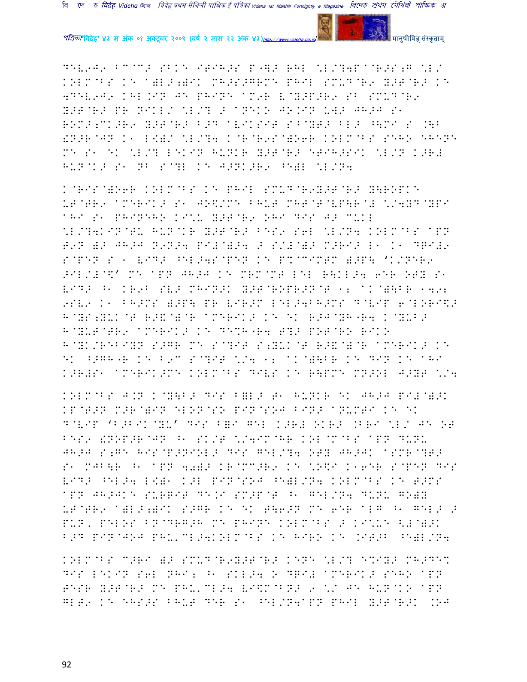KOLMABS CONSTRUCT ) AND A CONTROL CONTROL TO A CONTROL AND A CONTROL CONTROL OF A CHANGE OF A CONTROL OF A CONTROL OF A CONTROL OF A CONTROL OF A CONTROL OF A CONTROL OF A CONTROL OF A CONTROL OF A CONTROL OF A CONTROL OF DIS LEKIN SAL NHI; SHALI; O DOLINIA AMERIKA SEHO API AMERIKA SEHO TESR Y>T@R> ME PHU'CL>4 VI\$M@BN> 9 \*/ JE HUN@KO APN GEBE IS E EHSIS BHUT DER SIN BERICHTEN PHIL IST DER S

KOLO DIS J.H (B. C. DOH) DIS BELI DOH BELI HAN PI DIS BELI HE PI HE BELI DIS BELI DO KP@T>N M>R@)IN ELON@SO PIN@SOJ BIN> ANUMTI KE EK DE VIP 'BOOK ON DIS BIKE AS A BOOK AN IN DIS BIKE ON DIS BIKE ON A SERIES .BRI THIN YEAR .BRI BESP : ROBER THO PROVINCING THE CONDITION OF THE TERM JH-JA SISAN AYE NIJARYA JONYA MALINE JA GALO ARJAI ONIDA NEBI State of the experimental control of the experimental control of the experimental control of the experimental o VID> ^EL>4 L[)1 K>L PIN@SOJ ^E)L/N4 KOLM@BS KE T>MS APN JH>JKE SURQIT DE.I SM>P@T ^1 GEL/N4 DUNU GO)Y  $L$ :  $\mathcal{L}$  and  $\mathcal{L}$  and  $\mathcal{L}$  is the extended of  $\mathcal{L}$  . The function of  $\mathcal{L}$  and  $\mathcal{L}$   $\mathcal{L}$ PUN, PELOS BN@DRG>H ME PHINE KOLM@BS > KI\*UE <#@)>K B>D PIN@JOJ PHU'CL>4KOLM@BS KE HIRO KE .IT>B ^E)L/N4

K@RIS@)OFRIED IN DIE REIN DIE REIN DIE REIN VAN DIE REIN VAN DIE REIN DIE REIN DIE REIN DIE REIN DIE REIN DIE UT@TR9 AMERIK> S1 JO\$/ME BHUT MHT@T@VP\R@# \*/4YD@YPI AHI S1 PHINEHO KI\*U Y>T@R9 OHI DIS J> CUKL \*L/?4KIN@TU HUN@KR Y>T@R> BES9 S6L \*L/N4 KOLM@BS APN T9N )> JH>J N9N>4 PI#@)>4 > S/#@)> M>RI> L1 K1 DQI#9 S@PEN S 1 VID> ^EL>4S@PEN KE P%@CIMTM )>P\ 'K/NER9 >IL/#@\$' ME APN JH>J KE MRM@MT LEL R\KL>4 6ER OTY S1 VID> ^1 KR9B SV> MHIN>K Y>T@ROPR>N@T 12 AK@)\BR 1492 9SV9 K1 BH>MS )>P\ PR VIR>M LEL>4BH>MS D@VIP 6@LORI\$> H@YS;YUK@T R>&@)@R AMERIK> KE EK R>J@YH"R4 K@YUB> HAYUT@TR9 AMERIKAN DE SERIES AMERIKAN TRANSPORTASION DESERT DE H@YK/REBIYN S>GR ME S@?IT S;YUK@T R>&@)@R AMERIK> KE EK ^>GH"R KE B9C S@?IT \*/4 12 AK@)\BR KE DIN KE AHI K= Kolman in the state of the state of the state of the state of the state of the state of the state of the st<br>A state of the state of the state of the state of the state of the state of the state of the state of the sta

DEV9J9 BC@C> SBKE ITIH>S P"]> RHL \*L/?4P@@R>S;G \*L/ KOLMABS KE A) LOO HE A)LIHAN KE ANG KE ANG KE ALIHAN NG KALIFATAN ANG KALIFATAN NA KE ALIHAN NG KALIFATAN NA K 4TELAR IR IN DE VERTE AMPROVED SOM SA Y>T@R> PR NIKL/ \*L/? > ANEKO JO.IN UW> JH>J S1 ROM>;CK>R9 Y>T@R> B>D AVIKSIT S^@YT> BL> ^\MI S .\B !N>R@JN K1 L[)/ \*L/?4 K@R@R9S@)O6R KOLM@BS SEHO EHENE ME S1 EK \*L/N EK \*L/N KONSTANTING PRODUKTION AT THE STATISTICS OF THE STATISTICS OF THE STATISTICS OF THE STATISTICS HUNDAY STRING STRING SOMETIME STRING

িব দে *হ বিदेह Videha विल्ह विदेह प्रथम मैथिली पाक्षिक ई पत्रिका <sub>Videha Ist Maithili Fortnightly e Magazine त्रिमिरु শ্রথম মৌথিলী পাক্ষিক \$*</sub>

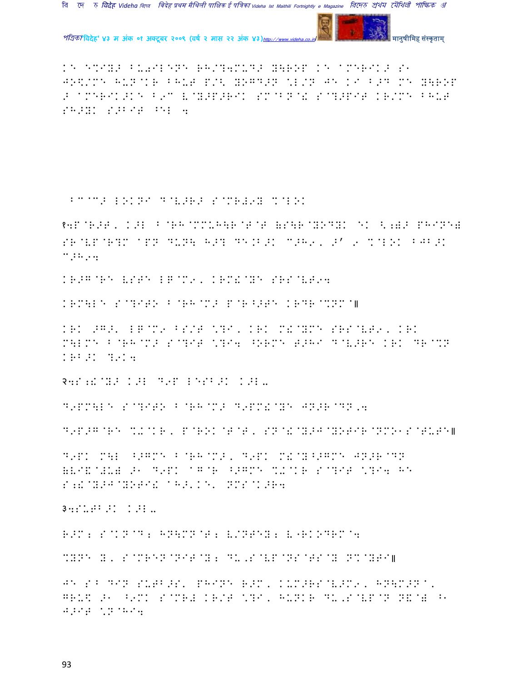KE EXISTING AND A BUDS AND A SHOP AND A BUDS AND A BUDS AND A BUDS AND A BUDS AND A BUDS AND A SHOP AND A STRA JO\$/ME HUN@KR BHUT P/< YOGD>N \*L/N JE KI B>D ME Y\ROP > AMERIK>KE B9C V@Y>P>RIK SM@BN@! S@?>PIT KR/ME BHUT SHOW SHOW SHOW

BC@COORDING@COORDING@VOOR

84P@RAF, KAB@R@RH@MUHARMAR@RH@RH@MARH@T@T@T@T@T SR@VP@R?M APN DUN\ H>? DE.B>K C>H9, >' 9 %@LOK BJB>K  $\mathcal{L}$  . The set of  $\mathcal{L}$ 

KR>G@RE VSTE LQ@M9, KRM!@YE SRS@VT94

KRAMAR KRAMARHOM POD BODY POD BODY DE TE KRONE SOMETIME IN DIE KRONE IN DIE KRONE IN DIE KRONE IN DIE KRONE IN

KRK (GPS) BETOG FRYE NAFY, KRK METALWE RRK MERGY KR MALME BORHOM SORIAL DRAG BARDE BARE KREKARE DRI KRB>K ?9K4

२4S;!@Y> K>L D9P LESB>K K>L-

D9PM\LE S@?ITO B@RH@M> D9PM!@YE JN>R@DN,4

D9P>G@RE %+@KR, P@ROK@T@T, SN@!@Y>J@YOTIR@NMO1S@TUTE॥

D9PK M\L ^>GME B@RH@M>, D9PK M!@Y^>GME JN>R@DN (VI&@#U) >1 D9PK AG@R ^>GME %+@KR S@?IT \*?I4 HE S: EMPIRATION AND TANKING AHOM

 $3...$  $3...$  $3...$ 

R>M; S@KN@D; HN\MN@T; V/NTEY; V"RKODRM@4

%YNE Y, S@MREN@NIT@Y; DU,S@VP@NS@TS@Y N%@YTI॥

JE S^ DIN SUTB>S' PHINE R>M, KUM>RS@V>M9, HN\M>N@, GRUE DA SAMI SAMBER DEN NEVI ALTIE TUSH NE TE DENE AA J>IT \*N@HI4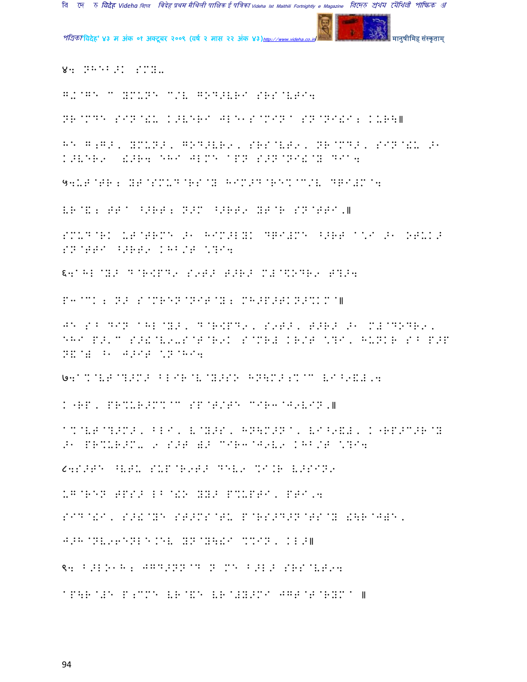*পত্ৰিকা*' विदेह' ४३ म अंक ०१ अक्टूबर २००९ (वर्ष २ मास २२ अंक ४३)http://www.videha.co.in/ मानासीमिंह भानुषीमिंह संस्कृताम्

NR@MORE SING SING SING SENEGA SA SANG SANG SANG SANG SANG SANG SA

KORPOR ENGINE SAN APTA SPROFILMENT SAN SAN S

VR@&; TT@ ^>RT; N>M ^>RT9 YT@R SN@TTI,॥

६4AHL@Y> D@R[PD9 S9T> T>R> M#@\$ODR9 T?>4

७4A%@VT@?>M> BLIR@V@Y>SO HN\M>;%@C VI^9&#,4

>1 PR%UR>M- 9 S>T )> CIR3@J9V9 KHB/T \*?I4

SIDM TEST : STAETH IN STATISTIC PART IN THE STATISTIC POINT IN STANDARD .

P3@CK; N> S@MREN@NIT@Y; MH>P>TKN>%KM@॥

K"RP, PRSURATS OF SPACES OFFICERS ON THE CA

८4S>TE ^VTU SUP@R9T> DEV9 %I.R V>SIN9

UG@REN TPS: 14 MIN THI, PMIPHI, PHILIP

J>H@NV96ENLE.EV YN@Y\!I %%IN, KL>॥

९4 BONDON B: JOHN SPORT PRODUCED A ME BONDON NAME

AP\R@#E P;CME VR@&E VR@#Y>MI JGT@T@RYM@ ॥

SN THE SNOW CONSIGN

N&M) \*N J#IT \*N&

५4UT@TR; YT@SMUD@RS@Y HIM>D@RE%@C/V DQI#M@4

HE G;G>, YMUN>, GOD>VR9, SRS@VT9, NR@MD>, SIN@!U >1

SMUD PALAMA PARTINA PAAN PAMUSE DIA PERSENYA PARA NAMA SERANG PADA DAN DIA

JE SO DIN AHLAY SO DIN AHLAY SANG SERING SERING SERING SERING SERING SERING SERING SERING SERING SERING SERING EHI PAST BADALLETA BELGA SORA SARA SATU SAMA KAR

A NOVEM A VIRTUALI, IN BILI, VIA DELL'INDIA POSSIBILI, VIO A SONO CON POSSIBILI, VIO A BILI, KONG POSSIBILI VI

GE CONSIDERED CONSIDERATION CONTINUES.

४4 FEBRUARY STORY

94

िव <sup>त</sup>ि दिविदेह Videha विल्ह विदेह प्रथम मैथिली पाक्षिक ई पत्रिका <sub>Videha Ist Maithili Fortnightly e Magazine त्रि(मरु शेथेप ट्यैथिवी शीश्विक औ</sub>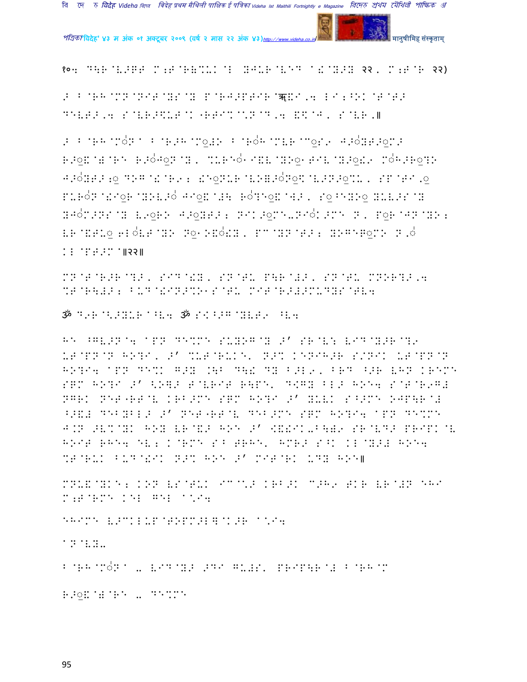*পত্ৰিকা*' विदेह' ४३ म अंक ०१ अक्टूबर २००९ (वर्ष २ मास २२ अंक ४३)http://www.videha.co.in/ मानीमिंह भागतपीमिंह संस्कृताम्

१०4 PREMERENT MINITERTIAL OF CHAIRCHEAT MENTHING 22, MINITER 22)

> B@RH@MN@NIT@YS@Y P@RJ>PTIR@ॠ&I,4 LI;^OK@T@T> DEVT>,4 S@VR>\$UT@K"RTI%@\*N@D,4 &\$@J, S@VR,॥

 $\mathbb{P}^1$  for the Corollary of the More of the More and  $\mathbb{P}^1$ BJ©E NE NBY (BJGH@P NE LONDEYGHYEL NEV@HBYLOGIL DONJE@YD))  $+P$ 000  $+P$  ;  $\bar{Q}$  ,  $+P$  and the  $+P$  subspective proposition  $\bar{Q}$  with  $\bar{Q}$  and  $\bar{Q}$ PURÓP NEMON NORDA (PROENCIA) (RÓNNOENNE L'ANO (PURCA) AND NORDA BHÓNUPE VB (EUQHD) HURQBEU E PHOURQNYLPHÓNUPNY (P. PQP VHP VBD E) EF TEFL@ HIGEF TEN (P@YNEGED) (PT TEP THAY (ENPTH@TN) P(20  $\mathbb{R}$  :  $\mathbb{R}$   $\mathbb{R}$   $\mathbb{R}$   $\mathbb{R}$   $\mathbb{R}$   $\mathbb{R}$   $\mathbb{R}$   $\mathbb{R}$   $\mathbb{R}$   $\mathbb{R}$   $\mathbb{R}$   $\mathbb{R}$   $\mathbb{R}$   $\mathbb{R}$   $\mathbb{R}$   $\mathbb{R}$   $\mathbb{R}$   $\mathbb{R}$   $\mathbb{R}$   $\mathbb{R}$   $\mathbb{R}$   $\mathbb{R}$   $\mathbb{R}$   $\math$ 

MN@T@R>R@?>, SID@!Y, SN@TU P\R@#>, SN@TU MNOR?>,4 %T@P####; PUPMEMP#WDYS@T@U MM#MB###WUP#EMP##

 $3^{5}$   $9^{1}$ ,  $9^{1}$ ,  $9^{1}$ ,  $9^{1}$ ,  $9^{1}$ ,  $9^{1}$ ,  $9^{1}$ ,  $9^{1}$ ,  $9^{1}$ ,  $9^{1}$ ,  $9^{1}$ ,  $9^{1}$ ,  $9^{1}$ ,  $9^{1}$ ,  $9^{1}$ ,  $9^{1}$ ,  $9^{1}$ ,  $9^{1}$ ,  $9^{1}$ ,  $9^{1}$ ,  $9^{1}$ ,  $9^{1}$ ,  $9^{1}$ ,  $9^{1}$ ,  $9^{1}$ ,  $9^{1}$ ,  $9^{1}$ 

HE SURVOG APS DE SURVOGARIE SU SURVED SURVOGE SU UT@PN@N HO?I, >' %UT@RUKE' N>% KENIH>R S/NIK UT@PN@N HOTEN APPLICATIONS ON BROWN BROWN CONTROL DESCRIPTION SOM HOSE OF LOGI ROBERT RAPS, SAME FER HOSE SOM ROBOR NGRK NET"RT@V KRB>ME SQM HO?I >' YUVK S^>ME OJP\R@# ^>&# DEBYBL> >' NET"RT@V DEB>ME SQM HO?I4 APN DE%ME J.N >V%@YK HOY VR@&> HOE >' [&!IK-B\)9 SR@VD> PRIPK@V HOWE RHE4 EV; KORME SO TRHEE EVER SOME SOME %T@RUK BUD@!IK N>% HOE >' MIT@RK UDY HOE॥

MANUMENT IS A KEYBUK IS MUSIC IF AN IMPLY THE REPORT NEW M;T@RME KEL GEL A\*I4

EHIME V>CKLUP@TOPM>L]@K>R A\*I4

AND THE STATE OF STREET

\* DER VI©PO WORDPORF GUES PRIRE PRIPROPORT POPPOIS

R>CONDECTS - DESCRIPTION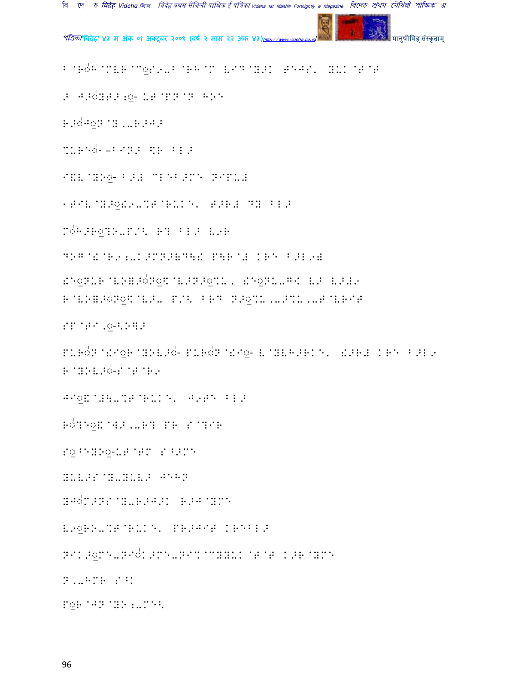िव <sup>त</sup>ि दिविदह Videha निल्ह विदेह प्रथम मैथिली पाक्षिक ई पत्रिका <sub>Videha Ist Maithili Fortnightly e Magazine विटमह *शेशे*च ट्रॉशिनी शीर्ष्मिक क्षे</sub>

*পত্ৰিকা*' विदेह' ४३ म अंक ०१ अक्टूबर २००९ (वर्ष २ मास २२ अंक ४३)http://www.videha.co.in/ मानीमिंद भानुषीमिंह संस्कृताम्

+ 1665 MMB6 M@rSSD (1657-BD VIDAT VIDA) YESHI MENGEN

 $\mathcal{F}$  (field the UTC DENSITY of the New York)

RJ040FJR.LPJPJ

%URE◌ ॑1–BIN> \$R BL>

I&V@YO◌॒- B># CLEB>ME NIPU#

1TIV@Y>◌॒!9-%T@RUKE' T>R# DY BL>

MÖHVERSTARTAR BERT BERT BLABT

DOG@ DOG@: ANNOUNCED PORTHOLOGY PORTHOL

 $\mathbb{E}$ родин сарнай наберу са ни на разом на разом на разом и в сарых с B VEDEGOP@VOEGLA BRDAG NORD DGOMLALGEN NORVEAL

SPORT OF SPACE

PURÓP IGYQR IGOEDÓ- PURÓP IGYQ- E IGERDREIN. IGDREI I BN FOR BOI boshish tech t

JPOETHELTH TELLOW SPART BED

R◌ ॑?E◌॒&@W>,-R? PR S@?IR

SOUPHER SOUPHER SOUPHER

HULP THANKLE WARD

H#\$NJRPJBLPJPJPJPPPPPPP

V9◌॒RO-%T@RUKE' PR>JIT KREBL>

BAI B<u>o</u>malead Binalead (medal) and he senera

N,-HMR S^K

Porter the Eliter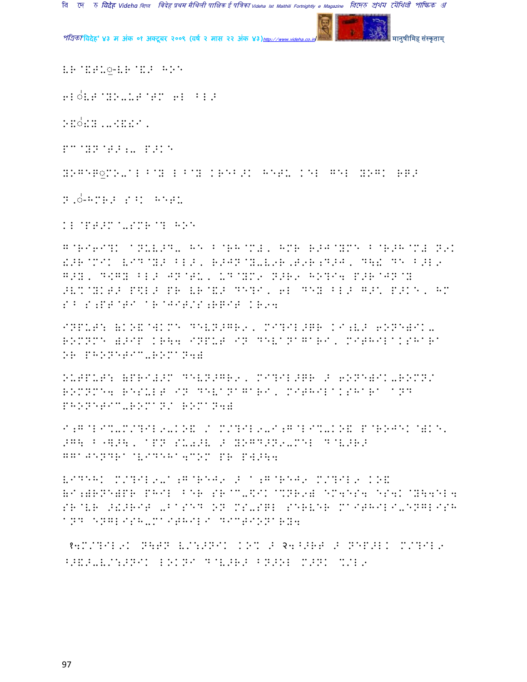19HO REPORT IN VIRTUAL 24 MINUTES AND ALL MONEY ^>&>-V/:>NIK LOKNI D@V>R> BN>OL M>NK %/L9

BROWNI MARIA A;G@REJ9 & CO@REJ9 M/?IL9 KO&REJ9 M BERBER PHIL BER SROWER STREET STAND STATE SAN THE SA SR VR SRIEGE AUSTENT DE CRAINE SCHRIFE CONFERINGENT AND ENGLISH-MAITHILI DICTIONARY4

I;G@LI%-M/?IL9-KO& / M/?IL9-I;G@LI%-KO& P@ROJEK@)KE' >G\ B"]>\, APN SU0>V > YOGD>N9-MEL D@V>R> GGALANDRA MENDELANG PROPINSI PROPINSI PROPINSI PROPINSI PROPINSI PROPINSI PROPINSI PROPINSI PROPINSI PROPINSI

OUTPUT: (PRI#) A REPORT OF THE VEHICLE OF THE VEHICLE OF THE VEHICLE OF THE VEHICLE OF THE VEHICLE OF THE VEHICLE ROMNME4 RESULT IN DEVANAGARI, MITHILAKSHARA AND PHONETIC-ROMAN/ ROMAN4)

INPUT: (KO&@WKME DEVN>GR9, MI?IL>QR KI;V> 6ONE)IK-ROMNME )>IP KR\4 INPUT IN DEVANAGARI, MITHILAKSHARA OR PHONETIC-ROMAN4)

G@RI6I?K ANUV>D- HE B@RH@M#, HMR R>J@YME B@R>H@M# N9K !>R@MIK VID@Y> BL>, R>JN@Y-V9R,T9R;D>J, D\! DE B>L9 G>Y, D[GY BL> JN@TU, UD@YM9 N>R9 HO?I4 P>R@JN@Y >V%@YKT> P\$L> PR VR@&> DE?I, 6L DEY BL> G>\* P>KE, HM SO S;PT@THAR@JIT/S;RQIT KR94

N,◌ ॑-HMR> S^K HETU KL@PT>M@-SMR@? HOE

YOGEQ◌॒MO-AL^@Y L^@Y KREB>K HETU KEL GEL YOGK RQ>

PC WHIPPER SERVICE

::0:3 ...:E: ...

el@LejGPulejGPD el Blac

 $\mathbb{R}$  -variety  $\mathbb{R}$  -variety  $\mathbb{R}$  -variety  $\mathbb{R}$ 

*পত্ৰিকা*'বিदेह' ४३ म अंक ०१ अक्टूबर २००९ (वर्ष २ मास २२ अंक ४३)http://www.videha.co.in<sup>/ Hamak</sup> - स्थितिका अनुसीमिह संस्कृताम्

िव <sup>त</sup>ि दिविदेह Videha विल्ह*ोविह प्रथम मैथिली पाक्षिक ई पत्रिका videha Ist Maithili Fortnightly e Magazine विटमह <i>श*थग ट्यैथिली পोफ्फिक औ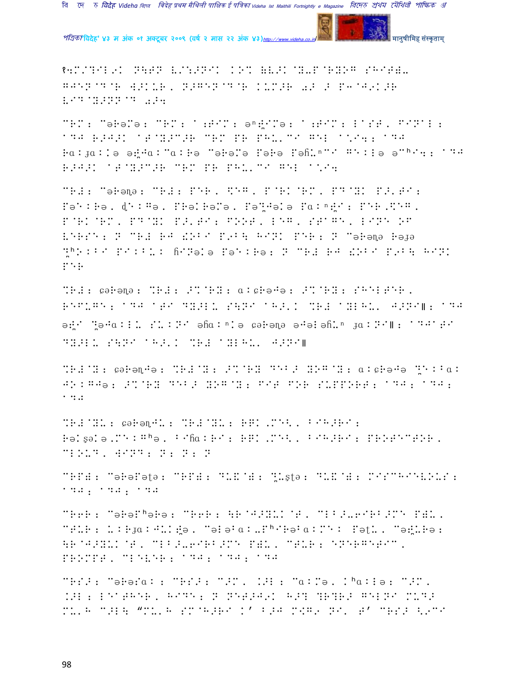१4M/?IL9K N\TN V/:>NIK KO% (V>K@Y-P@RYOG SHIT)- GANS MOR WAS KUR, SERVENG WAS KUR, AF KUR, PANAK CH VID@Y>NN@D 0>4

CRM; CəhəMə; CRM; Animi, əʰiyiə; A;Hum; Last, FINAL; ADJ R>J>K AT@Y>C>R CRM PR PHU'CI GEL A\*I4; ADJ RaːqaːSə ətdaːMaːbə Məbələ Pəkə Pəhə Pəlinin diriyə ənhin: 194 ROBIN AT MORE THAN PROVINCE AT A THE REAL AND RELEASED AT A LIMIT OF A LIMIT OF A LIMIT OF A LIMIT OF A LIMIT

CR#: Təbənə: TR#: PPR, SPP, POB, PP, PPOB, PP, PR, PP: Pətris , dirriə, Pisalislə, Pədisə Parmist, Pisalislə, P@RK@RM, PD@YK P>'TI; FOOT, LEG, STAGE, LINE OF ERBERG; N CR# RD RD RD PAR; N CR#; N Cərənə Rəjə DÖRİRI PIIII ATALIYA PƏLƏYI PILIYA PARTIKALIYYA PILIYA PER

%R#; çə:ənə; %R#; P%(P#; q/ç:ə+ə; P%(P#; P+); SHP; P+); RAFUGA; ADA AYA BEREN YAPA ARALI DHE AYEHU SARPAN: ADA ə:[: 'i]ə+dːil. :l.ːli : ə ahdːniə də:ənə ə+ə:əhl.n jaːi: l|; 'i++ : :-DYNA AYLANDI AHAD AYLANDI AYLANDI AYLANDI AYLANDI AYLANDI AYLANDI AYLANDI AYLANDI AYLANDI AYLANDI AYLANDI AYLA

%R#@Y; ɕəRəɳJə; %R#@Y; >%@RY DEB> YOG@Y; ɑːɕRəJə DӁEːBɑː JOːGJə; >%@RY DEB> YOG@Y; FIT FOR SUPPORT; ADJ; ADJ;  $\cdot$   $\cdot$   $\cdot$   $\cdot$ 

%R##YU; *G*ərən<sup>u</sup>; %R##YU; R#P; XXX, PYRRRY;  $R\ddot{r}$  is a control  $R\ddot{r}$  and  $R\ddot{r}$  is a control  $R\ddot{r}$  . Then  $R\ddot{r}$  and  $R\ddot{r}$  is a control  $R\ddot{r}$  is a control  $R\ddot{r}$  is a control  $R\ddot{r}$  is a control  $R\ddot{r}$  is a control  $R\ddot{r}$  is a CLOUD, WIND; N; N; N; N;

CRP); Cərəfətə; CRP); CRP); Dükümə; Düştə; Dükümə; Düküməriyyi; Dü ADJ; ADJ; ADJ

CR6R; Cəbəbhər CR6R; RR/PJEL CR, CRF, CLB-6IRD; CLB CHUR; UːringaːHüligə, CələbaːulhirləbaːCrix Pətü, Cərlibə; \R@J>YUK@T, CLB>-6IRB>ME P)U, CTUR; ENERGETIC, PROMPT, CLOSE (ADJ) ADJ; ADJ; ADJ;

 $\Gamma$ iril: Təirə $\Gamma$ aː; Tiril: T.M, . $\Gamma$ il:  $\Gamma$ aːlə, Maːlə; T.M, . .>L; LEATHER, HIDE; N NET>J9K H>? ?R?R> GELNI MUD> MUL'H COSE S NOLL A SOM MARK CY BAR MAGHA SAN MARI KA MAGHA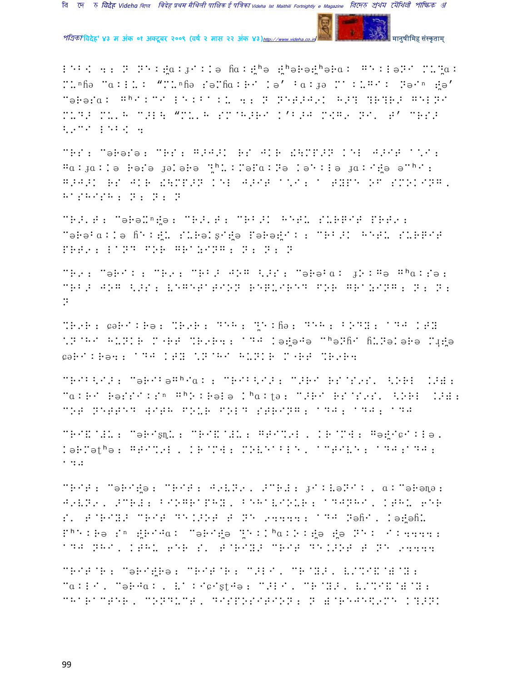

LEBER with the Barry of the solution of the term of the term of the term of the term of the term of the term o Munha Carilir "Munha Səlhari Kəliəli Barıqı Mulları Səlmiyal CəBəsal <sup>dhi</sup>lisi Eritile edilər mühafəti edilər müşü MUSA MULA MUJER MMULA SMOSAJER LATIA MAJER MEN JAK MESI  $\mathbb{R}^n$  . The contribution of the contribution of the contribution of the contribution of the contribution of the contribution of the contribution of the contribution of the contribution of the contribution of the cont

CRS; Cəhərə; CRS; AJAJ) BY ATR EATEJR INE AJAR (12); Gaiyallə Rəstə yələkə "hürl"əfalib lə $\cdot$ llə yal $\cdot$ nə ə $\cdot$ h $\cdot$  : G>J>K RS JKR !\MP>N KEL J>IT A\*I; A TYPE OF SMOKING, HASHISH; N; N; N

TRAYA: Təkəlmişl TRAYA; TRAK HYAL YLARYA PRAY: Cərəbaltə firlim sürətşirlə rəhərinin "Hetriminin Here" PRESIDENT FOR GRAZING; NG NG NG

CRS; Cəhriz; CRS; CR9; Caraca; Cəbəlaz, Jozilə Haziə; CRB> JOG <>S; VEGETATION REQUIRED FOR GRAZING; N; N; N

%R9R; @aBiilbə: %R9B; PDP; QN1flə: PDP; PDPB; 198 (BB \*NDHI GI HUNKR MÜRT SHI HUNKR MÜRT HI HUNKR MÜRT WARA MINI HILI GəRI:RRədi: ADV KRISTININ MÜRLEYI MÜRLEY

CRIBAGI: Cəbibə<sup>dh</sup>ıqı: Cribiagi: C.B.; C.B.C.; C.B.; C.B.; CaːBː Bəffːtːfʰ #ʰbːBələ (ˈaːtəː C.Bri British, KbBE) (Bdː TOR DYREYS REEN FOLD FORS SPRING; ADAR ADAR ADD

CRIBAL: CəRIŞQU; CRIBAL; BRICH; CRICH; CRIBENGI); Kəblət<sup>h</sup>ə: Bernis Libnis: Dibiri: Movembur: Magneby;  $\cdot$   $\cdot$   $\cdot$   $\cdot$  :

CRITS; CRIT; CRIT; CRIT; CRIT; J.CRIT; J.CRIT; J.C. CRIT; J.C. CRIT; J.C. C.C. Cərit; C J9VN9, >CR#; BIOGRAPHY, BEHAVIOUR; ADJNHI, KTHU 6ER S. F'RIYOT TRIY DE.PROTOR DE. HIMAGIYA DE. Pʰiːre Shō Turkiya Thìriya Dǐrī hairing Thìr Shō Thìr ADJ NHI, KTHU 6ER S' T@RIY> CRIT DE.>OT T NE 94444

TRIBYR; Təhiblə; Thibyr, CRIT, CRIT, C.C. Critica Caːli, Cəhdaː, Liːiçiştdə: C.H.F., Chile, L.C.C.C.Caːli, CHARACTER, CONDUCTE, PROTECTOR, PROVINCE DE PERSONAL DESPO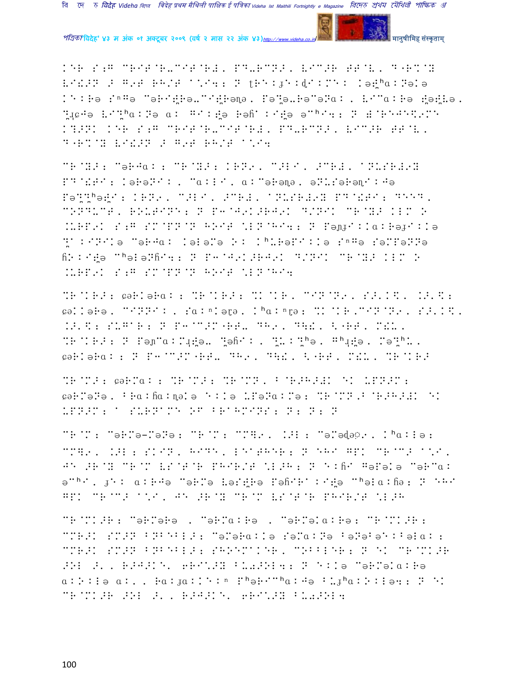KAR S;G CRITES : CAR S;G CRITES , VICOS , VICOS , VICOS , VICOS VIII: Samara Belizi Samara Samara Resolution Afilia Samara Samara Samara Samara Samara Samara Samara Samara Sa Keiris Shiri Shara-Citeti Abiya, Puediya, Pəhima The Shiri Sharit Ali  $\exists \exists \mu \in \mathbb{R} \Rightarrow \exists \mu \in \mathbb{R} \Rightarrow \exists \mu \in \mathbb{R} \Rightarrow \exists \mu \in \mathbb{R} \Rightarrow \exists \mu \in \mathbb{R} \Rightarrow \exists \mu \in \mathbb{R} \Rightarrow \exists \mu \in \mathbb{R} \Rightarrow \exists \mu \in \mathbb{R} \Rightarrow \exists \mu \in \mathbb{R} \Rightarrow \exists \mu \in \mathbb{R} \Rightarrow \exists \mu \in \mathbb{R} \Rightarrow \exists \mu \in \mathbb{R} \Rightarrow \exists \mu \in \mathbb{R} \Rightarrow \exists \mu \in \mathbb{R} \Rightarrow \exists \mu \in \mathbb{R} \Rightarrow \exists \mu \in \math$ KRIJO KAR SIG CRITA KERAJAN KER S;G CRITORIA, VICANIA, SA NE S D"R#Y VI ERXIP I PAR BRYB TVRH

CROSE: Cərdai (CROSE), CROSE (P. C. Crose Anus R. Crose Anu PD: PO: Eq. Polishing Time in the corporation of the service  $\alpha$ Pəddəbi (Pada marka Papa Sanara Politika Politika Politika Politika Politika Politika Politika Politika Politik CONDUCT, ROUTINE; N P3@J9K2.PP420 P2P40 OP2P3 DR 200 O .URP9K S;G SM@PN@N HOIT \*LN@HI4; N PəɲɟIːKɑːRəɟIːKə DÖRİNIKƏ CƏRDARINIK SƏLƏMƏ ORIBILIYLƏ CƏRDIRIYLIKI ħŭrifës Cheledênia; N Partellaeak, Niver Chethia, Leo Gr .URP9K S;G SM@PN@N HOIT \*LN@HI4

 $R: K: K \rightarrow \mathbb{R}$  , which is the set of  $R: K \rightarrow \mathbb{R}$  ,  $R: K \rightarrow \mathbb{R}$  ,  $R: K \rightarrow \mathbb{R}$  ,  $R: K \rightarrow \mathbb{R}$  ,  $R: K \rightarrow \mathbb{R}$  $\mathfrak{so}$ : Sie, Cinnical Solomon, Sainter, Sainter, Sharper, Sharper, Sharper, Sharper, Sharper, Sharper, Sharper, Sharper, S .>'\$; SUGAR; N P3@C>M"RT- DH9, D\!, <"RT, M!U,  $R: K: K: K \to \mathbb{R}^n$  is discriminant individually individually  $R: K: K: K \to \mathbb{R}^n$  in  $K: K: K \to \mathbb{R}^n$  in  $K: K \to \mathbb{R}^n$  in  $K: K \to \mathbb{R}^n$  in  $K: K \to \mathbb{R}^n$  in  $K: K \to \mathbb{R}^n$  in  $K: K \to \mathbb{R}^n$  in  $K: K \to \mathbb{R}^n$  in  $\mathcal{G}$ ə $\mathcal{G}$ :  $\mathcal{G}$  and  $\mathcal{G}$  (  $\mathcal{G}$  )  $\mathcal{G}$  (  $\mathcal{G}$  )  $\mathcal{G}$  )  $\mathcal{G}$  (  $\mathcal{G}$  )  $\mathcal{G}$  (  $\mathcal{G}$  )  $\mathcal{G}$  (  $\mathcal{G}$  )  $\mathcal{G}$  )  $\mathcal{G}$  (  $\mathcal{G}$  )  $\mathcal{G}$  )  $\mathcal{G}$  (  $\mathcal{G}$  )  $\math$ 

 $R: K \to \mathbb{R}$  , we have a set of  $R: K \to \mathbb{R}$  ,  $R: K \to \mathbb{R}$  ,  $R: K \to \mathbb{R}$  ,  $R: K \to \mathbb{R}$  $\mathfrak{so}\mathfrak{g}\mathfrak{g}\mathfrak{g}\mathfrak{g}\mathfrak{g}\mathfrak{g}$  . Bethen it is a math function of the math  $\mathfrak{g}\mathfrak{g}\mathfrak{g}$  . The math function of the math function of  $\mathfrak{g}\mathfrak{g}\mathfrak{g}$  . The math function of  $\mathfrak{g}\mathfrak{g}$  is the UPDAY: A SURPLIN OF BRAINSER PROPERTY

CROM; Cərmə–Mənə; CRAM; CRAM; CRAM; CRAM; CRAM; CRAM; CRAM; CRAM; CRAM; CRAM; CRAM; CRAM; CRAM; CRAM; CRAM; C COMER LISTED OF POST CONTROL ENTIMATED AT NACH MAY COMPUTED TO A L JE >R@Y CR@M VS@T@R PHIR/T \*L>H; N EːɦI GəPəKə CəRCɑː ə<sup>mhu</sup>, jin aliwə "əhlə bənghə rəfinə rüma mənalfalfa; N Mən GPK CR@C> A\*I, JE >R@Y CR@M VS@T@R PHIR/T \*L>H

CROMARI : G: Zərmərə , G: Zərməri , G: Zərmər , E: Zərməri , Carmari , Carmari , C sman Batish Sharqari, Girayan Banar Biriyi Tiriyi Tiriyi CMR>K SM>N BNBEBL>; SHOEMAKER, COBBLER; N EK CR@MK>R >OL >', R>J>KE' 6RI\*>Y BU0>OL4; N EːKə CəRMəKɑːRə ɑːːːɨə ɑː. . ɨɑːɟɑːːːːn ːʰəɨ·ːˈʰɑːjə ˈ.i,ʰɑːːːiəqːː N E CR@MK>R >OL >', R>J>KE' 6RI\*>Y BU0>OL4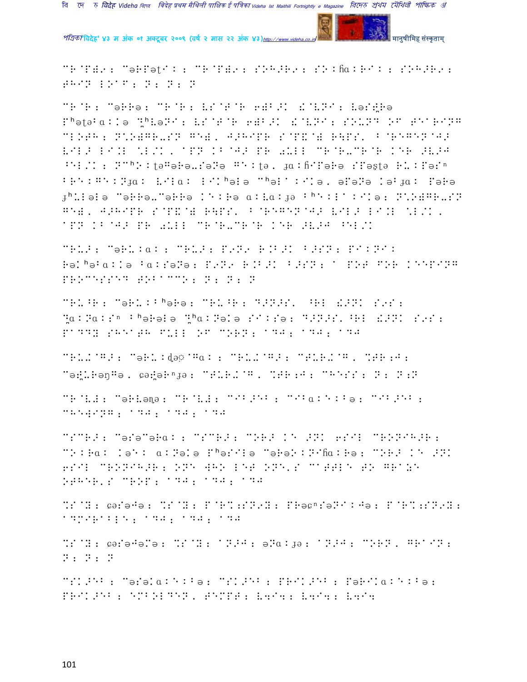

CROPB:: CəRPətil: CROPB:: SOHIR: SOHIRI; SOHIRI; SOHIRI; SOHIRI; THIN LOAF; N; N; N

CROR; Cərrə; CR@R; CR@R; CR@R; CR@R; CR@R; Care istination of the Care is a control. Phətəfqilə Dhüəsin: Erne edisi günsi romanı of evrensi TEDAR: PLDARBLEP RYA, JAJRYPR ETPETA BAPEL FTBYRYPTAJ VIL> LI.L \*L/K, APN KB@J> PR 0ULL CR@R-CR@R KER >V>J  $E^{\text{max}}$ shindari Surbiyahari Gerigiya Senari Gerigiya Senari Senari Spana Surbiyatları Senari Senari Senari Se BREː Jilinə Səhələ Chilələ Chilə Chili IIII Təhələ istina təhsisi təhsisi təhsisi təhsisi təhsisi təhsisi təhs  $\mathbb{F}^h$ liələ "əhhəl"əhhə litlə qılqı $\mathbb{F}^h$ ə B $\mathbb{F}^h$ ikl $\mathbb{F}^h$ GE), J>HIPR S@P&@) R\PS' B@REGEN@J> VIL> LI.L \*L/K, APP KB@JAD PR 1999 PR 1999 PR 1999 PR 0

CRU>; CəRUːɑː; CRU>; P9N9 R.B>K B>SN; PIːNIː Rəkhəbatlə BatrəGə; P9D, R.B.A.B.Brown, P9N9 R.B.A.Brown, PROCESSED TOBACCO; N; N; N

TRIP: Təkitt<sup>h</sup>əkə: TRIPK: PARAK, PRESARY YAY: D $\alpha$ i Barı $\alpha$ in Bhəkətə D $\alpha$ nai Bələ I $\beta$ izilə; D $\beta$ siya; D $\beta$ ssiya; D $\beta$ siya; D PADDY SHEATH FULL OF CORN; ADJ; ADJ; ADJ

CRUMORI: CəRUː@ecmai: CRUMORI: CRU+@G, CRRIHI Cəfirəngə, qəfərwiə; Cririnica, Chess; Chessis, Chess; Nichol

CR (E.B.: MəB:Ləmə); CR (E.B.: COV); Polis Cov); Cov); CIBasi, COV); CIBasi, C CHEWING; ADD; ADD; ADD;

CSCR>; CəSəCəRɑː; CSCR>; COR> KE >NK 6SIL CRONIH>R; CO.Railər: qı?ələ Pʰəːrlə Cəbəːniˈarə; Coreaː Coreaː 6SIL CRONIH>R; ONE WHO LET ONE'S CATTLE TO GRAZE OTHER'S CROP; ADJ; ADJ; ADJ

%S@Y; ɕəSəJə; %S@Y; P@R%;SN9Y; PRəɕⁿSəNIːJə; P@R%;SN9Y; ADMIRABLE; ADJ; ADJ; ADJ

 $S^{\rm sc}_{\rm S}$  (second the first contract  $S^{\rm sc}_{\rm S}$  ) is an analyzed to  $S^{\rm sc}_{\rm S}$  and  $S^{\rm sc}_{\rm S}$  and  $S^{\rm sc}_{\rm S}$  and  $S^{\rm sc}_{\rm S}$  and  $S^{\rm sc}_{\rm S}$  and  $S^{\rm sc}_{\rm S}$  and  $S^{\rm sc}_{\rm S}$  and  $S^{\rm sc}_{\rm S}$  and  $S^{\rm sc}_{\rm S}$ N; N; N

CSKOP; Cəsəkarında; CSKORE; PRIKOZOXE; Pəhlidridə; PRICES : STERRY PRICES ENTRALDENT (AND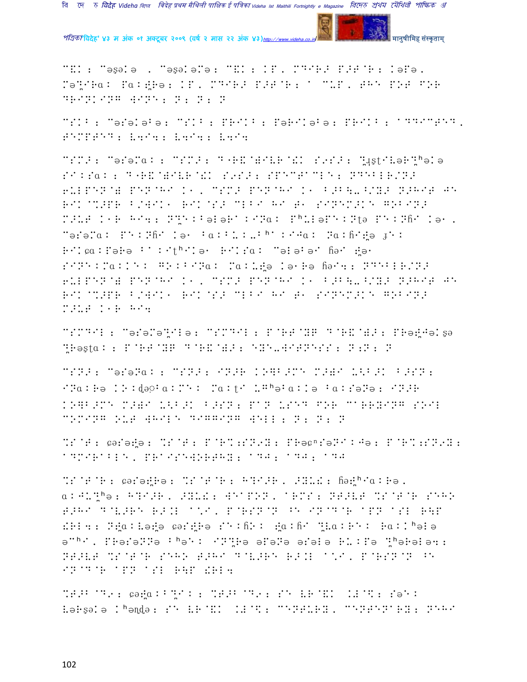CBC; Cəşəkə , Cəşəkələ , CB, Mülli, Mülli, Mülli, Polisi, Məsək Mədhirax Paxighe: KP, MOVIE, P.H. P.H. MovIE, ARS P.H. P.H. DRINKING WINE; N; N; N

CSKB; Cəstəkə: CSKB; PRIKB; Pərikəbə; PRIKB; Adducted, STOPPT: Lafa: Lafa: Lafa

CSMA: CəsəMar; CSMXX; D"Ramanın D"Ramanın Səhibəti Səhibəti Səhibəti Səhibəti Səhibəti Səhibəti Səhibəti Səhi SITICAL: PHENBILE MAN SASA: SPECTACLE ; NDEBLAND 6ULPEND NA PENDYAWA (1915) MANUNGKAN KALI KALENDAR DI BENGAN KAN RIK MORIE BYGGIN RIK MIKI HI SINEMA GOBINIS HI TIS MAD: WAR HIGH SHIP KIT AND HIGH SHIP AND HIGH SHIP AND HIGH SHIP AT A RAIN A SHIP AT A SHIP AT A SHIP AT A SHI TərəMat Persiman Balanın Balanı Halim Səhəmətinin Balanın Baranın Balanın Balanın Balanın Balanın Balanın Bala  $R: \mathbb{R}^2$  is an interestive  $R: \mathbb{R}^2$  is the  $R: \mathbb{R}^2$  is the  $R: \mathbb{R}^2$  is the  $R: \mathbb{R}^2$ SINEXA Matter Gordon Martigo Cəlbə həfali Havatib. 6ULPEND NA PENDYANG ING SENDAPAN KILANG KALENDAR PENDIMBANG ANG RIK MODERN BYGGEN RIK MIKI HI TIK BI TIGHTI HI HI TIGHTI M>UT K1R HI4

CSMORIL; Cəstəlləğinilə; CSMDIL; Participinin; Participinin; Participinin; Participinin; Participinin; Partici DHəştal: Pohe DBR Pohe MBR: PBYLEVERYET: P:P: P

CSN>; CəSəNɑː; CSN>; IN>R KO]B>ME M>)I U<B>K B>SN; INGINƏ INIQƏS QIYUL MAIT INARIYA BOŞLARI KOLONIA SOILEEN SUURI KORRINAAN KUURI KORRINAAN SOILEEN SOILEEN KORRINAAN KORRINAAN KORRINAAN KORRINAAN KORRIN COMING OUT WHILE DIGGING WELL; NEEDS

 $S: S \to \mathbb{R}$ ;  $\mathbb{R}$  and  $\mathbb{R}$  is the set  $S$  in the sum of  $S$  . The  $S$  is the sum of  $S$ ADMIRABLE, PRAISEWORTHY; ADJ; ADJ; ADJ

%S@T@R; baribatilibar; %S@T@R; H&TX, HIPP, H&C; haribar; həli dıgünə: HI-RH, PULL: HI-IPP, TETR: PERLE TR'P'R SIHD T>HI D@V>RE R>.L A\*I, P@RSN@N ^E IN@D@R APN ASL R\P  $\begin{split} \mathbb{E}\mathbb{H}\ni\mathbb{R}:\ \mathbb{R}\mathbb{R}^{n}\times\mathbb{R}\rightarrow\mathbb{R}^{n}\times\mathbb{R}^{n}\times\mathbb{R}^{n}\times\mathbb{R}^{n}\times\mathbb{R}^{n}\times\mathbb{R}^{n}\times\mathbb{R}^{n}\times\mathbb{R}^{n}\times\mathbb{R}^{n}\times\mathbb{R}^{n}\times\mathbb{R}^{n}\times\mathbb{R}^{n}\times\mathbb{R}^{n}\times\mathbb{R}^{n}\times\mathbb{R}^{n}\times\mathbb{R}^{n}\times\mathbb{R}^{n}\times\mathbb{$ əCʰI, PRəSəNNə BʰəEː INDӁRə əPəNə əSəLə RUːPə DӁʰəRəLə4; NT>VT %S@T@R SEHO T>HI D@V>RE R>.L A\*I, P@RSN@N ^E IN@D@R APN ASL R\P !RL4

%THOPS: @BENIRIYEY; %THOPS: THORS: SE VERMENT SE VR: Səhir Səhşəkə Khəndə; ST ERMEN NEMIR; MTRAKRI, MTRATTRI; PTPT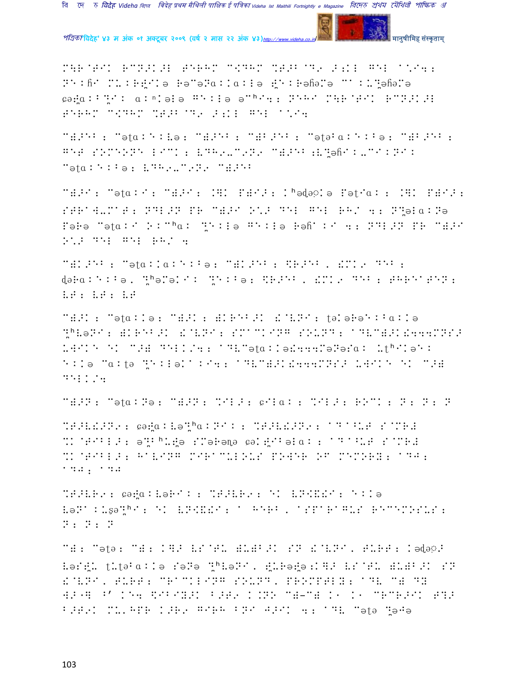MARCHED ROUND HER STREET SHARPS AND SHE STREET STATE. Also Monto Muris Birligiriya Muris Türkiyətinin Muris Holmes Hiris Alari Sanadan Alari Sahib Alari Sa gətal: Hiz almlələ Hizlə ə<sup>chi</sup>ni Girki Mikim Remuzili TERHM C[DHM %T>B@D9 >;KL GEL A\*I4

CHEB; Cətalinibə; CHEB; CHR; Cətəbalinlə; CHEB; C GET SOMEONE LICK; VDH9-C9-C9-C9-C9-C120-C120-C120-C Tətaliziə: E<sup>qu</sup>el<sup>o</sup>ngeli

CB,Prin, Cətalifi; CB, CB, PBili, Mədəşlə Pətiali, 191, PBili; STRAW-MAT; NDL>N PR C)>I O\*> DEL GEL RH/ 4; NDӁəLɑːNə Pəkə Cətali Düzünal Düzlə Bülə kəfili el Pülfi Provinsiy O\*> DEL GEL RH/ 4

CAN BIRAMISTA DIREGIMI DEBILI DEBILI DEBILI BATTER DEBILI DEBILI BEBILI DEBILI DEBILI DEBILI DEBILI DEBILI DEB dəBalıkış, ThəMəyənin Dövrəsi, Reservi Düryanın Bakarının Düryanın Düryanın Düryanın Düryanın Düryanın Düryanı LF: LF: LF

C)>K; CəʈɑːKə; C)>K; )KREB>K !@VNI; ʈəKəRəEːBɑːKə DÖRÜŞ EREBBIJ; KARACKING SOUND; SOUND; ADVENISIS SOUND; UWIKE EK COXI DELKIRINING EK CYONOMIC EXPORTS ON THE LIGHT OF THE LIGHT OF THE LIGHT OF THE LIGHT OF THE LIGHT Eriə Tartə Pirtləlirinin (DEZGA: EnnedDA:A LEC'i SI CAE DELK/4

CHAR: TətalRə: CHAR: CHER; @Hal: CHER: PROCK; ROCK; N

 $\mathbb{R}^n$ :Vilianist  $\mathbb{R}^n$  ,  $\mathbb{R}^n$  is  $\mathbb{R}^n$  and  $\mathbb{R}^n$  and  $\mathbb{R}^n$  is  $\mathbb{R}^n$  . And  $\mathbb{R}^n$  is the same  $\mathbb{R}^n$  $\mathbb{R}^n$  is the small set of  $\mathbb{R}^n$  is the small set of  $\mathbb{R}^n$  is the small set of  $\mathbb{R}^n$  is the small set of  $\mathbb{R}^n$  is the small set of  $\mathbb{R}^n$  is the small set of  $\mathbb{R}^n$  is the small set of  $\mathbb$ %K@TIBL>; HAVING MIRACULOUS POWER OF MEMORY; ADJ; ADJ; ADJ

%THP: : @e:[dːi.əi·lː; %THP:F.rː; %D E.F.HE:liː; %I; e Legar valsenthens and algebraic and the centric recent recent recent recent recent recent recent recent recent N; N; N

C); Cətə; C); CH(), Kanadi, Kanadi, Kanadi, Kanadi, Kanadi, Kanadi, Kanadi, Kanadi, Kanadi, Kanadi, K  $\lambda$ iəstiğli, tiltəf qızıl ə stəlifə "q<sup>h</sup>iləlif", Tağlı, Ediləri, Alayanı, Tağlı, Tağlı, Tağlı, Tağlı, Tağlı, Tağlı, !@VNI, TURT; CRACKLING SOUND, PROMPTLY; ADV C) DY WHO IN THE RUPTIES FORE CODY METALLY IN MEMBORS WIR BORG MUYHPR KOR9 GIRD BUYHPR BIRI SHI TƏQƏ DƏFƏ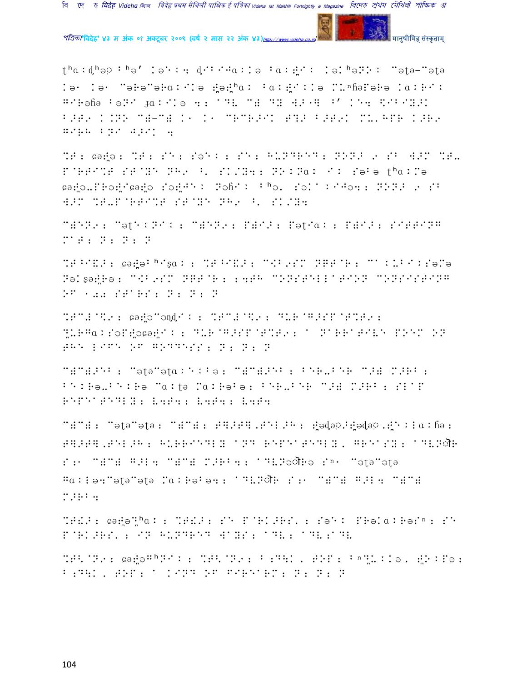tʰaːdʰəɛʲ bə' təlːqildə barı Barı Harı Bahəli Yəri Hanıdırın Bahazı Sərəfətə Kən Kən Cərəcərə Kəngiliyatın Ediyiriya Tərəcərə Tərəci və Kəngəliya Tərəci Mədiniyadı GIRƏÑƏ BƏNI Jarilə 4: MR. ME ROVER BIYON CHARIYO BST9 K.NO CONTRACT AND CONTRACT TO A CONTRACT TO A CONTRACT THE RESIDENCE OF THE CONTRACT OF THE CONTRACT OF T SHI BIK 497 4

%T; ɕəTӁə; %T; SE; SəEː; SE; HUNDRED; NON> 9 SB W>M %T-P THE THORTIN THE STANDARD PERTHAL TERSOR IS  $\mathbb{R}^n$ Gəfə..: Pəfiqəfə Səfiri Səhiri İhə, Səlirinən: Səfiri Səfi WHIM WE WILL SEE THE THE SKYLING STATE.

CANDA: Cəthildi candidat Parlı Parlı Pətrui Parlı Prindi MAT; N; N; N; N;

WHEN IS GONG INDEXEDS TO THE THE RESERVATION OF  $\mathbb{R}^n$  is called the  $\mathbb{R}^n$ Nə: Şədirə: Charlest Characteristing Constellation Constellation Constellation Constellation Const OF 100 STARS; NICKELLAND

 $T: T: X \to \mathbb{R}$  , we can expect the position of  $T: T: T: Y \to \mathbb{R}$  and  $T: T: Y \to \mathbb{R}$  and  $T: Y \to \mathbb{R}$ DÜRWGalfərdəşədə Taliyan Almanı (A Narrative Poem One Poem One HALLING OF GODDESS; N; N; N; N;

CACARIO B; Cətəcətqirilə: Cacario Birbinin Mədiriləri BEttifical Marty School (Barbar Corporation Modern School Article) Modern School (B REPEATED IN THE LAND CONTROL

(C)C); G); Cətərətə; C)c); Cətərətə; Türini; Türini; Türini; Türini; Türini; Türini; Türini; Türini; T]>T],TEL>H; HURRIEDLY AND REPEATEDLY, GREASY; ADVN◌ॊR S;1 C)C) Girahiya Haraqiya C)C, Girahiya (S. 1980) Məhaqqa S Gried Mariety Monte Series Monte General Series Sin Coleration Single M>RB4

 $T: E: E \mapsto \text{Cov}_B^* \circ \text{Cov}_B^* \circ \text{Cov}_B^* \circ \text{Cov}_B^* \circ \text{Cov}_B^* \circ \text{Cov}_B^* \circ \text{Cov}_B^* \circ \text{Cov}_B^* \circ \text{Cov}_B^* \circ \text{Cov}_B^* \circ \text{Cov}_B^* \circ \text{Cov}_B^* \circ \text{Cov}_B^* \circ \text{Cov}_B^* \circ \text{Cov}_B^* \circ \text{Cov}_B^* \circ \text{Cov}_B^* \circ \text{Cov}_B^* \circ \text{Cov}_B^* \circ \text{$ P@RK>RS'; IN HUNDRED WAYS; ADV; ADV;ADV

 $T_i$ i:  $T_i$ :  $\beta$ ə $i$ ə $^{n}$ h $i$ :  $i$ ;  $T_i$ :  $T_i$ :  $T_i$ ;  $T_i$ ;  $T_i$ ;  $T_i$ ;  $T_i$ ;  $T_i$ ;  $T_i$ ;  $T_i$ ;  $T_i$ B;D\X, B&B; A KIND OF FIREARM; N; N; N; N;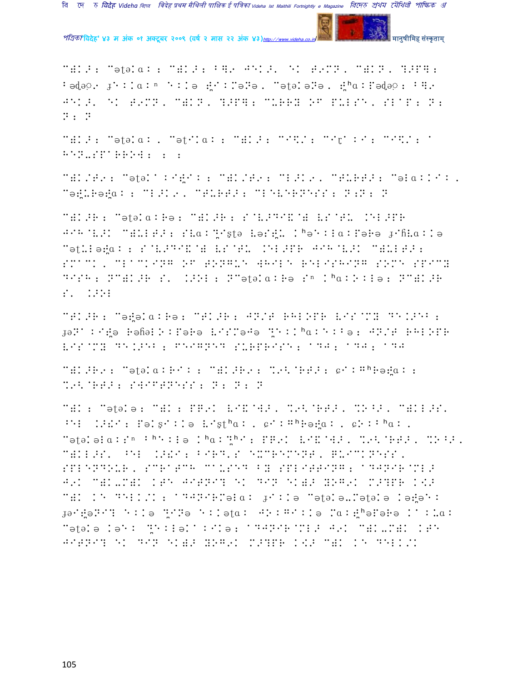*পত্ৰিকা*' विदेह' ४३ म अंक ०१ अक्टूबर २००९ (वर्ष २ मास २२ अंक ४३)http://www.videha.co.in/ मानसीपिक अंस्कृताम् अधिक

CADS: Cətəbal: CADS: BRS BRD, CD, BSCR, CADR, RAPR:  $B\mapsto\mathbb{S}^n$ ədə $\mathbb{S}^n$ .  $\mathbb{S}^n$ ə İ $\mathbb{S}^n$ i. The  $\mathbb{S}^n$  Eising  $\mathbb{S}^n$  and  $\mathbb{S}^n$  and  $\mathbb{S}^n$ JEK>' EK T9MN, C)KN, ?>P]; CURRY OF PULSE, SLAP; N;  $\mathbb{R}^n$  ,  $\mathbb{R}^n$ 

CHE, Petəkar, Cətikar; CHE, Petri, Citçinin, Citçinin, C HEN-SPARK SPARK

CB)ZP; C(Tətə) Kirgriy Colizey (T9; C)K. T9; CP; Colairini, Cəğlibəğdi (CLO): C. Caliado (Cleverness; Ning); N

CAD)PH; Cəţəlqıbə; CAD)PH; Somurum adlındı. CH 200 HIMM COPSTRUINS; SURVEYOR, SURVEYOR, SURVEYOR, SURVEYOR, SURVEYOR, SURVEYOR, SURVEYOR, SURVEYOR, SURVEYOR, SUR Cətüləfax : Sourch Machen, Orlean Grech, Californ SMACK, CLACKING OF TONGUE WHILE RELISHING SOME SPICY DOISH; NC)KOR SY . OLISH; NCəţəkalibə in thaliblilə; NCHILER S' .>OL

CHIRR; Cəfəkarbə: CHIRR; ARIB RHEDER EYECDE SYLPY;  $\overline{A}$ ə $\overline{B}$ : Indianarit Dismoslova Dismoslova Dismoslova Dismo $\overline{B}$ EVISTO SURPRISE; FEIGNED SURPRISE; ADD; ADD; ADD; ADD;

CB) SP; En Cətəlalırı; CBISP; En Ciri, Perli artım Pəşkalı; %9<@RT>; SWIFTNESS; N; N; N

CAD): Cətələ: CAD): PPVD KYBOAY, MVROBAY, MD9V, CAD: PPV,  $E^H$ :  $\mathcal{E}^H$  . I:  $\mathcal{E}^H$  . I:  $\mathcal{E}^H$  . I:  $\mathcal{E}^H$  . I:  $\mathcal{E}^H$  . I:  $\mathcal{E}^H$  . I:  $\mathcal{E}^H$  . I:  $\mathcal{E}^H$  . I:  $\mathcal{E}^H$  . I:  $\mathcal{E}^H$  . I:  $\mathcal{E}^H$  . I:  $\mathcal{E}^H$  . I:  $\mathcal{E}^H$  . I:  $\mathcal{E$ Tətələ $a: e^n \to h^n : i \in \mathbb{R}^n$  ar that  $e \in \mathbb{R}^n$  is the solution of  $\mathbb{R}^n$ . THO ELECTRONIC CONSTRUCTION OF THE CONTROL CONTROL CONTROL CONTROL CONTROL CONTROL CONTROL CONTROL CONTROL CONTROL CONTROL CONTROL CONTROL CONTROL CONTROL CONTROL CONTROL CONTROL CONTROL CONTROL CONTROL CONTROL CONTROL CON SPLENDOUR, SCRATCH CAUSED BY SPLITTING; ADJNIR@ML> J9K C) K-M)K KTE JITNI? EK DIN EK DIN EK DIN EK DIN EK DIN EK DIN EK DIN EK DIN EK DIN EK DIN EK DIN EK DIN EK<br>Provinsi Serika Alan dan selama di terdirikan di terdirikan di terdirikan dan terdirikan di terdirikan di terd Z)K Kejte Deltara Giriya Taristrikir Kirikirinirmələrinin Haristinin Haristinin Haristinin Haristinin Haristin tanı? Gielieri: Erikanı? Erikora Döğrös Döğrös Erikora Maritelinin Maritelinin Maritelinin Maritelinin Maritel Cətələ Kəfri döniyləl istiləyin dağınır. Döniylik adıl califikacılır. JITNI? EK DIN EK)> YOG9K M>?PR K[> C)K KE DELK/K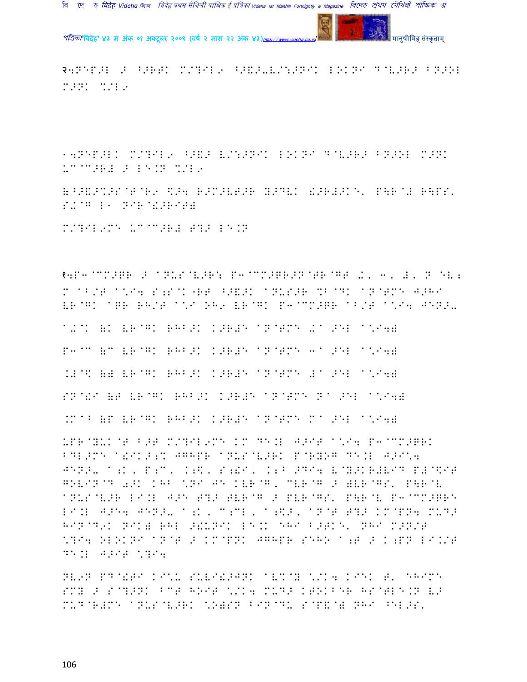२4NEP>L > ^>RTK M/?IL9 ^>&>-V/:>NIK LOKNI D@V>R> BN>OL M>NK %/L9

14NEP>LK M/?IL9 ^>&> V/:>NIK LOKNI D@V>R> BN>OL M>NK UC CONDENSE DE L'ANCIA

(^>&>%>S@T@R9 \$>4 R>M>VT>R Y>DVK !>R#>KE' P\R@# R\PS' Ship Richard Control Control Control Control Control Control Control Control Control Control Control Control C

MORE IN THE TRIANS OF THE UNIT

१4P3@CM>QR > ANUS@V>R: P3@CM>QR>N@TR@GT +, 3, #, N EV; M AF/T A ATA-T S;SMATH AF AN EINE AN DEISEN AN AN THAT AN OUTLINE AN AN AN AN O VR@GK AQR RH/T A\*I OH9 VR@GK P3@CM>QR AB/T A\*I4 JEN>-

A+@K (K VR) (K VR) + DHB+ K (K VR) + DHB+ AND + DHB+ AND + DHB+ AND + DHB+ AND + DHB+ AND + DHB+ AND + DHB+ AN

P3@C (C VR@GK RHB>K K>R#E AN@TME 3@ >EL A\*I4)

.#@\$ () VR@GK RHB>K K>R#E AN@TME #@ >EL A\*I4)

SN TAAR GERSKE KRIJ (TERESK REGEN AAN TEL AFIKALE NA T

.M@^ (P VR@GK RHB>K K>R#E AN@TME M@ >EL A\*I4)

UPR@YUK: TE POR STORESTY IS MY BY HORE TO THE PAYMORER. BORD A DO A IKO A IKO A IKO DELLA PELANG DE DE REGIONAL DE L'ALIANCHE DE L'ALIANCHE DE L'ALIANCHE DE L'ALIANCH JENOVA, A;K, P;C, P;K, S;K, P;K, S; S; P;K, P#A, KARAVID P#AP#VID P# GOVING ON DEVICE AN INFORMATION OF BURGEN CONFIN ANUS ANUS ANUS ALAM PURA PURA PADA PURA PALI PARA PILANG PURA PURA LIA.D - Ajena (Andrius and Company), and the problems of the problems  $\mathcal{I}_\mathcal{A}$ HIN@D9K NIK) RHL >!UNIK LE.K EHI B>TKE' NHI M>N/T \*?I4 OLOKNI AN@T > KM@PNK JGHPR SEHO A;T > K;PN LI./T DE.L JONES STREET

NIV9 PPMER IST. KIKERARI MITU MIH IST. B. PROT SMY A SAMPLE FOR HORE WAS SAMPLE FOR THE HSAMPLE HIS MUD@R#ME ANUS ME ANUS DU SANUS EN BING TERRA TELECA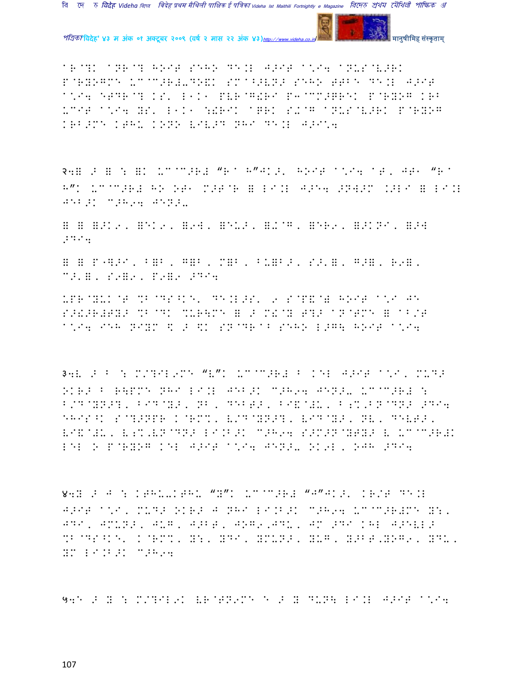AR@?K ANR@? HOIT SEHO DE.L J>IT A\*I4 ANUS@V>RK P@RYOGME UC@C>R#-DO&K SM@^>VN> SEHO TTBE DE.L J>IT A\*I4 ETDR@? KS' L1K1 PVR@G!RI P3@CM>QREK P@RYOG KRB UCIT AT I4 YOU AT A I4 YOU AND AN I4 YOU ALL AND AN INCOME. KRBBO KONO VIVIDO KONO VIVOS I PODAJE

२4= > = : =K UC@C>R# "R@ H"JK>' HOIT A\*I4 AT, JT1 "R@ H"K UC "C" "C" HO OT THE THE HOST CHAIRS IN THE LITTLE HOST CHAIRS IN THE LITTLE HOST CHAIRS IN THE LITTLE HOS JEB>K C>H94 JEN>-

= = =>K9, =EK9, =9W, =EU>, =+@G, =ER9, =>KNI, =>W >DI4

= = P"]>I, B=B, G=B, M=B, BU=B>, S>'=, G>=, R9=, C>'=, S9=9, P9=9 >DI4

UPR@YUK@T %B@DS^KE' DE.L>S' 9 S@P&@) HOIT A\*I JE S>!>R#TY> %B@DK %UR\ME = > M!@Y T?> AN@TME = AB/T A\*I4 IEH NIYM \$ > \$K SN@DR@^ SEHO L>G\ HOIT A\*I4

34E : B : B : MUSHE EN "NEWN LOOMERE B KINE HEAFT ON NUMBER OKR> B R\PME NHI LI.L JEB>K C>H94 JEN>- UC@C>R# : B/D@YN>?, BID@Y>, NB, DEBT>, BI&@#U, B;%,BN@DN> >DI4 EHISK KORM (POD KONSTANT), VIDA KORMANI, VIDA KORMANI, VIDA KORMANI, V VI&@#U, V;%,VN@DN> LI.B>K C>H94 S>M>N@YTY> V UC@C>R#K LEL O P@RYOG KEL J>IT A\*I4 JEN>- OK9L, OJH >DI4

४4Y > J : KTHU-KTHU "Y"K UC@C>R# "J"JK>' KR/T DE.L JADAN JOKA JI, MUDAN DONGA JALI NA MARA NA MANGALI NA MARAKA UCHA MANGANA YOKE NA MA JOG JOG JUGO JOG JUGO JE JUGO JE VLASTI JOGO JE U SLOVENI JE VLASTI JE U GODINE JE %B@DS^KE' K@RM%, Y:, YDI, YMUN>, YUG, Y>BT,YOG9, YDU,  $H_1$  ,  $H_2$  is the contract of  $H_1$ 

५4E > Y : M/?IL9K VR@TN9ME E > Y DUN\ LI.L J>IT A\*I4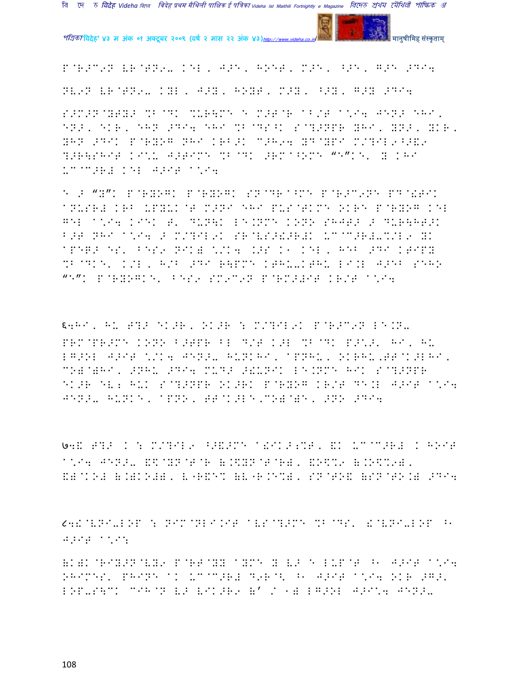*পত্ৰিকা*' विदेह' ४३ म अंक ०१ अक्टूबर २००९ (वर्ष २ मास २२ अंक ४३)http://www.videha.co.in/ मानासी मानुसीमिह संस्कृताम्



P@R>C9N VR@TN9- KEL, J>E, HOET, M>E, ^>E, G>E >DI4 NV9N VR@TN9- KYL, JON VR@TN9- KYL, JON VR@TN9- KYL, HOYT, MONTH

SAMAR MEHIA MAYYA MURRIYA %UNAF MAYAR ATAN ABARTA SARI, EN>, EKR, EHN >DI4 EHI %B@DS^K S@?>NPR YHI, YN>, YKR, YHN : DIK PORT IN BERNAMA DIK PORT IN DIK PORT IN DIK KRAAK COMPONENT IN DIK KRAAK COMPONENT IN DIK KRAAK COMP THE ROOM IS NOT WELFT AND THE SECOND WORKS IN THE UC CORRECT AT A HATEL CONTROL

E > "Y"K P@RYOGK P@RYOGK SN@DR@^ME P@R>C9NE PD@!TIK ANUSR# KRB UPYUK@T M>NI EHI PUS@TKME OKRE P@RYOG KEL GEL ATIKA IKEK TEL ALIK DUNGA KONO SHJELA DURAHAN BOR THA MARK OF TIMES SR WEIGHT AN INCORRECTED IN APER ES BESPIEL DIE KOMMUNISTE DER BES %B@DKE' K/L, H/B >DI R\PME KTHU-KTHU LI.L J>EB SEHO "E"K POSTEDER BESTEDERE BESTELLING PORT IT KRYT AT A THOSPITAL AT A THOSPITAL AT A THROUGH A THROUGH A THROUGH

६4HI, HU T?> EK>R, OK>R : M/?IL9K P@R>C9N LE.N-PRM@PR>ME KONO B>TPR BL D/T K>L %B@DK P>\*>' HI, HU LG>OL J>IT \*/K4 JEN>- HUNKHI, APNHU, OKRHU,TT@K>LHI, CO@)MARI, PRAL PRIA CONFIDENCIA SORO AIL PORTUG EK>R EV; HUK S@?>NPR OK>RK P@RYOG KR/T DE.L J>IT A\*I4 JEN>- HUNKE, APNO, TT@K>LE,CO)@)E, >NO >DI4

७4& T?> . : M/?IL9 ^>&>ME A!IK>;%T, &K UC@C>R# . HOIT A\*I4 JEN>- &\$@YN@T@R (.\$YN@T@R), &O\$%9 (.O\$%9), &)@KO# (.)KO#), V"R&E% (V"R.E%), SN@TO& (SN@TO.) >DI4

८4!@VNI-LOP : NIM@NLI.IT AVS@?>ME %B@DS' !@VNI-LOP ^1  $\mathcal{A}$  ,  $\mathcal{I}$  at  $\mathcal{I}$  at  $\mathcal{I}$  at  $\mathcal{I}$  at  $\mathcal{I}$ 

(K)K@RIYONYA TENGTARA TENGTARAN TENGTARAN TENGTARAN TENGTARAN TENGTARAN TENGTARAN TENGTARAN TENGTARAN TENGTARA OHIMES' PHINE AK UC@CORE PHROW OF PHINE AND SIRVERS. ED-POLENTI (TRANSPORTERI) ERI JAHRO EROLIG (HALDA) HALGOL HARS POLENTI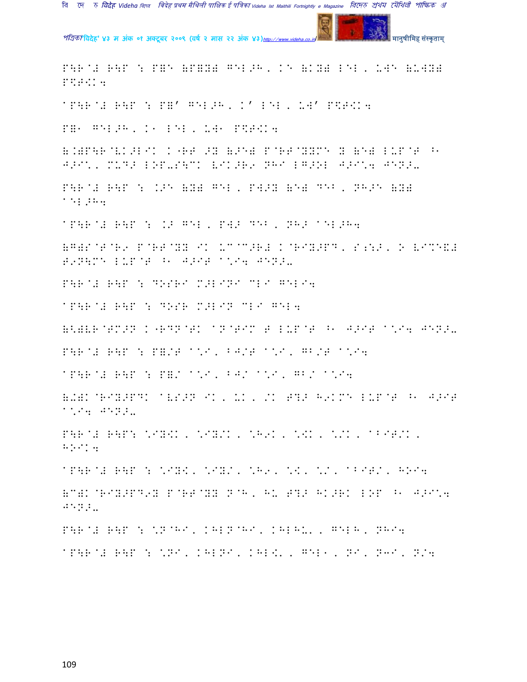िव <sup>त</sup>ि दिविदेह Videha विल्ह विदेह प्रथम मैथिली पाक्षिक ई पत्रिका <sub>Videha Ist Maithili Fortnightly e Magazine त्रि(मरु शेथेप ट्यैथिवी शीश्विक औ</sub>

*পত্ৰিকা*'বিदेह' ४३ म अंक ०१ अक्टूबर २००९ (वर्ष २ मास २२ अंक ४३)http://www.videha.co.in<sup>/ Hamak</sup> - स्थितिका अनुसीमिह संस्कृताम्

P\R@# R\P : P=E (P=Y) GEL>H, KE (KY) LEL, UWE (UWY) PRESSING

APARAM RAPANG PERSONAL SA PERSONAL SERIES SERIES GELIJA ERIKANA

PHOTOGRAPH CONTROL CONTROL

(.)P\R@VK>LIK K"RT >Y (>E) P@RT@YYME Y (E) LUP@T ^1 J>I\*, MUD> LOP-S\CK VIK>R9 NHI LG>OL J>I\*4 JEN>-

PAR NE RAP : NO (PN) GEE, PNE (V) PARE GNA (YN) (YN) PHOY (GEE  $\mathcal{L}$  -  $\mathcal{L}$  -  $\mathcal{L}$  -  $\mathcal{L}$  -  $\mathcal{L}$ 

AP\R@# R\P : .> GEL, PW> DEB, NH> AEL>H4

(G)S@T@R9 P@RT@YY IK UC@C>R# K@RIY>PD, S;:>, O VI%E&# T9N\ME LUP@T ^1 J>IT A\*I4 JEN>-

PARTIE RAP : DOSRI MISSION MISSION

AP\R@# R\P : DOSR M>LIN CLI GEL4

(BAGE) (FROUR ) (FRANCIS) (TRANSPORTAGIE AND THE LANGED ON A SANDONE

PARTE RAP & PHIN TOAT FAMP TOAT, BFMP TOAT

APRESS REPORTED ASSAULT AN ASSAULT AT A TANGE

(+)K@RIY>PDK AVS>N IK, UK, /K T?> H9KME LUP@T ^1 J>IT A\*I4 JEN>-

PARTE RAPS TREES INTER IT TRAIN THIS INTEREST  $H_1H_2H_3H_4$ 

APARAM RAP : MAGRI, MAGRI, MAGRI, MAGRI, APAR, ADAG

(C)K@RIY>PD9Y P@RT@YY N@H, HU T?> HK>RK LOP ^1 J>I\*4  $\mathcal{F}$  is  $\mathcal{F}$  in  $\mathcal{F}$ 

PRESSE ERT S. SPIEL, CHEFING, CHEFIN, NHI4H, PHECH

AP\R@# R\P : \*NI, KHLNI, KHL[', GEL1, NI, N3I, N/4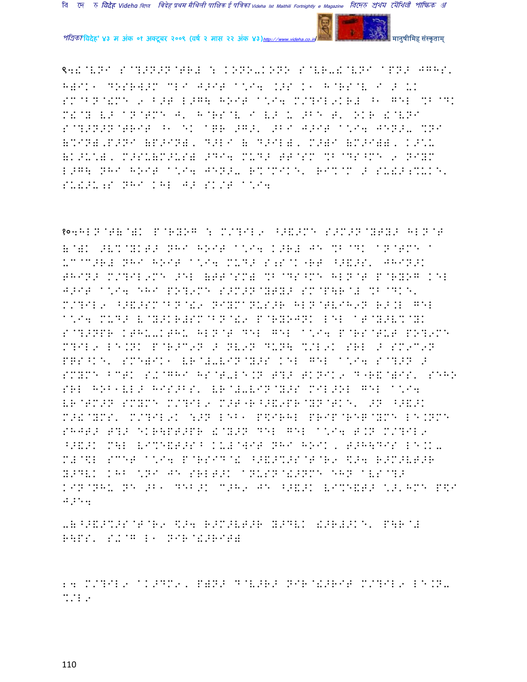#### *পত্রিকা*'বিदेह' ४३ म अंक ०१ अक्टूबर २००९ (वर्ष २ मास २२ अंक ४३)http://www.videha.co.in<sup>/ Hamak</sup> - स्थितिमह संस्कृताम्

SAE TERRI SO TERRAR 1983. IN I SPRIJ SRP. SO TERJE I KONO SPRIJ APREJ H)IK1 DOSRW>M CLI J>IT A\*I4 .>S K1 H@RS@V I > UK SM BRD 1000 A BOOK BOOK BOOK AT LOCAL MOVING AT EXISTENT AT LOCAL MOVING. ME TO AN INFORMATION IN THE TELL OF AN OUTLINE TO AN INFORMATION SMOND ON THE REPORT OF A STANDARD AND DRIVE AS A LARGED ON A LARGED AT A CHANGE OF A LARGED AT  $\mathcal{G}(\mathcal{G})$ (%IN),P>NI (P>IN), D>LI ( D>IL), M>)I (M>I)), K>\*U (K>U\*), M>SU(M>US) >DI4 MUD> TT@SM %B@DS^ME 9 NIYM L>G\ NHI HOIT A\*I4 JEN>- R%@MIKE' RI%@M > SU!>;%UKE' SU:S NHI KHL JOHN SU KHL JOHN SU

१०4HLN@T(@)K P@RYOG : M/?IL9 ^>&>ME S>M>N@YTY> HLN@T (@)K >V%@YKT> NHI HOIT A\*I4 K>R# JE %B@DK AN@TME A UC MUDE: PAS PERSON AT SIS SIDE AT A SISTEMA SIDE AT A INTERFERING A PARTIES. THIN> M/?IL9ME >EL (TT@SM) %B@DS^ME HLN@T P@RYOG KEL J>IT A\*I4 EHI PO?9ME S>M>N@YTY> SM@P\R@# %B@DKE' M/?IL9 ^>&>SM@BN@!9 NIYMANUS>R HLN@TVIH9N R>.L GEL A NA HODO POR KRASMA BOLA MARY SA NA MARA SA NA SANA DI SANA NA MARA NA MARY NA MARY NA MARY NA MARY NA MARY N<br>Na mary na mara na mara na mary na mara na mara na mara na mara na mara na mara na mara na mara na mara na mar S@?>NPR KTHU-KTHU HLN@T DEL GEL A\*I4 P@RS@TUT PO?9ME MILIO LE ROMO DE MERIDA DE MERIDA POMBE MONDERNO DE EN 2007 DE PBS^KE'S SMEDIA IK KELEAR DER SOME PRESS KAR SAME AT DE SMING PORT SIMPLE BEGIN IN THE BILL TO A THE METER STAR SRL HOB1VLIST HAS ARE LIGHTENEATED THAT IN EASY OF THE STATE VR@TM>N SMYME M/?IL9 M>T"R^>&9PR@YN@TKE' >N ^>&>K M>!@YMS' M/?IL9K :>N LEB1 P\$IRHL PRIP@REQ@YME LE.NME SHARR AND SCHREEFE ESNIP HAD HAD SCHREEFEN DITCH ^>&>K M\L VI%E&T>S^ KU#@WIT NHI HOIK, T>H\DIS LE.K-M#@\$L SCET A\*I4 P@RSID@! ^>&>%>S@T@R9 \$>4 R>M>VT>R YEARS IN AN INDEPENDENT AND INVESTIGATION OF SALE IN A STRUCK AND INVESTIGATION. KIND NE DI DEBI DEBI DEBI DEBI DEBI DEBI DE BILI E POSTE ELE DI DE BILI E PERSI  $\mathcal{A}$  ,  $\mathcal{B}$  ,  $\mathcal{B}$  ,  $\mathcal{B}$ 

-(^>&>%>S@T@R9 \$>4 R>M>VT>R Y>DVK !>R#>KE' P\R@# RAPS' STORE BY SPECIFICATE

24 M/?IL9 AK>DM9, P)N> D@V>R> NIR@!>RIT M/?IL9 LE.N-  $\mathbb{R}^n$  . The  $\mathbb{R}^n$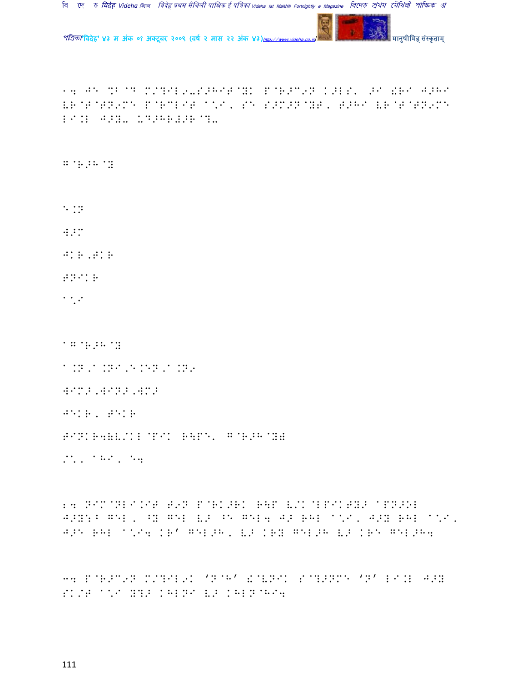*পত্রিকা*'বিदेह' ४३ म अंक ०१ अक्टूबर २००९ (वर्ष २ मास २२ अंक ४३)http://www.videha.co.in<sup>/ Hamak</sup> - स्थितिमह संस्कृताम्

14 JE %B@D M/?IL9-S>HIT@YK P@R>C9N K>LS' >I !RI J>HI VR@T@TN9ME P@RCLIT A\*I, SE S>M>N@YT, T>HI VR@T@TN9ME LI.L JOHN PRODUCED AND ALL JOHN PRODUCED AND ALL JOHN PRODUCED AND ALL JOHN PRODUCED AND ALL JOHN PRODUCED AND

G@R>H@Y

 $\ddots$ 

W>M

JKR,TKR

**BUCK** 

 $\mathcal{F}(\mathcal{A})$ 

AG@R>H@Y

A.N,A.NI,E.EN,A.N9

WIM>,WIN>,WM>

JEKR, TEKR

HITINGRAFIK RAPA RAPA RAPA RAPA RAPA PERSONA RAPA PERSONAL RAPA PERSONAL RAPA PERSONAL RAPA PERSONAL RAPA PERSONAL

/\*, AHI, E4

24 NIM@NLI.IT T9N P@RK>RK R\P V/K@LPIKTY> APN>OL JOIN PRESSURE PRESENT PROPER AN BAE AAN AND BAE AAN, J>E RHL A\*I4 KR' GEL>H, V> KRY GEL>H V> KRE GEL>H4

34 P@R>C9N M/?IL9K 'N@H' !@VNIK S@?>NME 'N' LI.L J>Y SK/T A\*I YOU AT A HIGH AFI YOU AT A MARKET AT A MARKET WARRANT A LIGHT AT A MARKET WARRANT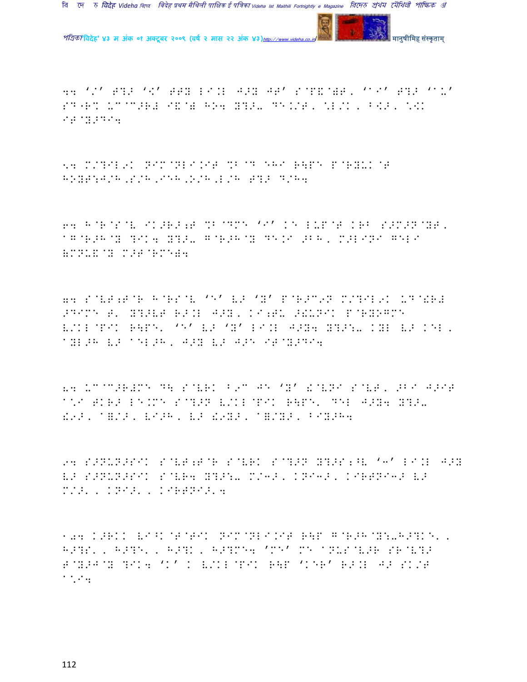*পত্ৰিকা*'বিदेह' ४३ म अंक ०१ अक्टूबर २००९ (वर्ष २ मास २२ अंक ४३)http://www.videha.co.in<sup>/ Hamak</sup> - स्थितिका अनुसीमिह संस्कृताम्



44 '/' Z' TO BEEN 'Y ROOM BOOK OF THE THROUGHT IN THE THE TO THE TYPE TO THE INTER-SD"R% UC@COPA IXTHE HO4 YARAH DERLA TANGGER UNIVERSITY ANG ALAWAY ANG IT@Y>DI4

54 M/?IL9K NIM@NLI.IT %B@D EHI R\PE P@RYUK@T HOYT:J/H,S/H,IEH,O/H,L/H T?> D/H4

64 H@R@S@V IK>R>;T %B@DME 'I' KE LUP@T KRB S>M>N@YT, AG@R>H@Y ?IK4 Y?>- G@R>H@Y DE.I >BH, M>LINI GELI (MNU&@Y M>T@RME)4

74 S@VT;T@R H@RS@V 'E' V> 'Y' P@R>C9N M/?IL9K UD@!R# >DIME T' Y?>VT R>.L J>Y, KI;TU >!UNIK P@RYOGME KOVA PIKO BRITA LANA KALAMIYA PATI HARRI HIRIRI LILI. KATA LIL AYL>H V> AEL>H, J>Y V> J>E IT@Y>DI4

84 UC@C>R#ME D\ S@VRK B9C JE 'Y' !@VNI S@VT, >BI J>IT AAN GEREE SAARI TKRASSE DEL SAARI DEL VAN VAL JAAR VAL DEL J !9>, A=/>, VI>H, V> !9Y>, A=/Y>, BIY>H4

94 S>NUN>SIK S@VT;T@R S@VRK S@?>N Y?>S;^V '3' LI.L J>Y  $\mathbb{R}$  , and the signal  $\mathbb{R}$  is the signal  $\mathbb{R}$  in the signal  $\mathbb{R}$  , and  $\mathbb{R}$  is the signal  $\mathbb{R}$ M/>', KNI>', KIRTNI>'4

104 K>RKK VI^K@T@TIK NIM@NLI.IT R\P G@R>H@Y:-H>?KE', H>?S', H>?E', H>?K, H>?ME4 'ME' ME ANUS@V>R SR@V?> T@Y>J@Y ?IK4 'K' K V/KL@PIK R\P 'KER' R>.L J> SK/T  $\mathcal{F}^{\mathcal{A}}\mathcal{F}^{\mathcal{A}}$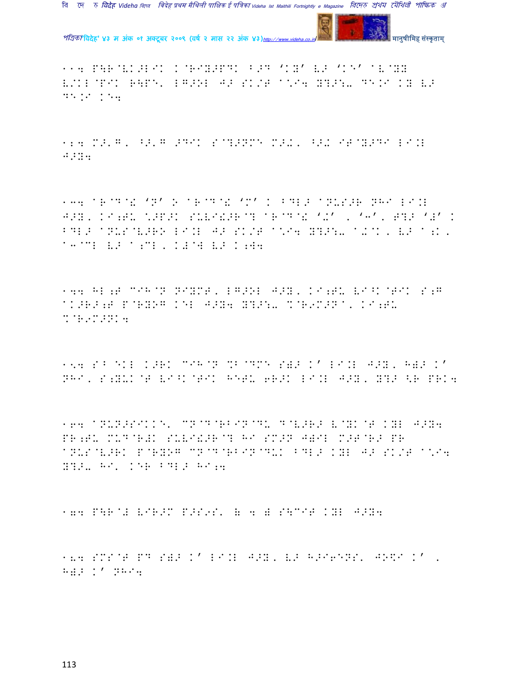*পত্রিকা*'বিदेह' ४३ म अंक ०१ अक्टूबर २००९ (वर्ष २ मास २२ अंक ४३)http://www.videha.co.in<sup>/ Hamak</sup> - स्थितिमह संस्कृताम्



114 PAPIELIE KOO INFORMATIO PI VORA BI ADALALI TR K/VETER RAPS, EARNE AR POVE TONE BRAN TYPE OB ER DE.I KE4

 $124$  M $\pm$   $125$  M $\pm$   $125$  M $\pm$   $125$  M $\pm$   $125$  M $\pm$   $125$  M $\pm$   $125$  M $\pm$  $\frac{1}{2}$   $\frac{1}{2}$   $\frac{1}{2}$   $\frac{1}{2}$   $\frac{1}{2}$ 

134 AR@D@! 'N' O AR@D@! 'M' K BDL> ANUS>R NHI LI.L J>Y, KI;TU \*>P>K SUVI!>R@? AR@D@! '+' , '3', T?> '#' K BOLE AND LINES ROOM OF ROOF AND THE SAME AND LOCAL AT A A3@CL V> A;CL, K#@W V> K;W4

144 HL;T CIH@N NIYMT, LG>OL J>Y, KI;TU VI^K@TIK S;G AKSBER:T PORT KAL JOSE KERNE KARA TERRITA KEL %@R9M>NK4

154 S^ EKL K>RK CIH@N %B@DME S)> K' LI.L J>Y, H)> K' NHI, S;HILL MATERIAL (ANAL 1882) EVIC ARIS (NHR KB PRI4)

164 ANUN>SIKKE' CN@D@RBIN@DU D@V>R> V@YK@T KYL J>Y4 PR;THU MUDDAR K SUVINSING HI SA SANG PROVINSING PRO ANUS@V>RK P@RYOG CN@D@RBIN@DUK BDL> KYL J> SK/T A\*I4 Y?>- HI' KER BDL> HI;4

174 PREVINSING PROVINSING ( 24 JENSO ( 31 ) PROV

184 SMS@T PD S)> K' LI.L J>Y, V> H>I6ENS' JO\$I K' , H<sub>H</sub>I (77 HH/4)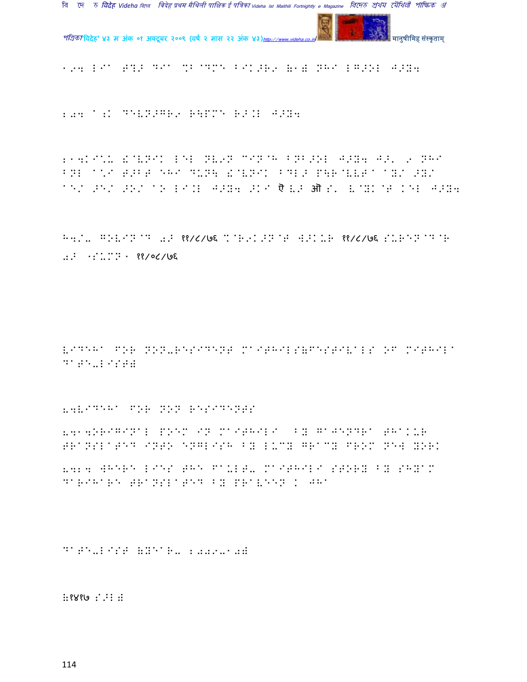DATE-LIST (YEAR- 2009-10)

8424 WHERE LIES THE FAULT- MAITHILI STORY BY SHYAM DARIHARE TRANSLATED BY PRAVEEN K JHA

8414ORIGINAL POEM IN MAITHILI BY GAJENDRA THAKUR TRANSLATED INTO ENGLISH BY LUCY GRACY FROM NEW YORK

84VIDEHA FOR NON RESIDENTS

VIDEHA FOR NON-RESIDENT MAITHILS(FESTIVALS OF MITHILA DATE-LIST)

 $H_{1}$  Government of  $R$ /2/06  $R$  (Fig. 19  $\pm$  19  $\pm$  19  $\pm$  19  $\pm$  19  $\pm$  19  $\pm$  19  $\pm$ 0> "SUMN" ११/०८/७६

214KI\*U !@VNIK LEL NV9N CIN@H BNB>OL J>Y4 J>' 9 NHI BNL AND BURG ARD TING ENIGHT FOR THE NEW ANY CO. AE/ 2007 2021 AD LIRE PARA DIR DURA DI ANCIENNA DI SENEGA

 $204$  Associated Roman Roman Roman Roman Roman Roman Roman Roman Roman Roman Roman Roman Roman Roman Roman Roman Roman Roman Roman Roman Roman Roman Roman Roman Roman Roman Roman Roman Roman Roman Roman Roman Roman Roman R

194 IPM BIK MPM TROMA PRISE, BRE BAR EMSIN ASSA

*পত্রিকা*'বিदेह' ४३ म अंक ०१ अक्टूबर २००९ (वर्ष २ मास २२ अंक ४३)http://www.videha.co.in<sup>/ Hamak</sup> - स्थितिमह संस्कृताम्

िव <sup>त</sup>ि दिविदेह Videha विल्ह*ोविह प्रथम मैथिली पाक्षिक ई पत्रिका videha Ist Maithili Fortnightly e Magazine विटमह <i>श*थग ट्यैथिली পोफ्फिक औ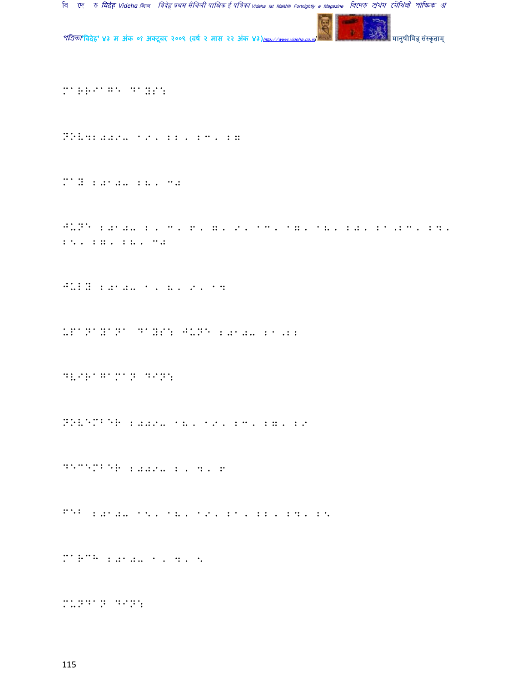िव <sup>त</sup> ह विदेह Videha <sub>विष्य</sub> विदेह प्रथम मैथिली पाक्षिक ई पत्रिका <sub>Videha Ist Maithili Fortnightly e Magazine *वि*(मह क्षेश्रेग ट्रॉशिती পौष्किक \$</sub>

पिñका**'**िवदेह**'** ४३ म अंक ०१ अक्टूबर २००९ (वष र् २ मास २२ अंक ४३)http://www.videha.co.in/ मानषीिमह स ु ंस्कृताम्

MARRIAGE DAYS:

NOV42009- 19, 22, 23, 27

MAY 2010- 28, 30

JUNE 2010- 2, 3, 6, 7, 9, 13, 17, 18, 20, 21,23, 24, 25, 27, 28, 30

JULY 2010- 1, 8, 9, 14

UPANAYANA DAYS: JUNE 2010- 21,22

DVIRAGAMAN DIN:

NOVEMBER 2009- 18, 19, 23, 27, 29

DECEMBER 2009- 2, 4, 6

FEB 2010-2010- 15, 19, 21, 21, 21, 21, 21, 21, 21, 25,

MARCH 2010- 1, 4, 5

MUNDAN DIN: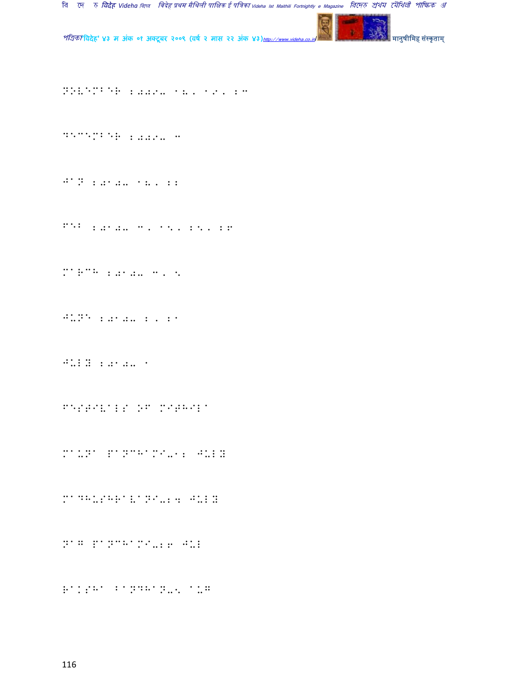िव <sup>त</sup> रु विदेह Videha <sub>विष्य</sub> विदेह प्रथम मैथिली पाक्षिक ई पत्रिका <sub>Videha</sub> ist Maithili Fortnightly e Magazine वित्मरु *द्यिश्च द*्योश्चिती পोष्फिक औ

*পত্রিকা*' विदेह' ४३ म अंक ०१ अक्टूबर २००९ (वर्ष २ मास २२ अंक ४३)http://www.videha.co.in/ मानीमिंह भानुषीमिंह संस्कृताम्

NOVEMBER 2009- 18, 19, 23

BERTHDE 2009-3009

 $\mathcal{P}(\mathbb{P})$ randa, 2010- 19

FFB 2010-3, 15, 25, 26, 26, 26

MARCH 2010- 3, 5

JUNE 2010- 2, 21

JULY 2010-2010

FESTIVALS OF MITHILA

MAUNA PANCHAMI-12 JULY

MADHUSHRAVANI-24 JULY

NAG PANCHAMI-26 JUL

RAKSHA BANDHAN-5 AUG

116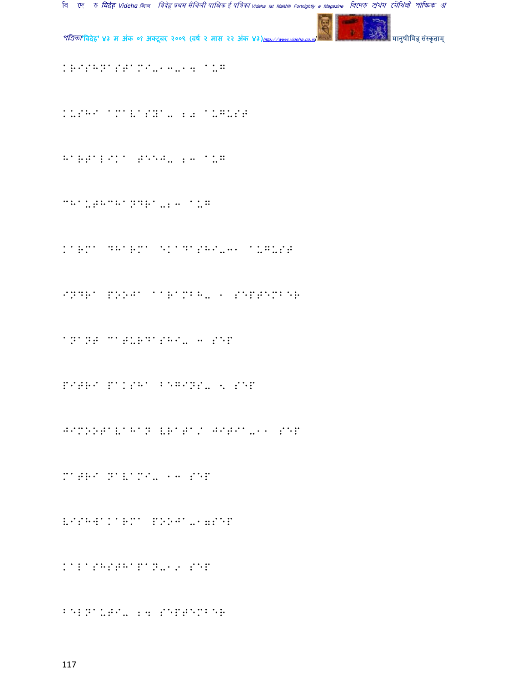िव दिन रु <mark>विदेह Videha</mark> बिलर विदेह प्रथम मैथिली पाक्षिक ई पत्रिका <sub>Videha</sub> Ist Maithili Fortnightly e Magazine *विद*मरु *छ*थिय ट्येशिनी পांश्किक औ

E *পত্ৰিকা*'বিदेह' ४३ म अंक ०१ अक्टूबर २००९ (वर्ष २ मास २२ अंक ४३)http://www.videha.co.in/ मानासीमिंह भानुषीमिंह संस्कृताम्

KRISHNASTAMI-13-14 AUGUST

KUSHI AMAVASHI AMAVASHI AMAVASHI AMAVASHI AMAVASHI AMAVASHI AMAVASHI AMAVASHI AMAVASHI AMAVASHI AMAVASHI AMAVA

HARTALIKA TEEJ- 23 AUG

THOLEN THE LEASE TIME

KARMA DHARMA EKADASHISTI

INDRA POOJA AARAMBH- 1 SEPTEMBER

ANANT CATURDASHI- 3 SEP

PITRI PAKSHA BEGINS- 5 SEP

JIMOOTAVAHAN VRATA/ JITIA-11 SEP

BAKARMA POOLS EN SAMARAMA POOLS

KALASHSTAPAN NA SEP

BELTIME IN STREET

MATRI NAVAMI- 13 SEP

117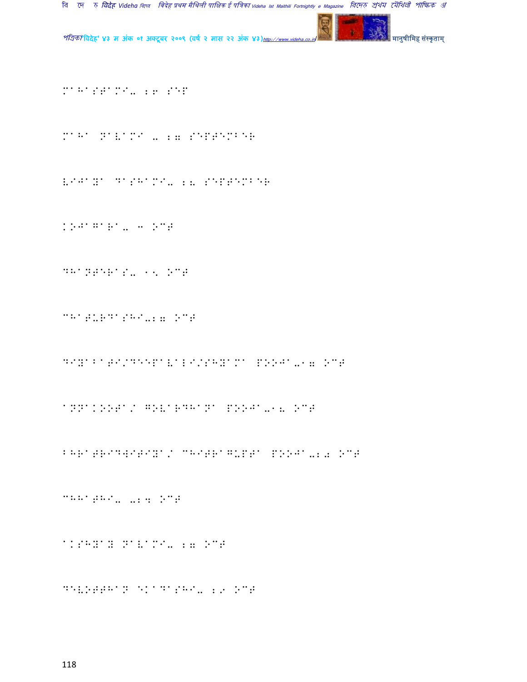DELEMAN EKANDER EKADASHI

AKSHYAY NAVAMI- 27 OCT

CHHATHI- -24 OCTOB

BHRATRIDWITIYA/ CHITRAGUPTA POOJA-20 OCT

ANNAKOOTA/ GOVARDHANA POOJA-18 OCT

DIYABATI/DEEPAVALI/SHYAMA POOJA-17 OCT

THE CHATURE CHATURE

DHANTERAS- 15 OCT

KOJAGARA- 3 OCT

VIJAYA DASHAMI- 28 SEPTEMBER

MAHA NAVAMI - 27 SEPTEMBER

MAHASTAMI- 26 SEP

*পত্ৰিকা*'বিবলৈ' ४३ म अंक ०१ अक्टूबर २००९ (वर्ष २ मास २२ अंक ४३)http://www.videha.co.in/ मानोसिक अधिकारिक संस्कृताम्

िव <sup>त</sup> रु विदेह Videha <sub>विष्य</sub> विदेह प्रथम मैथिली पाक्षिक ई पत्रिका <sub>Videha</sub> ist Maithili Fortnightly e Magazine वित्मरु *द्यिश्च द*्योश्चिती পोष्फिक औ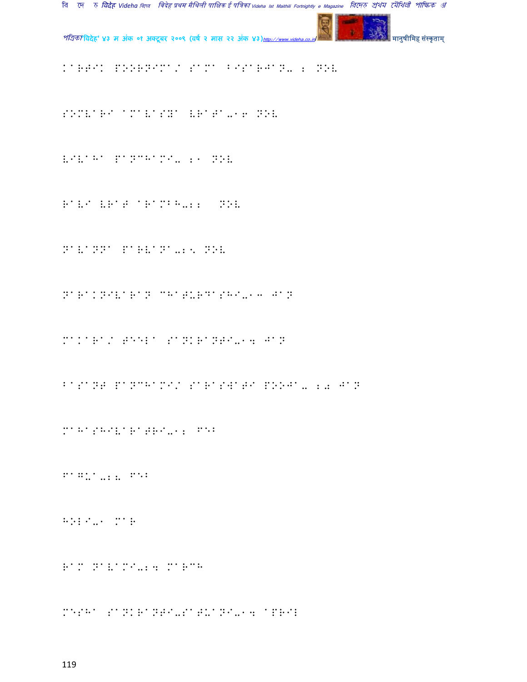119

MESHA SANKRANTI-SATUANI-14 APRIL

 $R$  and  $R$  matrix  $R$  matrix  $R$  matrix  $R$  matrix  $R$  matrix  $R$  matrix  $R$  matrix  $R$  matrix  $R$  matrix  $R$  matrix  $R$  matrix  $R$  matrix  $R$  matrix  $R$  matrix  $R$  matrix  $R$  matrix  $R$  matrix  $R$  matrix  $R$  matrix  $R$ 

HOLI-1 MAR

FAGUA-28 FEB

MAHASHIVARATRI-12 FEB

BASANT PANCHAMI/ SARASWATI POOJA- 20 JAN

MAKARA/ TEELA SANKRANTI-14 JAN

NARAKNIVARAN CHATURDASHI-13 JAN

NAVANNA PARVANA-25 NOV

RAVI VRAT ARAMBISKE

VIVAHA PANCHAMI- 21 NOV

SOMVARI AMAVASYA VRATA-16 NOV

KARTIK POORNIMA SAMA BISARJAN BISARJAN

*পত্ৰিকা*' विदेह' ४३ म अंक ०१ अक्टूबर २००९ (वर्ष २ मास २२ अंक ४३)http://www.videha.co.in/ मानीमिंह भागतपिमिंह संस्कृताम्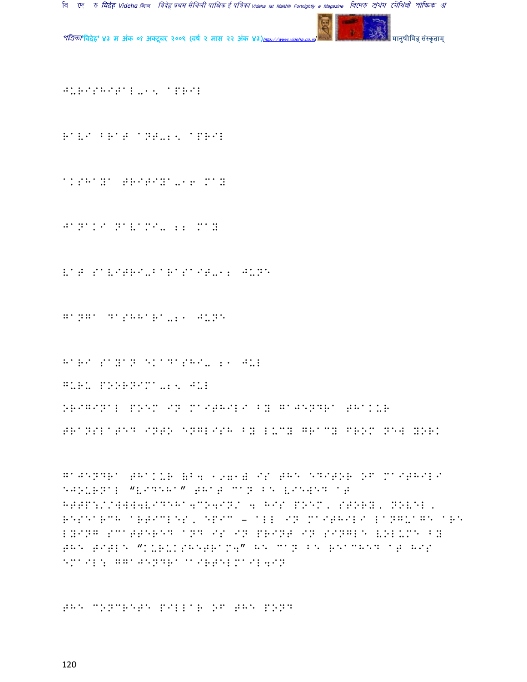THE CONCRETE PILLAR OF THE POND

GAJENDRA THAKUR (B4 1971) IS THE EDITOR OF MAITHILI EJOURNAL "VIDEHA" THAT CAN BE VIEWED AT HTTP://WWW4VIDEHA4CO4IN/ 4 HIS POEM, STORY, NOVEL, RESEARCH ARTICLES, EPIC – ALL IN MAITHILI LANGUAGE ARE LYING SCATTERED AND IS IN PRINT IN SINGLE VOLUME BY THE TITLE "KURUKSHETRAM4" HE CAN BE REACHED AT HIS EMAIL: GGAJENDRA@AIRTELMAIL4IN

HARI SAYAN EKADASHI- 21 JUL SCHOOL POORSES AND SCHOOL ORIGINAL POEM IN MAITHILI BY GAJENDRA THAKUR TRANSLATED INTO ENGLISH BY LUCY GRACIA DE STANDARD DE STANDARD DE STANDARD DE STANDARD DE STANDARD DE STANDARD

GANGA DASHHARA-21 JUNE

VAT SAVITRI-BARASAIT-12 JUNE

JANAKI NAVAMI- 22 MAY

AKSHAYA TRITIYA-16 MAY

RAVI BRAT ANTIQUE ANTIQUE

JURISHITAL-15 APRIL

*পত্ৰিকা*' विदेह' ४३ म अंक ०१ अक्टूबर २००९ (वर्ष २ मास २२ अंक ४३)http://www.videha.co.in<sup>| मान</sup>सीमह अधिकारिक संस्कृताम्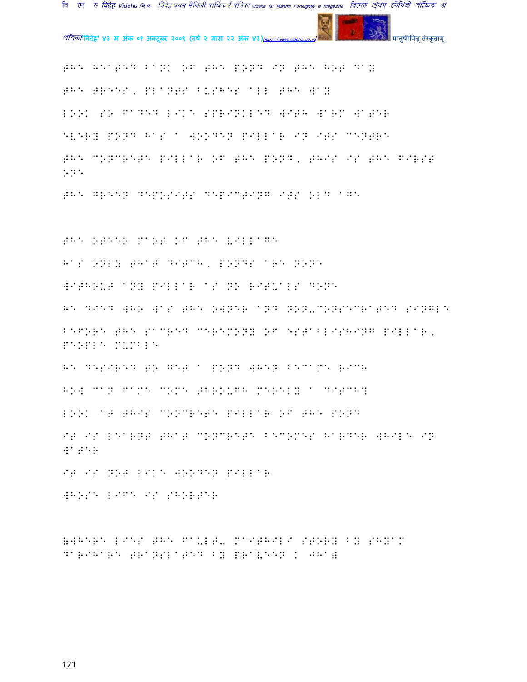THE CONCRETE PILLAR OF THE POND, THIS IS THE FIRST ONE THE GREEN DEPOSITS DEPICTING ITS OLD AGE THE OTHER PART OF THE VILLAGE HAS ONLY THAT DITCH, PONDS ARE NONE WITHOUT ANY PILLAR AS NO RITUALS DONE ANY PILLAR AS NO RITUALS DO ANY PILLAR AS NO RITUALS DO ANY PILLAR AS NO HE DIED WHO WAS THE OWNER AND NON-CONSECRATED SINGLE BEFORE THE SACRED CEREMONY OF ESTABLISHING PILLAR,  $\mathcal{P}$  . The mass of the multiple multiple multiple mass of the mass of the mass of the mass of the mass of the mass of the mass of the mass of the mass of the mass of the mass of the mass of the mass of the mass of the HE DESIRED TO GET A POND WHEN BECAME RICH HOW CAN FAME COME THROUGH MERELY A DITCH? LOOK AT THIS CONCRETE PILLAR OF THE POND IS IS LATERE BETWEEN THAT CONSTRUCT BECOME HARDER WH WATER IT IS NOT LIKE WOODEN PILLAR WHOSE LIFE IS SHOPPIE

(WHERE LIES THE FAULT- MAITHILI STORY BY SHYAM

DARIHARE TRANSLATED BY PRAVEEN K JHA)

*পত্ৰিকা*' विदेह' ४३ म अंक ०१ अक्टूबर २००९ (वर्ष २ मास २२ अंक ४३)http://www.videha.co.in/ मानासीमिंह संस्कृताम् THE HEATED BANK OF THE POND IN THE HOT DAY

LOOK SO FADED LIKE SPRINKLED WITH WARM WATER

EVERY POND HAS A WOODEN PILLAR IN ITS CENTRE

THE TREES, PLANTS BUSHES ALL THE WAY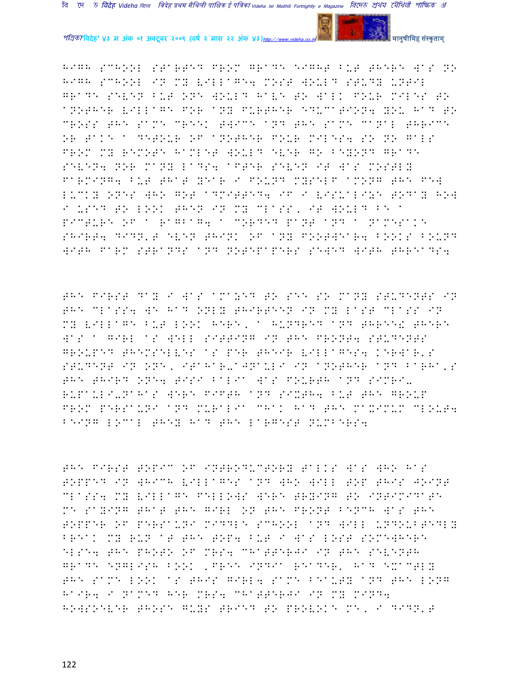THE FIRST TOPIC OF INTRODUCTORY TALKS WAS WHO HAS TOPPED IN WHICH VILLAGES AND WHO WILL TOP THIS JOINT CLASSE MY VILLAGE FELLOWS WERE TRYING TRYING TO INTERFERING TO INTIMITATE TRYING TO INTIMITATE TRYING TO INTIM ME SAYING THAT THE GIRL ON THE FRONT BENCH WAS THE TOPPER OF PERSAUNI MIDDLE SCHOOL AND WILL UNDOUBTEDLY BREAK MY RUN AT THE TOP4 BUT I WAS LOST SOMEWHERE ELSE4 THE PHOTO OF MRS4 CHATTERJI IN THE SEVENTH GRADE ENGLISH BOOK 'FREE INDIA READER' HAD EXACTLY THE SAME LOOK AS THIS GIRL4 SAME BEAUTY AND THE LONG HAIR4 I NAMED HER MRS4 CHATTERJI IN MY MIND4 HOWSOEVER THOSE GUYS TRIED TO PROVOKE ME, I DIDN'T

# BEING LOCAL THE LOCAL THE LARGEST NUMBERS

THE FIRST DAY I WAS AMAZED TO SEE SO MANY STUDENTS IN THE CLASS4 WE HAD ONLY THIRTEEN IN MY LAST CLASS IN MY VILLAGE BUT LOOK HERE, A HUNDRED AND THREE! THERE WAS A GIRL AS WELL SITTLE FROM THE FRONT STUDENTS GROUPS THEMSELVES AS PER THEIR VILLAGES AS PER THEIR VILLAGES STUDENT IN ONE, ITAHAR-AJNAULI IN ANOTHER AND BARHA'S THE THIRD ONE4 TISI BALIA WAS FOURTH AND SIMRI-RUPAULI-NAHAS WERE FIFTH AND SIXTH4 BUT THE GROUP FROM PERSAUNI AND MURALIA CHAK HAD THE MAXIMUM CLOUT4

## HIGH SCHOOL STARTED FROM GRADE EIGHT BUT THERE WAS NO HIGH SCHOOL IN MY VILLAGE4 MOST WOULD STUDY UNTIL GRADE SEVEN BUT ONE WOULD HAVE TO WALK FOUR MILES TO ANOTHER VILLAGE FOR ANY FURTHER EDUCATION4 YOU HAD TO CROSS THE SAME CREEK TWICE AND THE SAME CANAL THRICE OR TAKE A DETOUR OF ANOTHER FOUR MILES4 SO NO GALS FROM MY REMOTE HAMLET WOULD EVER GO BEYOND GRADE SEVEN AFTER SEVEN AFTER SEVEN DER SEVEN IN DER STREEK HET DIE STREEK HET DIE STREEK AFTER SEVEN IN DIE STREEK FARMING4 BUT THAT YEAR I FOUND MYSELF AMONG THE FEW LUCKY ONES WHO GOT ADMITTED4 IF I VISUALIZE TODAY HOW I USED TO LOOK THEN IN MY CLASS, IT WOULD BE A PICTURE OF A RAGBAG4 A CORDED PANT AND A NAMESAKE SHIRT4 DIDN'T EVEN THINK OF ANY FOOTWEAR4 BOOKS BOUND WITH FARM STRANDS AND NOTEPAPERS SEWED WITH THREADS4

*.<br><i>भविकां* विदेह' ४३ म अंक ०१ अक्टूबर २००९ (वर्ष २ मास २२ अंक ४३)http://www.videha.co.in/ मानसी मानसीमिन्न संस्कृताम्

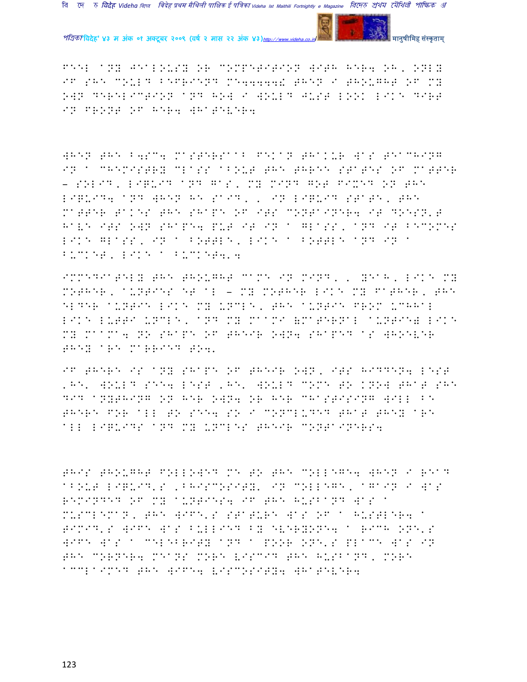*পত্ৰিকা*' विदेह' ४३ म अंक ०१ अक्टूबर २००९ (वर्ष २ मास २२ अंक ४३)http://www.videha.co.in/ मानासीमिंह भानुषीमिंह संस्कृताम्

FEEL ANY JEALOUSY OR COMPETITION WITH HER4 OH, ONLY IF SHE COULD BEFRIEND ME44444! THEN I THOUGHT OF MY OWN DERELICTION AND HOW I WOULD JUST LOOK LIKE DIRT IN FRONT OF HER4 WHATEVER4

WHEN THE B4SC4 MASTERSAAB FEKAN THAKUR WAS TEACHING IN A CHEMISTRY CLASS ABOUT THE THREE STATES OF MATTER  $-$  SOLID, LIGUID AND GAS, MY MIND GOT FIXED ON THE GOT  $\mathbb{R}^n$ LIQUID4 AND WHEN HE SAID, ' IN LIQUID STATE, THE MATTER TAKES THE SHAPE OF ITS CONTAINER4 IT DOESN'T HAVE ITS OWN SHAPE4 PUT IT ITS OWNER IT IN A GLASS SHAPE LIKE GLASS, IN A BOTTLE, LIKE A BOTTLE AND IN A BUCKET ERDA A BUCKET

IMMEDIATELY THE THOUGHT CAME IN MIND, ' YEAH, LIKE MY MOTHER, AUNTIES ET AL – MY MOTHER LIKE MY FATHER, THE ELDER AUNTIE LIKE MY UNCLE, THE AUNTIE FROM UCHHAL LIKE LUTTI UNCLE, AND MY MAAMI (MATERNAL AUNTIE) LIKE MY MAAMA4 NO SHAPE OF THEIR OWN4 SHAPED AS WHOEVER THEY ARE MARRIED TO4'

IF THERE IS ANY SHAPE OF THEIR OWN, ITS HIDDEN4 LEST 'HE' WOULD SEE LEST 'HE' WOULD COME TO KNOW THAT SHE'S HE' WOULD DID ANYTHING ON HER OWN4 OR HER CHASTISING WILL BE THERE FOR ALL TO SEE4 SO I CONCLUDED THAT THEY ARE ALL LIQUIDS AND MY UNCLES THEIR CONTAINERS4

THIS THOUGHT FOLLOWED ME TO THE COLLEGE4 WHEN I READ ABOUT LIQUID'S 'BHISCOSITY' IN COLLEGE, AGAIN I WAS REMINDED OF MY AUNTIES AND HUSBAND WAS ALSO AND THE THE T MUSCLEMAN, THE WIFE'S STATURE WAS OF A HUSTLER4 A TIMID'S WIFE WAS BUILDING BY EVERYONE A RICH ONE OF THE SAME OF THE SAME OF THE SAME OF THE SAME ONE. WIFE WAS A CELEBRITY AND A POOL ONE ONE ONE ONE ONE ONE OF THE CHANNEL WAS INTERFERING WAS INTERFERING WAS IN THE CORNER4 MEANS MORE VISCID THE HUSBAND, MORE ACCLAIMED THE WIFE4 VISCOSITY4 WHATEVER4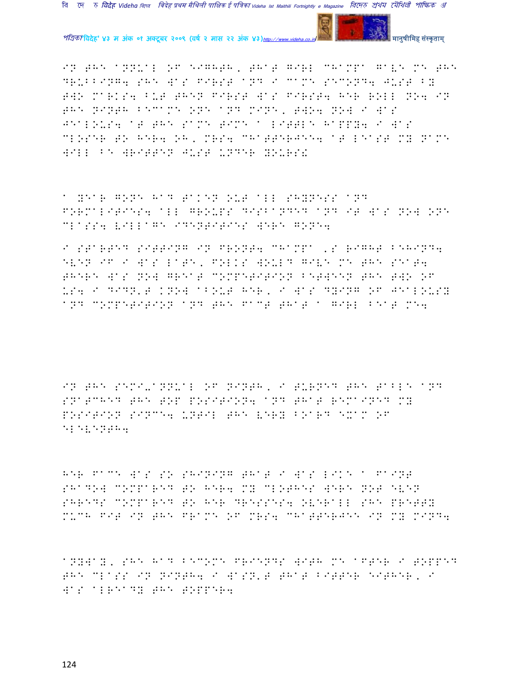HER FACE WAS SO SING THAT IN WAS LIKE A FAINT IN WAS LIKE A FAINT IN WAS LIKE A FAINT IN WAS LIKE A FAINT IN W SHADOW COMPARED TO HER4 MY CLOTHES WERE NOT EVEN SHREDS COMPARED TO HER DRESSES4 OVERALL SHE PRETTY MUCH FIT IN THE FRAME OF MRS4 CHATTERJEE IN MY MIND4

SNATCHED THE TOP POSITION4 AND THAT REMAINED MY POSITION SINCE4 UNTIL THE VERY BOARD EXAM OF ELEVENTH4

IN THE SEMI-ANNUAL OF NINTH, I TURNED THE TABLE AND

I STARTED SITTING IN FRONT4 CHAMPA 'S RIGHT BEHIND4 EVEN IF I WAS LATE, FOLKS WOULD GIVE ME THE SEAT4 THERE WAS NOW GREAT COMPETITION BETWEEN THE TWO OF US4 I DIDN'T KNOW ABOUT HER, I WAS DYING OF JEALOUSY AND COMPETITION AND THE FACT THAT A GIRL BEAT ME4

A YEAR GONE HAD TAKEN OUT ALL SHYNESS AND FORMALITIES4 ALL GROUPS DISBANDED AND IT WAS NOW ONE CLASS4 VILLAGE IDENTITIES WERE GONE4

IN THE ANNUAL OF EIGHTH, THAT GIRL CHAMPA GAVE ME THE DRUBBING4 SHE WAS FIRST AND I CAME SECOND4 JUST BY TWO MARKS4 BUT THEN FIRST WAS FIRST4 HER ROLL NO4 IN THE NINTH BECAME ONE AND MINE, TWO4 NOW I WAS JEALOUS4 AT THE SAME TIME A LITTLE HAPPY4 I WAS CLOSER TO HER4 OH, MRS4 CHATTERJEE4 AT LEAST MY NAME WILL BE WAS DERETTED TO DERETTED THE WARRANT OF THE WARRANT OF THE WARRANT OF THE WARRANT OF THE WARRANT OF TH

*পত্রিকা*'বিदेह' ४३ म अंक ०१ अक्टूबर २००९ (वर्ष २ मास २२ अंक ४३)http://www.videha.co.in/ मानसीट अंस्कृताम् अस्ति मानुषीमिह संस्कृताम्

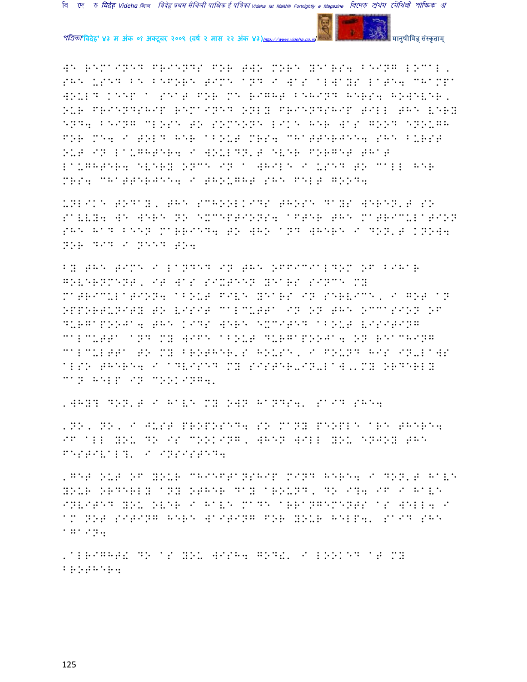*भविकां* विदेह' ४३ म अंक ०१ अक्टूबर २००९ (वर्ष २ मास २२ अंक ४३)http://www.videha.co.in/ मानसीटिक मानुषीमिह संस्कृताम्



WE REMAINED FRIENDS FOR TWO MORE YEARS4 BEING LOCAL, SHE USED BE BEFORE TIME AND I WAS ALWAYS LATE4 CHAMPA WOULD KEEP A SEAT FOR ME RIGHT BEHIND HERS4 HOWEVER, OUR FRIENDSHIP REMAINED ONLY FRIENDSHIP TILL THE VERY END4 BEING CLOSE TO SOMEONE LIKE HER WAS GOOD ENOUGH FOR ME4 I TOLD HER ABOUT MRS4 CHATTERJEE4 SHE BURST OUT IN LAUGHTER4 I WOULDN'T EVER FORGET THAT LAUGHTER4 EVERY ONCE IN A WHILE I USED TO CALL HER MRS4 CHATTERJEE4 I THOUGHT SHE FELT GOOD4

UNLIKE TODAY, THE SCHOOLKIDS THOSE DAYS WEREN'T SO SAVVY4 WE WERE NO EXCEPTIONS4 AFTER THE MATRICULATION SHE HAD BEEN MARRIED4 TO WHO AND WHERE I DON'T KNOW4 NOR DID I NEED TO4

BY THE TIME IN TIME IS THE TIME IN THE OFFICIAL DOMESTIC OFFICIAL BIHARA GOVERNMENT, IT WAS SIXTEEN YEARS SINCE MY MATRICULATION4 ABOUT FIVE YEARS IN SERVICE, I GOT AN OPPORTUNITY TO VISIT CALCUTTA IN ON THE OCCASION OF DURGAPOOLA THE KIDS WERE EXCITED AS A SERVICE EXCHANGE CALCUTTA AND MY WIFE ABOUT DURGAPOOL DURGAPOOJA ON REACHING ASSOCIATION ON REACHING ON REACHING ON REACHING ON CALCULTUR TO MY BROTHER'S HOUSE, I FOUND HIS INFORMATION HIS INFORMATION HIS ALSO THERE4 I ADVISED MY SISTER-IN-LAW,'MY ORDERLY CAN HELP IN COOKING4'

'WHY? DON'T I HAVE MY OWN HANDS4' SAID SHE4

'NO, NO, I JUST PROPOSED4 SO MANY PEOPLE ARE THERE4 IF ALL YOU DO IS COOKING, WHEN WILL YOU ENJOY THE FESTIVAL?' I INSISTED4

'GET OF YOUR CHIEFTANSHIP MIND HERE 4 IN DIE 1979 OOK 'N DIE 1979 OOK DIE 1979 DIE 1979 DIE 1979 OOK DIE 1979<br>GESTUIG DIE 1979 OOK DIE 1979 OOK DIE 1979 DIE 1979 DIE 1979 OOK DIE 1979 OOK DIE 1979 DIE 1979 DIE 1979 OOK HOUR ORDERLY ANY ORDER DAY AROUND, DO I?4 IF I HAVE **FOR THAN IN INVITED YOU OVER INVITED YOU OVER IN** AM NOT SITING HERE WAITING FOR YOUR HELP4' SAID SHE AGAIN4

'ALRIGHT' DO AS YOU WISH TO ASSESS TO A GOD!' I LOOKED AT MY ASSESSED AT MY LOOKED AT MY LOOKED AT MY LOOKED A BROTHER4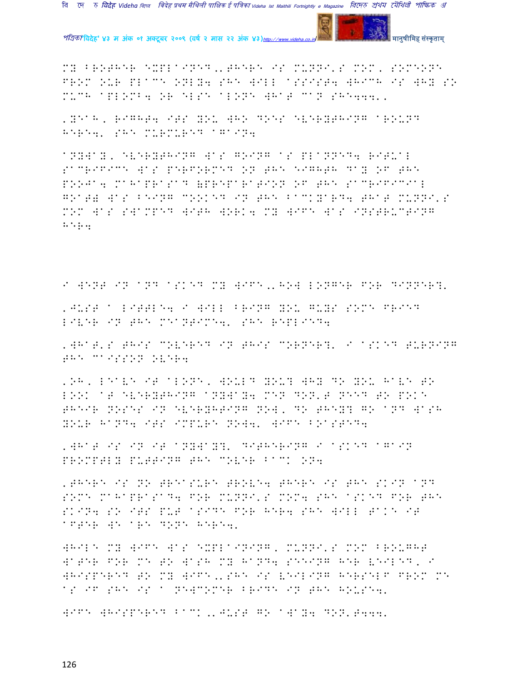*পত্ৰিকা*' विदेह' ४३ म अंक ०१ अक्टूबर २००९ (वर्ष २ मास २२ अंक ४३)http://www.videha.co.in/ मानसीपिक अंस्कृताम् अधिक

MY BROTHER EXPLAINED,'THERE IS MUNNI'S MOM, SOMEONE FROM OUR PLACE ONLY4 SHE WILL ASSIST4 WHICH IS WHY SO MUCH APLOMB4 OR ELSE ALONE WHAT CAN SHE444''

'YEAHA, BAHHAA ITS YOU WHO DOES EVERYTHING AROUNDED AROUNDED HERE4' SHE MURMURED AGAIN4

ANYWAY, EVERYTHING WAS GOING AS PLANNED4 RITUAL SACRIFICE WAS PERFORMED ON THE EIGHTH DAY OF THE POOJA4 MAHAPRASAD (PREPARATION OF THE SACRIFICIAL GOAT) WAS BEING COOKED IN THE BACKYARD4 THAT MUNNI'S MOM WAS SWAMPED WITH WAS INSTRUCTED WITH WAS INSTRUCTED WAS INSTRUCTED WAS INSTRUCTED WITH  $\sigma$  $H: \mathbb{R} \to \mathbb{R}$ 

I WENT IN AND ASKED MY WIFE,'HOW LONGER FOR DINNER?'

'JUST A LITTLE4 I WILL BRING YOU GUYS SOME FRIED LIVER IN THE MEANTIME4' SHE REPLIED4

'WHAT'S THIS THIS COVERED IN THIS COVERED IN THIS COVERED IN THIS CONFIDENTIAL IN THIS CONFIDENTIAL IN THIS CO THE CAISSON OVER4

'OH, LEAVE IT ALONE, WOULD YOU? WHY DO YOU HAVE TO LOOK AT EVERYTHING ANYWAY4 MEN DON'T NEED TO POKE THEIR NOSES IN EVERYHTING NOW, DO THEY? GO AND WASH

'THERE IS NO TREASURE TROVE4 THERE IS THE SKIN AND SOME MAHAPRASAD4 FOR MUNNI'S MOM4 SHE ASKED FOR THE

SKIN4 SO ITS PUT ASIDE FOR HER4 SHE WILL TAKE IT

YOUR HAND4 ITS IMPURE NOW4' WIFE BOASTED4

'WHAT IS IN IT ANYWAY?' DITHERING I ASKED AGAIN IS IN IT ANYWAY? PROMPTLY PUTTING THE COVER BACK ON4

126

AFTER WE ARE DONE HERE4'

WIFE WHISPERED BACK,'JUST GO AWAY4 DON'T444'

WHICH MY WIFE WAS EXPLAINING, MUNICIPALITY OF MUNICIPALITY OF BROUGHT OF MUNICIPALITY OF MUNICIPALITY OF MUNICIPALITY WATER FOR ME TO WASH MY HAND4 SEEING HER VEILED, I WHISPERED TO MY WIFE, AND MY WIFE, IN THE ISLAMIC HERSELF FROM METHODS IN THE ISLAMIC HERSELF FROM METHODS. AS IF SHE IS A NEWCOMER BRIDE IN THE HOUSE4'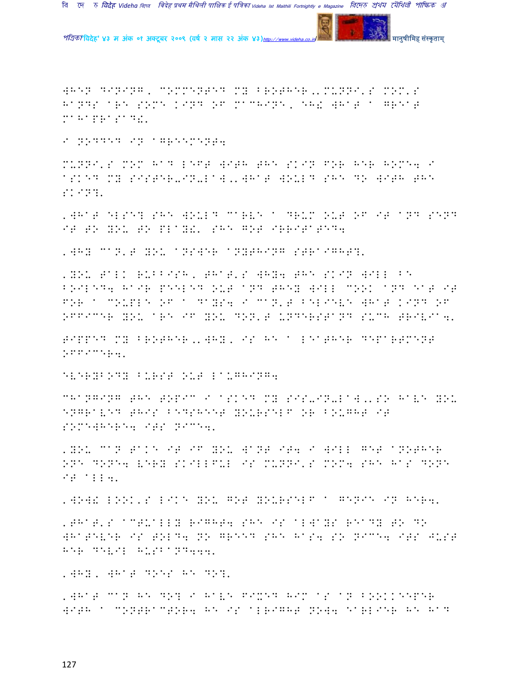'WHAT CAN HE DO? I HAVE FIXED HIM AS AN BOOKKEEPER WITH A CONTRACTOR4 HE IS ALRIGHT NOW4 EARLIER HE HAD

'THAT'S ACTUALLY RIGHT4 SHE IS ALWAYS READY TO DO WHATEVER IS TOLD4 NO GREED SHE HAS4 SO NICE4 ITS JUST HER DEVIL HUSBAND444'

'WOW! LOOK'S LIKE YOU GOT YOURSELF A GENIE IN HER4'

'YOU CAN TAKE IT IF YOU WANT IT4 I WILL GET ANOTHER ONE DONE4 VERY SKILLFUL IS MUNNI'S MOM4 SHE HAS DONE IT ALL 1999

CHANGING THE TOPIC I ASKED MY SIS-IN-LAW,'SO HAVE YOU ENGRAVED THIS BEDSHEET YOURSELF OR BOUGHT IT SOMEWHERE4 ITS NICE4'

EVERYBODY BURST OUT LAUGHING4

'WHY, WHAT DOES HE DO?'

TIPPED MY BROTHER,'WHY, IS HE A LEATHER DEPARTMENT OFFICER4'

'YOU'RE 'YOU'RE 'YOU'RE 'YOU'RE 'YOU'RE 'YOU'RE 'YOU'RE 'YOU'RE 'YOU'RE 'YOU'RE 'YOU'RE 'YOU'RE 'YOU'RE 'YOU'R BOILED HAIR PEEL PEEL DIE DIE DIE DIE SOOS AND THEY WILL COOK AND EAT IT IT IS AND EAT IT IT IN DIE DIE DIE DI FOR A COUPLE OF A DAYS4 I CAN'T BELIEVE WHAT KIND OF OFFICER YOU ARE IF YOU DON'T UNDERSTAND SUCH TRIVIA4'

'WHY CAN'T YOU ANSWER ANYTHING STRAIGHT?'

'WHAT ELSE? SHE WOULD CARVE A DRUM OUT OF IT AND SEND IT TO YOU TO PLAY TO YOU TO PLAY TO PLAY TO PLAY TO

MUNNI'S MOM HAD LEFT WITH THE SKIN FOR HER HOME AND THE SKIN FOR ASKED MY SISTER-IN-LAW,'WHAT WOULD SHE DO WITH THE SKIN?'

I NODDED IN AGREEMENT4

WHEN DINING ON DINING MY BROTHER, COMMENT WITH STRIPS HANDS ARE SOME KIND OF MACHINE, EH! WHAT A GREAT MAHAPRASAD!'

*পত্ৰিকা*' विदेह' ४३ म अंक ०१ अक्टूबर २००९ (वर्ष २ मास २२ अंक ४३)http://www.videha.co.in/ मानासीमि अर्था मानुषीमिह संस्कृताम्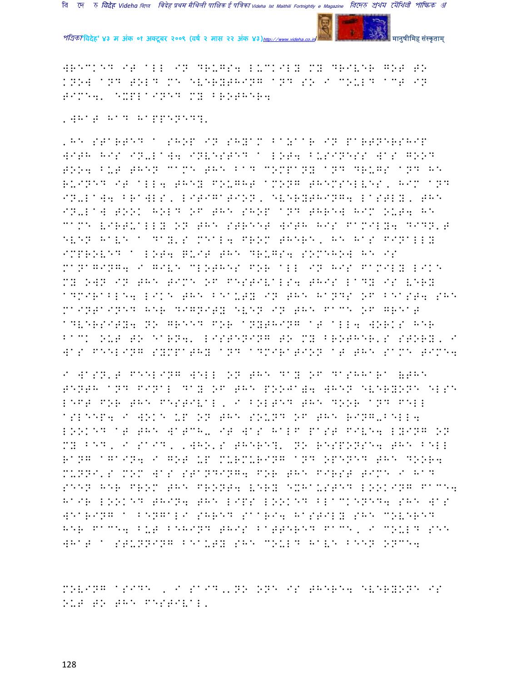MOVING ASIDE , I SAID ASIDE , I SAIDER IS THE HOME IS THE HOUSE OUT THE FESTIVAL SERVICE

I WASN'T FEELING WELL ON THE DAY OF DASHHARA (THE TENTH AND FINAL DAY OF THE POOJA)4 WHEN EVERYONE ELSE LEFT FOR THE FESTIVAL, I BOLTED THE DOOR AND FELL ASLEEP4 I WOKE UP ON THE SOUND OF THE RING-BELL4 LOOKED AT THE WATCH- IT WAS HALF PAST FIVE4 LYING ON MY BED, I SAID, 'WHO'S THERE?' NO RESPONSE4 THE BELL RANG AGAIN4 I GOT UP MURMURING AND OPENED THE DOOR4 MUNNI'S MOM WAS STANDING4 FOR THE FIRST TIME I HAD SEEN HER FROM THE FRONT4 VERY EXHAUSTED LOOKING FACE4 HAIR LOOK THIN4 THIN4 THIN4 THIN4 THIN4 THIN4 THIN4 THIN4 SHE WEARING A BENGALI SHEEKING SAARI SHE COVERED SAARI 1 MAARIA HASTILISE COVERED SHE HER FACE4 BUT BEHIND THIS BATTER BATTER BATTER THIS BATTER OF THE BUT BEHIND SEE WHAT A STUNNING BEAUTY SHE COULD HAVE BEEN ONCE 4 AND STUNNING.

'HE STARTED A SHOP IN SHYAM BAZAAR IN PARTNERSHIP WITH HIS IN-LAW 4 IN THE HIS IN-LAW 4 IN THE LAW 4 IN THE LAW 4 IN THE LAW 4 IN THE LAW 4 IN THE LAW 4 IN THE TOO4 BUT THEN CAME THE BAD COMPANY AND DRUGS AND HE RUINED IT ALL4 THEY FOUGHT AMONG THEMSELVES, HIM AND IN-LAW4 BRAWLS, LITIGATION, EVERYTHING4 LASTLY, THE IN-LAW TOOK HOLD OF THE SHOP AND THREW HIM OUT4 HE CAME VIRTUALLY ON THE STREET WITH HIS FAMILY4 DIDN'T EVEN HAVE A DAY'S MEAL4 FROM THERE, HE HAS FINALLY IMPROVED A LOT4 QUIT THE DRUGS4 SOMEHOW HE IS MANAGING A BALA MENGHANG FOR ALL ING HAY FAMILY LICE MY OWN IN THE TIME OF FESTIVALS4 THIS LADY IS VERY ADMIRABLE4 LIKE THE BEAUTY IN THE HANDS OF BEAST4 SHE MAINTER STEAT GEAR OP STEATER HER DIGNITY EVEN IN THE FACE OF GREAT AS ADVERSITY4 NO GREED FOR ANYTHING AT ALL4 WORKS HER BACK OUT TO EARN4' LISTENING TO MY BROTHER'S STORY, I WAS FEELING SYMPATHY AND ADMIRATION AT THE SAME TIME4

'WHAT HAD HAPPENED?'

WRECKED IT ALL IN DRUGSA LUCKILY MY DRUGS4 LUCKILY MY DRIVER GOT TO ALL IN DRUGS4 LUCKILY MY DRIVER GOT TO ANN KNOW AND TOLD ME EVERYTHING AND SO I COULD ACT IN TIME4' EXPLAINED MY BROTHER4

*পত্ৰিকা*' विदेह' ४३ म अंक ०१ अक्टूबर २००९ (वर्ष २ मास २२ अंक ४३)http://www.videha.co.in/ मानसीपिक अंस्कृताम् अधिक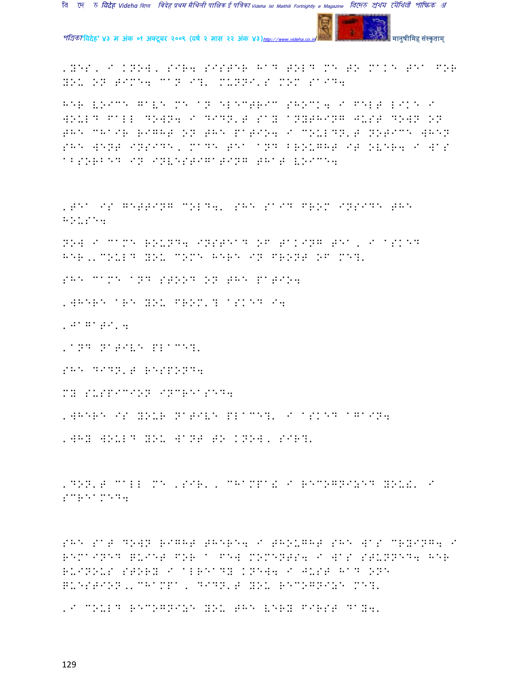*পত্ৰিকা*'বিदेह' ४३ म अंक ०१ अक्टूबर २००९ (वर्ष २ मास २२ अंक ४३)http://www.videha.co.in<sup>/ Hamak</sup> - स्थितिका अनुसीमिह संस्कृताम्

'YES, I KNOW, SIR4 SISTER HAD TOLD ME TO MAKE TEA FOR YOU ON TIME 4 CAN I?' MUNINIYA A SAID4 A SAID4 A SAID4 A SAID4 A SAID4 A SAID4 A SAID4 A SAID4 A SAID4 A SAID4<br>'YOU ON TIME 4 CAN I?' MUNINIYA A SAID4 A SAID4 A SAID4 A SAID4 A SAID4 A SAID4 A SAID4 A SAID4 A SAID4 A SAID

HER VOICE GAVE ME AN ELECTRIC SHOCK4 IN FELT LIKE I FELT WOULD FALL DOWNEY OF THE SAY ANY THE SAY ANY THE SAY ANY THE SAY ANY THE SAY ANY THE SAY ANY THE SAY ANY THE S THE CHAIR RIGHT ON THE PATIO4 I COULDN'T NOTICE WHEN SHE WENT INSIDE, MADE TEA AND BROWSHIP IN SIDE, AND BRO ABSORBED IN INVESTIGATING THAT VOICE4

'TEA IS GETTING COLORES INSTITUTION INSIDE THE SAID FROM INSIDE THE SAID FROM INSIDE THE SAID FROM INSIDE THE HOUSE4

NOW I CAME ROUND4 INSTEAD OF TAKING TEA, I ASKED HER,'COULD YOU COME HERE IN FRONT OF ME?'

SHE CAME AND STOOD ON THE PATIO4

'WHERE ARE YOU FROM'? ASKED I4

'JAGATI'4

SCREAMED4

'AND NATIVE PLACE?'

SHE DIDN'T RESPOND4

MY SUSPICION INCREASED

'WHERE IS YOUR NATIVE PLACE?' I ASKED AGAIN4

'WHY WOULD YOU WANT TO KNOW, SIR?'

'I COULD RECOGNIZE YOU THE VERY FIRST DAY4'

SHE SAT DOWN RIGHT THERE4 I THOUGHT SHE WAS CRYING4 I REMAINED QUIET FOR A FEW MOMENTS4 I WAS STUNNED4 HER RUINOUS STORY I ALLEN AN INDEPENDENT HAD ONE QUESTION,'CHAMPA, DIDN'T YOU RECOGNIZE ME?'

'DON'T CALL ME 'SIR', CHAMPA! I RECOGNIZED YOU!' I RECOGNIZED YOU!' I RECOGNIZED YOU!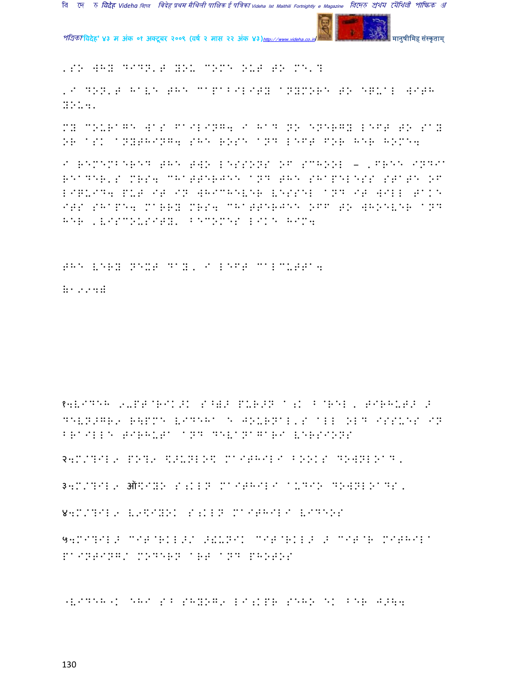*পত্রিকা*'বিदेह' ४३ म अंक ०१ अक्टूबर २००९ (वर्ष २ मास २२ अंक ४३)http://www.videha.co.in<sup>/ Hamak</sup> - स्थितिमह संस्कृताम्

'SO WHY DIDN'T YOU COME OUT TO ME'?

I O TO THE ROLE OF HAVE THE CAPABILITY ANY MORE TO ELONE TO ECONOMIC HIGH.

MY COURAGE WAS FAILING4 I HAD NO ENERGY LEFT TO SAY OR ASK ANYTHING4 SHE ROSE AND LEFT FOR HER HOME4

I REMEMBERED THE TWO LESSONS OF SCHOOL – 'FREE INDIA READER'S MRS4 CHATTERJEE AND THE SHAPELESS STATE OF LIQUID4 PUT IT IN WHICHEVER VESSEL AND IT WILL TAKE ITS SHAPE4 MARRY MRS4 CHATTERJEE OFF TO WHOEVER AND HER 'VISCOUSITY' BECOMES LIKE HIM4

HAN ENEXT DAYS NIX LANGER ON ENERGY

 $\mathbf{i}$ .  $\mathbf{j}$ .  $\mathbf{k}$ 

१4VIDEH 9-PT@RIK>K S^)> PUR>N A;K B@REL, TIRHUT> > DEVENDED PRIDE SALES EN ALL OLD ISSUES IN DIE VIDEHAAM

BRAILLE TIRHUTA AND DEVANAGARI VERSIONS

२4M/?IL9 PO?9 \$>UNLO\$ MAITHILI BOOKS DOWNLOAD,

34M/PHO STREET S;KLAN MAITHILI AUDIO DOWNLOADS,

४4M/?IL9 V9\$IYOK S;KLN MAITHILI VIDEOS

५4MI?IL> CIT@RKL>/ >!UNIK CIT@RKL> > CIT@R MITHILA PAINTING/ MODERN ART AND PHOTOS

 $\mathcal{L}_1$  , will so the set of the set  $\mathcal{L}_2$  , the set  $\mathcal{L}_3$  is the set  $\mathcal{L}_4$ 

130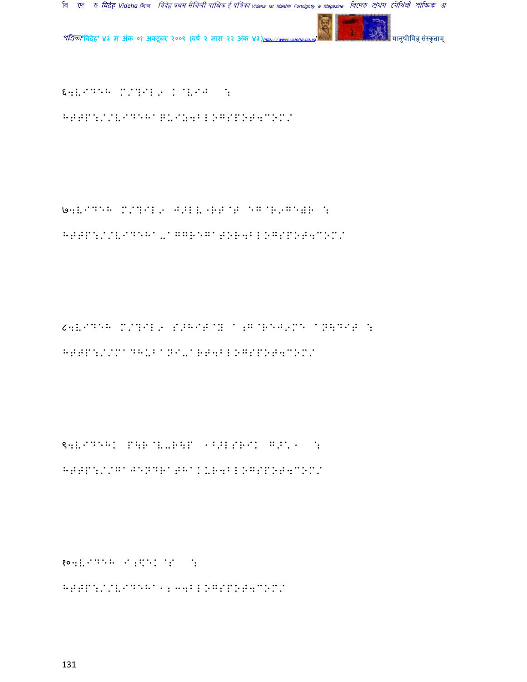*পত্ৰিকা*'বিবলৈ' ४३ म अंक ०१ अक्टूबर २००९ (वर्ष २ मास २२ अंक ४३)http://www.videha.co.in/ मानोसिक अधिकारिक संस्कृताम्

७4VIDEH M/?IL9 J>LV"RT@T EG@R9GE)R :

 $64H$ . The mass of the mass of the mass of the mass of the mass of the mass of the mass of the mass of the mass of the mass of the mass of the mass of the mass of the mass of the mass of the mass of the mass of the mass of

HTTP://VIDEHAQUIZ4BLOGSPOT4COM/

HTTP://VIDEHA-AGGREGATOR4BLOGSPOT4COM/

८4VIDEH M/?IL9 S>HIT@Y A;G@REJ9ME AN\DIT : HTTP://MADHUBANI-ART4BLOGSPOT4COM/

SHEPTORY PRESENTED (FRIPP) #PN ( ) HTTP://GAJENDRATHAKUR4BLOGSPOT4COM/

 $\{0\}$  $\vdots$ . The  $\vdots$   $\vdots$   $\vdots$   $\vdots$   $\vdots$ HTTP://VIDEHA1234BLOGSPOT4COM/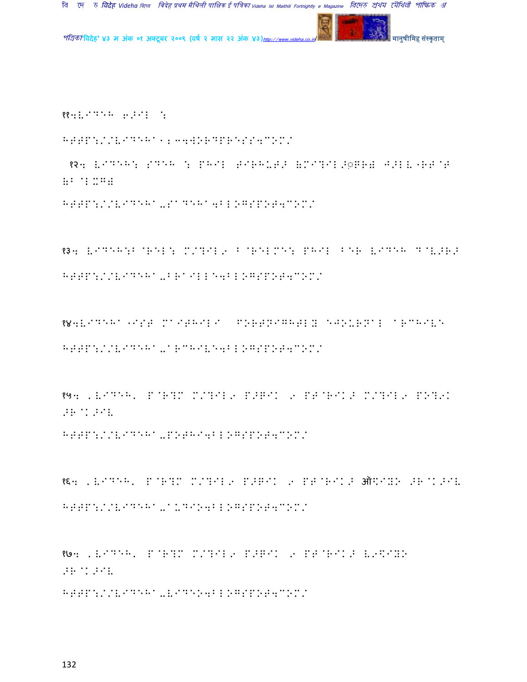*পত্ৰিকা*'বিदेह' ४३ म अंक ०१ अक्टूबर २००९ (वर्ष २ मास २२ अंक ४३)http://www.videha.co.in<sup>/ Haman</sup> | स्थितिका अनुसमिह संस्कृताम्

११4VIDEH 6>IL :

HTTP://VIDEHA1234WORDPRESS4COM/

१२4 VIDEH: SDEH : PHIL TIRHUT> (MI?IL>◌़QR) J>LV"RT@T  $H^2$  (BOS)  $H^2$ 

HTTP://VIDEHA-SADEHA4BLOGSPOT4COM/

१३4 VIDEH:B@REL: M/?IL9 B@RELME: PHIL BER VIDEH D@V>R> HTTP://VIDEHA-BRAILLE4BLOGSPOT4COM/

१४4VIDEHA"IST MAITHILI FORTNIGHTLY EJOURNAL ARCHIVE

HTTP://VIDEHA-ARCHIVE4BLOGSPOT4COM/

१५4 'VIDEH' P@R?M M/?IL9 P>QIK 9 PT@RIK> M/?IL9 PO?9K >R@K>IV

HTTP://VIDEHA-POTHI4BLOGSPOT4COM/

१६4 : EPOSSE, PORTO MUSER PRESS DE PROFESOR MESSE PRODUCE HTTP://VIDEHA-AUDIO4BLOGSPOT4COM/

१७4 : EPPPE, PORT MIRT PORT PREPORT PROPERTY >R@K>IV HTTP://VIDEHA-VIDEO4BLOGSPOT4COM/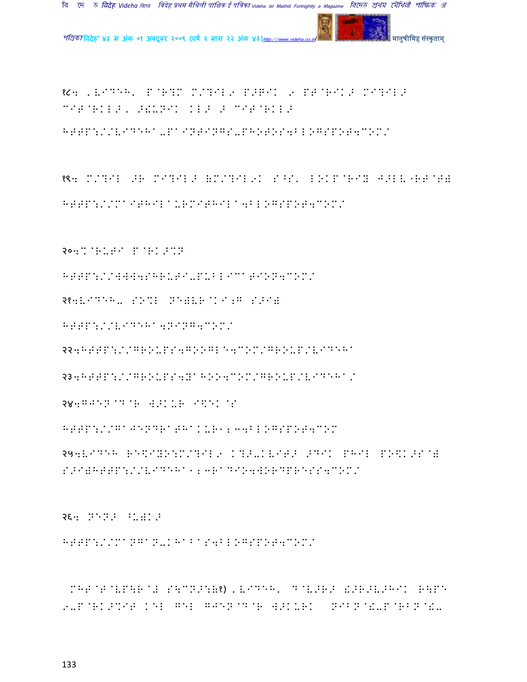HTTP://MANGAN-KHABAS4BLOGSPOT4COM/

 $264$   $7577$   $7677$ 

२७५%IPPEH RE\$IYO:DIK PHIL PO\$KIYO:DIK PHIL PEHIL PO\$KOS PH S>I)HTTP://VIDEHA123RADIO4WORDPRESS4COM/

HTTP://GAJENDRATHAKUR1234BLOGSPOT4COM

२४4BHANGIN IB 490006 KUR ISE

HTTP://VIDEHA4NING4COM/

२१4E-1998. SON SON SOME SOME

२३4HTTP://GROUPS4YAHOO4COM/GROUP/VIDEHA/

२२4HTTP://GROUPS4GOOGLE4COM/GROUP/VIDEHA

२०4%@RUTI P@RK>%N

HTTP://WWW4SHRUTI-PUBLICATION4COM/

१९५ MINIRIL DE MATERED BONTEREDI (KARTEN SOST PARE ADELAS SATU HTTP://MAITHILAURMITHILA4BLOGSPOT4COM/

HTTP://VIDEHA-PAINTINGS-PHOTOS4BLOGSPOT4COM/

१८4 'VIDEH' P@R?M M/?IL9 P>QIK 9 PT@RIK> MI?IL> CITA CITATION IN A CITATION IN A CITATION IN A CITATION IN A CITATION IN A CITATION IN A CITATION IN A CITATION<br>CITATION IN A CITATION IN A CITATION IN A CITATION IN A CITATION IN A CITATION IN A CITATION IN A CITATION IN

*পত্রিকা*'বিदेह' ४३ म अंक ०१ अक्टूबर २००९ (वर्ष २ मास २२ अंक ४३)http://www.videha.co.in<sup>/ Hamak</sup> - स्थितिका समुदाभिह संस्कृताम्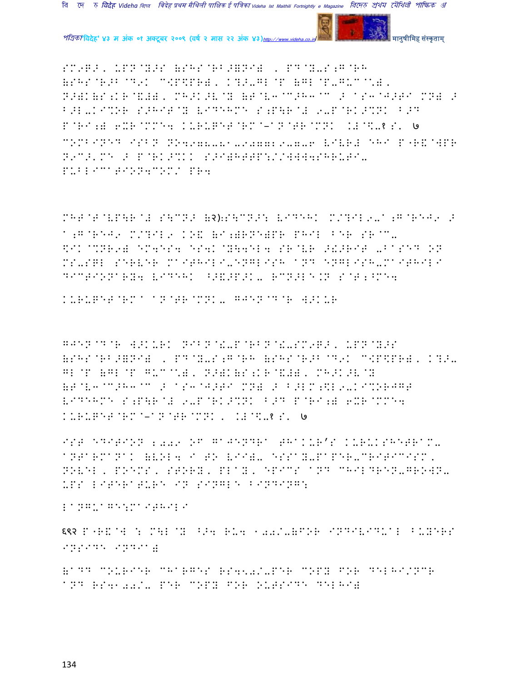६९२ P (PECTR) 'N CORE TO THE RU4 INDIVIDUAL BUYERS (PORTROWN PUT)' E TOORNEY INSIDE INDIA)

LANGUAGE:MAITHILI

IST EDITION 2009 OF GAJENDRA THAKUR'S KURUKSHETRAM-ANTARMANAK (VOL4 I TO VII)- ESSAY-PAPER-CRITICISM, NOVEL, POEMS, STORY, PLAY, EPICS AND CHILDREN-GROWN-UPS LITERATURE IN SINGLE BINDING:

GANG MADA HALISE NATURE NIBURA NI BARA NI BAG (SHS@RB>=NI) , PD@Y-S;G@RH (SHS@R>B@D9K C[P\$PR), K?>- GE GROP GUCA SANG KIRING GUN ARAWAN (T@V3@C>H3@C > AS3@J>TI MN) > B>LM;\$L9-KI%ORJGT VIDEHME S;P\R@# 9-P@RK>%NK B>D P@RI;) 6XR@MME4 KURUBTAR TEST TATA PER TEST LITTELS (S. 1999)

KURUBTA NEM YORKA MURUQETAN MARKA ANG MENGE

MHT OF TESTIES OF STRONG HROSTEN SO ESTATE MONTHS SOMETHING AS A A;G@REJ9 M/?IL9 KO& (I;)RNE)PR PHIL BER SR@C- \$IK@%NR9) EM4ES4 ES4K@Y\4EL4 SR@VR >!>RIT -BASED ON MS-SQL SERVER MAITHILI-ENGLISH AND ENGLISH-MAITHILI DICTIONARY PORT EXTRA POSSIBLE PROPERTY IN SATISFACTORY AND A REPORT OF A SATISFACTORY AND DISTURBANCE.

COMBINED ISBN 1978-81-9078-81-9078-81-9078-81-9078-7-6 VIVR# EHI P"R"R" P"R"R" P"R"R" P"R"R" P"R"R" P"R"R" P"R N9C>'N P@RKPHII SPARARHITI-PARARHIT PUBLICATION4COM/ PR4

(SER-BORD), TREPERS , CORD-GROUP (SR), SPECIAL PLAN (T.G.) N>)K(S;KR@&#), MH>K>V@Y (T@V3@C>H3@C > AS3@J>TI MN) > BOBLO POSE SORREN BRANCH SSEED S, PARTIES SORREN P@RI;) 6XR@MME4 KURUQET@RM@–AN@TR@MNK .#@\$-१ S' ७

*পত্ৰিকা*'বিदेह' ४३ म अंक ०१ अक्टूबर २००९ (वर्ष २ मास २२ अंक ४३)http://www.videha.co.in<sup>/ Hamak</sup> - स्थितिमह संस्कृताम्

 $S_{\rm 2}$  ,  $S_{\rm 3}$  ,  $S_{\rm 4}$  ,  $S_{\rm 5}$  ,  $S_{\rm 6}$  ,  $S_{\rm 6}$  ,  $S_{\rm 6}$  ,  $S_{\rm 6}$  ,  $S_{\rm 6}$  ,  $S_{\rm 7}$  ,  $S_{\rm 8}$  ,  $S_{\rm 6}$  ,  $S_{\rm 6}$  ,  $S_{\rm 6}$  ,  $S_{\rm 6}$  ,  $S_{\rm 6}$  ,  $S_{\rm 6}$  ,  $S_{\rm 6}$  ,  $S_{\rm$ 



िव <sup>त</sup>ि दिविदेह Videha विल्ह*ोविह प्रथम मैथिली पाक्षिक ई पत्रिका videha Ist Maithili Fortnightly e Magazine विटमह <i>श*थग ट्यैथिली পोफ्फिक औ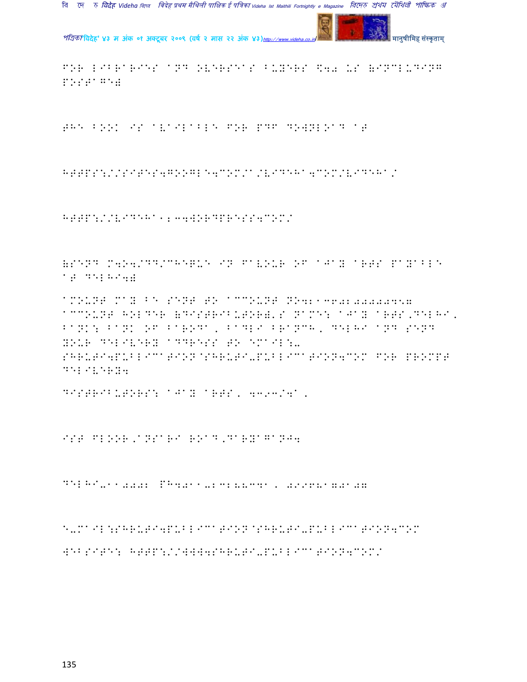*পত্রিকা*'বিदेह' ४३ म अंक ०१ अक्टूबर २००९ (वर्ष २ मास २२ अंक ४३)http://www.videha.co.in<sup>/ Hamak</sup> - स्थितिका समुदाभिह संस्कृताम्

FOR LIGENTES AND OUR DESERVIT BUYERS \$40 US (INCREDINGS) POSTAGE)

THE BOOK IS AVAILABLE FOR PDF DOWNLOAD AT

HTTPS://SITES4GOOGLE4COM/A/VIDEHA4COM/VIDEHA/

HTTP://VIDEHA1234WORDPRESS4COM/

YOUR DELIVERY ADDRESS TO EMAIL:-

DISTRIBUTORS: AJAY ARTS, 4393/4A,

IST FLOOR,ANSARI ROAD,DARYAGANJ4

DELHI-110002 PH4011-23288341, 099681841, 0996

WEBSITE: HEBSITE/JOHN AND AN ARTIST FOUNDATION

E-MAIL:SHRUTI4PUBLICATION@SHRUTI-PUBLICATION4COM

(SEND M4O4/DD/CHECH) (SEND M4O4/DD/CHECH) (SEND M4O4/DD/CHECH) (SEND M4O4/DD/CHECH) (SEND M4O4/DD/CHECH) (SEND<br>1999 - Paya Black (Send M4O4/DD/CHECH) (SEND M4O4/DD/CHECH) (SEND M4O4/DD/CHECH) (SEND M4O4/DD/CHECH) (SEND M AT DELHI4)

BANK: BANK OF BARODA, BADLI BRANCH, DELHI AND SEND

SHRUTI4PUBLICATION@SHRUTI-PUBLICATION4COM FOR PROMPT

AMOUNT MAY BE SENT TO ACCOUNT TO A SENSIGN A ACCOUNT HOLDER (DISTRIBUTOR)'S NAME: AJAY ARTS,DELHI,

DELIVERY4

135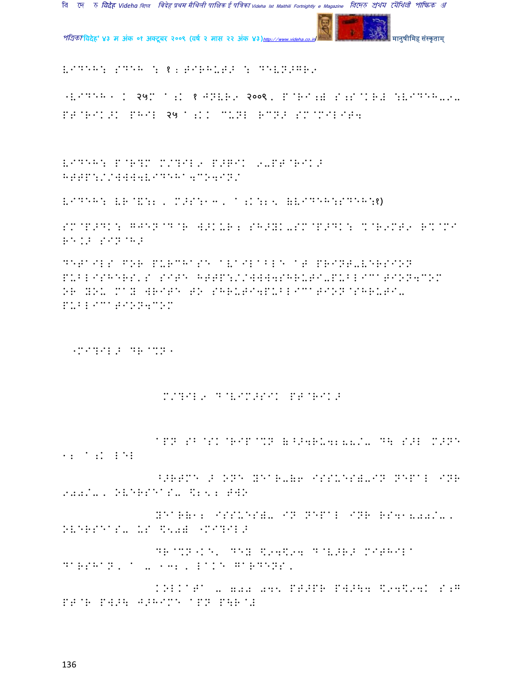136

 KOLKATA - 700 045 PT>PR PW>\4 \$94\$94K S;G PHOR PHIL APACTS TER PHEOR

DR@ NTR@ NEW BOOK DOWN DOWN DRAFT DARSHAN, A - 132, LAKE GARDENS,

YEAR(12) ISSUES)- IN NEPAL INR RS41800-, INR RS41800-, INR RS41800-, INR RS41800-, INR RS41800-, INR RS41800-, OVERSEAS - US \$50) "MI?ILICA - US \$50) "MI?ILICA - US \$50) "MI?ILICA - US \$50) "MI?ILICA - US \$50) "MI?ILICA -

 ^>RTME > ONE YEAR-(6 ISSUES)-IN NEPAL INR 900/-, OVERSEAS- \$25; TWO

APH SBOAR SERVICE ON SERVICE SERVICE OF SALE 12 A;K LEL

M/?IL9 D@VIM>SIK PT@RIK>

"MI?IL> DR@%N"

DETAILS FOR PURCHASE AVAILABLE AT PRINT-VERSION PUBLISHERS'S SITE HTTP://WWW4SHRUTI-PUBLICATION4COM OR YOU WAY WAR SHARUT IN A SHARUTIAPUBLICATION IN SHARUTIAPUBLICATION PUBLICATION AND ACCOUNT

SM@P>DK: GJEN@D@R W>KUR; SH>YK-SM@P>DK: %@R9MT9 R%@MI RE.> SIN@H>

VIDEH: VR@&:2, M>S:13, A;K:25 (VIDEH:SDEH:१)

VIDEH: P@R?M M/?IL9 P>QIK 9-PT@RIK> HTTP://WWW4VIDEHA4CO4IN/

"VIDEH" K २५M A;K १ JNVR9 २००९, P@RI;) S;S@KR# :VIDEH-9- PHILE OF PHIL 29 After CUNE RCHA SMACHINES

VIDEH: SDEH : १ : TIRHUT> : DEVN>GR9

*পত্ৰিকা*'বিदेह' ४३ म अंक ०१ अक्टूबर २००९ (वर्ष २ मास २२ अंक ४३)http://www.videha.co.in<sup>/ Hamak</sup> - स्थितिका समुदाभिह संस्कृताम्



िव <sup>त</sup> रु विदेह Videha <sub>विष्य</sub> विदेह प्रथम मैथिली पाक्षिक ई पत्रिका <sub>Videha</sub> ist Maithili Fortnightly e Magazine वित्मरु *द्यिश्च द*्योश्चिती পोष्फिक औ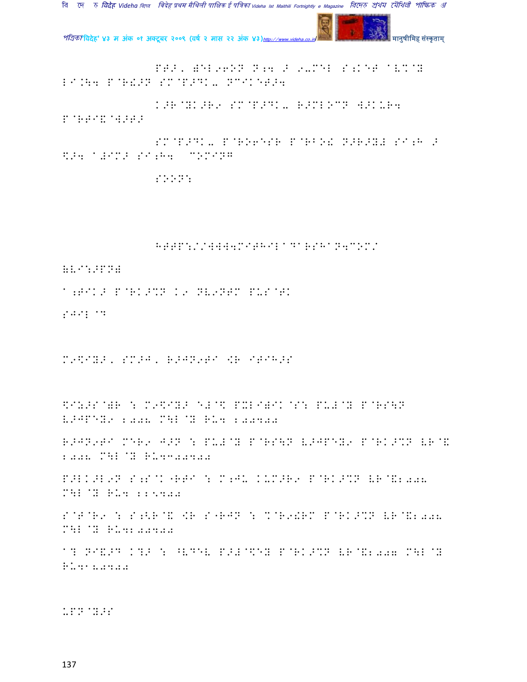पिñका**'**िवदेह**'** ४३ म अंक ०१ अक्टूबर २००९ (वष र् २ मास २२ अंक ४३)http://www.videha.co.in/ मानषीिमह स ु ंस्कृताम्

 PT>, )EL96ON N;4 > 9-MEL S;KET AV%@Y LI.\4 P@R!>N SM@P>DK- NCIKET>4

KORPORA SMORING ROYENT WORK P@RTI&@W>T>

SM@PHONESR PORTHUING PARTNERS \$1,000 SI;H4 COMING SI;H4 COMING SI;H4 COMING SI;H4 COMING SI;H4 COMING SI;H4 COMING SI;H4 COMING SI;H4 COMING

SOON:

### HTTP://WWW4MITHILADARSHAN4COM/

(VI:>PN)

A;TIK> P@RK>%N K9 NV9NTM PUS@TK

Spieler (1980)

M9\$IY>, SM>J, R>JN9TI [R ITIH>S

\$IZ>S@)R : M9\$IY> E#@\$ PXLI)IK@S: PU#@Y P@RS\N V>JPEY9 2008 M\L@Y RU4 200400

R>JN9TI MER9 J>N : PU#@Y P@RS\N V>JPEY9 P@RK>%N VR@& 2008 MARSHALL

P>LK>L9N S;S@K"RTI : M;JU KUM>R9 P@RK>%N VR@&2008  $\ldots$   $\ldots$   $\ldots$   $\ldots$   $\ldots$ 

 $S$  : The results of the system in the state  $S$  and  $R$  and  $R$  is the system of  $R$  and  $R$ M\L@Y RU4200400

A? NI&>D K?> : ^VDEV P>#@\$EY P@RK>%N VR@&2007 M\L@Y **Ruando** 

UPS MAY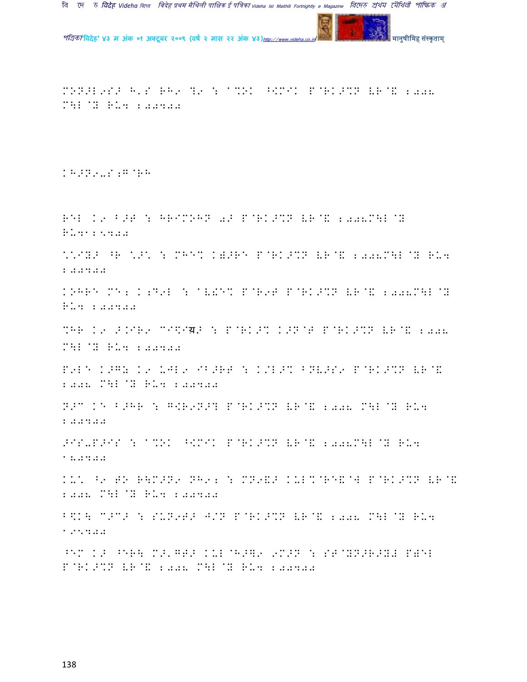पिñका**'**िवदेह**'** ४३ म अंक ०१ अक्टूबर २००९ (वष र् २ मास २२ अंक ४३)http://www.videha.co.in/ मानषीिमह स ु ंस्कृताम्

MONDARY WINDOWS TO A MONDAY ROMAN ROBOTT REPORTS THE TH BLACK PLANNAR

KH>N9-S;G@RH

RSP : LA BORN & HRIMOHN 02 PORCHOW EROB PASSENHOUR **Ruan Expediance** 

\*\*IY> ^R \*>\* : MHE% K)>RE P@RK>%N VR@& 2008M\L@Y RU4 200400

KOHRE ME; K;D9L : AV!E% P@R9T P@RK>%N VR@& 2008M\L@Y RU4 200400

%HR K9 >.IR9 CI\$Iय़> : P@RK>% K>N@T P@RK>%N VR@& 2008 THE MURDER STREET

P9LE K>GZ K9 UJL9 IB>RT : K/L>% BNV>S9 P@RK>%N VR@& 2008 MARSHALL 2009

NOC KE BOOK : GENERAL SERVICE DE CONSTITUTION AND CONSTITUTION 200400

 $\mathcal{L}$  : A set of  $\mathcal{L}$  , and  $\mathcal{L}$  is a set of  $\mathcal{L}$  . And  $\mathcal{L}$  is a set of  $\mathcal{L}$  rue  $\mathcal{L}$  , and  $\mathcal{L}$  is a set of  $\mathcal{L}$  , and  $\mathcal{L}$  is a set of  $\mathcal{L}$  , and  $\mathcal{L}$  is a set of  $\mathcal{L}$  $\cdot$  1.  $\cdot$   $\cdot$   $\cdot$   $\cdot$   $\cdot$   $\cdot$ 

KUT ANG ANG AKUT KAUT NG KALIMAT NG KALIMANG KATA KATA ANG KALIMANG KALIMANG KALIMANG KANG AKULA NG KORA NG KO 2008 MILLION COMPANY 2004

B\$K\ C>C> : SUN9T> J/N P@RK>%N VR@& 2008 M\L@Y RU4 195400

^EM K> ^ER\ M>'GT> KUL@H>]9 9M>N : ST@YN>R>Y# P)EL PORT PORT IN THE REAL PROPERTY OF A 2004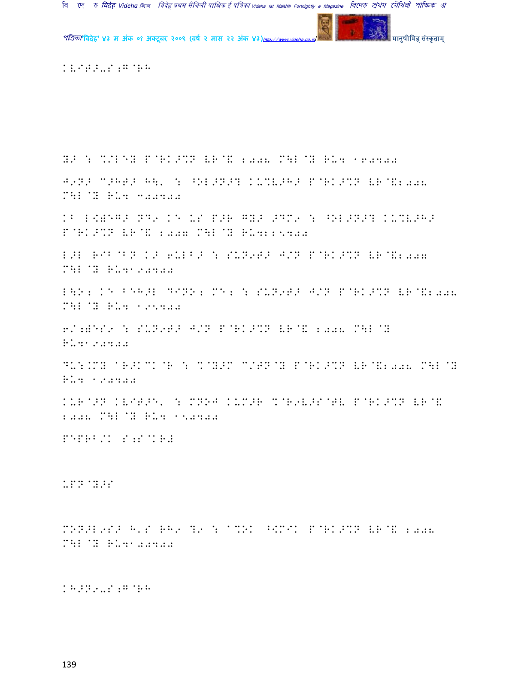िव <sup>त</sup> रु विदेह Videha <sub>विष्य</sub> विदेह प्रथम मैथिली पाक्षिक ई पत्रिका <sub>Videha</sub> ist Maithili Fortnightly e Magazine वित्मरु *द्यिश्च द*्योश्चिती পोष्फिक औ

पिñका**'**िवदेह**'** ४३ म अंक ०१ अक्टूबर २००९ (वष र् २ मास २२ अंक ४३)http://www.videha.co.in/ मानषीिमह स ु ंस्कृताम्

KVIT>-S;G@RH

WAYS IN THE POST OF THE VALUE AND THE MODEL AND A PLAN 1604000

J9N> C>HT> H\' : ^OL>N>? KU%V>H> P@RK>%N VR@&2008  $\frac{M_1}{M_2}$   $\frac{M_2}{M_3}$   $\frac{M_3}{M_4}$   $\frac{M_4}{M_4}$   $\frac{M_5}{M_4}$   $\frac{M_6}{M_4}$   $\frac{M_7}{M_4}$   $\frac{M_7}{M_4}$ 

KB LEGENDY DRY KA DE BUE DON VROV A SVEVDIO LOCKVA PORKSTON RECEIVED THE CONDITIONS

LO ROBOT CONSTRUCT SUNDAY AND PORTUGE LEGELAR THE WEBSTERN

L\O; KE BEH>L DINO; ME; : SUN9T> J/N P@RK>%N VR@&2008 M\L@Y RU4 195400

6/;)ES9 : SUN9T> J/N P@RK>%N VR@& 2008 M\L@Y RU4190400

DU:.MY AR>KCK@R : %@Y>M C/TN@Y P@RK>%N VR@&2008 M\L@Y  $R$ 

KUR@>N KVIT>E' : MNOJ KUM>R %@R9V>S@TV P@RK>%N VR@& 2008 MARSHALL RU4 1504

PEPRB/K S;S@KR#

#### UPS TEST

MON>L9S> H'S RH9 ?9 : A%OK ^[MIK P@RK>%N VR@& 2008 **MALES RU4100400400** 

KH>N9-S;G@RH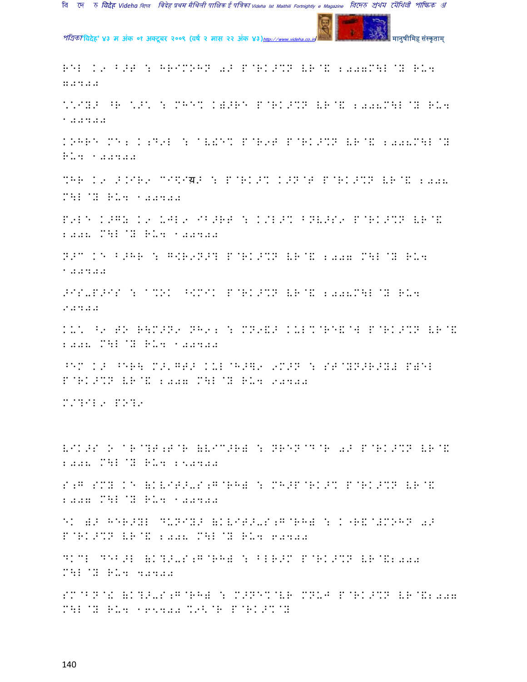*পত্ৰিকা*' विदेह' ४३ म अंक ०१ अक्टूबर २००९ (वर्ष २ मास २२ अंक ४३)http://www.videha.co.in मानसी बार कर बार मानुषीमिह संस्कृताम्

REL K9 B>T : HRIMOHN 0> P@RK>%N VR@& 2007M\L@Y RU4  $\mathbf{r}$ .  $\mathbf{r}$ 

\*\*IY> ^R \*>\* : MHE% K)>RE P@RK>%N VR@& 2008M\L@Y RU4 100400

KOHRE ME; K;D9L : AV!E% P@R9T P@RK>%N VR@& 2008M\L@Y Ru4 1004000

%HR K9 >.IR9 CI\$Iय़> : P@RK>% K>N@T P@RK>%N VR@& 2008 M\L@Y RU4 100400

P9LE KOLPRES IS AN ORDER TO LOCAL CONSTRUCT OF THE POST WHO CONSTRUCTS radi THI H. R. Fanna

N>C KE B>HR : G[R9N>? P@RK>%N VR@& 2007 M\L@Y RU4 100400

>IS-P>IS : A%OK ^[MIK P@RK>%N VR@& 2008M\L@Y RU4 90400

KU\* AN 'S TO REAL CONSTRUCTION OF REAL CONSTRUCTION OF REAL CONSTRUCTION OF REAL CONSTRUCTION OF REAL CONSTRUC 2008 MILL 2008 MILL 2008 MILL 2008 MILL 2008 MILL 2008 MILL 2008 MILL 2008 MILL 2008

^EM K> ^ER\ M>'GT> KUL@H>]9 9M>N : ST@YN>R>Y# P)EL PO PORT PORT PRESENT PRESENT PRESENT PRESENT PRESENT PRESENT PRESENT PRESENT PRESENT PRESENT PRESENT PRESENT P

M/R/PO? PO?

VIK>S O AR@?T;T@R (VIC>R) : NREN@D@R 0> P@RK>%N VR@& 2008 MILL 2008 MILL 2008 MILL 2008 MILL 2008 MILL 2008 MILL 2008 MILL 2008 MILL 2008 MILL 2008 MILL 2008 MILL

S;G SMY KE (KVIT>-S;G@RH) : MH>P@RK>% P@RK>%N VR@& 2007 MILLION MARKET MARKET MARKET MARKET MARKET MARKET MARKET MARKET MARKET MARKET MARKET MARKET MARKET MARKET

EK )> HER>YL DUNIY> (KVIT>-S;G@RH) : K"R&@#MOHN 0> P@RK\$%D&& 2008 MAGAZAGA.

DRO DES CORPORAGIO : BLANCA DEBOIA : BLANCA PORTUGALE I DE SERVICIO : BLANCA VER AN ANGELIA ANGELIA E ANGELIA March 404000 (1999) (1999) (1999) (1999) (1999) (1999) (1999) (1999) (1999) (1999) (1999) (1999) (1999) (1999)

SM@BN@! (K?>-S;G@RH) : M>NE%@VR MNUJ P@RK>%N VR@&2007 MARY RU4 16540 % DARY PORT POST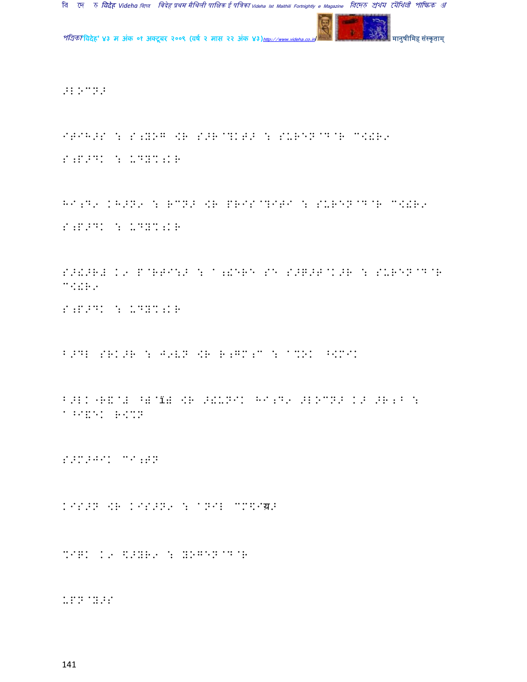पिñका**'**िवदेह**'** ४३ म अंक ०१ अक्टूबर २००९ (वष र् २ मास २२ अंक ४३)http://www.videha.co.in/ मानषीिमह स ु ंस्कृताम्

>LOCN>

ITIHOS : S; S; SINO (R SON) : SURPLE : SURPLE CONTROL CONSUM S;P>DK : UDY%;KR

HAGEN IPIDS & RCD SE PRAICHER & PLEADSH IN CHER  $\mathcal{S}$ ; Portion is the contract of  $\mathcal{S}$ ;  $\mathcal{S}$  : Up to  $\mathcal{S}$ ;  $\mathcal{S}$ ;  $\mathcal{S}$ ;  $\mathcal{S}$ ;  $\mathcal{S}$ ;  $\mathcal{S}$ ;  $\mathcal{S}$ ;  $\mathcal{S}$ ;  $\mathcal{S}$ ;  $\mathcal{S}$ ;  $\mathcal{S}$ ;  $\mathcal{S}$ ;  $\mathcal{S}$ ;  $\mathcal{S}$ ;  $\mathcal{S}$ ;  $\mathcal{S}$ 

S>!>R# K9 P@RTI:> : A;!ERE SE S>Q>T@K>R : SUREN@D@R  $\mathcal{C}^{\text{R}}(\Omega;\mathbb{R})$ S;P>DK : UDY%;KR

BOR : SRK SR : ANDR SR BIRTIN (A MIKE) (ANDR)

BORK R& READ CONSIDERED AN ARY CONSIDERED AN ARGUMENT ARGUMENT ARGUMENT ARE ARRESTED FOR A SAFEKEEPING ARE ARRANGEMENT OF SAFEKEEPING ARRANGEMENT OF SAFEKEEPING ARRANGEMENT OF SAFEKEEPING ARRANGEMENT OF SAFEKEEPING ARRANGE **A** I&EX RESTR

SSOCIAL CONST

KISSE KEISSEN EITEN INTER

%IQK K9 \$>YR9 : YOGEN@D@R

UPS MEET

141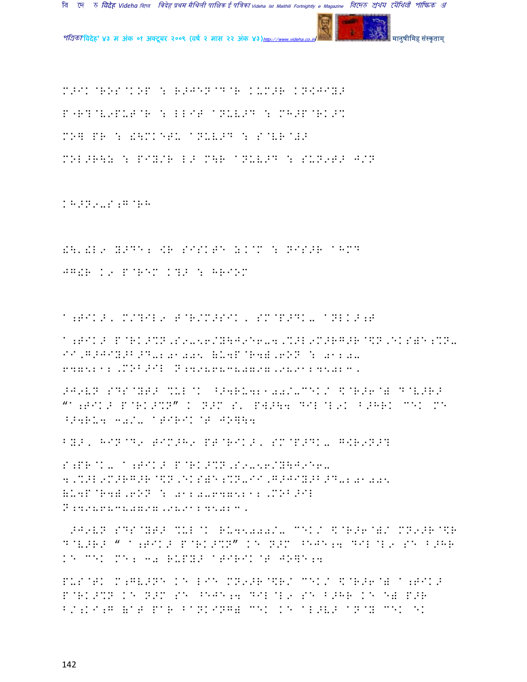*পত্রিকা*'বিदेह' ४३ म अंक ०१ अक्टूबर २००९ (वर्ष २ मास २२ अंक ४३)http://www.videha.co.in<sup>/ Hamak</sup> - स्थितिका समुदाभिह संस्कृताम्

MANI MPARTITAN : RAHNG MUR KILMAR KOPAHNIA P RETURNED : LLIT ANUVALES : PREPTEDED MO] PR : !\MKETU ANUV>D : S@VR@#> MOLORIA : PIYARIN : SUNDAY : PIRA ANUVA

KH>N9-S;G@RH

!\'!L9 Y>DE; [R SISKTE Z.@M : NIS>R AHMD

JG!R K9 P@REM K?> : HRIOM

A;TIK>, M/?IL9 T@R/M>SIK, SM@P>DK- ANLK>;T

A; TIERO DE RESTORTO DE LA LA ESCRIPACIÓN LA LOCALIZADA POR PORTO DO BIBLIOGO DO IV,G:HVB:P:PL:G:G:G: 614F/P46.020-76 (U4):G 6475212,MOB>IL N;49868380797,9891245023,

>J9VN SDS@YT> %UL@K ^>4RU42100/-CEK/ \$@R>6@) D@V>R> "A:TIK: PORKON STREET REPORT OF THE REPORT OF THE CERE CERE AND THE CERE MELTING AND A DIRECTLY ARUAN 30/- ATIRIKA 30/- ATIRIK

BY>, HIN@D9 TIM>H9 PT@RIK>, SM@P>DK- G[R9N>?

 $S$ ; Particle  $S$  ,  $S$  ,  $S$  ,  $S$  ,  $S$  ,  $S$  ,  $S$  ,  $S$  ,  $S$  ,  $S$  ,  $S$  ,  $S$  ,  $S$  ,  $S$  ,  $S$  ,  $S$  ,  $S$  ,  $S$  ,  $S$  ,  $S$  ,  $S$  ,  $S$  ,  $S$  ,  $S$  ,  $S$  ,  $S$  ,  $S$  ,  $S$  ,  $S$  ,  $S$  ,  $S$  ,  $S$  ,  $S$  ,  $S$  ,  $S$ 4,%>L9M>RG>R@\$N,EKS)E;%N-II,G>JIY>B>D-201005 (U4P@R4),6ON : 0120-6475212,MOB>IL ..<br>1989: 1989: 1989: 1989: 1989: 1989: 1989: 1989: 1989: 1989: 1989: 1989: 1989: 1989: 1989: 1989: 1989: 1989: 1

 >J9VN SDS@YT> %UL@K RU45000/- CEK/ \$@R>6@)/ MN9>R@\$R DO VERSEE ANY AGREFANCE OF THE ENDING ON A DURING THE HEATER OF HANDING SERVER SEEMS KA TAL TA: 62 BIBBA AFIRIKA ATIRIK

PUS@TK M;GV>NE KE LIE MN9>R@\$R/ CEK/ \$@R>6@) A;TIK> P@RK>%N KE N>M SE ^EJE;4 DIL@L9 SE B>HR KE E) P>R B/;KI;G (AT PAR BANKING) CEK KE AL>V> AN@Y CEK EK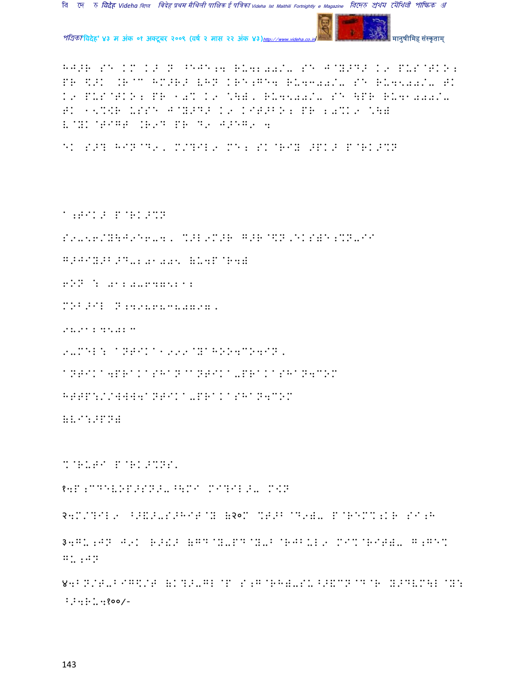पिñका**'**िवदेह**'** ४३ म अंक ०१ अक्टूबर २००९ (वष र् २ मास २२ अंक ४३)http://www.videha.co.in/ मानषीिमह स ु ंस्कृताम्



HJ>R SE KM K> N ^EJE;4 RU4200/- SE J@Y>D> K9 PUS@TKO; PR \$>K .R@C HM>R> VHN KRE;GE4 RU4300/- SE RU4500/- TK K9 PUS ROG: PR 10% K9 K98, RU45000 SE APR RU41000 TH 15% R USSES AND FUND ON A REPORT OF REACTIVE ARE BYGIN .R9D .R9D PR D9 J9999

EK S>? HIN@D9, M/?IL9 ME; SK@RIY >PK> P@RK>%N

#### A;TIK> P@RK>%N

 $S_{\rm 25}$  ,  $S_{\rm 25}$  ,  $S_{\rm 25}$  ,  $S_{\rm 25}$  ,  $S_{\rm 25}$  ,  $S_{\rm 25}$  ,  $S_{\rm 25}$  ,  $S_{\rm 25}$  ,  $S_{\rm 25}$  ,  $S_{\rm 25}$  ,  $S_{\rm 25}$  ,  $S_{\rm 25}$  ,  $S_{\rm 25}$  ,  $S_{\rm 25}$  ,  $S_{\rm 25}$  ,  $S_{\rm 25}$  ,  $S_{\rm 25}$  ,

G>JIY>B>D-201005 (U4P@R4)

6ON : 0120-6475212

MOBS CONTROLLER CONTROLLER

9891245023

9-MEL: ANTIKA1999@YAHOO4CO4IN,

ANTIKA4PRAKASHAN@ANTIKA-PRAKASHAN4COM

HTTP://WWW4ANTIKA-PRAKASHAN4COM

(VI:>PN)

%@RUTI P@RK>%NS'

84P;CDRESSERED ART CONTRESS CONT

२4M/?IL9 ^>&>-S>HIT@Y (२०M %T>B@D9)- P@REM%;KR SI;H

३4GU;JN J9K R>!> (GD@Y-PD@Y-B@RJBUL9 MI%@RIT)- G;GE%  $H_{\text{M}}$  and  $H_{\text{M}}$ 

 $84$ FIGN/F-BIG\$/TENGPENG/T (K):FFFFFFFC FOR DURING  $T$  (B)  $T$  (SPECIES  $T$  (B):  $\frac{1}{2}$  $\frac{1}{2}$   $\frac{1}{2}$   $\frac{1}{2}$   $\frac{1}{2}$   $\frac{1}{2}$   $\frac{1}{2}$   $\frac{1}{2}$   $\frac{1}{2}$   $\frac{1}{2}$   $\frac{1}{2}$   $\frac{1}{2}$   $\frac{1}{2}$   $\frac{1}{2}$   $\frac{1}{2}$   $\frac{1}{2}$   $\frac{1}{2}$   $\frac{1}{2}$   $\frac{1}{2}$   $\frac{1}{2}$   $\frac{1}{2}$   $\frac{1}{2}$   $\$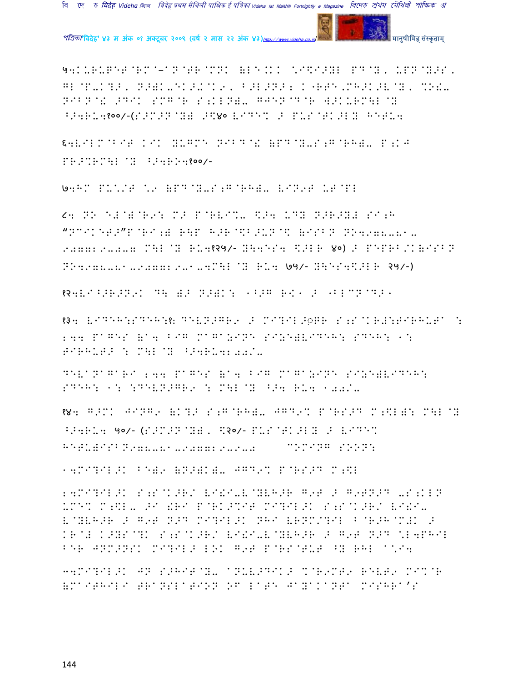*পত্ৰিকা*' विदेह' ४३ म अंक ०१ अक्टूबर २००९ (वर्ष २ मास २२ अंक ४३)http://www.videha.co.in/ मानसीमिक अंस्कृताम् अधिक

५4KURUQET@RM@–AN@TR@MNK (LE.KK \*I\$I>YL PD@Y, UPN@Y>S, GL@P-K?>, N>)K-EK>+@K9, B>L>N>; K"RTE,MH>K>V@Y, %O!- NIBN@! >DIK SMG@R S;KLN)- GJEN@D@R W>KURM\L@Y ^>4RU4१००/-(S>M>N@Y) >\$४० VIDE% > PUS@TK>LY HETU4

६4VILM@BIT KIK YUGME NIBD@! (PD@Y-S;G@RH)- P;KJ PR>%RM\L@Y ^>4RO4१००/-

Ugin: Puttie to Brather, Change in Angle Constant

८4 NO E#@)@R9: M> P@RVI%- \$>4 UDY N>R>Y# SI;H "WITH SHIFTHIGH BRI SUBSIDE IN BEING NO 2009 907729-0-7 M\L@Y RU4१२५/- Y\4ES4 \$>LR ४०) > PEPRB/K(ISBN NO4978-81-907729-1-4M\L@Y RU4 ७५/- Y\ES4\$>LR २५/-)

 $\Re\{q\},\vec{r}\in\{0,1\}$  , the constraints of  $\Re\{q\},\vec{r}\in\{0,1\}$  ,  $\Re\{q\}$  ,  $\Re\{q\}$  ,  $\Re\{q\}$  ,  $\Re\{q\}$  ,  $\Re\{q\}$  ,  $\Re\{q\}$  ,  $\Re\{q\}$  ,  $\Re\{q\}$  ,  $\Re\{q\}$  ,  $\Re\{q\}$  ,  $\Re\{q\}$  ,  $\Re\{q\}$  ,  $\Re\{q\}$ 

१३4 EUNIDEH:TIREN: IDERER S;SCENE S;S@KR#:TIRHUTA : S@KR#: TIRHUTA : TIRHUTA : TIR 244 PAGES (A4 BIG MAGAZINE SIZE)VIDEH: SDEH: 1: THIRM IS THE TIRK CONDITIONS

DEVANAGARI 244 PAGES (A4 BIG MAGAZINE SIZE)VIDEH: SDEH: 1: :DEVN>GR9 : M\L@Y ^>4 RU4 100/-

 $884$  GB201 GPCPP, SIGN-P Particles (CPP)- Duplet Data and DRI CD  $\{3R_1, 4R_2, 4R_3, 50\}$  ,  $\{3R_1, 3R_2, 7R_3, 7R_4, 7R_5, 7R_6, 7R_7, 7R_8, 7R_9, 7R_1, 7R_1, 7R_2, 7R_3, 7R_1, 7R_2, 7R_1, 7R_1, 7R_2, 7R_1, 7R_1, 7R_1, 7R_1, 7R_1, 7R_1, 7R_1, 7R_1, 7R_1, 7R_1, 7R_1, 7R_1, 7R_1, 7R_$ HETU)ISBN978-81-907729-9-0 COMING SOON:

14MI?IL>K BE)9 (N>)K)- JGD9% P@RS>D M;\$L

24MI?IL>K S;S@K>R/ VI!I-V@YVH>R G9T > G9TN>D -S;KLN UMPS M; PORT IL SITE RIFIC IT MISSING IT MIT HAS SEEN ON THE MISSING. V@YVH>R > G9T N>D MI?IL>K NHI VRNM/?IL B@R>H@M#K > KR@# KORNER SERIE STREET IN DIE STREET SOOS ALS DIE STREET IN DIE STREET IN DIE STREET IN DIE STREET IN DIE ST<br>DIE STREET IN DIE STREET IN DIE STREET IN DIE STREET IN DIE STREET IN DIE STREET IN DIE STREET IN DIE STREET I BER JAPOREEN DIRINI ROK GER JARA MINIMI AHER DIRINI NE SAGI DIRINI A

34MI?IL>K JN S>HIT@Y- ANUV>DIK> %@R9MT9 REVT9 MI%@R (MAITHILI TRANSLATION OF LATE JAYAKANTA MISHRA'S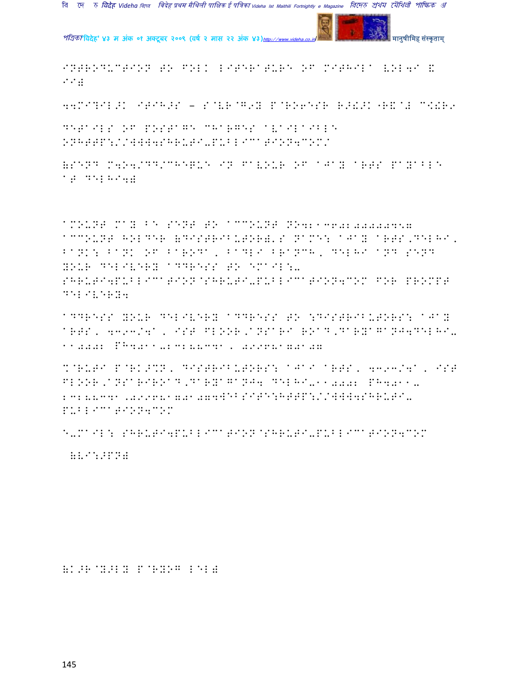INTRODUCTION TO FOLK LITERATURE OF MITHILA VOL4I &  $22.1$ 

 $44.0$  MI?IL:  $\overline{X}$  is the set of the set of  $\overline{X}$  . The set of  $\overline{X}$  and  $\overline{X}$  and  $\overline{X}$ 

DETAILS OF POSTAGE CHARGES AVAILAIBLE ONHTTP://WWW4SHRUTI-PUBLICATION4COM/

(SEND M4O4/DD/CHEQUE IN FAVOUR OF AJAY ARTS PAYABLE AT DELHI4)

AMOUNT MAY BE SENT TO ACCOUNT TO A COUNT OF A COUNT OF A ACCOUNT HOLDER (DISTRIBUTOR)'S NAME: AJAY ARTS,DELHI, BANK: BANK OF BARODA, BADLI BRANCH, DELHI AND SEND HOUR DELIVERY ADDRESS TO EXAMPLE TO EMAIL SHRUTI4PUBLICATION@SHRUTI-PUBLICATION4COM FOR PROMPT DELIVERY4

ADDRESS YOUR DELIVERY ADDRESS TO :DISTRIBUTORS: AJAY ARTS, 4393/4A, IST FLOOR,ANSARI ROAD,DARYAGANJ4DELHI-110002 PH4011-23288341, 099681, 099781, 099781, 099781, 09988341, 09988341, 09988

%@RUTI P@RK>%N, DISTRIBUTORS: AJAI ARTS, 4393/4A, IST FLOOR,ANSARIROAD,DARYAGANJ4 DELHI-110002 PH4011- 2338841,0001074WEBSITE:HTTP://WWW4SHRUTI-10896817074 PUBLICATION4COM

E-MAIL: SHRUTI4PUBLICATION@SHRUTI-PUBLICATION4COM

(MICH) SPORT

 $\ldots$  . The property of the property of the property of the property of the property of the property of the property of the property of the property of the property of the property of the property of the property of the p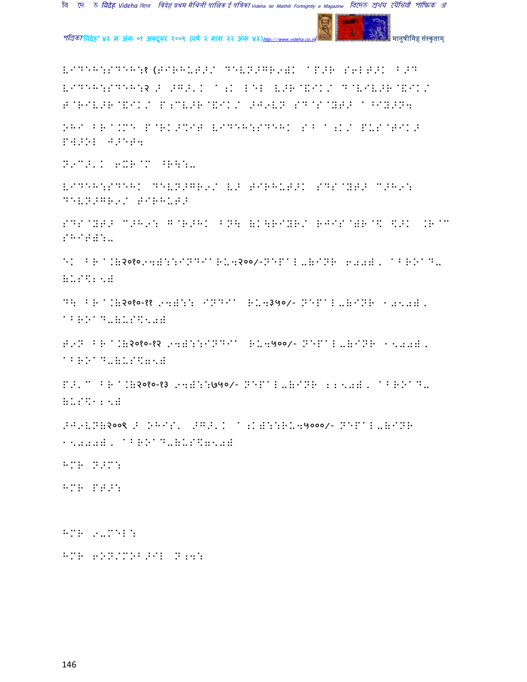पिñका**'**िवदेह**'** ४३ म अंक ०१ अक्टूबर २००९ (वष र् २ मास २२ अंक ४३)http://www.videha.co.in/ मानषीिमह स ु ंस्कृताम्

VIDEH:SDEH:१ (TIRHUT>/ DEVN>GR9)K AP>R S6LT>K B>D VIDEH:SDEH:२ > >G>'K A;K LEL V>R@&IK/ D@VIV>R@&IK/ T@RIV>R@&IK/ P;CV>R@&IK/ >J9VN SD@S@YT> A^IY>N4

OH/ BR@.ME P@RKSOF R/PHANTHIS YEAR SAY PUS@TH/I PHODE SOUTH

N9C>'K 6XR@M ^R\:-

BRSCHEN DER STEIN DER STEINER SON DER STEINE DECEMBER 1999

SOS CHAR CORPORATION BOOK BOOK BOOK BANK GO CORPORATION CONTROL SHIT):-

EK BRO.:INDIARU431:INDIARU4200/-PAL-(INDIARU4), ABROAD-(INR 600), ABROAD-(INR 600), ABROAD-(INR 600), ABROAD-(  $E(Y; Y; Y; \mathcal{L})$ 

 $\begin{split} \mathbb{D}\mathbb{D}_1^1 \to \mathbb{D}^1: & \mathbb{D}_1^1 \mathbb{D}_2^2 \times \mathbb{D}_1^2 \times \mathbb{D}_2^2 \times \mathbb{D}_2^2 \times \mathbb{D}_2^2 \times \mathbb{D}_2^2 \times \mathbb{D}_2^2 \times \mathbb{D}_2^2 \times \mathbb{D}_2^2 \times \mathbb{D}_2^2 \times \mathbb{D}_2^2 \times \mathbb{D}_2^2 \times \mathbb{D}_2^2 \times \mathbb{D}_2^2 \times \mathbb{D}_2^2 \times \mathbb{D}_2^2 \times \mathbb{$ ABROAD-(US\$50)

 $T_1$  Branch Branch Branch Ru4, 1990 (India Ru4, 1990),  $T_1$  and  $T_2$  and  $T_3$  and  $T_4$ ABROAD-(US\$75)

 $P: C \to P \to C$  Branch Police (Particle 90/- Particle below), Abraham-Castle below  $T$ , Abraham-Castle below  $T$  $E.231333334444$ 

 $\mathbb{P}^{1,1}$  ,  $\mathbb{P}^{1,1}$  : Recose  $\mathbb{P}^{1,1}$  :  $\mathbb{P}^{1,2}$  ,  $\mathbb{P}^{1,2}$  ,  $\mathbb{P}^{1,1}$  :  $\mathbb{P}^{1,1}$  :  $\mathbb{P}^{1,1}$  :  $\mathbb{P}^{1,1}$  :  $\mathbb{P}^{1,1}$  :  $\mathbb{P}^{1,1}$  :  $\mathbb{P}^{1,1}$  :  $\mathbb{P}^{1,1}$  :  $\mathbb{P$ 15000), ABROAD-(US\$750)

HMR NAMA

HTP PRPP

HMR 9-MEL: HMR 6ON/MOB>IL N;4: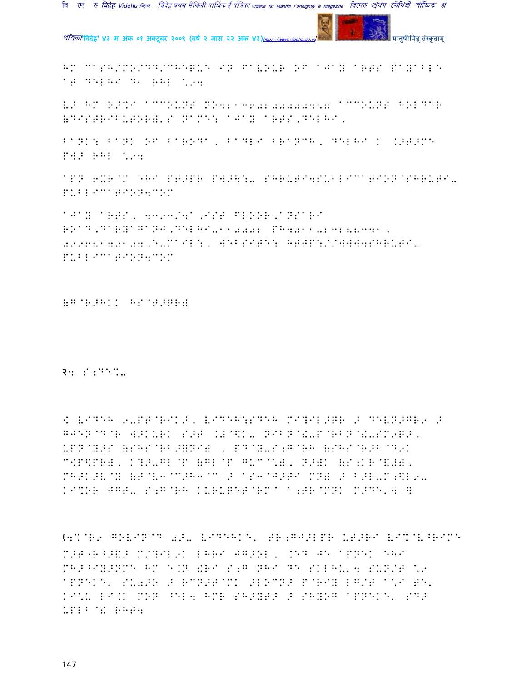HM CASH/MO/DD/CHEQUE IN FAVOUR OF AJAY ARTS PAYABLE AT DELHI DI RHL 194

 $\mathbb{R}^{2}$  . Holder that the state of the state  $\mathbb{R}^{2}$  account the state  $\mathbb{R}^{2}$ (DISTRIBUTOR)'S NAME: AJAY ARTS,DELHI,

BANK OF BANK OF BARODA, BANK OF BANK OF BANK OF BRANCH PW: RHPL \*944

APS GORAM EHI PEJPR PHIRU SHRUPIANI PAMI PASTE PEHI PUBLICATION4COM

AJAY ARTS, 4393/4A,IST FLOOR,ANSARI ROAD, DARYAGANJ, PROVINSI PHANOLOGICAL 09968170107,E-MAIL:, WEBSITE: HTTP://WWW4SHRUTI-PUBLICATION4COM

(G@R>HKK HS@T>QR)

 $34.533333...$ 

 $\mathcal{R}$  ) is a transportant of  $\mathcal{R}$  . In a transportance of the transportance of the supersponents of the GANG MURK AFILEN SIH NIBNE SOMER SKIP NED MED NEITIFF UPD (SDR) (SHAPY (SHORAG) , PDAYSGR (SHAP) SHAPY (SDR) (SHOR CAPREDG, KRAGH (FLAME), KRONGA, PAGULAK (GLACA), N MH>K>V@Y (T@V3@C>H3@C > AS3@J>TI MN) > B>L-M;\$L9- KIMOR JGT- S;G"- SIG - SIG - SIGN- SIGN- A;TROMA MAIL MAGNETIK MAGNETIK MAGNETIK MAGNETIK MAGNETIK MAGNETIK MA

१4%@R9 GOVIN@D 0>- VIDEHKE' TR;GJ>LPR UT>RI VI%@V^RIME MORTHLICK MONTHLICK LEADS AROUND LOCATION IN TERMS INAST MHO ESSERVA HM E.N :RI S;G NHI DE SKLHU'4 SUN/T S APNEKE' SU0>O > RCN>T@MK >LOCN> P@RIY LG/T A\*I TE' KI\*U LI.K MON ON SHIPARA SHIPARA NA SHIPARA SHIPARA SHIPARA SHIPARA SHIPARA SHIPARA SHIPARA SHIPARA SHIPARA SH  $U$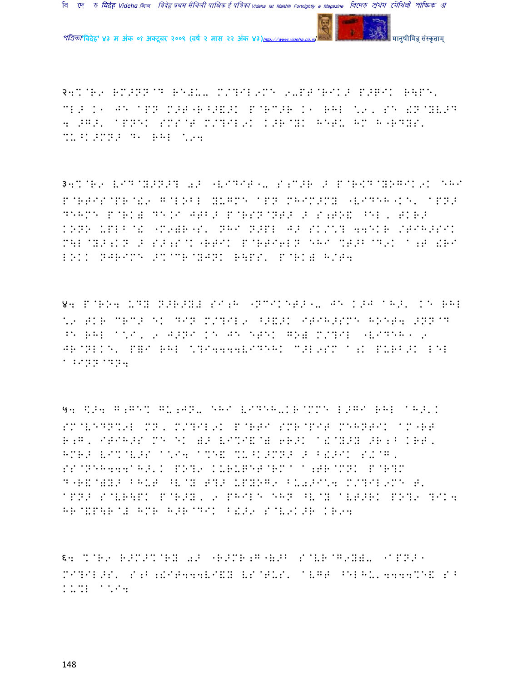२4%@R9 RM>NN@D RE#U- M/?IL9ME 9-PT@RIK> P>QIK R\PE' CLO K1 JE APNOSTI MORAL MARCA KORTAR KON RHL TOKOK SE INDIRAN 4 >G>' APNEK SMS@T M/?IL9K K>R@YK HETU HM H"RDYS' %U^K>MN> D1 RHL \*94

३4%@R9 VID@Y>N>? 0> "VIDIT"- S;C>R > P@R[D@YOGIK9K EHI P@RTIS@PR@!9 G@LOBL YUGME APN MHIM>MY "VIDEH"KE' APN> DEED PORT POOL AND POSSESSED AT A SHIP POOL KONO UPLA NI STABANI TAK TAPI AJ NIJIH A4HI KAN FUNASINI M\L@Y>;KN > S>;S@K"RTIK P@RTI6LN EHI %T>B@D9K A;T !RI LOKK NJRIME >%@CR@YJNK R\PS' P@RK) H/T4

४4 P@RO4 UDY N>R>Y# SI;H "NCIKET>"- JE K>J AH>' KE RHL \*9 TKR CRC> EK DIN M/?IL9 ^>&>K ITIH>SME HOET4 >NN@D  $\mathcal{F}$  PHL At  $\mathcal{F}$  and  $\mathcal{F}$  is the set of the set of the set of the set of  $\mathcal{F}$ JR@NLKE' P=I RHL \*?I4444VIDEHK C>L9SM A;K PURB>K LEL A^INN@DN4

५4 \$>4 G;GE% GU;JN- EHI VIDEH-KR@MME L>GI RHL AH>'K SM@VEDN%9L MN, M/?IL9K P@RTI SMR@PIT MEHNTIK AM"RT R;G, ISPAN TV VI AN EKTEDA 6RN JETIH NR;FIRE, HMR + I4 A = I4 A + I4 A + I4 A + I4 A + I4 A + I4 A + I4 A + I4 A + I4 A + I4 A + I4 A + I4 A + I4 A + I4 A + SS@NEH444AH>'K PO?9 KURUQET@RM@ A;TR@MNK P@R?M D"R&@)Y> BHUT ^V@Y T?> UPYOG9 BU0>I\*4 M/?IL9ME T' APN> S@VR\PK P@R>Y, 9 PHILE EHN ^V@Y AVT>RK PO?9 ?IK4 HR@&P\R@# HMR H>R@DIK B!>9 S@V9K>R KR94

६4 %@R9 R>M>%@RY 0> "R>MR;G"(>B S@VR@G9Y)- "APN>" MICHAE DE S; IL S'A SE SECONDA DE SECONDA EL S'ALGUNA EN CONTRADO A CONTRADO EL F KU HAMA ATA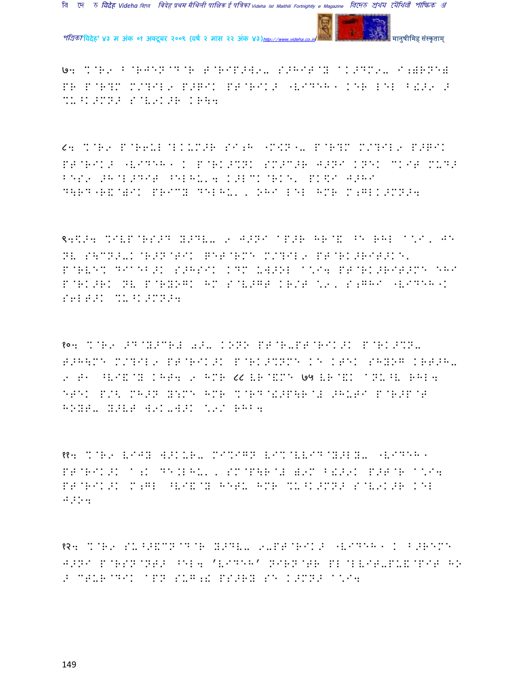*পত্ৰিকা*' विदेह' ४३ म अंक ०१ अक्टूबर २००९ (वर्ष २ मास २२ अंक ४३)http://www.videha.co.in/ मानसीमिक अंस्कृताम् अधिक



७4 %@R9 B@RJEN@D@R T@RIP>W9- S>HIT@Y AK>DM9- I;)RNE) PR PORT CORPORATION PROPOSE HANNAHOLDE PROPOSE WIRTH SOME SANDARY SARAH

८4 %@R9 P@R6UL@LKUM>R SI;H "M[N"- P@R?M M/?IL9 P>QIK PT@RIK> "VIDEH" K P@RK>%NK SM>C>R J>NI KNEK CKIT MUD> BESP >HOLPHE' PHELL & LONGON ORIN, BIRS SONG DRESSENGEN PRICH DIRAG, OHI LIK AND MYR MEDIUMAH.

९4\$>4 %IVP@RS>D Y>DV- 9 J>NI AP>R HR@& ^E RHL A\*I, JE NV SO START MEN TIK DI START MEN DI START MEN DI START MEN DI START MEN DI START MEN DI START MEN DI START MEN P@RVE% DIAEB>K S>HSIK KDM UW>OL A\*I4 PT@RK>RIT>ME EHI P@RK200 PROPORT AN S@RX-RACK SOVIET KR/T & S  $S_{\rm{eff}}$  (  $S_{\rm{eff}}$  ) and  $S_{\rm{eff}}$  (  $S_{\rm{eff}}$  ) and  $S_{\rm{eff}}$ 

१०4 %@R9 >D@Y>CR# 0>- KONO PT@R-PT@RIK>K P@RK>%N-THA MORE MARKET WAS ARRESTED FOR DISCUSSIONS OF A SHAPK SHOP HAS A HOLD A HOLD A HOLD AND  $\mu$ 9 T1 ^VI&@Y KHT4 9 HMR ८८ VR@&ME ७५ VR@&K ANU^V RHL4 ETEK P/< MH>N Y:ME HMR %@RD@!>P\R@# >HUTI P@R>P@T HOYT- Y>VT W9K-W>K \*9/ RHB4

११५ % TOP YA KURABI YENGI DA LI DIKTEREN KURA YENGI TELEKTI TELEK BULI YALKITIRA K PT@RIK>K A;K DE.LHU', SM@P\R@# )9M B!>9K P>T@R A\*I4 PT@RIK>K M;GL ^VI&@Y HETU HMR %U^K>MN> S@V9K>R KEL  $\mathcal{A}$  ,  $\mathcal{B}$  ,  $\mathcal{B}$  ,  $\mathcal{B}$ 

१२4 %@R9 SU^>&CN@D@R Y>DV- 9-PT@RIK> "VIDEH" K B>REME J>NI P@RSN@NT> ^EL4 'VIDEH' NIRN@TR PL@LVIT-PU&@PIT HO > CTUR@DIK APN SUG;! PS>RY SE K>MN> A\*I4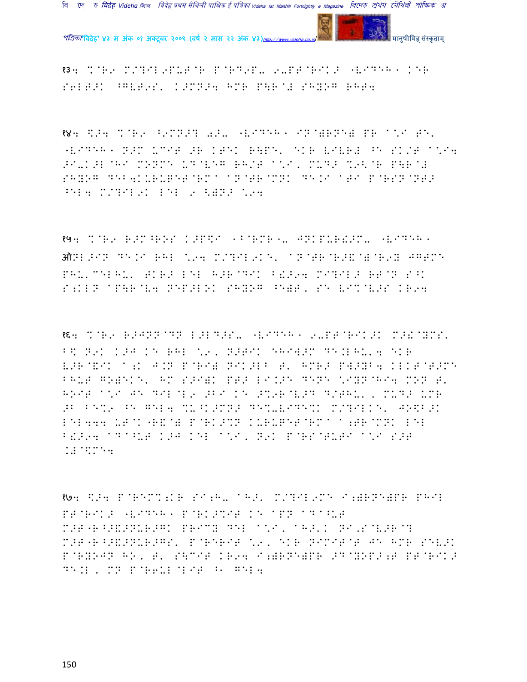१३4 %@R9 M/?IL9PUT@R P@RD9P- 9-PT@RIK> "VIDEH" KER S6LAT (BRANI KITOG ATE PARTI SHIPP RHT4

१४4 \$>4 %@R9 ^9MN>? 0>- "VIDEH" IN@)RNE) PR A\*I TE' "VERTIFY A PAR UCITED AN IGENT BARN, INDEPENDENT AT SKILLE TIME TO SKY >I-K>L@HI MONME UD@VEG RH/T A\*I, MUD> %9<@R P\R@# SHYOG DEB4KURUQET@RM@ AN@TR@MNK DE.I ATI P@RSN@NT> ^EL4 M/?IL9K LEL 9 <)N> \*94

१५4 %@R9 R>M^ROS K>P\$I "^@RMR"- JNKPUR!>M- "VIDEH" ऑNL IN DERIN DER IN DIE REICH AN DIE HEITEN DER DER TREIBET BETREICH ARBEITS PHILOTH BILL TROBE BIRE BERN THOUR REPAIR DYTHE B BEFORE RIS S;KLA D;KLA TA SHIRA SHIRA SHIRA SHI SHIRA SHIRA SHI SHIRA SHI SHIRA SHI SHI SHI

१६4 %@R9 R>JNN@DN L>LD>S- "VIDEH" 9-PT@RIK>K M>!@YMS' B\$ N9K K>J KE RHL \*9, N>TIK EHIW>M DE.LHU'4 EKR V>R@&IK A;K J.N P@RI) NIK>LB T' HMR> PW>YB4 KLKT@T>ME BHUT GO)EKE' HM S>I)K PT> LI.>E DENE \*IYN@HI4 MON T' HOIT A\*I JE DIL@L9 >BI KE >%9R@V>D D/THU', MUD> UMR >B BE%9 ^E GEL4 %U^K>MN> DE%-VIDE%K M/?ILKE' JO\$B>K LEL444 UT@K"R&@) P@RK>%N KURUQET@RM@ A;TR@MNK LEL BEDAR ADMINISTRATIVE ATOMIC TO POSTED ATOMIC SOF  $1.2132744$ 

१७4 \$>4 P@REM%;KR SI;H- AH>' M/?IL9ME I;)RNE)PR PHIL PEMBADA "VIDEH" PORTUGALA PORTUGALA M>T"R^>&>NUR>GK PRICY DEL A\*I, AH>'K NI,S@V>R@? MORPH PORTUGUES AT THANKER AND AT RACHAEAE AND PARELIT ENGINE P@RYOJN HO, T' S\CIT KR94 I;)RNE)PR >D@YOP>;T PT@RIK> DE.L, MN P@R6UL@LIT ^1 GEL4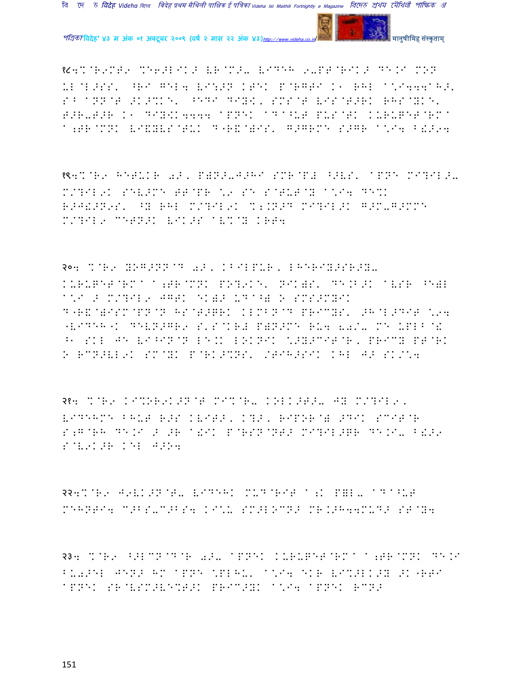*পত্ৰিকা*' विदेह' ४३ म अंक ०१ अक्टूबर २००९ (वर्ष २ मास २२ अंक ४३)http://www.videha.co.in/ मानसीमिक अंस्कृताम् अधिक



१८4%@R9MT9 %E6>LIK> VR@M>- VIDEH 9-PT@RIK> DE.I MON UL@L>SS' ^RI GEL4 VI:>N KTEK P@RGTI K1 RHL A\*I444AH>'  $S^{\rm T}$  and the state of the solution of the second problems  $K$  . T>R-T>R K1 DIY[K4444 APNEK AD@^UT PUS@TK KURUQET@RM@ A;TR@MNK VI&YVS@TUK D"R&@)IS' G>GRME S>GR A\*I4 B!>94

१९4%@R9 HETUKR 0>, P)N>-J>HI SMR@P# ^>VS' APNE MI?IL>- M/PILSK SEVERING FROM THE SAFE SEVIETE THREE SAFE SAFE R>J!>N9S' ^Y RHL M/?IL9K %;.N>D MI?IL>K G>M-G>MME M/R/PILS MARRAT ESTAR TEMPERAT

२०4 %@R9 YOG>NN@D 0>, KBILPUR, LHERIY>SR>Y-KURUPSA SET A;TRAMA PORTUGET DA SAN PORTUGET DE L'ANGLI A\*I > M/?IL9 JGTK EK)> UD@^) O SMS>MYIK D"R&@)ISM@PN@N HS@T>QRK KLMBN@D PRICYS' >H@L>DIT \*94 "VIDEH"K DEVN>GR9 S'S@KR# P)N>ME RU4 80/- ME UPLB@! ^1 SKL JE VI^IN@N LE.K LOKNIK \*>Y>CIT@R, PRICY PT@RK O RCHOVA SMOVINA SMOVINA SMOVINA KAMPERINA KHL JA SHIMA KHL JIHABA SHIMA KHL JIHABA KHL JIHABA KHL JIHABA SHIM

२१4 % MPH KIMORPHIST ARD MANUFACTION CONTRACT AN INCORPORATION VIDEHME BHUT R>S KVIT>, K?>, RIPOR@) >DIK SCIT@R S:G@RH DE.I : GA DE.I A LA A IK PORT DE LA PORT DE LA DEL DE LA PORT DEL LA LA LA SMOKR KEL JOHN HELL

२२4%@R9 J9VK>N@T- VIDEHK MUD@RIT A;K P=L- AD@^UT MEHNTI4 COM STAND AND AN INTERNATIONAL COMPANY OF THE STANDARD COMPANY OF THE STANDARD COMPANY OF THE STANDARD<br>H4 MUDDY STANDARD STANDARD AND A STRONG AND A STANDARD STANDARD COMPANY OF THE STANDARD COMPANY OF THE STANDAR

२३4 %@R9 ^>LCN@D@R 0>- APNEK KURUQET@RM@ A;TR@MNK DE.I BU0>EL JEN> HM APNE \*PLHU' A\*I4 EKR VI%>LK>Y >K"RTI APNEK SR@VSM>VE%T>K PRIC>YK A\*I4 APNEK RCN>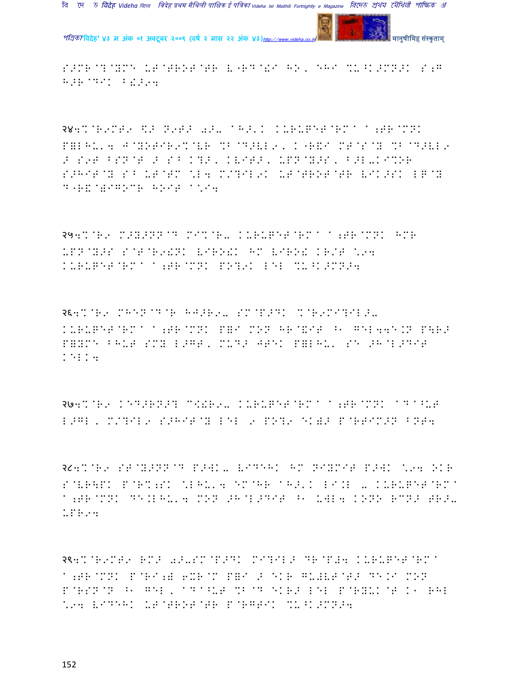$\mathcal{L}$  , the proposition of the transformation of the UTM  $\mathcal{L}$  is the interesting of the  $\mathcal{L}$ H>R@DIK B!>94

२४4%@R9MT9 \$> N9T> 0>- AH>'K KURUQET@RM@ A;TR@MNK P=LHU'4 J@YOTIR9%@VR %B@D>VL9, K"R&I MT@S@Y %B@D>VL9 > S9T BSN@T > S^ K?>, KVIT>, UPN@Y>S, B>L-KI%OR SSAR SA TOMATA MARA SO UTO SE UTO SA TROTA SK LA MARA SK LA SK LA SK LA BITO D"R&@)IGOCR HOIT A\*I4

२५4%@R9 M>Y>NN@D MI%@R- KURUQET@RM@ A;TR@MNK HMR UPS SOME TRANSPORTED TO THE SATISFACTORY OF THE SATISFACTORY OF THE SATISFACTORY OF THE SATISFACTORY OF THE SA KURUPTA TAI MARAT POPULAN POPULAN PO

२६4%@R9 MHEN@D@R HJ>R9- SM@P>DK %@R9MI?IL>- KURUQET@RMAK P=I MON HR@MNK P=I MON HR@MNK P=I MON HR@MNK P=I MON HR@&IT ^1 GEL44E.N P+I MON HR@&IT ^1 GEL44E. PHING PAGE SON ESPE. NUMBER SHIPS, MUDICIPE SE SE PER KELK4

२७4%@R9 KED>RN>? C[!R9- KURUQET@RM@ A;TR@MNK AD@^UT L>GL, M/?IL9 S>HIT@Y LEL 9 PO?9 EK)> P@RTIM>N BNT4

२८4%@R9 ST@Y>NN@D P>WK- VIDEHK HM NIYMIT P>WK \*94 OKR S@VR\PK P@R%;SK \*LHU'4 EM@HR AH>'K LI.L - KURUQET@RM@ A;TR@MNC DERLEGION DER LEFTE DER LEGION DAE AU DIT DER GETEIL  $UPIP$ 

२९4%@R9MT9 RM> 0>-SM@P>DK MI?IL> DR@P#4 KURUQET@RM@ A;TR@MNK P@RI;) 6XR@M P=I > EKR GU#VT@T> DE.I MON P@RSN@N ^1 GEL, AD@^UT %B@D EKR> LEL P@RYUK@T K1 RHL \*94 VIDEHK UT@TROT@TR P@RGTIK %U^K>MN>4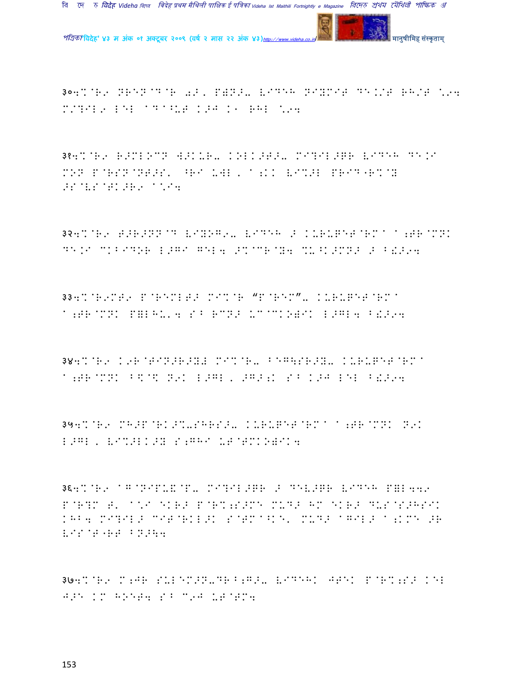

३०4%@R9 NREN@D@R 0>, P)N>- VIDEH NIYMIT DE./T RH/T \*94 M/R/PILE LEL ADD AND KNOWN TO ALL TO ALL TO ALL TO ALL TO ALL TO ALL TO ALL TO ALL TO ALL TO ALL TO ALL TO ALL

384% THE REMOVEMENT WHO CONSTRUCTS WHO RELEASED AND MOVEMENT MON PORSNE MON PARSNE MARSNE PRID >S@VS@TK>R9 A\*I4

३२4% NBS TROPSON DER ERSEN BUILDEN DER DIE EINE HEITRICHE SEINEN VERSICHEN IN DER MITRIC DE. I CABINE LIBRARY COMPANY IS AN OUTLINE

334WIP POPER CONTROL TO THE MISSION CONTROL TO PERMIT A;TR@MNC P=LANA SOONS PERSONS PERSONS BEEN BEEN

३४4%@R9 K9R@TIN>R>Y# MI%@R- BEG\SR>Y- KURUQET@RM@ A;TR@MNK B\$@\$ N9K L>GL, >G>;K S^ K>J LEL B!>94

३५4%@R9 MH>P@RK>%-SHRS>- KURUQET@RM@ A;TR@MNK N9K L>GL, VI%>LK>Y S;GHI UT@TMKO)IK4

३६4%@R9 AG@NIPU&@P- MI?IL>QR > DEV>QR VIDEH P=L449 P@R?M T' A\*I EKR> P@R%;S>ME MUD> HM EKR> DUS@S>HSIK KHB4 MANHER MARINEERS RINGS SEN SON MARINE MUDDE RT RT BANK BOOK

३७4%@R9 M;JR SULEM>N-DR^;G>- VIDEHK JTEK P@R%;S> KEL J>E KM HOET4 S^ C9J UT@TM4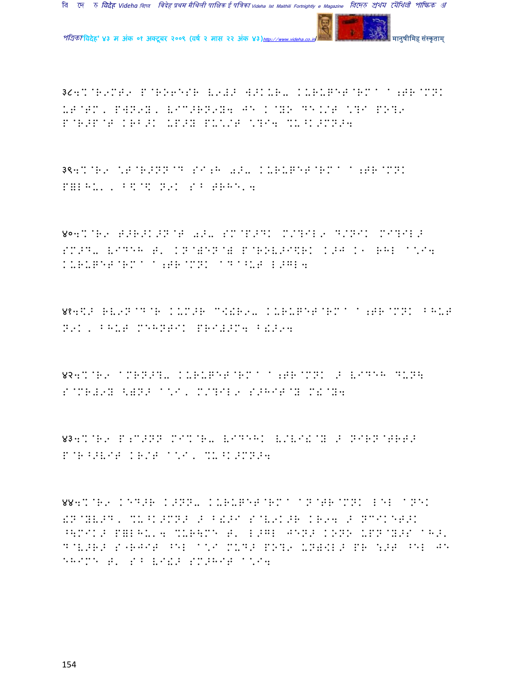३८4%@R9MT9 P@RO6ESR V9#> W>KUR- KURUQET@RM@ A;TR@MNK UT@TM, PWN9Y, PWN9Y4 JE KONSTANTING PRODUCED PRODUCED IN THE PRODUCED PRODUCED AT A 1999 AND LODGED AT A 1999<br>PORT OF PORT OF THE PORT OF THE POST OF THE PORT OF THE PORT OF THE PORT OF THE PORT OF THE PORT OF THE PORT P@RAP@P\$P\$P\$K UP\$H PU\AR NGP4 %UP\$YP\$4

394% TERM THORP FROM SIGNAL CONDITIONS THAT TO SHEND TO PHING, PROVINCING STREET, R

४०4%@R9 T>R>K>N@T 0>- SM@P>DK M/?IL9 D/NIK MI?IL> SMJPL ENPRA SLOVENSKIS PORDINGEN KJALIK KALIFORA KURUQET@RM@ A;TR@MNK AD@^UT L>GL4

४१4\$> RV9N@D@R KUM>R C[!R9- KURUQET@RM@ A;TR@MNK BHUT N9K, BHUT MEHNTIK PRIMA PRIMA PRIMA PRIMA PRIMA PRIMA PRIMA PRIMA PRIMA PRIMA PRIMA PRIMA PRIMA PRIMA PRIMA PR<br>New York Prima Prima Prima Prima Prima Prima Prima Prima Prima Prima Prima Prima Prima Prima Prima Prima Prima

४२4%@R9 AMRN>?- KURUQET@RM@ A;TR@MNK > VIDEH DUN\ S@MR#9Y = 2009 = 2009 = 2009 = 2009 = 2009 = 2009 = 2009 = 2009 = 2009 = 2009 = 2009 = 2009 = 2009 = 2009 = 20<br>- 2009 = 2009 = 2009 = 2009 = 2009 = 2009 = 2009 = 2009 = 2009 = 2009 = 2009 = 2009 = 2009 = 2009 = 2009 = 20<br>-

४३4%@R9 P;C>NN MI%@R- VIDEHK V/VI!@Y > NIRN@TRT> Particular and the particular and the particular and the particular and the particular and the particular and <br>4. Particular and the particular and the particular and the particular and the particular and the particular a

४४4%@R9 KED>R K>NN- KURUQET@RM@ AN@TR@MNK LEL ANEK !N@YV>D, %U^K>MN> > B!>I S@V9K>R KR94 > NCIKET>K  $^\circ$  F=LH = LH  $^\circ$  and URL FET  $^\circ$  (Fig. ) (FIFE ) (FIFT ) (FIFT ) (FIFT ) (FIFT) D@V>R> S"RJIT ^EL A\*I MUD> PO?9 UN)[L> PR :>T ^EL JE EHIME T' S' SAN SAN START AT TE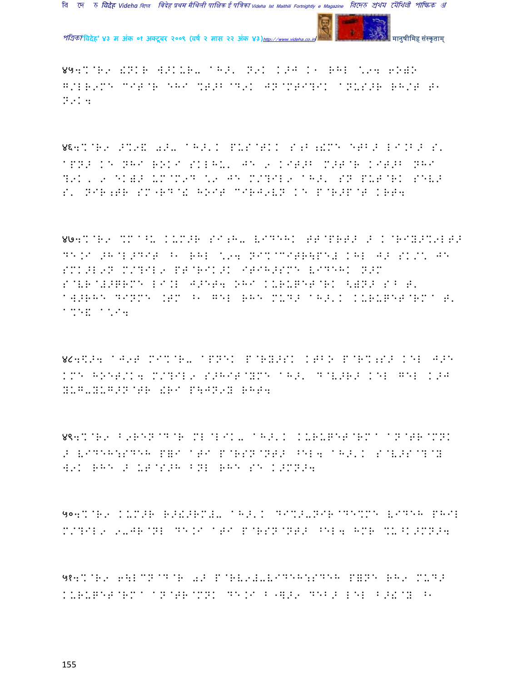$894\%$  thus with hold in the  $1$  and  $1$  respectively. The  $1$  and  $1$  and  $1$  and  $1$   $\alpha$  and  $1$ B/LR9TN TVETR NAV TEJPITES AN UNPURS TORICH RAJE RH  $3.41 \times 10^{-1}$ 

४६4%@R9 >%9& 0>- AH>'K PUS@TKK S;B;!ME ETB> LI.B> S' APS KE NHI ROKI SKLHUL SKLAND SKLIFT SKLIFT SKLIFT SKLIFT ?9K, 9 EK)> UM@M9D \*9 JE M/?IL9 AH>' SN PUT@RK SEV> S', 'S' TR'TH SEE OF THE STRAIN TO THE POST OF THE POST OF THE STRAIN KEEP  $\alpha$ 

४७4%@R9 %M@^U KUM>R SI;H- VIDEHK TT@PRT> > K@RIY>%9LT> DE.I : DE. I RHL \* RHL \*1 RHL \*1 RHL \*\* SKREED & CHE \* AR \$1 NIX \* AS SMK>L9N M/?IL9 PT@RIK>K ITIH>SME VIDEHK N>M SOME VROEGEN ER VROUGER VAR VROUGENE VER KURDE SOOR AW>RHE DINME .TM ^1 GEL RHE MUD> AH>'K KURUQET@RM@ T' A%E& A\*I4

४८4\$>4 AJ9T MI%@R- APNEK P@RY>SK KTBO P@R%;S> KEL J>E KME HOEF/K4 M/?IL9 SSEEP AHVE AHOET DOOR AHD KEL GEL KO YUG-YUG-YUG-YUG-YUG-YUG-YUG-Y

४९4%@R9 B9REN@D@R ML@LIK- AH>'K KURUQET@RM@ AN@TR@MNK > VIDEH:SDEH P=I ATI P@RSN@NT> ^EL4 AH>'K S@V>S@?@Y WAS REPORTED FOR SERVICE SERVICE SERVICE SERVICE SERVICE SERVICE SERVICE SERVICE SERVICE SERVICE SERVICE SERVICE

५०4%@R9 KUM>R R>!>RM#- AH>'K DI%>-NIR@DE%ME VIDEH PHIL M/?IP: Journal Party of the Party Party of the Atachy World World

५१4%@R9 6\LCN@D@R 0> P@RV9#-VIDEH:SDEH P=NE RH9 MUD> KURUPSA SEMITITAN SERING DI PERSONA DELENGAN DELENGAN DE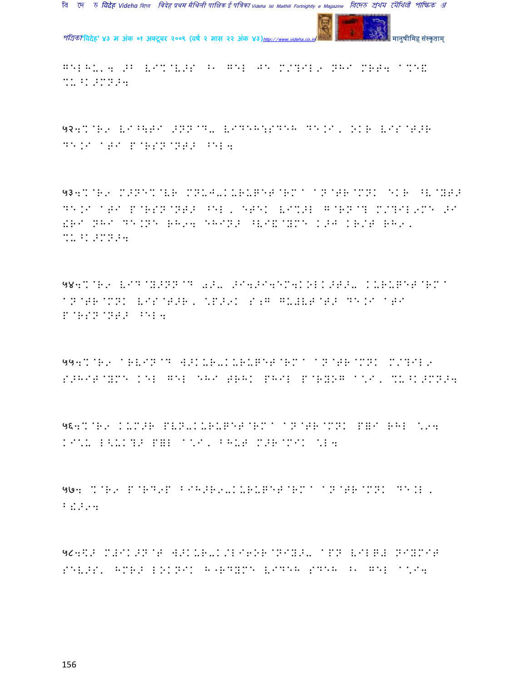*পত্ৰিকা*' विदेह' ४३ म अंक ०१ अक्टूबर २००९ (वर्ष २ मास २२ अंक ४३)http://www.videha.co.in/ मानीमिंद्र अपनी मानुषीमिह संस्कृताम्

B VEHICLA DE LESTIELE DE MARIE AN TITELE D'EAS TEACH MAR %U^K>MN>4

५२4% DE. ROBERT DER UNDER DER EINE DER EINE DER EINE DER EINE DER EINE VIS DER EINE VIS DER EINE VIS DER EINE DE.I ATI PORT PORT PORT PRESENT

५३4%@R9 M>NE%@VR MNUJ-KURUQET@RM@ AN@TR@MNK EKR ^V@YT> DE.I ATI PORTUGALI DEL SERI LEGUA VIGO DE L'ESTE VISIGNO DE RIF DER REGISTER REGENERING KOMMUNISTER KRYF KRYF K  $\mathbb{R}^n$  . The  $\mathbb{R}^n$  defined as

५४4%@R9 VID@Y>NN@D 0>- >I4>I4EM4KOLK>T>- KURUQET@RM@ AND TRAP TO DOIL AN EXTRAGALISM CONTINUES TO THE CONTINUES OF A TIME OF THE VEHICLE OF THE VEHICLE OF THE USE P@RSN@NT> ^EL4

५५4%@R9 ARVIN@D W>KUR-KURUQET@RM@ AN@TR@MNK M/?IL9 SOFFICERS OF TREATMENT PHIL PHIL POPISH AT A UNIVERSITY

५६4%@R9 KUM>R PVN-KURUQET@RM@ AN@TR@MNK P=I RHL \*94 KI\*U LOKALI PERANJAN PERANJAN PERANJAN PERANJAN PERANJAN PERANJAN PERANJAN PERANJAN PERANJAN PERANJAN PERANJAN

५७4 %@R9 P@RD9P BIH>R9-KURUQET@RM@ AN@TR@MNK DE.L,  $B = \frac{1}{2} \sum_{i=1}^{n} \sum_{j=1}^{n} \sum_{j=1}^{n} \sum_{j=1}^{n} \sum_{j=1}^{n} \sum_{j=1}^{n} \sum_{j=1}^{n} \sum_{j=1}^{n} \sum_{j=1}^{n} \sum_{j=1}^{n} \sum_{j=1}^{n} \sum_{j=1}^{n} \sum_{j=1}^{n} \sum_{j=1}^{n} \sum_{j=1}^{n} \sum_{j=1}^{n} \sum_{j=1}^{n} \sum_{j=1}^{n} \sum_{j=1}^{n} \sum_{j=1}^{n} \sum_{j=1}^{n} \$ 

५८4\$> M#IK>N@T W>KUR-K/LI6OR@NIY>- APN VILQ# NIYMIT STREAM) HORD EDITH (HAPPETT EVIDENCE) VIDEH (H"RDYME VIDEH")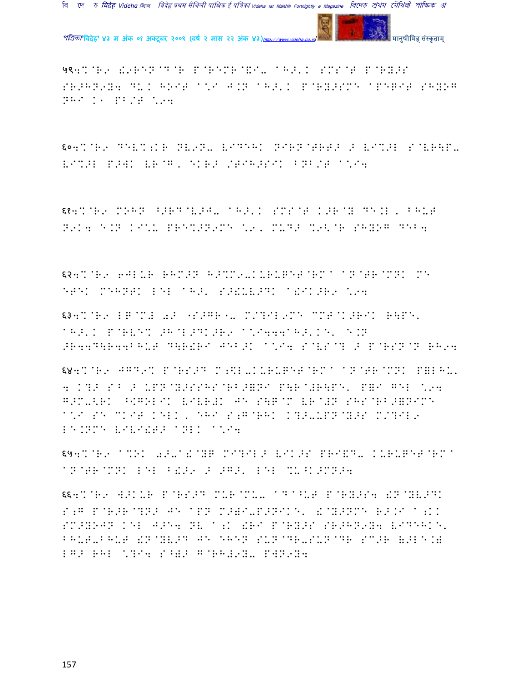५९4%@R9 !9REN@D@R P@REMR@&I- AH>'K SMS@T P@RY>S SRIPHER AND POSE ONE AND OPDIC PORTERTY OF PRESS SHIPP NHI KI KI KI KI KI

६०4%@R9 DEV%;KR NV9N- VIDEHK NIRN@TRT> > VI%>L S@VR\P-VI%>L P>WK VR@G, EKR> /TIH>SIK BNB/T A\*I4

६१4%@R9 MOHN ^>RD@V>J- AH>'K SMS@T K>R@Y DE.L, BHUT N9K4 E.N KI\*U PRESIDENTE AS WOODS AND BESTED TO BE

६२4%@R9 6JLUR RHM>N H>%M9-KURUQET@RM@ AN@TR@MNK ME ETEK MEHNTK LEL AH>' S>!UV>DK A!IK>R9 \*94

६३4%@R9 LQ@M# 0> "S>GR"- M/?IL9ME CMT@K>RIK R\PE' AH>'K P@RVE% >H@L>DK>R9 A\*I444AH>'KE' E.N >R44D\R44BHUT D\R!RI JEB>K A\*I4 S@VS@? > P@RSN@N RH94

६४4%@R9 JGD9% P@RS>D M;\$L-KURUQET@RM@ AN@TR@MNK P=LHU' 4 K?> S^ > UPN@Y>SSHS@RB>=NI P\R@#R\PE' P=I GEL \*94 GOLIK BOLIK VORDE KOLIK KIRGE I SHARBA VIVRE K BILIK VIR SHS MEDIK SHS A\*I SE CKIT KELK, EHI S;G@RHK K?>-UPN@Y>S M/?IL9 LE.NME VIIVI AND A STRONG AT A STRONG AT A STRONG AT A STRONG AT A STRONG AT A STRONG AT A STRONG AT A STRONG <br>And the strong at a strong and a strong at a strong and a strong at a strong and a strong at a strong and a st

६५4%@R9 A%OK 0>-A!@YQ MI?IL> VIK>S PRI&D- KURUQET@RM@ AND TRANSPORTED HER CONSTRUCTED AND TRANSPORTED HER SAME CONSTRUCTION OF THE SAME CONSTRUCTION OF THE SAME CON

६६4%@R9 W>KUR P@RS>D MUR@MU- AD@^UT P@RY>S4 !N@YV>DK S; G P APP A PORT A REPORT OF THE REPORT OF THE REPORT OF THE REPORT OF THE REPORT OF THE REPORT OF THE REPORT<br>In the report of the report of the report of the report of the report of the report of the report of the report SMOTH KEL JOHN KEL JOHN KEL JOHN KEL JOHN KEL JOHN KEL JOHN KEL JOHN KEL JOHN KEL JOHN KEL JOHN KEL JOHN KEL J BHUT-BHUT !N@YV>D JE EHEN SUN@DR-SUN@DR SC>R (>LE.) EAR RHE TIME FARR A TRAINING FAILER